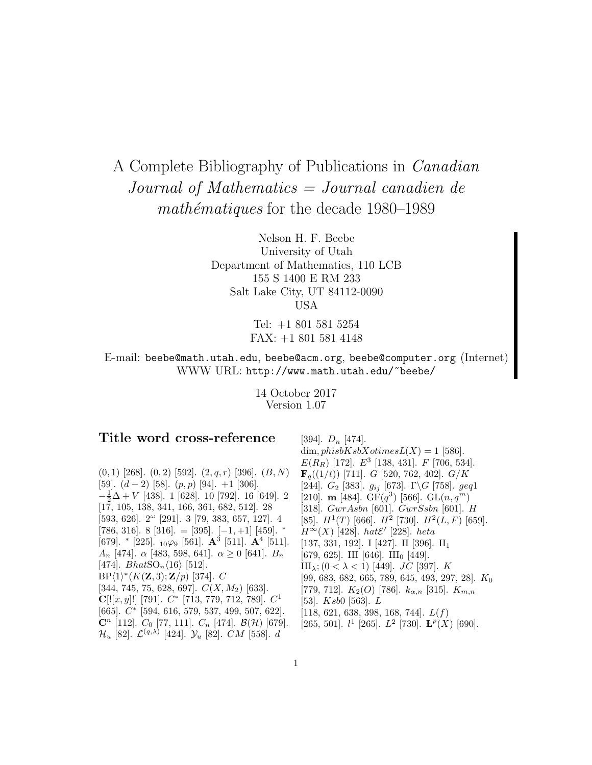# A Complete Bibliography of Publications in Canadian Journal of Mathematics = Journal canadien de mathématiques for the decade  $1980-1989$

Nelson H. F. Beebe University of Utah Department of Mathematics, 110 LCB 155 S 1400 E RM 233 Salt Lake City, UT 84112-0090 USA

> Tel: +1 801 581 5254 FAX: +1 801 581 4148

E-mail: beebe@math.utah.edu, beebe@acm.org, beebe@computer.org (Internet) WWW URL: http://www.math.utah.edu/~beebe/

> 14 October 2017 Version 1.07

# **Title word cross-reference**

 $(0, 1)$  [268].  $(0, 2)$  [592].  $(2, q, r)$  [396].  $(B, N)$ [59].  $(d-2)$  [58].  $(p, p)$  [94]. +1 [306].  $-\frac{1}{2}\Delta$  + V [438]. 1 [628]. 10 [792]. 16 [649]. 2 [17, 105, 138, 341, 166, 361, 682, 512]. 28  $[593, 626]$ .  $2^{\omega}$   $[291]$ . 3  $[79, 383, 657, 127]$ . 4 [786, 316]. 8 [316]. = [395].  $[-1, +1]$  [459].  $*$ [679]. <sup>∗</sup> [225]. <sup>10</sup>ϕ<sup>9</sup> [561]. **A**<sup>3</sup> [511]. **A**<sup>4</sup> [511].  $A_n$  [474].  $\alpha$  [483, 598, 641].  $\alpha \geq 0$  [641].  $B_n$ [474].  $BhatSO_n\langle 16\rangle$  [512].  $BP\langle 1 \rangle^*(K(\mathbf{Z},3); \mathbf{Z}/p)$  [374]. C [344, 745, 75, 628, 697].  $C(X, M_2)$  [633].  $C[[x, y]]$  [791].  $C^*$  [713, 779, 712, 789].  $C^1$ [665]. C<sup>∗</sup> [594, 616, 579, 537, 499, 507, 622].  $\mathbf{C}^n$  [112].  $C_0$  [77, 111].  $C_n$  [474].  $\mathcal{B}(\mathcal{H})$  [679].  $\mathcal{H}_u$  [82].  $\mathcal{L}^{(q,\lambda)}$  [424].  $\mathcal{Y}_u$  [82].  $CM$  [558]. d

[394].  $D_n$  [474]. dim,  $phisbKsbXotimesL(X) = 1$  [586].  $E(R_R)$  [172].  $E^3$  [138, 431].  $F$  [706, 534].  $\mathbf{F}_q((1/t))$  [711]. G [520, 762, 402]. G/K [244].  $G_2$  [383].  $g_{ij}$  [673].  $\Gamma \backslash G$  [758].  $geq1$ [210]. **m** [484]. GF( $q^3$ ) [566]. GL( $n, q^m$ ) [318]. GwrAsbn [601]. GwrSsbn [601]. H [85].  $H^1(T)$  [666].  $H^2$  [730].  $H^2(L, F)$  [659].  $H^{\infty}(X)$  [428]. hat $\mathcal{E}'$  [228]. heta [137, 331, 192]. I [427]. II [396]. II<sup>1</sup> [679, 625]. III [646]. III<sub>0</sub> [449]. III<sub>λ</sub>; (0 < λ < 1) [449]. *JC* [397]. *K* [99, 683, 682, 665, 789, 645, 493, 297, 28].  $K_0$ [779, 712].  $K_2(O)$  [786].  $k_{\alpha,n}$  [315].  $K_{m,n}$ [53]. Ksb0 [563]. L [118, 621, 638, 398, 168, 744].  $L(f)$ [265, 501].  $l^1$  [265].  $L^2$  [730].  ${\bf L}^p(X)$  [690].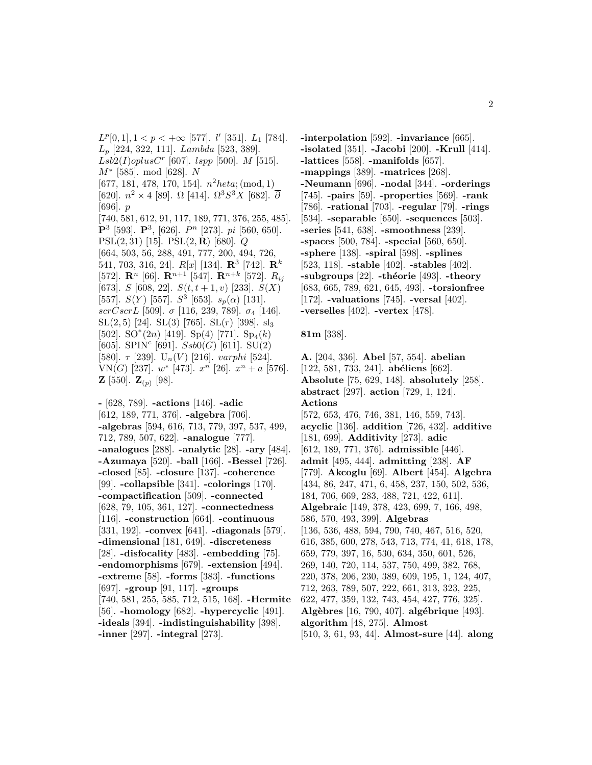$L^p[0,1], 1 < p < +\infty$  [577].  $l'$  [351].  $L_1$  [784].  $L_p$  [224, 322, 111]. Lambda [523, 389].  $Lsb2(I)oplusC^r$  [607].  $lspp$  [500]. M [515]. M<sup>∗</sup> [585]. mod [628]. N [677, 181, 478, 170, 154].  $n^2 heta$ ; (mod, 1) [620].  $n^2 \times 4$  [89]. Ω [414].  $\Omega^3 S^3 X$  [682].  $\overline{\partial}$ [696]. p [740, 581, 612, 91, 117, 189, 771, 376, 255, 485]. **P**<sup>3</sup> [593]. **P**<sup>3</sup>, [626]. *P*<sup>n</sup> [273]. *pi* [560, 650]. PSL(2, 31) [15]. PSL(2, **R**) [680]. Q [664, 503, 56, 288, 491, 777, 200, 494, 726, 541, 703, 316, 24]. R[x] [134]. **R**<sup>3</sup> [742]. **R**<sup>k</sup> [572]. **R**<sup>n</sup> [66]. **R**<sup>n+1</sup> [547]. **R**<sup>n+k</sup> [572]. *R*<sub>ij</sub> [673]. S [608, 22].  $S(t, t+1, v)$  [233].  $S(X)$ [557].  $S(Y)$  [557].  $S^3$  [653].  $s_p(\alpha)$  [131]. scrCscrL [509].  $\sigma$  [116, 239, 789].  $\sigma_4$  [146].  $SL(2, 5)$  [24].  $SL(3)$  [765].  $SL(r)$  [398].  $sl_3$ [502]. SO<sup>\*</sup>(2n) [419]. Sp(4) [771]. Sp<sub>4</sub>(k) [605]. SPIN<sup>c</sup> [691].  $Ssb0(G)$  [611]. SU(2) [580].  $\tau$  [239]. U<sub>n</sub>(V) [216]. varphi [524]. VN(G) [237].  $w^*$  [473].  $x^n$  [26].  $x^n + a$  [576]. **Z** [550].  $\mathbf{Z}_{(p)}$  [98].

**-** [628, 789]. **-actions** [146]. **-adic** [612, 189, 771, 376]. **-algebra** [706]. **-algebras** [594, 616, 713, 779, 397, 537, 499, 712, 789, 507, 622]. **-analogue** [777]. **-analogues** [288]. **-analytic** [28]. **-ary** [484]. **-Azumaya** [520]. **-ball** [166]. **-Bessel** [726]. **-closed** [85]. **-closure** [137]. **-coherence** [99]. **-collapsible** [341]. **-colorings** [170]. **-compactification** [509]. **-connected** [628, 79, 105, 361, 127]. **-connectedness** [116]. **-construction** [664]. **-continuous** [331, 192]. **-convex** [641]. **-diagonals** [579]. **-dimensional** [181, 649]. **-discreteness** [28]. **-disfocality** [483]. **-embedding** [75]. **-endomorphisms** [679]. **-extension** [494]. **-extreme** [58]. **-forms** [383]. **-functions** [697]. **-group** [91, 117]. **-groups** [740, 581, 255, 585, 712, 515, 168]. **-Hermite** [56]. **-homology** [682]. **-hypercyclic** [491]. **-ideals** [394]. **-indistinguishability** [398]. **-inner** [297]. **-integral** [273].

**-interpolation** [592]. **-invariance** [665]. **-isolated** [351]. **-Jacobi** [200]. **-Krull** [414]. **-lattices** [558]. **-manifolds** [657]. **-mappings** [389]. **-matrices** [268]. **-Neumann** [696]. **-nodal** [344]. **-orderings** [745]. **-pairs** [59]. **-properties** [569]. **-rank** [786]. **-rational** [703]. **-regular** [79]. **-rings** [534]. **-separable** [650]. **-sequences** [503]. **-series** [541, 638]. **-smoothness** [239]. **-spaces** [500, 784]. **-special** [560, 650]. **-sphere** [138]. **-spiral** [598]. **-splines** [523, 118]. **-stable** [402]. **-stables** [402]. **-subgroups** [22]. **-théorie** [493]. **-theory** [683, 665, 789, 621, 645, 493]. **-torsionfree** [172]. **-valuations** [745]. **-versal** [402]. **-verselles** [402]. **-vertex** [478].

#### **81m** [338].

**A.** [204, 336]. **Abel** [57, 554]. **abelian** [122, 581, 733, 241]. **abéliens** [662]. **Absolute** [75, 629, 148]. **absolutely** [258]. **abstract** [297]. **action** [729, 1, 124]. **Actions** [572, 653, 476, 746, 381, 146, 559, 743]. **acyclic** [136]. **addition** [726, 432]. **additive** [181, 699]. **Additivity** [273]. **adic** [612, 189, 771, 376]. **admissible** [446]. **admit** [495, 444]. **admitting** [238]. **AF** [779]. **Akcoglu** [69]. **Albert** [454]. **Algebra** [434, 86, 247, 471, 6, 458, 237, 150, 502, 536, 184, 706, 669, 283, 488, 721, 422, 611]. **Algebraic** [149, 378, 423, 699, 7, 166, 498, 586, 570, 493, 399]. **Algebras** [136, 536, 488, 594, 790, 740, 467, 516, 520, 616, 385, 600, 278, 543, 713, 774, 41, 618, 178, 659, 779, 397, 16, 530, 634, 350, 601, 526, 269, 140, 720, 114, 537, 750, 499, 382, 768, 220, 378, 206, 230, 389, 609, 195, 1, 124, 407, 712, 263, 789, 507, 222, 661, 313, 323, 225, 622, 477, 359, 132, 743, 454, 427, 776, 325]. **Alg`ebres** [16, 790, 407]. **alg´ebrique** [493]. **algorithm** [48, 275]. **Almost** [510, 3, 61, 93, 44]. **Almost-sure** [44]. **along**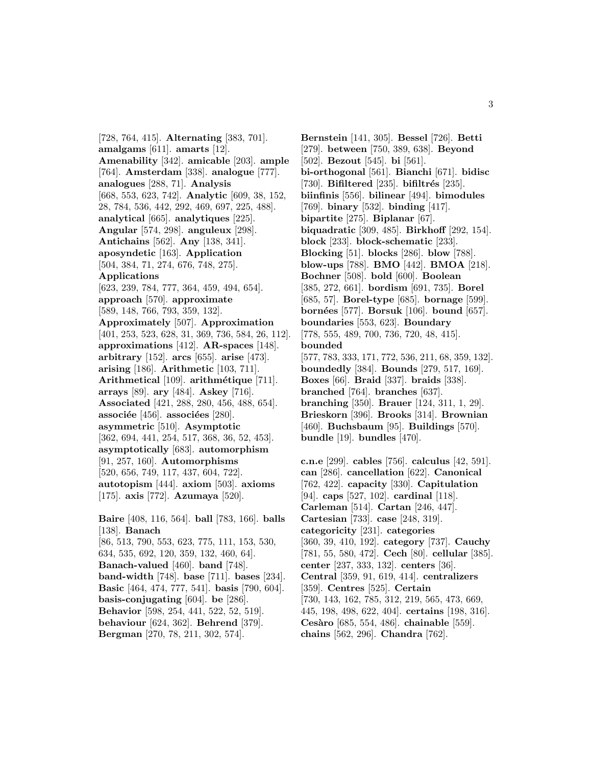[728, 764, 415]. **Alternating** [383, 701]. **amalgams** [611]. **amarts** [12]. **Amenability** [342]. **amicable** [203]. **ample** [764]. **Amsterdam** [338]. **analogue** [777]. **analogues** [288, 71]. **Analysis** [668, 553, 623, 742]. **Analytic** [609, 38, 152, 28, 784, 536, 442, 292, 469, 697, 225, 488]. **analytical** [665]. **analytiques** [225]. **Angular** [574, 298]. **anguleux** [298]. **Antichains** [562]. **Any** [138, 341]. **aposyndetic** [163]. **Application** [504, 384, 71, 274, 676, 748, 275]. **Applications** [623, 239, 784, 777, 364, 459, 494, 654]. **approach** [570]. **approximate** [589, 148, 766, 793, 359, 132]. **Approximately** [507]. **Approximation** [401, 253, 523, 628, 31, 369, 736, 584, 26, 112]. **approximations** [412]. **AR-spaces** [148]. **arbitrary** [152]. **arcs** [655]. **arise** [473]. **arising** [186]. **Arithmetic** [103, 711]. **Arithmetical** [109]. **arithm´etique** [711]. **arrays** [89]. **ary** [484]. **Askey** [716]. **Associated** [421, 288, 280, 456, 488, 654]. **associée** [456]. **associées** [280]. **asymmetric** [510]. **Asymptotic** [362, 694, 441, 254, 517, 368, 36, 52, 453]. **asymptotically** [683]. **automorphism** [91, 257, 160]. **Automorphisms** [520, 656, 749, 117, 437, 604, 722]. **autotopism** [444]. **axiom** [503]. **axioms** [175]. **axis** [772]. **Azumaya** [520]. **Baire** [408, 116, 564]. **ball** [783, 166]. **balls** [138]. **Banach** [86, 513, 790, 553, 623, 775, 111, 153, 530, 634, 535, 692, 120, 359, 132, 460, 64].

**Banach-valued** [460]. **band** [748]. **band-width** [748]. **base** [711]. **bases** [234]. **Basic** [464, 474, 777, 541]. **basis** [790, 604]. **basis-conjugating** [604]. **be** [286]. **Behavior** [598, 254, 441, 522, 52, 519]. **behaviour** [624, 362]. **Behrend** [379]. **Bergman** [270, 78, 211, 302, 574].

**Bernstein** [141, 305]. **Bessel** [726]. **Betti** [279]. **between** [750, 389, 638]. **Beyond** [502]. **Bezout** [545]. **bi** [561]. **bi-orthogonal** [561]. **Bianchi** [671]. **bidisc** [730]. **Bifiltered** [235]. **bifiltrés** [235]. **biinfinis** [556]. **bilinear** [494]. **bimodules** [769]. **binary** [532]. **binding** [417]. **bipartite** [275]. **Biplanar** [67]. **biquadratic** [309, 485]. **Birkhoff** [292, 154]. **block** [233]. **block-schematic** [233]. **Blocking** [51]. **blocks** [286]. **blow** [788]. **blow-ups** [788]. **BMO** [442]. **BMOA** [218]. **Bochner** [508]. **bold** [600]. **Boolean** [385, 272, 661]. **bordism** [691, 735]. **Borel** [685, 57]. **Borel-type** [685]. **bornage** [599]. **born´ees** [577]. **Borsuk** [106]. **bound** [657]. **boundaries** [553, 623]. **Boundary** [778, 555, 489, 700, 736, 720, 48, 415]. **bounded** [577, 783, 333, 171, 772, 536, 211, 68, 359, 132]. **boundedly** [384]. **Bounds** [279, 517, 169]. **Boxes** [66]. **Braid** [337]. **braids** [338]. **branched** [764]. **branches** [637]. **branching** [350]. **Brauer** [124, 311, 1, 29]. **Brieskorn** [396]. **Brooks** [314]. **Brownian** [460]. **Buchsbaum** [95]. **Buildings** [570]. **bundle** [19]. **bundles** [470].

**c.n.e** [299]. **cables** [756]. **calculus** [42, 591]. **can** [286]. **cancellation** [622]. **Canonical** [762, 422]. **capacity** [330]. **Capitulation** [94]. **caps** [527, 102]. **cardinal** [118]. **Carleman** [514]. **Cartan** [246, 447]. **Cartesian** [733]. **case** [248, 319]. **categoricity** [231]. **categories** [360, 39, 410, 192]. **category** [737]. **Cauchy** [781, 55, 580, 472]. **Cech** [80]. **cellular** [385]. **center** [237, 333, 132]. **centers** [36]. **Central** [359, 91, 619, 414]. **centralizers** [359]. **Centres** [525]. **Certain** [730, 143, 162, 785, 312, 219, 565, 473, 669, 445, 198, 498, 622, 404]. **certains** [198, 316]. **Ces`aro** [685, 554, 486]. **chainable** [559]. **chains** [562, 296]. **Chandra** [762].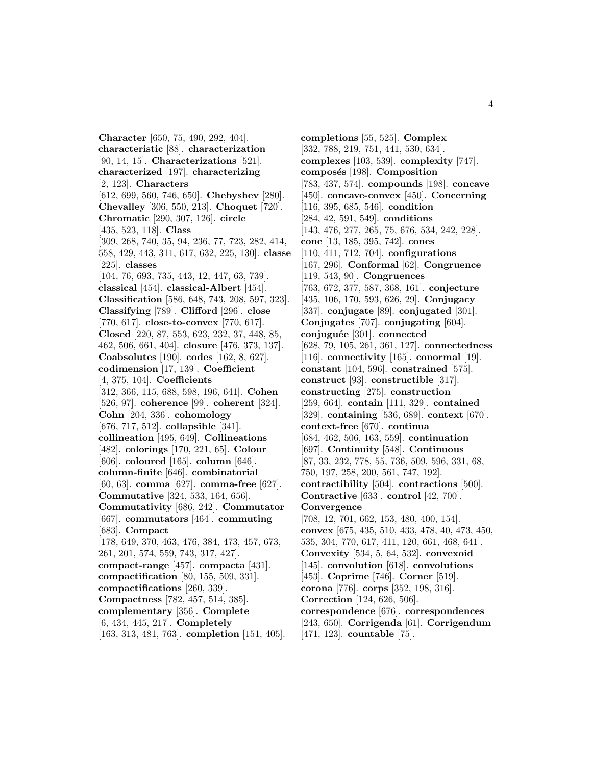**Character** [650, 75, 490, 292, 404]. **characteristic** [88]. **characterization** [90, 14, 15]. **Characterizations** [521]. **characterized** [197]. **characterizing** [2, 123]. **Characters** [612, 699, 560, 746, 650]. **Chebyshev** [280]. **Chevalley** [306, 550, 213]. **Choquet** [720]. **Chromatic** [290, 307, 126]. **circle** [435, 523, 118]. **Class** [309, 268, 740, 35, 94, 236, 77, 723, 282, 414, 558, 429, 443, 311, 617, 632, 225, 130]. **classe** [225]. **classes** [104, 76, 693, 735, 443, 12, 447, 63, 739]. **classical** [454]. **classical-Albert** [454]. **Classification** [586, 648, 743, 208, 597, 323]. **Classifying** [789]. **Clifford** [296]. **close** [770, 617]. **close-to-convex** [770, 617]. **Closed** [220, 87, 553, 623, 232, 37, 448, 85, 462, 506, 661, 404]. **closure** [476, 373, 137]. **Coabsolutes** [190]. **codes** [162, 8, 627]. **codimension** [17, 139]. **Coefficient** [4, 375, 104]. **Coefficients** [312, 366, 115, 688, 598, 196, 641]. **Cohen** [526, 97]. **coherence** [99]. **coherent** [324]. **Cohn** [204, 336]. **cohomology** [676, 717, 512]. **collapsible** [341]. **collineation** [495, 649]. **Collineations** [482]. **colorings** [170, 221, 65]. **Colour** [606]. **coloured** [165]. **column** [646]. **column-finite** [646]. **combinatorial** [60, 63]. **comma** [627]. **comma-free** [627]. **Commutative** [324, 533, 164, 656]. **Commutativity** [686, 242]. **Commutator** [667]. **commutators** [464]. **commuting** [683]. **Compact** [178, 649, 370, 463, 476, 384, 473, 457, 673, 261, 201, 574, 559, 743, 317, 427]. **compact-range** [457]. **compacta** [431]. **compactification** [80, 155, 509, 331]. **compactifications** [260, 339]. **Compactness** [782, 457, 514, 385]. **complementary** [356]. **Complete** [6, 434, 445, 217]. **Completely** [163, 313, 481, 763]. **completion** [151, 405].

**completions** [55, 525]. **Complex** [332, 788, 219, 751, 441, 530, 634]. **complexes** [103, 539]. **complexity** [747]. composés [198]. Composition [783, 437, 574]. **compounds** [198]. **concave** [450]. **concave-convex** [450]. **Concerning** [116, 395, 685, 546]. **condition** [284, 42, 591, 549]. **conditions** [143, 476, 277, 265, 75, 676, 534, 242, 228]. **cone** [13, 185, 395, 742]. **cones** [110, 411, 712, 704]. **configurations** [167, 296]. **Conformal** [62]. **Congruence** [119, 543, 90]. **Congruences** [763, 672, 377, 587, 368, 161]. **conjecture** [435, 106, 170, 593, 626, 29]. **Conjugacy** [337]. **conjugate** [89]. **conjugated** [301]. **Conjugates** [707]. **conjugating** [604]. **conjugu´ee** [301]. **connected** [628, 79, 105, 261, 361, 127]. **connectedness** [116]. **connectivity** [165]. **conormal** [19]. **constant** [104, 596]. **constrained** [575]. **construct** [93]. **constructible** [317]. **constructing** [275]. **construction** [259, 664]. **contain** [111, 329]. **contained** [329]. **containing** [536, 689]. **context** [670]. **context-free** [670]. **continua** [684, 462, 506, 163, 559]. **continuation** [697]. **Continuity** [548]. **Continuous** [87, 33, 232, 778, 55, 736, 509, 596, 331, 68, 750, 197, 258, 200, 561, 747, 192]. **contractibility** [504]. **contractions** [500]. **Contractive** [633]. **control** [42, 700]. **Convergence** [708, 12, 701, 662, 153, 480, 400, 154]. **convex** [675, 435, 510, 433, 478, 40, 473, 450, 535, 304, 770, 617, 411, 120, 661, 468, 641]. **Convexity** [534, 5, 64, 532]. **convexoid** [145]. **convolution** [618]. **convolutions** [453]. **Coprime** [746]. **Corner** [519]. **corona** [776]. **corps** [352, 198, 316]. **Correction** [124, 626, 506]. **correspondence** [676]. **correspondences** [243, 650]. **Corrigenda** [61]. **Corrigendum** [471, 123]. **countable** [75].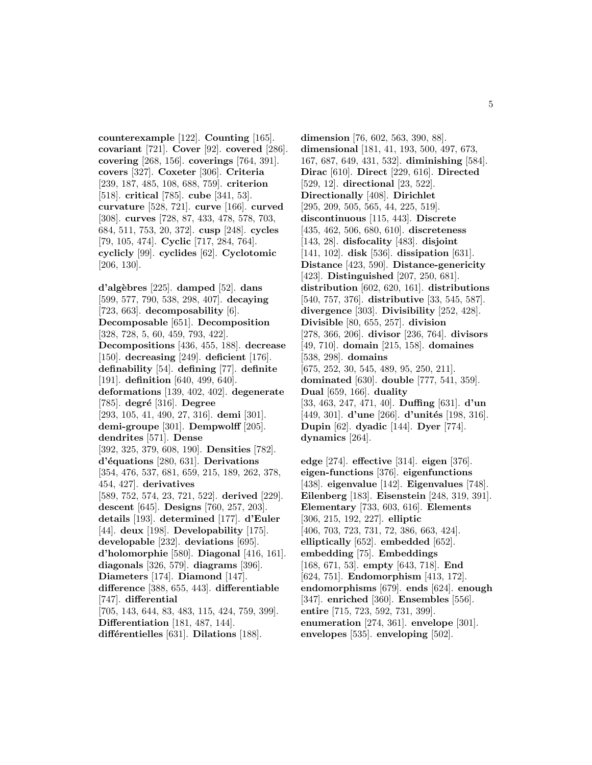**counterexample** [122]. **Counting** [165]. **covariant** [721]. **Cover** [92]. **covered** [286]. **covering** [268, 156]. **coverings** [764, 391]. **covers** [327]. **Coxeter** [306]. **Criteria** [239, 187, 485, 108, 688, 759]. **criterion** [518]. **critical** [785]. **cube** [341, 53]. **curvature** [528, 721]. **curve** [166]. **curved** [308]. **curves** [728, 87, 433, 478, 578, 703, 684, 511, 753, 20, 372]. **cusp** [248]. **cycles** [79, 105, 474]. **Cyclic** [717, 284, 764]. **cyclicly** [99]. **cyclides** [62]. **Cyclotomic** [206, 130].

**d'alg`ebres** [225]. **damped** [52]. **dans** [599, 577, 790, 538, 298, 407]. **decaying** [723, 663]. **decomposability** [6]. **Decomposable** [651]. **Decomposition** [328, 728, 5, 60, 459, 793, 422]. **Decompositions** [436, 455, 188]. **decrease** [150]. **decreasing** [249]. **deficient** [176]. **definability** [54]. **defining** [77]. **definite** [191]. **definition** [640, 499, 640]. **deformations** [139, 402, 402]. **degenerate** [785]. **degré** [316]. **Degree** [293, 105, 41, 490, 27, 316]. **demi** [301]. **demi-groupe** [301]. **Dempwolff** [205]. **dendrites** [571]. **Dense** [392, 325, 379, 608, 190]. **Densities** [782]. **d'´equations** [280, 631]. **Derivations** [354, 476, 537, 681, 659, 215, 189, 262, 378, 454, 427]. **derivatives** [589, 752, 574, 23, 721, 522]. **derived** [229]. **descent** [645]. **Designs** [760, 257, 203]. **details** [193]. **determined** [177]. **d'Euler** [44]. **deux** [198]. **Developability** [175]. **developable** [232]. **deviations** [695]. **d'holomorphie** [580]. **Diagonal** [416, 161]. **diagonals** [326, 579]. **diagrams** [396]. **Diameters** [174]. **Diamond** [147]. **difference** [388, 655, 443]. **differentiable** [747]. **differential** [705, 143, 644, 83, 483, 115, 424, 759, 399]. **Differentiation** [181, 487, 144].

**diff´erentielles** [631]. **Dilations** [188].

**dimension** [76, 602, 563, 390, 88]. **dimensional** [181, 41, 193, 500, 497, 673, 167, 687, 649, 431, 532]. **diminishing** [584]. **Dirac** [610]. **Direct** [229, 616]. **Directed** [529, 12]. **directional** [23, 522]. **Directionally** [408]. **Dirichlet** [295, 209, 505, 565, 44, 225, 519]. **discontinuous** [115, 443]. **Discrete** [435, 462, 506, 680, 610]. **discreteness** [143, 28]. **disfocality** [483]. **disjoint** [141, 102]. **disk** [536]. **dissipation** [631]. **Distance** [423, 590]. **Distance-genericity** [423]. **Distinguished** [207, 250, 681]. **distribution** [602, 620, 161]. **distributions** [540, 757, 376]. **distributive** [33, 545, 587]. **divergence** [303]. **Divisibility** [252, 428]. **Divisible** [80, 655, 257]. **division** [278, 366, 206]. **divisor** [236, 764]. **divisors** [49, 710]. **domain** [215, 158]. **domaines** [538, 298]. **domains** [675, 252, 30, 545, 489, 95, 250, 211]. **dominated** [630]. **double** [777, 541, 359]. **Dual** [659, 166]. **duality** [33, 463, 247, 471, 40]. **Duffing** [631]. **d'un** [449, 301]. **d'une** [266]. **d'unités** [198, 316]. **Dupin** [62]. **dyadic** [144]. **Dyer** [774]. **dynamics** [264].

**edge** [274]. **effective** [314]. **eigen** [376]. **eigen-functions** [376]. **eigenfunctions** [438]. **eigenvalue** [142]. **Eigenvalues** [748]. **Eilenberg** [183]. **Eisenstein** [248, 319, 391]. **Elementary** [733, 603, 616]. **Elements** [306, 215, 192, 227]. **elliptic** [406, 703, 723, 731, 72, 386, 663, 424]. **elliptically** [652]. **embedded** [652]. **embedding** [75]. **Embeddings** [168, 671, 53]. **empty** [643, 718]. **End** [624, 751]. **Endomorphism** [413, 172]. **endomorphisms** [679]. **ends** [624]. **enough** [347]. **enriched** [360]. **Ensembles** [556]. **entire** [715, 723, 592, 731, 399]. **enumeration** [274, 361]. **envelope** [301]. **envelopes** [535]. **enveloping** [502].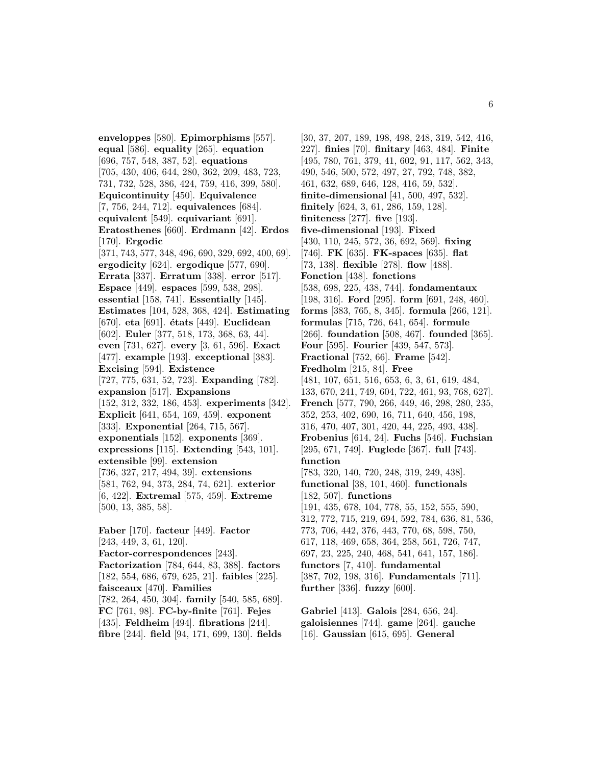**enveloppes** [580]. **Epimorphisms** [557]. **equal** [586]. **equality** [265]. **equation** [696, 757, 548, 387, 52]. **equations** [705, 430, 406, 644, 280, 362, 209, 483, 723, 731, 732, 528, 386, 424, 759, 416, 399, 580]. **Equicontinuity** [450]. **Equivalence** [7, 756, 244, 712]. **equivalences** [684]. **equivalent** [549]. **equivariant** [691]. **Eratosthenes** [660]. **Erdmann** [42]. **Erdos** [170]. **Ergodic** [371, 743, 577, 348, 496, 690, 329, 692, 400, 69]. **ergodicity** [624]. **ergodique** [577, 690]. **Errata** [337]. **Erratum** [338]. **error** [517]. **Espace** [449]. **espaces** [599, 538, 298]. **essential** [158, 741]. **Essentially** [145]. **Estimates** [104, 528, 368, 424]. **Estimating** [670]. **eta** [691]. **´etats** [449]. **Euclidean** [602]. **Euler** [377, 518, 173, 368, 63, 44]. **even** [731, 627]. **every** [3, 61, 596]. **Exact** [477]. **example** [193]. **exceptional** [383]. **Excising** [594]. **Existence** [727, 775, 631, 52, 723]. **Expanding** [782]. **expansion** [517]. **Expansions** [152, 312, 332, 186, 453]. **experiments** [342]. **Explicit** [641, 654, 169, 459]. **exponent** [333]. **Exponential** [264, 715, 567]. **exponentials** [152]. **exponents** [369]. **expressions** [115]. **Extending** [543, 101]. **extensible** [99]. **extension** [736, 327, 217, 494, 39]. **extensions** [581, 762, 94, 373, 284, 74, 621]. **exterior** [6, 422]. **Extremal** [575, 459]. **Extreme** [500, 13, 385, 58]. **Faber** [170]. **facteur** [449]. **Factor** [243, 449, 3, 61, 120]. **Factor-correspondences** [243]. **Factorization** [784, 644, 83, 388]. **factors** [182, 554, 686, 679, 625, 21]. **faibles** [225]. **faisceaux** [470]. **Families**

[782, 264, 450, 304]. **family** [540, 585, 689]. **FC** [761, 98]. **FC-by-finite** [761]. **Fejes** [435]. **Feldheim** [494]. **fibrations** [244]. **fibre** [244]. **field** [94, 171, 699, 130]. **fields**

[30, 37, 207, 189, 198, 498, 248, 319, 542, 416, 227]. **finies** [70]. **finitary** [463, 484]. **Finite** [495, 780, 761, 379, 41, 602, 91, 117, 562, 343, 490, 546, 500, 572, 497, 27, 792, 748, 382, 461, 632, 689, 646, 128, 416, 59, 532]. **finite-dimensional** [41, 500, 497, 532]. **finitely** [624, 3, 61, 286, 159, 128]. **finiteness** [277]. **five** [193]. **five-dimensional** [193]. **Fixed** [430, 110, 245, 572, 36, 692, 569]. **fixing** [746]. **FK** [635]. **FK-spaces** [635]. **flat** [73, 138]. **flexible** [278]. **flow** [488]. **Fonction** [438]. **fonctions** [538, 698, 225, 438, 744]. **fondamentaux** [198, 316]. **Ford** [295]. **form** [691, 248, 460]. **forms** [383, 765, 8, 345]. **formula** [266, 121]. **formulas** [715, 726, 641, 654]. **formule** [266]. **foundation** [508, 467]. **founded** [365]. **Four** [595]. **Fourier** [439, 547, 573]. **Fractional** [752, 66]. **Frame** [542]. **Fredholm** [215, 84]. **Free** [481, 107, 651, 516, 653, 6, 3, 61, 619, 484, 133, 670, 241, 749, 604, 722, 461, 93, 768, 627]. **French** [577, 790, 266, 449, 46, 298, 280, 235, 352, 253, 402, 690, 16, 711, 640, 456, 198, 316, 470, 407, 301, 420, 44, 225, 493, 438]. **Frobenius** [614, 24]. **Fuchs** [546]. **Fuchsian** [295, 671, 749]. **Fuglede** [367]. **full** [743]. **function** [783, 320, 140, 720, 248, 319, 249, 438]. **functional** [38, 101, 460]. **functionals** [182, 507]. **functions** [191, 435, 678, 104, 778, 55, 152, 555, 590, 312, 772, 715, 219, 694, 592, 784, 636, 81, 536, 773, 706, 442, 376, 443, 770, 68, 598, 750, 617, 118, 469, 658, 364, 258, 561, 726, 747, 697, 23, 225, 240, 468, 541, 641, 157, 186]. **functors** [7, 410]. **fundamental** [387, 702, 198, 316]. **Fundamentals** [711]. **further** [336]. **fuzzy** [600].

**Gabriel** [413]. **Galois** [284, 656, 24]. **galoisiennes** [744]. **game** [264]. **gauche** [16]. **Gaussian** [615, 695]. **General**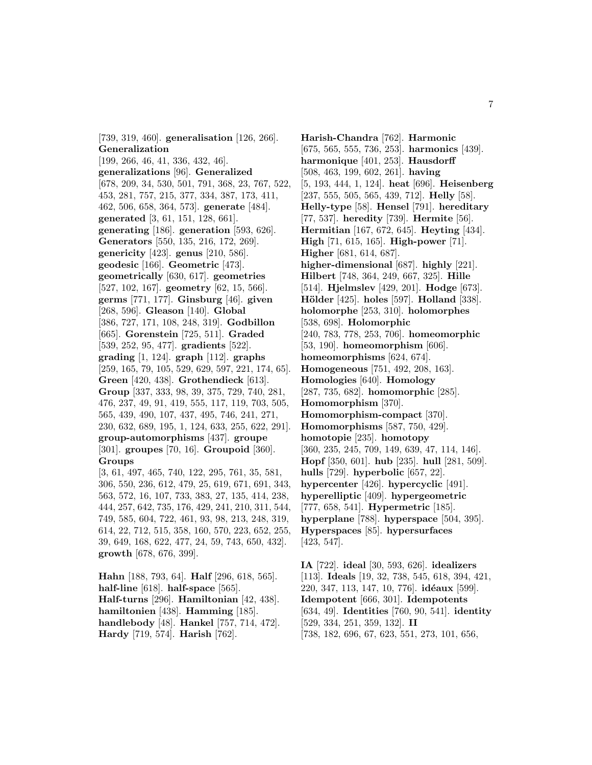[739, 319, 460]. **generalisation** [126, 266]. **Generalization** [199, 266, 46, 41, 336, 432, 46]. **generalizations** [96]. **Generalized** [678, 209, 34, 530, 501, 791, 368, 23, 767, 522, 453, 281, 757, 215, 377, 334, 387, 173, 411, 462, 506, 658, 364, 573]. **generate** [484]. **generated** [3, 61, 151, 128, 661]. **generating** [186]. **generation** [593, 626]. **Generators** [550, 135, 216, 172, 269]. **genericity** [423]. **genus** [210, 586]. **geodesic** [166]. **Geometric** [473]. **geometrically** [630, 617]. **geometries** [527, 102, 167]. **geometry** [62, 15, 566]. **germs** [771, 177]. **Ginsburg** [46]. **given** [268, 596]. **Gleason** [140]. **Global** [386, 727, 171, 108, 248, 319]. **Godbillon** [665]. **Gorenstein** [725, 511]. **Graded** [539, 252, 95, 477]. **gradients** [522]. **grading** [1, 124]. **graph** [112]. **graphs** [259, 165, 79, 105, 529, 629, 597, 221, 174, 65]. **Green** [420, 438]. **Grothendieck** [613]. **Group** [337, 333, 98, 39, 375, 729, 740, 281, 476, 237, 49, 91, 419, 555, 117, 119, 703, 505, 565, 439, 490, 107, 437, 495, 746, 241, 271, 230, 632, 689, 195, 1, 124, 633, 255, 622, 291]. **group-automorphisms** [437]. **groupe** [301]. **groupes** [70, 16]. **Groupoid** [360]. **Groups** [3, 61, 497, 465, 740, 122, 295, 761, 35, 581,

306, 550, 236, 612, 479, 25, 619, 671, 691, 343, 563, 572, 16, 107, 733, 383, 27, 135, 414, 238, 444, 257, 642, 735, 176, 429, 241, 210, 311, 544, 749, 585, 604, 722, 461, 93, 98, 213, 248, 319, 614, 22, 712, 515, 358, 160, 570, 223, 652, 255, 39, 649, 168, 622, 477, 24, 59, 743, 650, 432]. **growth** [678, 676, 399].

**Hahn** [188, 793, 64]. **Half** [296, 618, 565]. **half-line** [618]. **half-space** [565]. **Half-turns** [296]. **Hamiltonian** [42, 438]. **hamiltonien** [438]. **Hamming** [185]. **handlebody** [48]. **Hankel** [757, 714, 472]. **Hardy** [719, 574]. **Harish** [762].

**Harish-Chandra** [762]. **Harmonic** [675, 565, 555, 736, 253]. **harmonics** [439]. **harmonique** [401, 253]. **Hausdorff** [508, 463, 199, 602, 261]. **having** [5, 193, 444, 1, 124]. **heat** [696]. **Heisenberg** [237, 555, 505, 565, 439, 712]. **Helly** [58]. **Helly-type** [58]. **Hensel** [791]. **hereditary** [77, 537]. **heredity** [739]. **Hermite** [56]. **Hermitian** [167, 672, 645]. **Heyting** [434]. **High** [71, 615, 165]. **High-power** [71]. **Higher** [681, 614, 687]. **higher-dimensional** [687]. **highly** [221]. **Hilbert** [748, 364, 249, 667, 325]. **Hille** [514]. **Hjelmslev** [429, 201]. **Hodge** [673]. **H¨older** [425]. **holes** [597]. **Holland** [338]. **holomorphe** [253, 310]. **holomorphes** [538, 698]. **Holomorphic** [240, 783, 778, 253, 706]. **homeomorphic** [53, 190]. **homeomorphism** [606]. **homeomorphisms** [624, 674]. **Homogeneous** [751, 492, 208, 163]. **Homologies** [640]. **Homology** [287, 735, 682]. **homomorphic** [285]. **Homomorphism** [370]. **Homomorphism-compact** [370]. **Homomorphisms** [587, 750, 429]. **homotopie** [235]. **homotopy** [360, 235, 245, 709, 149, 639, 47, 114, 146]. **Hopf** [350, 601]. **hub** [235]. **hull** [281, 509]. **hulls** [729]. **hyperbolic** [657, 22]. **hypercenter** [426]. **hypercyclic** [491]. **hyperelliptic** [409]. **hypergeometric** [777, 658, 541]. **Hypermetric** [185]. **hyperplane** [788]. **hyperspace** [504, 395]. **Hyperspaces** [85]. **hypersurfaces** [423, 547].

**IA** [722]. **ideal** [30, 593, 626]. **idealizers** [113]. **Ideals** [19, 32, 738, 545, 618, 394, 421, 220, 347, 113, 147, 10, 776]. **id´eaux** [599]. **Idempotent** [666, 301]. **Idempotents** [634, 49]. **Identities** [760, 90, 541]. **identity** [529, 334, 251, 359, 132]. **II** [738, 182, 696, 67, 623, 551, 273, 101, 656,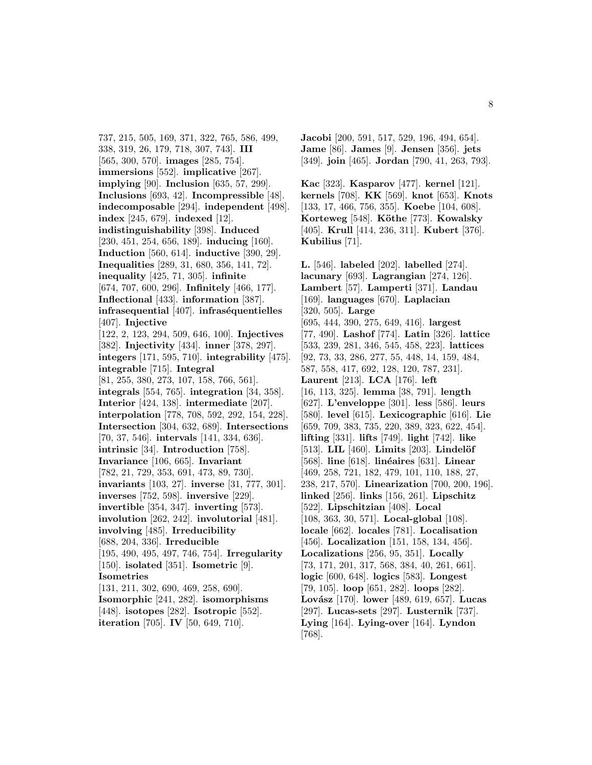737, 215, 505, 169, 371, 322, 765, 586, 499, 338, 319, 26, 179, 718, 307, 743]. **III** [565, 300, 570]. **images** [285, 754]. **immersions** [552]. **implicative** [267]. **implying** [90]. **Inclusion** [635, 57, 299]. **Inclusions** [693, 42]. **Incompressible** [48]. **indecomposable** [294]. **independent** [498]. **index** [245, 679]. **indexed** [12]. **indistinguishability** [398]. **Induced** [230, 451, 254, 656, 189]. **inducing** [160]. **Induction** [560, 614]. **inductive** [390, 29]. **Inequalities** [289, 31, 680, 356, 141, 72]. **inequality** [425, 71, 305]. **infinite** [674, 707, 600, 296]. **Infinitely** [466, 177]. **Inflectional** [433]. **information** [387]. **infrasequential** [407]. **infraséquentielles** [407]. **Injective** [122, 2, 123, 294, 509, 646, 100]. **Injectives** [382]. **Injectivity** [434]. **inner** [378, 297]. **integers** [171, 595, 710]. **integrability** [475]. **integrable** [715]. **Integral** [81, 255, 380, 273, 107, 158, 766, 561]. **integrals** [554, 765]. **integration** [34, 358]. **Interior** [424, 138]. **intermediate** [207]. **interpolation** [778, 708, 592, 292, 154, 228]. **Intersection** [304, 632, 689]. **Intersections** [70, 37, 546]. **intervals** [141, 334, 636]. **intrinsic** [34]. **Introduction** [758]. **Invariance** [106, 665]. **Invariant** [782, 21, 729, 353, 691, 473, 89, 730]. **invariants** [103, 27]. **inverse** [31, 777, 301]. **inverses** [752, 598]. **inversive** [229]. **invertible** [354, 347]. **inverting** [573]. **involution** [262, 242]. **involutorial** [481]. **involving** [485]. **Irreducibility** [688, 204, 336]. **Irreducible** [195, 490, 495, 497, 746, 754]. **Irregularity** [150]. **isolated** [351]. **Isometric** [9]. **Isometries** [131, 211, 302, 690, 469, 258, 690]. **Isomorphic** [241, 282]. **isomorphisms** [448]. **isotopes** [282]. **Isotropic** [552]. **iteration** [705]. **IV** [50, 649, 710].

**Jacobi** [200, 591, 517, 529, 196, 494, 654]. **Jame** [86]. **James** [9]. **Jensen** [356]. **jets** [349]. **join** [465]. **Jordan** [790, 41, 263, 793].

**Kac** [323]. **Kasparov** [477]. **kernel** [121]. **kernels** [708]. **KK** [569]. **knot** [653]. **Knots** [133, 17, 466, 756, 355]. **Koebe** [104, 608]. **Korteweg** [548]. **K¨othe** [773]. **Kowalsky** [405]. **Krull** [414, 236, 311]. **Kubert** [376]. **Kubilius** [71].

**L.** [546]. **labeled** [202]. **labelled** [274]. **lacunary** [693]. **Lagrangian** [274, 126]. **Lambert** [57]. **Lamperti** [371]. **Landau** [169]. **languages** [670]. **Laplacian** [320, 505]. **Large** [695, 444, 390, 275, 649, 416]. **largest** [77, 490]. **Lashof** [774]. **Latin** [326]. **lattice** [533, 239, 281, 346, 545, 458, 223]. **lattices** [92, 73, 33, 286, 277, 55, 448, 14, 159, 484, 587, 558, 417, 692, 128, 120, 787, 231]. **Laurent** [213]. **LCA** [176]. **left** [16, 113, 325]. **lemma** [38, 791]. **length** [627]. **L'enveloppe** [301]. **less** [586]. **leurs** [580]. **level** [615]. **Lexicographic** [616]. **Lie** [659, 709, 383, 735, 220, 389, 323, 622, 454]. **lifting** [331]. **lifts** [749]. **light** [742]. **like** [513]. **LIL** [460]. **Limits** [203]. **Lindelöf** [568]. **line** [618]. **lin´eaires** [631]. **Linear** [469, 258, 721, 182, 479, 101, 110, 188, 27, 238, 217, 570]. **Linearization** [700, 200, 196]. **linked** [256]. **links** [156, 261]. **Lipschitz** [522]. **Lipschitzian** [408]. **Local** [108, 363, 30, 571]. **Local-global** [108]. **locale** [662]. **locales** [781]. **Localisation** [456]. **Localization** [151, 158, 134, 456]. **Localizations** [256, 95, 351]. **Locally** [73, 171, 201, 317, 568, 384, 40, 261, 661]. **logic** [600, 648]. **logics** [583]. **Longest** [79, 105]. **loop** [651, 282]. **loops** [282]. **Lov´asz** [170]. **lower** [489, 619, 657]. **Lucas** [297]. **Lucas-sets** [297]. **Lusternik** [737]. **Lying** [164]. **Lying-over** [164]. **Lyndon** [768].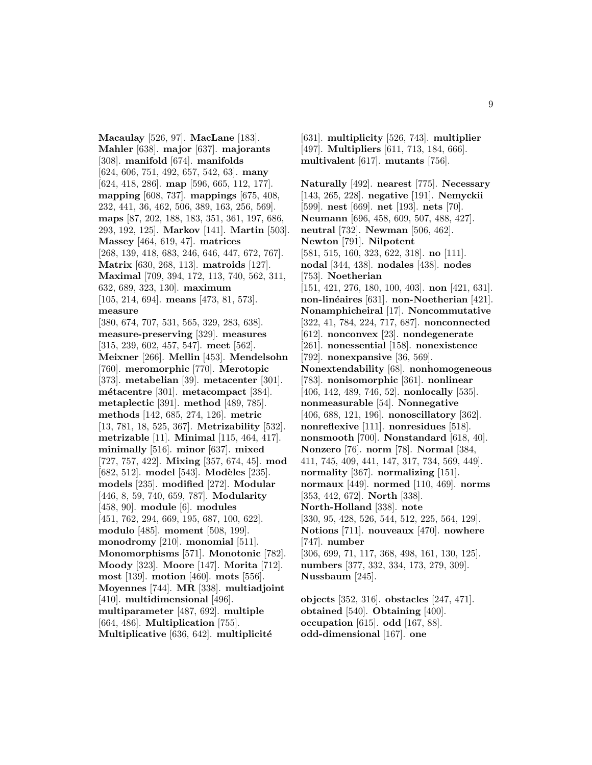**Macaulay** [526, 97]. **MacLane** [183]. **Mahler** [638]. **major** [637]. **majorants** [308]. **manifold** [674]. **manifolds** [624, 606, 751, 492, 657, 542, 63]. **many** [624, 418, 286]. **map** [596, 665, 112, 177]. **mapping** [608, 737]. **mappings** [675, 408, 232, 441, 36, 462, 506, 389, 163, 256, 569]. **maps** [87, 202, 188, 183, 351, 361, 197, 686, 293, 192, 125]. **Markov** [141]. **Martin** [503]. **Massey** [464, 619, 47]. **matrices** [268, 139, 418, 683, 246, 646, 447, 672, 767]. **Matrix** [630, 268, 113]. **matroids** [127]. **Maximal** [709, 394, 172, 113, 740, 562, 311, 632, 689, 323, 130]. **maximum** [105, 214, 694]. **means** [473, 81, 573]. **measure** [380, 674, 707, 531, 565, 329, 283, 638]. **measure-preserving** [329]. **measures** [315, 239, 602, 457, 547]. **meet** [562]. **Meixner** [266]. **Mellin** [453]. **Mendelsohn** [760]. **meromorphic** [770]. **Merotopic** [373]. **metabelian** [39]. **metacenter** [301]. **m´etacentre** [301]. **metacompact** [384]. **metaplectic** [391]. **method** [489, 785]. **methods** [142, 685, 274, 126]. **metric** [13, 781, 18, 525, 367]. **Metrizability** [532]. **metrizable** [11]. **Minimal** [115, 464, 417]. **minimally** [516]. **minor** [637]. **mixed** [727, 757, 422]. **Mixing** [357, 674, 45]. **mod** [682, 512]. **model** [543]. **Modèles** [235]. **models** [235]. **modified** [272]. **Modular** [446, 8, 59, 740, 659, 787]. **Modularity** [458, 90]. **module** [6]. **modules** [451, 762, 294, 669, 195, 687, 100, 622]. **modulo** [485]. **moment** [508, 199]. **monodromy** [210]. **monomial** [511]. **Monomorphisms** [571]. **Monotonic** [782]. **Moody** [323]. **Moore** [147]. **Morita** [712]. **most** [139]. **motion** [460]. **mots** [556]. **Moyennes** [744]. **MR** [338]. **multiadjoint** [410]. **multidimensional** [496]. **multiparameter** [487, 692]. **multiple** [664, 486]. **Multiplication** [755]. **Multiplicative** [636, 642]. **multiplicité** 

[631]. **multiplicity** [526, 743]. **multiplier** [497]. **Multipliers** [611, 713, 184, 666]. **multivalent** [617]. **mutants** [756].

**Naturally** [492]. **nearest** [775]. **Necessary** [143, 265, 228]. **negative** [191]. **Nemyckii** [599]. **nest** [669]. **net** [193]. **nets** [70]. **Neumann** [696, 458, 609, 507, 488, 427]. **neutral** [732]. **Newman** [506, 462]. **Newton** [791]. **Nilpotent** [581, 515, 160, 323, 622, 318]. **no** [111]. **nodal** [344, 438]. **nodales** [438]. **nodes** [753]. **Noetherian** [151, 421, 276, 180, 100, 403]. **non** [421, 631]. **non-lin´eaires** [631]. **non-Noetherian** [421]. **Nonamphicheiral** [17]. **Noncommutative** [322, 41, 784, 224, 717, 687]. **nonconnected** [612]. **nonconvex** [23]. **nondegenerate** [261]. **nonessential** [158]. **nonexistence** [792]. **nonexpansive** [36, 569]. **Nonextendability** [68]. **nonhomogeneous** [783]. **nonisomorphic** [361]. **nonlinear** [406, 142, 489, 746, 52]. **nonlocally** [535]. **nonmeasurable** [54]. **Nonnegative** [406, 688, 121, 196]. **nonoscillatory** [362]. **nonreflexive** [111]. **nonresidues** [518]. **nonsmooth** [700]. **Nonstandard** [618, 40]. **Nonzero** [76]. **norm** [78]. **Normal** [384, 411, 745, 409, 441, 147, 317, 734, 569, 449]. **normality** [367]. **normalizing** [151]. **normaux** [449]. **normed** [110, 469]. **norms** [353, 442, 672]. **North** [338]. **North-Holland** [338]. **note** [330, 95, 428, 526, 544, 512, 225, 564, 129]. **Notions** [711]. **nouveaux** [470]. **nowhere** [747]. **number** [306, 699, 71, 117, 368, 498, 161, 130, 125]. **numbers** [377, 332, 334, 173, 279, 309]. **Nussbaum** [245]. **objects** [352, 316]. **obstacles** [247, 471].

**obtained** [540]. **Obtaining** [400]. **occupation** [615]. **odd** [167, 88]. **odd-dimensional** [167]. **one**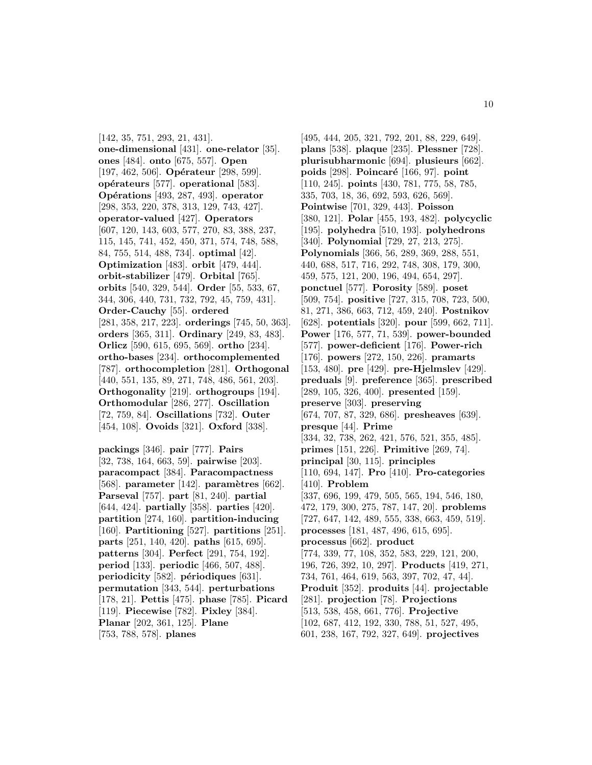[142, 35, 751, 293, 21, 431]. **one-dimensional** [431]. **one-relator** [35]. **ones** [484]. **onto** [675, 557]. **Open** [197, 462, 506]. **Opérateur** [298, 599]. **op´erateurs** [577]. **operational** [583]. **Op´erations** [493, 287, 493]. **operator** [298, 353, 220, 378, 313, 129, 743, 427]. **operator-valued** [427]. **Operators** [607, 120, 143, 603, 577, 270, 83, 388, 237, 115, 145, 741, 452, 450, 371, 574, 748, 588, 84, 755, 514, 488, 734]. **optimal** [42]. **Optimization** [483]. **orbit** [479, 444]. **orbit-stabilizer** [479]. **Orbital** [765]. **orbits** [540, 329, 544]. **Order** [55, 533, 67, 344, 306, 440, 731, 732, 792, 45, 759, 431]. **Order-Cauchy** [55]. **ordered** [281, 358, 217, 223]. **orderings** [745, 50, 363]. **orders** [365, 311]. **Ordinary** [249, 83, 483]. **Orlicz** [590, 615, 695, 569]. **ortho** [234]. **ortho-bases** [234]. **orthocomplemented** [787]. **orthocompletion** [281]. **Orthogonal** [440, 551, 135, 89, 271, 748, 486, 561, 203]. **Orthogonality** [219]. **orthogroups** [194]. **Orthomodular** [286, 277]. **Oscillation** [72, 759, 84]. **Oscillations** [732]. **Outer** [454, 108]. **Ovoids** [321]. **Oxford** [338].

**packings** [346]. **pair** [777]. **Pairs** [32, 738, 164, 663, 59]. **pairwise** [203]. **paracompact** [384]. **Paracompactness** [568]. **parameter** [142]. **param`etres** [662]. **Parseval** [757]. **part** [81, 240]. **partial** [644, 424]. **partially** [358]. **parties** [420]. **partition** [274, 160]. **partition-inducing** [160]. **Partitioning** [527]. **partitions** [251]. **parts** [251, 140, 420]. **paths** [615, 695]. **patterns** [304]. **Perfect** [291, 754, 192]. **period** [133]. **periodic** [466, 507, 488]. **periodicity** [582]. **périodiques** [631]. **permutation** [343, 544]. **perturbations** [178, 21]. **Pettis** [475]. **phase** [785]. **Picard** [119]. **Piecewise** [782]. **Pixley** [384]. **Planar** [202, 361, 125]. **Plane** [753, 788, 578]. **planes**

[495, 444, 205, 321, 792, 201, 88, 229, 649]. **plans** [538]. **plaque** [235]. **Plessner** [728]. **plurisubharmonic** [694]. **plusieurs** [662]. **poids** [298]. **Poincar´e** [166, 97]. **point** [110, 245]. **points** [430, 781, 775, 58, 785, 335, 703, 18, 36, 692, 593, 626, 569]. **Pointwise** [701, 329, 443]. **Poisson** [380, 121]. **Polar** [455, 193, 482]. **polycyclic** [195]. **polyhedra** [510, 193]. **polyhedrons** [340]. **Polynomial** [729, 27, 213, 275]. **Polynomials** [366, 56, 289, 369, 288, 551, 440, 688, 517, 716, 292, 748, 308, 179, 300, 459, 575, 121, 200, 196, 494, 654, 297]. **ponctuel** [577]. **Porosity** [589]. **poset** [509, 754]. **positive** [727, 315, 708, 723, 500, 81, 271, 386, 663, 712, 459, 240]. **Postnikov** [628]. **potentials** [320]. **pour** [599, 662, 711]. **Power** [176, 577, 71, 539]. **power-bounded** [577]. **power-deficient** [176]. **Power-rich** [176]. **powers** [272, 150, 226]. **pramarts** [153, 480]. **pre** [429]. **pre-Hjelmslev** [429]. **preduals** [9]. **preference** [365]. **prescribed** [289, 105, 326, 400]. **presented** [159]. **preserve** [303]. **preserving** [674, 707, 87, 329, 686]. **presheaves** [639]. **presque** [44]. **Prime** [334, 32, 738, 262, 421, 576, 521, 355, 485]. **primes** [151, 226]. **Primitive** [269, 74]. **principal** [30, 115]. **principles** [110, 694, 147]. **Pro** [410]. **Pro-categories** [410]. **Problem** [337, 696, 199, 479, 505, 565, 194, 546, 180, 472, 179, 300, 275, 787, 147, 20]. **problems** [727, 647, 142, 489, 555, 338, 663, 459, 519]. **processes** [181, 487, 496, 615, 695]. **processus** [662]. **product** [774, 339, 77, 108, 352, 583, 229, 121, 200, 196, 726, 392, 10, 297]. **Products** [419, 271, 734, 761, 464, 619, 563, 397, 702, 47, 44]. **Produit** [352]. **produits** [44]. **projectable** [281]. **projection** [78]. **Projections** [513, 538, 458, 661, 776]. **Projective** [102, 687, 412, 192, 330, 788, 51, 527, 495, 601, 238, 167, 792, 327, 649]. **projectives**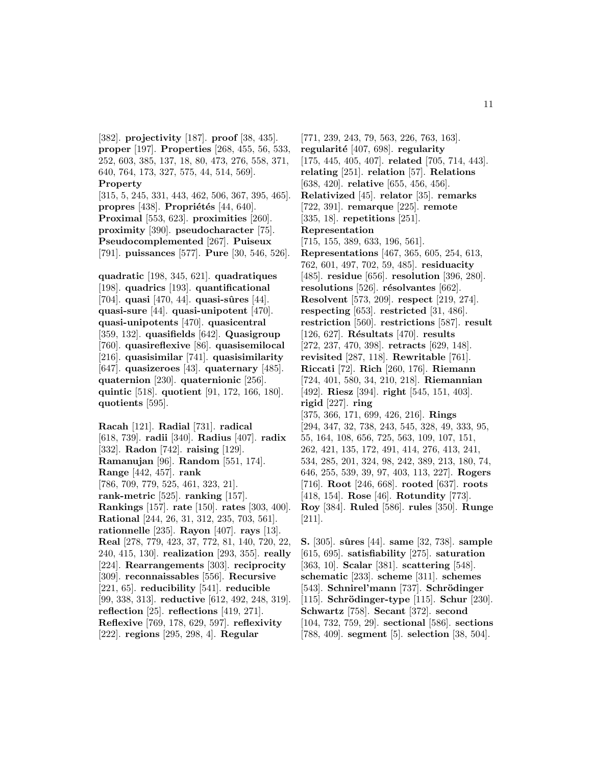[382]. **projectivity** [187]. **proof** [38, 435]. **proper** [197]. **Properties** [268, 455, 56, 533, 252, 603, 385, 137, 18, 80, 473, 276, 558, 371, 640, 764, 173, 327, 575, 44, 514, 569]. **Property**

[315, 5, 245, 331, 443, 462, 506, 367, 395, 465]. **propres** [438]. **Propriétés** [44, 640]. **Proximal** [553, 623]. **proximities** [260]. **proximity** [390]. **pseudocharacter** [75]. **Pseudocomplemented** [267]. **Puiseux** [791]. **puissances** [577]. **Pure** [30, 546, 526].

**quadratic** [198, 345, 621]. **quadratiques** [198]. **quadrics** [193]. **quantificational** [704]. **quasi** [470, 44]. **quasi-sûres** [44]. **quasi-sure** [44]. **quasi-unipotent** [470]. **quasi-unipotents** [470]. **quasicentral** [359, 132]. **quasifields** [642]. **Quasigroup** [760]. **quasireflexive** [86]. **quasisemilocal** [216]. **quasisimilar** [741]. **quasisimilarity** [647]. **quasizeroes** [43]. **quaternary** [485]. **quaternion** [230]. **quaternionic** [256]. **quintic** [518]. **quotient** [91, 172, 166, 180]. **quotients** [595].

**Racah** [121]. **Radial** [731]. **radical** [618, 739]. **radii** [340]. **Radius** [407]. **radix** [332]. **Radon** [742]. **raising** [129]. **Ramanujan** [96]. **Random** [551, 174]. **Range** [442, 457]. **rank** [786, 709, 779, 525, 461, 323, 21]. **rank-metric** [525]. **ranking** [157]. **Rankings** [157]. **rate** [150]. **rates** [303, 400]. **Rational** [244, 26, 31, 312, 235, 703, 561]. **rationnelle** [235]. **Rayon** [407]. **rays** [13]. **Real** [278, 779, 423, 37, 772, 81, 140, 720, 22, 240, 415, 130]. **realization** [293, 355]. **really** [224]. **Rearrangements** [303]. **reciprocity** [309]. **reconnaissables** [556]. **Recursive** [221, 65]. **reducibility** [541]. **reducible** [99, 338, 313]. **reductive** [612, 492, 248, 319]. **reflection** [25]. **reflections** [419, 271]. **Reflexive** [769, 178, 629, 597]. **reflexivity** [222]. **regions** [295, 298, 4]. **Regular**

[771, 239, 243, 79, 563, 226, 763, 163]. **regularit´e** [407, 698]. **regularity** [175, 445, 405, 407]. **related** [705, 714, 443]. **relating** [251]. **relation** [57]. **Relations** [638, 420]. **relative** [655, 456, 456]. **Relativized** [45]. **relator** [35]. **remarks** [722, 391]. **remarque** [225]. **remote** [335, 18]. **repetitions** [251]. **Representation** [715, 155, 389, 633, 196, 561]. **Representations** [467, 365, 605, 254, 613, 762, 601, 497, 702, 59, 485]. **residuacity** [485]. **residue** [656]. **resolution** [396, 280]. **resolutions** [526]. **résolvantes** [662]. **Resolvent** [573, 209]. **respect** [219, 274]. **respecting** [653]. **restricted** [31, 486]. **restriction** [560]. **restrictions** [587]. **result** [126, 627]. **R´esultats** [470]. **results** [272, 237, 470, 398]. **retracts** [629, 148]. **revisited** [287, 118]. **Rewritable** [761]. **Riccati** [72]. **Rich** [260, 176]. **Riemann** [724, 401, 580, 34, 210, 218]. **Riemannian** [492]. **Riesz** [394]. **right** [545, 151, 403]. **rigid** [227]. **ring** [375, 366, 171, 699, 426, 216]. **Rings** [294, 347, 32, 738, 243, 545, 328, 49, 333, 95, 55, 164, 108, 656, 725, 563, 109, 107, 151, 262, 421, 135, 172, 491, 414, 276, 413, 241, 534, 285, 201, 324, 98, 242, 389, 213, 180, 74, 646, 255, 539, 39, 97, 403, 113, 227]. **Rogers** [716]. **Root** [246, 668]. **rooted** [637]. **roots** [418, 154]. **Rose** [46]. **Rotundity** [773]. **Roy** [384]. **Ruled** [586]. **rules** [350]. **Runge** [211].

**S.** [305]. **sˆures** [44]. **same** [32, 738]. **sample** [615, 695]. **satisfiability** [275]. **saturation** [363, 10]. **Scalar** [381]. **scattering** [548]. **schematic** [233]. **scheme** [311]. **schemes** [543]. **Schnirel'mann** [737]. **Schrödinger** [115]. **Schrödinger-type** [115]. **Schur** [230]. **Schwartz** [758]. **Secant** [372]. **second** [104, 732, 759, 29]. **sectional** [586]. **sections** [788, 409]. **segment** [5]. **selection** [38, 504].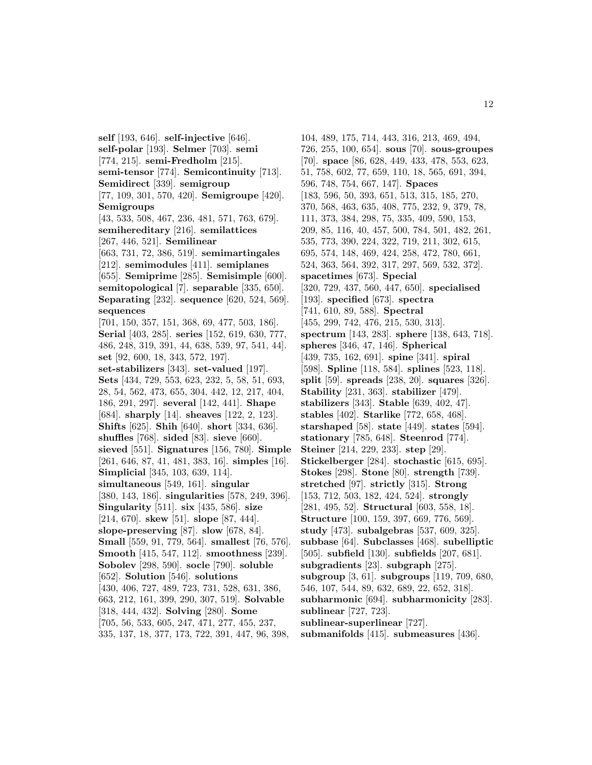**self** [193, 646]. **self-injective** [646]. **self-polar** [193]. **Selmer** [703]. **semi** [774, 215]. **semi-Fredholm** [215]. **semi-tensor** [774]. **Semicontinuity** [713]. **Semidirect** [339]. **semigroup** [77, 109, 301, 570, 420]. **Semigroupe** [420]. **Semigroups** [43, 533, 508, 467, 236, 481, 571, 763, 679]. **semihereditary** [216]. **semilattices** [267, 446, 521]. **Semilinear** [663, 731, 72, 386, 519]. **semimartingales** [212]. **semimodules** [411]. **semiplanes** [655]. **Semiprime** [285]. **Semisimple** [600]. **semitopological** [7]. **separable** [335, 650]. **Separating** [232]. **sequence** [620, 524, 569]. **sequences** [701, 150, 357, 151, 368, 69, 477, 503, 186]. **Serial** [403, 285]. **series** [152, 619, 630, 777, 486, 248, 319, 391, 44, 638, 539, 97, 541, 44]. **set** [92, 600, 18, 343, 572, 197]. **set-stabilizers** [343]. **set-valued** [197]. **Sets** [434, 729, 553, 623, 232, 5, 58, 51, 693, 28, 54, 562, 473, 655, 304, 442, 12, 217, 404, 186, 291, 297]. **several** [142, 441]. **Shape** [684]. **sharply** [14]. **sheaves** [122, 2, 123]. **Shifts** [625]. **Shih** [640]. **short** [334, 636]. **shuffles** [768]. **sided** [83]. **sieve** [660]. **sieved** [551]. **Signatures** [156, 780]. **Simple** [261, 646, 87, 41, 481, 383, 16]. **simples** [16]. **Simplicial** [345, 103, 639, 114]. **simultaneous** [549, 161]. **singular** [380, 143, 186]. **singularities** [578, 249, 396]. **Singularity** [511]. **six** [435, 586]. **size** [214, 670]. **skew** [51]. **slope** [87, 444]. **slope-preserving** [87]. **slow** [678, 84]. **Small** [559, 91, 779, 564]. **smallest** [76, 576]. **Smooth** [415, 547, 112]. **smoothness** [239]. **Sobolev** [298, 590]. **socle** [790]. **soluble** [652]. **Solution** [546]. **solutions** [430, 406, 727, 489, 723, 731, 528, 631, 386, 663, 212, 161, 399, 290, 307, 519]. **Solvable** [318, 444, 432]. **Solving** [280]. **Some** [705, 56, 533, 605, 247, 471, 277, 455, 237, 335, 137, 18, 377, 173, 722, 391, 447, 96, 398,

104, 489, 175, 714, 443, 316, 213, 469, 494, 726, 255, 100, 654]. **sous** [70]. **sous-groupes** [70]. **space** [86, 628, 449, 433, 478, 553, 623, 51, 758, 602, 77, 659, 110, 18, 565, 691, 394, 596, 748, 754, 667, 147]. **Spaces** [183, 596, 50, 393, 651, 513, 315, 185, 270, 370, 568, 463, 635, 408, 775, 232, 9, 379, 78, 111, 373, 384, 298, 75, 335, 409, 590, 153, 209, 85, 116, 40, 457, 500, 784, 501, 482, 261, 535, 773, 390, 224, 322, 719, 211, 302, 615, 695, 574, 148, 469, 424, 258, 472, 780, 661, 524, 363, 564, 392, 317, 297, 569, 532, 372]. **spacetimes** [673]. **Special** [320, 729, 437, 560, 447, 650]. **specialised** [193]. **specified** [673]. **spectra** [741, 610, 89, 588]. **Spectral** [455, 299, 742, 476, 215, 530, 313]. **spectrum** [143, 283]. **sphere** [138, 643, 718]. **spheres** [346, 47, 146]. **Spherical** [439, 735, 162, 691]. **spine** [341]. **spiral** [598]. **Spline** [118, 584]. **splines** [523, 118]. **split** [59]. **spreads** [238, 20]. **squares** [326]. **Stability** [231, 363]. **stabilizer** [479]. **stabilizers** [343]. **Stable** [639, 402, 47]. **stables** [402]. **Starlike** [772, 658, 468]. **starshaped** [58]. **state** [449]. **states** [594]. **stationary** [785, 648]. **Steenrod** [774]. **Steiner** [214, 229, 233]. **step** [29]. **Stickelberger** [284]. **stochastic** [615, 695]. **Stokes** [298]. **Stone** [80]. **strength** [739]. **stretched** [97]. **strictly** [315]. **Strong** [153, 712, 503, 182, 424, 524]. **strongly** [281, 495, 52]. **Structural** [603, 558, 18]. **Structure** [100, 159, 397, 669, 776, 569]. **study** [473]. **subalgebras** [537, 609, 325]. **subbase** [64]. **Subclasses** [468]. **subelliptic** [505]. **subfield** [130]. **subfields** [207, 681]. **subgradients** [23]. **subgraph** [275]. **subgroup** [3, 61]. **subgroups** [119, 709, 680, 546, 107, 544, 89, 632, 689, 22, 652, 318]. **subharmonic** [694]. **subharmonicity** [283]. **sublinear** [727, 723]. **sublinear-superlinear** [727]. **submanifolds** [415]. **submeasures** [436].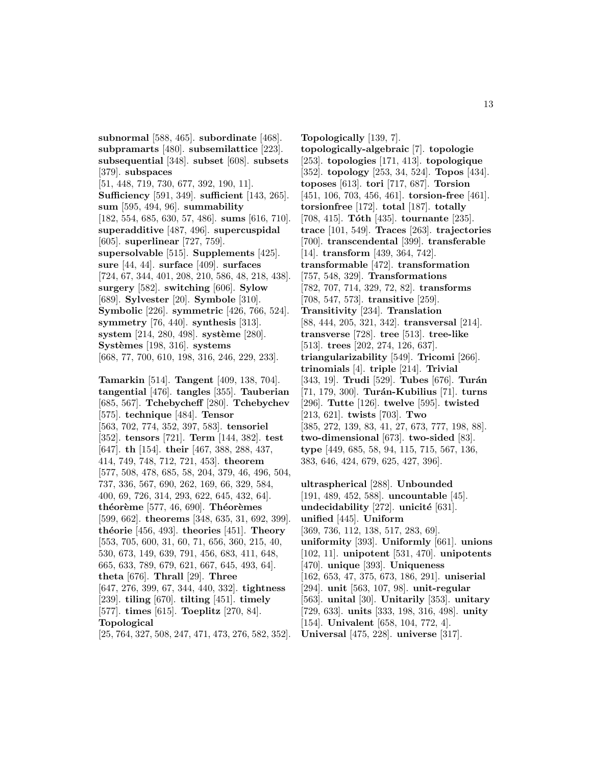**subpramarts** [480]. **subsemilattice** [223]. **subsequential** [348]. **subset** [608]. **subsets** [379]. **subspaces** [51, 448, 719, 730, 677, 392, 190, 11]. **Sufficiency** [591, 349]. **sufficient** [143, 265]. **sum** [595, 494, 96]. **summability** [182, 554, 685, 630, 57, 486]. **sums** [616, 710]. **superadditive** [487, 496]. **supercuspidal** [605]. **superlinear** [727, 759]. **supersolvable** [515]. **Supplements** [425]. **sure** [44, 44]. **surface** [409]. **surfaces** [724, 67, 344, 401, 208, 210, 586, 48, 218, 438]. **surgery** [582]. **switching** [606]. **Sylow** [689]. **Sylvester** [20]. **Symbole** [310]. **Symbolic** [226]. **symmetric** [426, 766, 524]. **symmetry** [76, 440]. **synthesis** [313]. **system** [214, 280, 498]. **système** [280]. **Syst`emes** [198, 316]. **systems** [668, 77, 700, 610, 198, 316, 246, 229, 233].

**subnormal** [588, 465]. **subordinate** [468].

**Tamarkin** [514]. **Tangent** [409, 138, 704]. **tangential** [476]. **tangles** [355]. **Tauberian** [685, 567]. **Tchebycheff** [280]. **Tchebychev** [575]. **technique** [484]. **Tensor** [563, 702, 774, 352, 397, 583]. **tensoriel** [352]. **tensors** [721]. **Term** [144, 382]. **test** [647]. **th** [154]. **their** [467, 388, 288, 437, 414, 749, 748, 712, 721, 453]. **theorem** [577, 508, 478, 685, 58, 204, 379, 46, 496, 504, 737, 336, 567, 690, 262, 169, 66, 329, 584, 400, 69, 726, 314, 293, 622, 645, 432, 64]. **th´eor`eme** [577, 46, 690]. **Th´eor`emes** [599, 662]. **theorems** [348, 635, 31, 692, 399]. **th´eorie** [456, 493]. **theories** [451]. **Theory** [553, 705, 600, 31, 60, 71, 656, 360, 215, 40, 530, 673, 149, 639, 791, 456, 683, 411, 648, 665, 633, 789, 679, 621, 667, 645, 493, 64]. **theta** [676]. **Thrall** [29]. **Three** [647, 276, 399, 67, 344, 440, 332]. **tightness** [239]. **tiling** [670]. **tilting** [451]. **timely** [577]. **times** [615]. **Toeplitz** [270, 84]. **Topological** [25, 764, 327, 508, 247, 471, 473, 276, 582, 352]. **Topologically** [139, 7]. **topologically-algebraic** [7]. **topologie** [253]. **topologies** [171, 413]. **topologique** [352]. **topology** [253, 34, 524]. **Topos** [434]. **toposes** [613]. **tori** [717, 687]. **Torsion** [451, 106, 703, 456, 461]. **torsion-free** [461]. **torsionfree** [172]. **total** [187]. **totally** [708, 415]. **Tóth** [435]. **tournante** [235]. **trace** [101, 549]. **Traces** [263]. **trajectories** [700]. **transcendental** [399]. **transferable** [14]. **transform** [439, 364, 742]. **transformable** [472]. **transformation** [757, 548, 329]. **Transformations** [782, 707, 714, 329, 72, 82]. **transforms** [708, 547, 573]. **transitive** [259]. **Transitivity** [234]. **Translation** [88, 444, 205, 321, 342]. **transversal** [214]. **transverse** [728]. **tree** [513]. **tree-like** [513]. **trees** [202, 274, 126, 637]. **triangularizability** [549]. **Tricomi** [266]. **trinomials** [4]. **triple** [214]. **Trivial** [343, 19]. **Trudi** [529]. **Tubes** [676]. **Turán** [71, 179, 300]. **Turán-Kubilius** [71]. **turns** [296]. **Tutte** [126]. **twelve** [595]. **twisted** [213, 621]. **twists** [703]. **Two** [385, 272, 139, 83, 41, 27, 673, 777, 198, 88]. **two-dimensional** [673]. **two-sided** [83]. **type** [449, 685, 58, 94, 115, 715, 567, 136, 383, 646, 424, 679, 625, 427, 396].

**ultraspherical** [288]. **Unbounded** [191, 489, 452, 588]. **uncountable** [45]. **undecidability** [272]. **unicité** [631]. **unified** [445]. **Uniform** [369, 736, 112, 138, 517, 283, 69]. **uniformity** [393]. **Uniformly** [661]. **unions** [102, 11]. **unipotent** [531, 470]. **unipotents** [470]. **unique** [393]. **Uniqueness** [162, 653, 47, 375, 673, 186, 291]. **uniserial** [294]. **unit** [563, 107, 98]. **unit-regular** [563]. **unital** [30]. **Unitarily** [353]. **unitary** [729, 633]. **units** [333, 198, 316, 498]. **unity** [154]. **Univalent** [658, 104, 772, 4]. **Universal** [475, 228]. **universe** [317].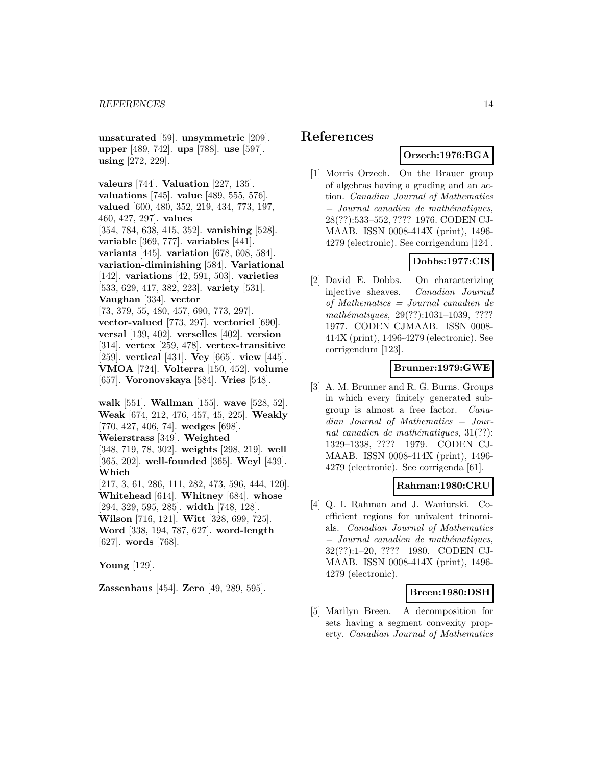**unsaturated** [59]. **unsymmetric** [209]. **upper** [489, 742]. **ups** [788]. **use** [597]. **using** [272, 229].

**valeurs** [744]. **Valuation** [227, 135]. **valuations** [745]. **value** [489, 555, 576]. **valued** [600, 480, 352, 219, 434, 773, 197, 460, 427, 297]. **values**

[354, 784, 638, 415, 352]. **vanishing** [528]. **variable** [369, 777]. **variables** [441]. **variants** [445]. **variation** [678, 608, 584]. **variation-diminishing** [584]. **Variational** [142]. **variations** [42, 591, 503]. **varieties** [533, 629, 417, 382, 223]. **variety** [531]. **Vaughan** [334]. **vector**

[73, 379, 55, 480, 457, 690, 773, 297]. **vector-valued** [773, 297]. **vectoriel** [690]. **versal** [139, 402]. **verselles** [402]. **version** [314]. **vertex** [259, 478]. **vertex-transitive** [259]. **vertical** [431]. **Vey** [665]. **view** [445]. **VMOA** [724]. **Volterra** [150, 452]. **volume** [657]. **Voronovskaya** [584]. **Vries** [548].

**walk** [551]. **Wallman** [155]. **wave** [528, 52]. **Weak** [674, 212, 476, 457, 45, 225]. **Weakly** [770, 427, 406, 74]. **wedges** [698]. **Weierstrass** [349]. **Weighted** [348, 719, 78, 302]. **weights** [298, 219]. **well** [365, 202]. **well-founded** [365]. **Weyl** [439]. **Which** [217, 3, 61, 286, 111, 282, 473, 596, 444, 120]. **Whitehead** [614]. **Whitney** [684]. **whose** [294, 329, 595, 285]. **width** [748, 128]. **Wilson** [716, 121]. **Witt** [328, 699, 725].

**Word** [338, 194, 787, 627]. **word-length** [627]. **words** [768].

**Young** [129].

**Zassenhaus** [454]. **Zero** [49, 289, 595].

# **References**

# **Orzech:1976:BGA**

[1] Morris Orzech. On the Brauer group of algebras having a grading and an action. Canadian Journal of Mathematics  $=$  Journal canadien de mathématiques, 28(??):533–552, ???? 1976. CODEN CJ-MAAB. ISSN 0008-414X (print), 1496- 4279 (electronic). See corrigendum [124].

# **Dobbs:1977:CIS**

[2] David E. Dobbs. On characterizing injective sheaves. Canadian Journal of Mathematics = Journal canadien de mathématiques, 29(??):1031-1039, ???? 1977. CODEN CJMAAB. ISSN 0008- 414X (print), 1496-4279 (electronic). See corrigendum [123].

# **Brunner:1979:GWE**

[3] A. M. Brunner and R. G. Burns. Groups in which every finitely generated subgroup is almost a free factor. Canadian Journal of Mathematics = Journal canadien de mathématiques,  $31(??)$ : 1329–1338, ???? 1979. CODEN CJ-MAAB. ISSN 0008-414X (print), 1496- 4279 (electronic). See corrigenda [61].

#### **Rahman:1980:CRU**

[4] Q. I. Rahman and J. Waniurski. Coefficient regions for univalent trinomials. Canadian Journal of Mathematics  $=$  Journal canadien de mathématiques, 32(??):1–20, ???? 1980. CODEN CJ-MAAB. ISSN 0008-414X (print), 1496- 4279 (electronic).

# **Breen:1980:DSH**

[5] Marilyn Breen. A decomposition for sets having a segment convexity property. Canadian Journal of Mathematics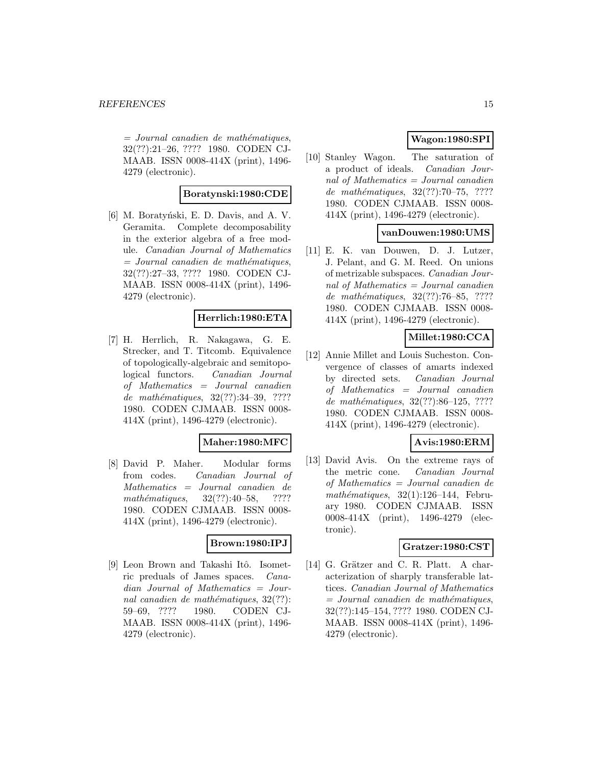$=$  Journal canadien de mathématiques, 32(??):21–26, ???? 1980. CODEN CJ-MAAB. ISSN 0008-414X (print), 1496- 4279 (electronic).

# **Boratynski:1980:CDE**

[6] M. Boratyński, E. D. Davis, and A. V. Geramita. Complete decomposability in the exterior algebra of a free module. Canadian Journal of Mathematics  $=$  Journal canadien de mathématiques, 32(??):27–33, ???? 1980. CODEN CJ-MAAB. ISSN 0008-414X (print), 1496- 4279 (electronic).

# **Herrlich:1980:ETA**

[7] H. Herrlich, R. Nakagawa, G. E. Strecker, and T. Titcomb. Equivalence of topologically-algebraic and semitopological functors. Canadian Journal of Mathematics = Journal canadien de mathématiques, 32(??):34-39, ???? 1980. CODEN CJMAAB. ISSN 0008- 414X (print), 1496-4279 (electronic).

#### **Maher:1980:MFC**

[8] David P. Maher. Modular forms from codes. Canadian Journal of Mathematics = Journal canadien de mathématiques,  $32(??):40-58$ , ???? 1980. CODEN CJMAAB. ISSN 0008- 414X (print), 1496-4279 (electronic).

#### **Brown:1980:IPJ**

[9] Leon Brown and Takashi Itô. Isometric preduals of James spaces. Canadian Journal of Mathematics = Journal canadien de mathématiques,  $32(??)$ : 59–69, ???? 1980. CODEN CJ-MAAB. ISSN 0008-414X (print), 1496- 4279 (electronic).

# **Wagon:1980:SPI**

[10] Stanley Wagon. The saturation of a product of ideals. Canadian Journal of Mathematics = Journal canadien de mathématiques, 32(??):70-75, ???? 1980. CODEN CJMAAB. ISSN 0008- 414X (print), 1496-4279 (electronic).

# **vanDouwen:1980:UMS**

[11] E. K. van Douwen, D. J. Lutzer, J. Pelant, and G. M. Reed. On unions of metrizable subspaces. Canadian Journal of Mathematics = Journal canadien de mathématiques, 32(??):76–85, ???? 1980. CODEN CJMAAB. ISSN 0008- 414X (print), 1496-4279 (electronic).

# **Millet:1980:CCA**

[12] Annie Millet and Louis Sucheston. Convergence of classes of amarts indexed by directed sets. Canadian Journal of Mathematics = Journal canadien de mathématiques, 32(??):86-125, ???? 1980. CODEN CJMAAB. ISSN 0008- 414X (print), 1496-4279 (electronic).

# **Avis:1980:ERM**

[13] David Avis. On the extreme rays of the metric cone. Canadian Journal of Mathematics = Journal canadien de  $mathématiques, 32(1):126–144, Febru$ ary 1980. CODEN CJMAAB. ISSN 0008-414X (print), 1496-4279 (electronic).

# **Gratzer:1980:CST**

[14] G. Grätzer and C. R. Platt. A characterization of sharply transferable lattices. Canadian Journal of Mathematics  $=$  Journal canadien de mathématiques, 32(??):145–154, ???? 1980. CODEN CJ-MAAB. ISSN 0008-414X (print), 1496- 4279 (electronic).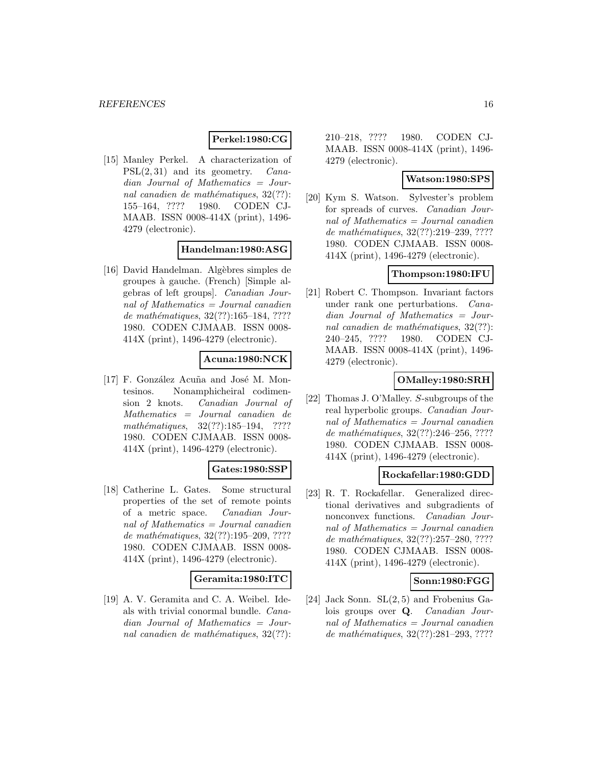#### **Perkel:1980:CG**

[15] Manley Perkel. A characterization of  $PSL(2, 31)$  and its geometry. *Cana*dian Journal of Mathematics = Journal canadien de mathématiques,  $32(??)$ : 155–164, ???? 1980. CODEN CJ-MAAB. ISSN 0008-414X (print), 1496- 4279 (electronic).

#### **Handelman:1980:ASG**

[16] David Handelman. Algèbres simples de groupes `a gauche. (French) [Simple algebras of left groups]. Canadian Journal of Mathematics = Journal canadien de mathématiques,  $32(??):165-184, ????$ 1980. CODEN CJMAAB. ISSN 0008- 414X (print), 1496-4279 (electronic).

### **Acuna:1980:NCK**

[17] F. González Acuña and José M. Montesinos. Nonamphicheiral codimension 2 knots. Canadian Journal of Mathematics = Journal canadien de mathématiques,  $32(??):185-194$ , ???? 1980. CODEN CJMAAB. ISSN 0008- 414X (print), 1496-4279 (electronic).

#### **Gates:1980:SSP**

[18] Catherine L. Gates. Some structural properties of the set of remote points of a metric space. Canadian Journal of Mathematics = Journal canadien de mathématiques, 32(??):195-209, ???? 1980. CODEN CJMAAB. ISSN 0008- 414X (print), 1496-4279 (electronic).

#### **Geramita:1980:ITC**

[19] A. V. Geramita and C. A. Weibel. Ideals with trivial conormal bundle. Canadian Journal of Mathematics = Journal canadien de mathématiques,  $32(??)$ :

210–218, ???? 1980. CODEN CJ-MAAB. ISSN 0008-414X (print), 1496- 4279 (electronic).

### **Watson:1980:SPS**

[20] Kym S. Watson. Sylvester's problem for spreads of curves. Canadian Journal of Mathematics = Journal canadien de mathématiques, 32(??):219–239, ???? 1980. CODEN CJMAAB. ISSN 0008- 414X (print), 1496-4279 (electronic).

# **Thompson:1980:IFU**

[21] Robert C. Thompson. Invariant factors under rank one perturbations. Canadian Journal of Mathematics = Journal canadien de mathématiques,  $32(??)$ : 240–245, ???? 1980. CODEN CJ-MAAB. ISSN 0008-414X (print), 1496- 4279 (electronic).

# **OMalley:1980:SRH**

[22] Thomas J. O'Malley. S-subgroups of the real hyperbolic groups. Canadian Journal of Mathematics = Journal canadien de mathématiques,  $32(??)$ :246–256, ???? 1980. CODEN CJMAAB. ISSN 0008- 414X (print), 1496-4279 (electronic).

#### **Rockafellar:1980:GDD**

[23] R. T. Rockafellar. Generalized directional derivatives and subgradients of nonconvex functions. Canadian Journal of Mathematics = Journal canadien de mathématiques,  $32(??):257-280, ????$ 1980. CODEN CJMAAB. ISSN 0008- 414X (print), 1496-4279 (electronic).

#### **Sonn:1980:FGG**

[24] Jack Sonn. SL(2, 5) and Frobenius Galois groups over **Q**. Canadian Journal of Mathematics = Journal canadien de mathématiques, 32(??):281–293, ????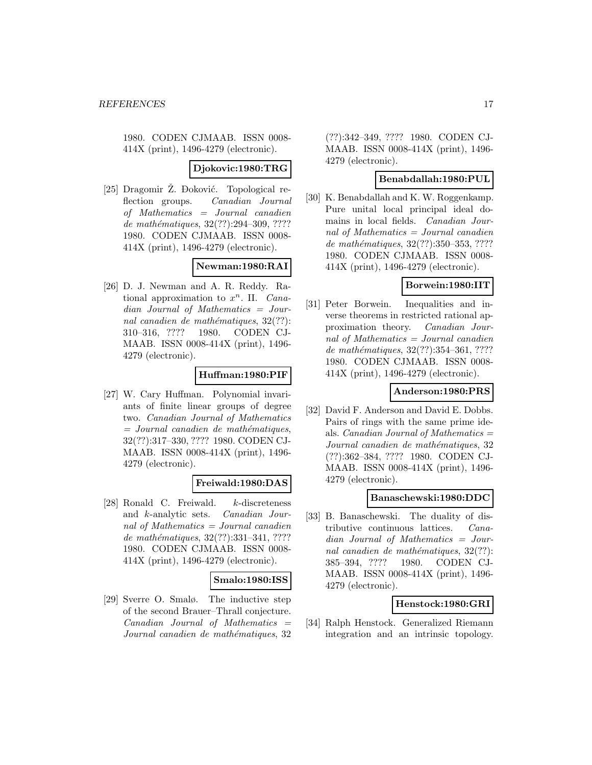1980. CODEN CJMAAB. ISSN 0008- 414X (print), 1496-4279 (electronic).

### **Djokovic:1980:TRG**

[25] Dragomir Ž. Đoković. Topological reflection groups. Canadian Journal of Mathematics = Journal canadien de mathématiques,  $32(??):294-309, ????$ 1980. CODEN CJMAAB. ISSN 0008- 414X (print), 1496-4279 (electronic).

# **Newman:1980:RAI**

[26] D. J. Newman and A. R. Reddy. Rational approximation to  $x^n$ . II. *Cana*dian Journal of Mathematics = Journal canadien de mathématiques,  $32(??)$ : 310–316, ???? 1980. CODEN CJ-MAAB. ISSN 0008-414X (print), 1496- 4279 (electronic).

### **Huffman:1980:PIF**

[27] W. Cary Huffman. Polynomial invariants of finite linear groups of degree two. Canadian Journal of Mathematics  $=$  Journal canadien de mathématiques, 32(??):317–330, ???? 1980. CODEN CJ-MAAB. ISSN 0008-414X (print), 1496- 4279 (electronic).

### **Freiwald:1980:DAS**

[28] Ronald C. Freiwald. k-discreteness and k-analytic sets. Canadian Journal of Mathematics  $=$  Journal canadien de mathématiques, 32(??):331-341, ???? 1980. CODEN CJMAAB. ISSN 0008- 414X (print), 1496-4279 (electronic).

#### **Smalo:1980:ISS**

[29] Sverre O. Smalø. The inductive step of the second Brauer–Thrall conjecture.  $Canadian$  Journal of Mathematics  $=$ Journal canadien de mathématiques, 32

(??):342–349, ???? 1980. CODEN CJ-MAAB. ISSN 0008-414X (print), 1496- 4279 (electronic).

# **Benabdallah:1980:PUL**

[30] K. Benabdallah and K. W. Roggenkamp. Pure unital local principal ideal domains in local fields. Canadian Journal of Mathematics = Journal canadien de mathématiques, 32(??):350-353, ???? 1980. CODEN CJMAAB. ISSN 0008- 414X (print), 1496-4279 (electronic).

# **Borwein:1980:IIT**

[31] Peter Borwein. Inequalities and inverse theorems in restricted rational approximation theory. Canadian Journal of Mathematics = Journal canadien de mathématiques, 32(??):354-361, ???? 1980. CODEN CJMAAB. ISSN 0008- 414X (print), 1496-4279 (electronic).

#### **Anderson:1980:PRS**

[32] David F. Anderson and David E. Dobbs. Pairs of rings with the same prime ideals. *Canadian Journal of Mathematics*  $=$ Journal canadien de mathématiques, 32 (??):362–384, ???? 1980. CODEN CJ-MAAB. ISSN 0008-414X (print), 1496- 4279 (electronic).

#### **Banaschewski:1980:DDC**

[33] B. Banaschewski. The duality of distributive continuous lattices. Canadian Journal of Mathematics = Journal canadien de mathématiques,  $32(??)$ : 385–394, ???? 1980. CODEN CJ-MAAB. ISSN 0008-414X (print), 1496- 4279 (electronic).

# **Henstock:1980:GRI**

[34] Ralph Henstock. Generalized Riemann integration and an intrinsic topology.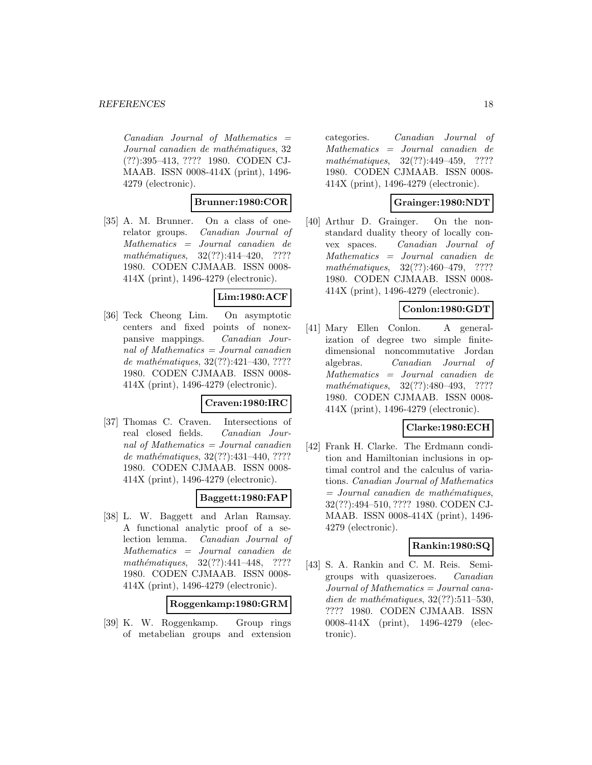$Canadian$  Journal of Mathematics  $=$ Journal canadien de mathématiques, 32 (??):395–413, ???? 1980. CODEN CJ-MAAB. ISSN 0008-414X (print), 1496- 4279 (electronic).

# **Brunner:1980:COR**

[35] A. M. Brunner. On a class of onerelator groups. Canadian Journal of Mathematics = Journal canadien de mathématiques,  $32(??):414-420$ , ???? 1980. CODEN CJMAAB. ISSN 0008- 414X (print), 1496-4279 (electronic).

### **Lim:1980:ACF**

[36] Teck Cheong Lim. On asymptotic centers and fixed points of nonexpansive mappings. Canadian Journal of Mathematics = Journal canadien de mathématiques,  $32(??):421-430, ????$ 1980. CODEN CJMAAB. ISSN 0008- 414X (print), 1496-4279 (electronic).

### **Craven:1980:IRC**

[37] Thomas C. Craven. Intersections of real closed fields. Canadian Journal of Mathematics = Journal canadien de mathématiques,  $32(??):431-440, ????$ 1980. CODEN CJMAAB. ISSN 0008- 414X (print), 1496-4279 (electronic).

#### **Baggett:1980:FAP**

[38] L. W. Baggett and Arlan Ramsay. A functional analytic proof of a selection lemma. Canadian Journal of Mathematics = Journal canadien de mathématiques,  $32(??):441-448$ , ???? 1980. CODEN CJMAAB. ISSN 0008- 414X (print), 1496-4279 (electronic).

### **Roggenkamp:1980:GRM**

[39] K. W. Roggenkamp. Group rings of metabelian groups and extension

categories. Canadian Journal of Mathematics = Journal canadien de mathématiques,  $32(??):449-459$ , ???? 1980. CODEN CJMAAB. ISSN 0008- 414X (print), 1496-4279 (electronic).

# **Grainger:1980:NDT**

[40] Arthur D. Grainger. On the nonstandard duality theory of locally convex spaces. Canadian Journal of Mathematics = Journal canadien de mathématiques,  $32(??):460-479$ , ???? 1980. CODEN CJMAAB. ISSN 0008- 414X (print), 1496-4279 (electronic).

# **Conlon:1980:GDT**

[41] Mary Ellen Conlon. A generalization of degree two simple finitedimensional noncommutative Jordan algebras. Canadian Journal of Mathematics = Journal canadien de mathématiques,  $32(??):480-493$ , ???? 1980. CODEN CJMAAB. ISSN 0008- 414X (print), 1496-4279 (electronic).

# **Clarke:1980:ECH**

[42] Frank H. Clarke. The Erdmann condition and Hamiltonian inclusions in optimal control and the calculus of variations. Canadian Journal of Mathematics  $=$  Journal canadien de mathématiques, 32(??):494–510, ???? 1980. CODEN CJ-MAAB. ISSN 0008-414X (print), 1496- 4279 (electronic).

#### **Rankin:1980:SQ**

[43] S. A. Rankin and C. M. Reis. Semigroups with quasizeroes. Canadian Journal of Mathematics = Journal canadien de mathématiques,  $32(??):511-530$ , ???? 1980. CODEN CJMAAB. ISSN 0008-414X (print), 1496-4279 (electronic).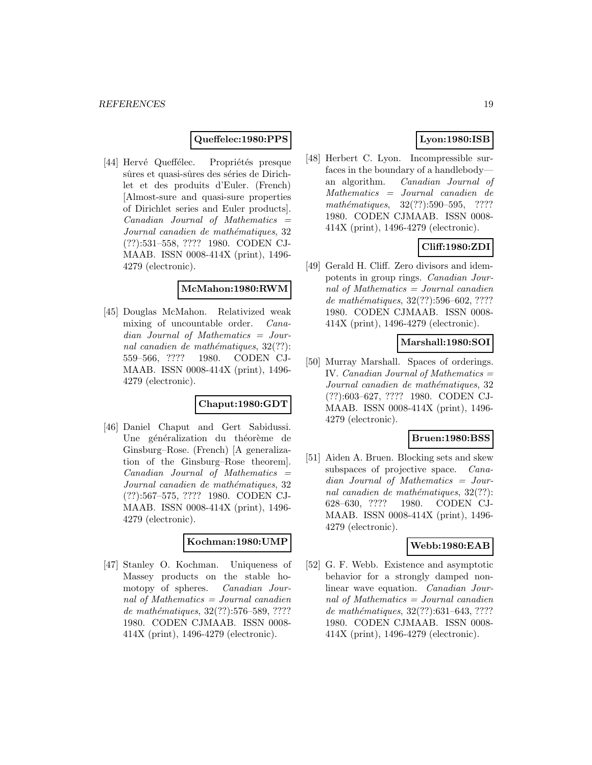#### **Queffelec:1980:PPS**

[44] Hervé Queffélec. Propriétés presque sûres et quasi-sûres des séries de Dirichlet et des produits d'Euler. (French) [Almost-sure and quasi-sure properties of Dirichlet series and Euler products].  $Canadian$  Journal of Mathematics  $=$ Journal canadien de mathématiques, 32 (??):531–558, ???? 1980. CODEN CJ-MAAB. ISSN 0008-414X (print), 1496- 4279 (electronic).

#### **McMahon:1980:RWM**

[45] Douglas McMahon. Relativized weak mixing of uncountable order. Canadian Journal of Mathematics = Journal canadien de mathématiques,  $32(??)$ : 559–566, ???? 1980. CODEN CJ-MAAB. ISSN 0008-414X (print), 1496- 4279 (electronic).

#### **Chaput:1980:GDT**

[46] Daniel Chaput and Gert Sabidussi. Une généralization du théorème de Ginsburg–Rose. (French) [A generalization of the Ginsburg–Rose theorem].  $Canadian$  Journal of Mathematics  $=$ Journal canadien de mathématiques, 32 (??):567–575, ???? 1980. CODEN CJ-MAAB. ISSN 0008-414X (print), 1496- 4279 (electronic).

### **Kochman:1980:UMP**

[47] Stanley O. Kochman. Uniqueness of Massey products on the stable homotopy of spheres. Canadian Journal of Mathematics  $=$  Journal canadien de mathématiques, 32(??):576–589, ???? 1980. CODEN CJMAAB. ISSN 0008- 414X (print), 1496-4279 (electronic).

# **Lyon:1980:ISB**

[48] Herbert C. Lyon. Incompressible surfaces in the boundary of a handlebody an algorithm. Canadian Journal of Mathematics = Journal canadien de  $mathématiques, 32(??): 590–595, ????$ 1980. CODEN CJMAAB. ISSN 0008- 414X (print), 1496-4279 (electronic).

# **Cliff:1980:ZDI**

[49] Gerald H. Cliff. Zero divisors and idempotents in group rings. Canadian Journal of Mathematics  $=$  Journal canadien de mathématiques, 32(??):596–602, ???? 1980. CODEN CJMAAB. ISSN 0008- 414X (print), 1496-4279 (electronic).

# **Marshall:1980:SOI**

[50] Murray Marshall. Spaces of orderings. IV. Canadian Journal of Mathematics  $=$ Journal canadien de mathématiques, 32 (??):603–627, ???? 1980. CODEN CJ-MAAB. ISSN 0008-414X (print), 1496- 4279 (electronic).

#### **Bruen:1980:BSS**

[51] Aiden A. Bruen. Blocking sets and skew subspaces of projective space. *Cana*dian Journal of Mathematics = Journal canadien de mathématiques,  $32(??)$ : 628–630, ???? 1980. CODEN CJ-MAAB. ISSN 0008-414X (print), 1496- 4279 (electronic).

#### **Webb:1980:EAB**

[52] G. F. Webb. Existence and asymptotic behavior for a strongly damped nonlinear wave equation. Canadian Journal of Mathematics = Journal canadien de mathématiques, 32(??):631-643, ???? 1980. CODEN CJMAAB. ISSN 0008- 414X (print), 1496-4279 (electronic).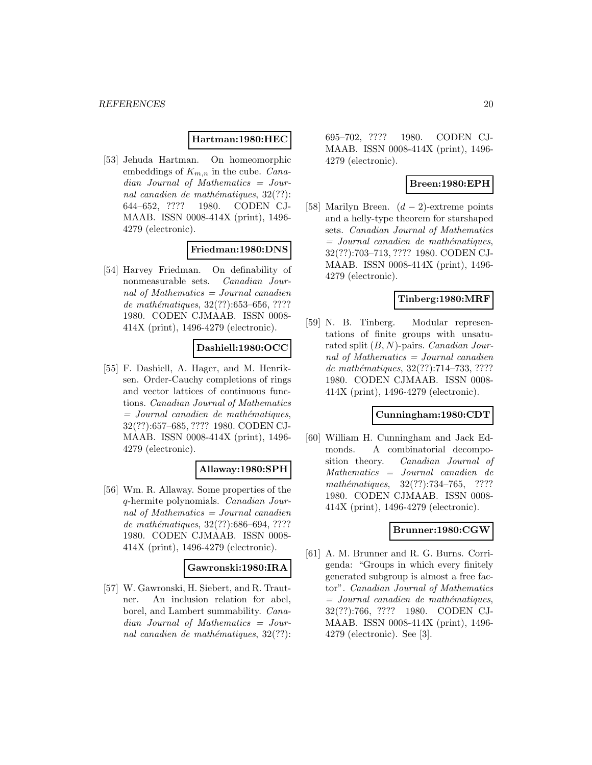#### **Hartman:1980:HEC**

[53] Jehuda Hartman. On homeomorphic embeddings of  $K_{m,n}$  in the cube. *Cana*dian Journal of Mathematics = Journal canadien de mathématiques,  $32(??)$ : 644–652, ???? 1980. CODEN CJ-MAAB. ISSN 0008-414X (print), 1496- 4279 (electronic).

### **Friedman:1980:DNS**

[54] Harvey Friedman. On definability of nonmeasurable sets. Canadian Journal of Mathematics = Journal canadien de mathématiques,  $32(??)$ :653–656, ???? 1980. CODEN CJMAAB. ISSN 0008- 414X (print), 1496-4279 (electronic).

### **Dashiell:1980:OCC**

[55] F. Dashiell, A. Hager, and M. Henriksen. Order-Cauchy completions of rings and vector lattices of continuous functions. Canadian Journal of Mathematics  $=$  Journal canadien de mathématiques, 32(??):657–685, ???? 1980. CODEN CJ-MAAB. ISSN 0008-414X (print), 1496- 4279 (electronic).

#### **Allaway:1980:SPH**

[56] Wm. R. Allaway. Some properties of the q-hermite polynomials. Canadian Journal of Mathematics  $=$  Journal canadien de mathématiques,  $32(??)$ :686–694, ???? 1980. CODEN CJMAAB. ISSN 0008- 414X (print), 1496-4279 (electronic).

#### **Gawronski:1980:IRA**

[57] W. Gawronski, H. Siebert, and R. Trautner. An inclusion relation for abel, borel, and Lambert summability. Canadian Journal of Mathematics = Journal canadien de mathématiques,  $32(??)$ :

695–702, ???? 1980. CODEN CJ-MAAB. ISSN 0008-414X (print), 1496- 4279 (electronic).

### **Breen:1980:EPH**

[58] Marilyn Breen.  $(d-2)$ -extreme points and a helly-type theorem for starshaped sets. Canadian Journal of Mathematics  $=$  Journal canadien de mathématiques, 32(??):703–713, ???? 1980. CODEN CJ-MAAB. ISSN 0008-414X (print), 1496- 4279 (electronic).

#### **Tinberg:1980:MRF**

[59] N. B. Tinberg. Modular representations of finite groups with unsaturated split  $(B, N)$ -pairs. *Canadian Jour*nal of Mathematics  $=$  Journal canadien de mathématiques,  $32(??):714-733, ????$ 1980. CODEN CJMAAB. ISSN 0008- 414X (print), 1496-4279 (electronic).

### **Cunningham:1980:CDT**

[60] William H. Cunningham and Jack Edmonds. A combinatorial decomposition theory. Canadian Journal of Mathematics = Journal canadien de mathématiques, 32(??):734–765, ???? 1980. CODEN CJMAAB. ISSN 0008- 414X (print), 1496-4279 (electronic).

### **Brunner:1980:CGW**

[61] A. M. Brunner and R. G. Burns. Corrigenda: "Groups in which every finitely generated subgroup is almost a free factor". Canadian Journal of Mathematics  $=$  Journal canadien de mathématiques, 32(??):766, ???? 1980. CODEN CJ-MAAB. ISSN 0008-414X (print), 1496- 4279 (electronic). See [3].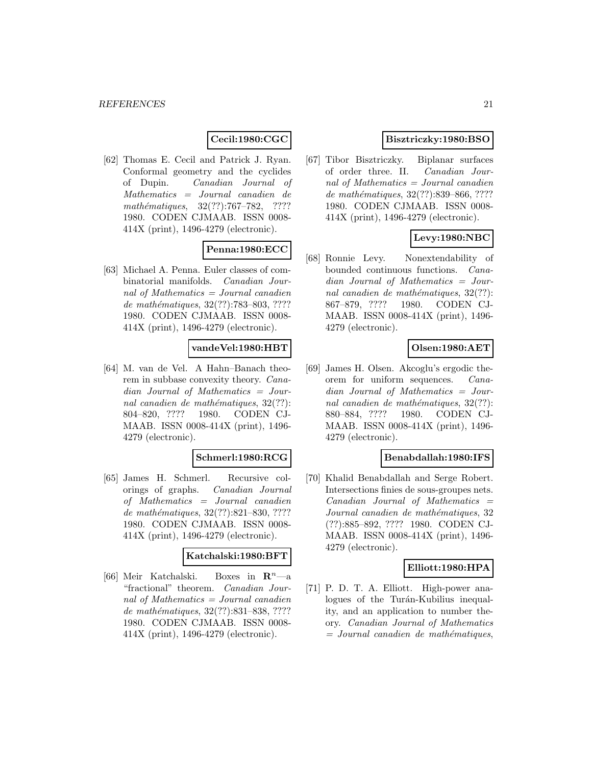# **Cecil:1980:CGC**

[62] Thomas E. Cecil and Patrick J. Ryan. Conformal geometry and the cyclides of Dupin. Canadian Journal of Mathematics = Journal canadien de mathématiques,  $32(??):767-782$ , ???? 1980. CODEN CJMAAB. ISSN 0008- 414X (print), 1496-4279 (electronic).

# **Penna:1980:ECC**

[63] Michael A. Penna. Euler classes of combinatorial manifolds. Canadian Journal of Mathematics  $=$  Journal canadien de mathématiques, 32(??):783-803, ???? 1980. CODEN CJMAAB. ISSN 0008- 414X (print), 1496-4279 (electronic).

### **vandeVel:1980:HBT**

[64] M. van de Vel. A Hahn–Banach theorem in subbase convexity theory. Canadian Journal of Mathematics = Journal canadien de mathématiques,  $32(??)$ : 804–820, ???? 1980. CODEN CJ-MAAB. ISSN 0008-414X (print), 1496- 4279 (electronic).

#### **Schmerl:1980:RCG**

[65] James H. Schmerl. Recursive colorings of graphs. Canadian Journal of Mathematics = Journal canadien de mathématiques,  $32(??):821-830, ????$ 1980. CODEN CJMAAB. ISSN 0008- 414X (print), 1496-4279 (electronic).

#### **Katchalski:1980:BFT**

[66] Meir Katchalski. Boxes in **R**<sup>n</sup>—a "fractional" theorem. Canadian Journal of Mathematics  $=$  Journal canadien de mathématiques, 32(??):831-838, ???? 1980. CODEN CJMAAB. ISSN 0008- 414X (print), 1496-4279 (electronic).

# **Bisztriczky:1980:BSO**

[67] Tibor Bisztriczky. Biplanar surfaces of order three. II. Canadian Journal of Mathematics = Journal canadien de mathématiques, 32(??):839–866, ???? 1980. CODEN CJMAAB. ISSN 0008- 414X (print), 1496-4279 (electronic).

# **Levy:1980:NBC**

[68] Ronnie Levy. Nonextendability of bounded continuous functions. Canadian Journal of Mathematics = Journal canadien de mathématiques,  $32(??)$ : 867–879, ???? 1980. CODEN CJ-MAAB. ISSN 0008-414X (print), 1496- 4279 (electronic).

### **Olsen:1980:AET**

[69] James H. Olsen. Akcoglu's ergodic theorem for uniform sequences. Canadian Journal of Mathematics = Journal canadien de mathématiques,  $32(??)$ : 880–884, ???? 1980. CODEN CJ-MAAB. ISSN 0008-414X (print), 1496- 4279 (electronic).

#### **Benabdallah:1980:IFS**

[70] Khalid Benabdallah and Serge Robert. Intersections finies de sous-groupes nets.  $Canadian$  Journal of Mathematics  $=$ Journal canadien de mathématiques, 32 (??):885–892, ???? 1980. CODEN CJ-MAAB. ISSN 0008-414X (print), 1496- 4279 (electronic).

#### **Elliott:1980:HPA**

[71] P. D. T. A. Elliott. High-power analogues of the Turán-Kubilius inequality, and an application to number theory. Canadian Journal of Mathematics  $=$  Journal canadien de mathématiques,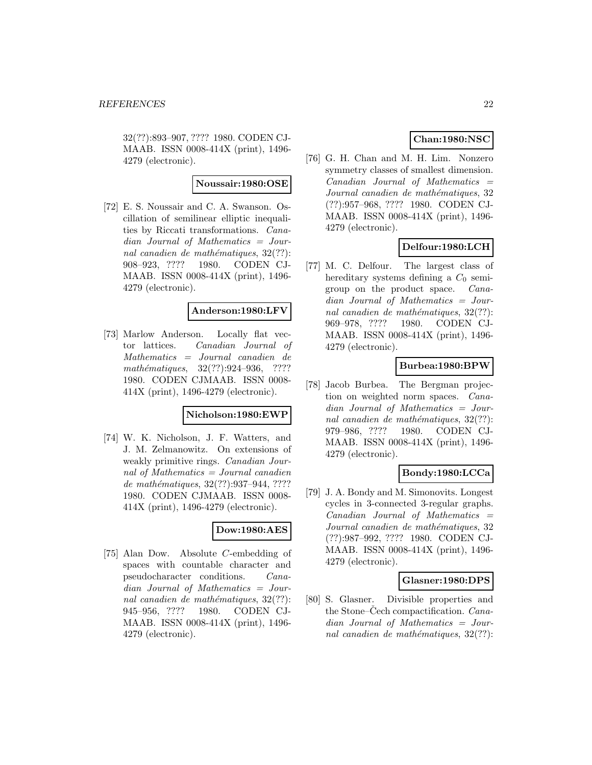32(??):893–907, ???? 1980. CODEN CJ-MAAB. ISSN 0008-414X (print), 1496- 4279 (electronic).

#### **Noussair:1980:OSE**

[72] E. S. Noussair and C. A. Swanson. Oscillation of semilinear elliptic inequalities by Riccati transformations. Canadian Journal of Mathematics = Journal canadien de mathématiques,  $32(??)$ : 908–923, ???? 1980. CODEN CJ-MAAB. ISSN 0008-414X (print), 1496- 4279 (electronic).

#### **Anderson:1980:LFV**

[73] Marlow Anderson. Locally flat vector lattices. Canadian Journal of Mathematics = Journal canadien de mathématiques,  $32(??):924-936$ , ???? 1980. CODEN CJMAAB. ISSN 0008- 414X (print), 1496-4279 (electronic).

### **Nicholson:1980:EWP**

[74] W. K. Nicholson, J. F. Watters, and J. M. Zelmanowitz. On extensions of weakly primitive rings. Canadian Journal of Mathematics = Journal canadien de mathématiques, 32(??):937-944, ???? 1980. CODEN CJMAAB. ISSN 0008- 414X (print), 1496-4279 (electronic).

### **Dow:1980:AES**

[75] Alan Dow. Absolute C-embedding of spaces with countable character and pseudocharacter conditions. Canadian Journal of Mathematics = Journal canadien de mathématiques,  $32(??)$ : 945–956, ???? 1980. CODEN CJ-MAAB. ISSN 0008-414X (print), 1496- 4279 (electronic).

# **Chan:1980:NSC**

[76] G. H. Chan and M. H. Lim. Nonzero symmetry classes of smallest dimension.  $Canadian$  Journal of Mathematics  $=$ Journal canadien de mathématiques, 32 (??):957–968, ???? 1980. CODEN CJ-MAAB. ISSN 0008-414X (print), 1496- 4279 (electronic).

# **Delfour:1980:LCH**

[77] M. C. Delfour. The largest class of hereditary systems defining a  $C_0$  semigroup on the product space. Canadian Journal of Mathematics = Journal canadien de mathématiques,  $32(??)$ : 969–978, ???? 1980. CODEN CJ-MAAB. ISSN 0008-414X (print), 1496- 4279 (electronic).

# **Burbea:1980:BPW**

[78] Jacob Burbea. The Bergman projection on weighted norm spaces. Canadian Journal of Mathematics = Journal canadien de mathématiques,  $32(??)$ : 979–986, ???? 1980. CODEN CJ-MAAB. ISSN 0008-414X (print), 1496- 4279 (electronic).

# **Bondy:1980:LCCa**

[79] J. A. Bondy and M. Simonovits. Longest cycles in 3-connected 3-regular graphs.  $Canadian$  Journal of Mathematics  $=$ Journal canadien de mathématiques, 32 (??):987–992, ???? 1980. CODEN CJ-MAAB. ISSN 0008-414X (print), 1496- 4279 (electronic).

#### **Glasner:1980:DPS**

[80] S. Glasner. Divisible properties and the Stone–Cech compactification. *Cana*dian Journal of Mathematics = Journal canadien de mathématiques,  $32(??)$ :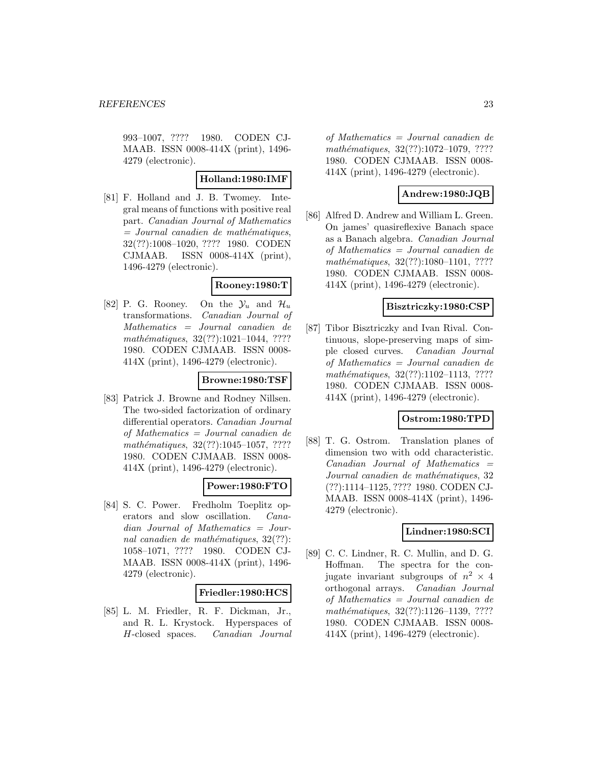993–1007, ???? 1980. CODEN CJ-MAAB. ISSN 0008-414X (print), 1496- 4279 (electronic).

### **Holland:1980:IMF**

[81] F. Holland and J. B. Twomey. Integral means of functions with positive real part. Canadian Journal of Mathematics  $=$  Journal canadien de mathématiques, 32(??):1008–1020, ???? 1980. CODEN CJMAAB. ISSN 0008-414X (print), 1496-4279 (electronic).

#### **Rooney:1980:T**

[82] P. G. Rooney. On the  $\mathcal{Y}_u$  and  $\mathcal{H}_u$ transformations. Canadian Journal of Mathematics = Journal canadien de mathématiques, 32(??):1021-1044, ???? 1980. CODEN CJMAAB. ISSN 0008- 414X (print), 1496-4279 (electronic).

# **Browne:1980:TSF**

[83] Patrick J. Browne and Rodney Nillsen. The two-sided factorization of ordinary differential operators. Canadian Journal of Mathematics = Journal canadien de mathématiques, 32(??):1045-1057, ???? 1980. CODEN CJMAAB. ISSN 0008- 414X (print), 1496-4279 (electronic).

# **Power:1980:FTO**

[84] S. C. Power. Fredholm Toeplitz operators and slow oscillation. Canadian Journal of Mathematics = Journal canadien de mathématiques,  $32(??)$ : 1058–1071, ???? 1980. CODEN CJ-MAAB. ISSN 0008-414X (print), 1496- 4279 (electronic).

#### **Friedler:1980:HCS**

[85] L. M. Friedler, R. F. Dickman, Jr., and R. L. Krystock. Hyperspaces of H-closed spaces. Canadian Journal of Mathematics = Journal canadien de mathématiques, 32(??):1072-1079, ???? 1980. CODEN CJMAAB. ISSN 0008- 414X (print), 1496-4279 (electronic).

# **Andrew:1980:JQB**

[86] Alfred D. Andrew and William L. Green. On james' quasireflexive Banach space as a Banach algebra. Canadian Journal of Mathematics = Journal canadien de mathématiques, 32(??):1080-1101, ???? 1980. CODEN CJMAAB. ISSN 0008- 414X (print), 1496-4279 (electronic).

### **Bisztriczky:1980:CSP**

[87] Tibor Bisztriczky and Ivan Rival. Continuous, slope-preserving maps of simple closed curves. Canadian Journal of Mathematics = Journal canadien de mathématiques,  $32(??):1102-1113$ , ???? 1980. CODEN CJMAAB. ISSN 0008- 414X (print), 1496-4279 (electronic).

### **Ostrom:1980:TPD**

[88] T. G. Ostrom. Translation planes of dimension two with odd characteristic.  $Canadian$  Journal of Mathematics  $=$ Journal canadien de mathématiques, 32 (??):1114–1125, ???? 1980. CODEN CJ-MAAB. ISSN 0008-414X (print), 1496- 4279 (electronic).

# **Lindner:1980:SCI**

[89] C. C. Lindner, R. C. Mullin, and D. G. Hoffman. The spectra for the conjugate invariant subgroups of  $n^2 \times 4$ orthogonal arrays. Canadian Journal of Mathematics = Journal canadien de mathématiques, 32(??):1126-1139, ???? 1980. CODEN CJMAAB. ISSN 0008- 414X (print), 1496-4279 (electronic).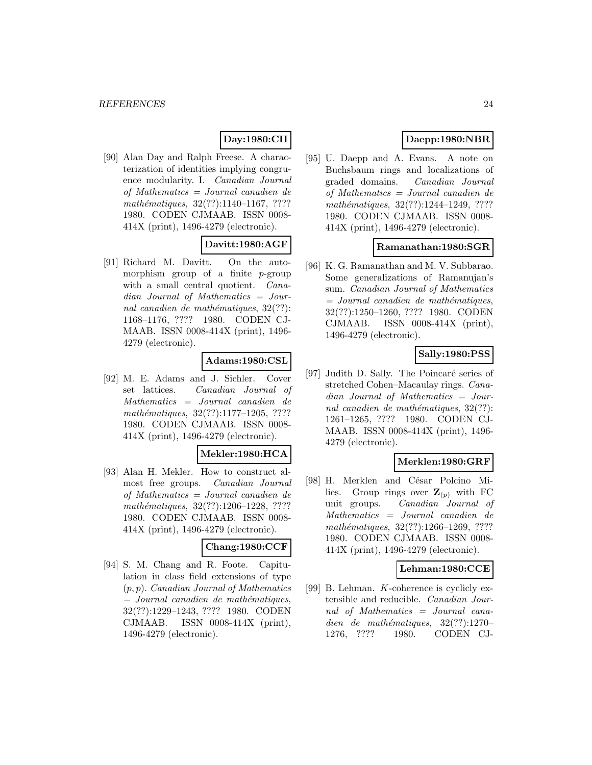# **Day:1980:CII**

[90] Alan Day and Ralph Freese. A characterization of identities implying congruence modularity. I. Canadian Journal of Mathematics = Journal canadien de mathématiques,  $32(??):1140-1167, ????$ 1980. CODEN CJMAAB. ISSN 0008- 414X (print), 1496-4279 (electronic).

# **Davitt:1980:AGF**

[91] Richard M. Davitt. On the automorphism group of a finite  $p$ -group with a small central quotient. *Cana*dian Journal of Mathematics = Journal canadien de mathématiques,  $32(??)$ : 1168–1176, ???? 1980. CODEN CJ-MAAB. ISSN 0008-414X (print), 1496- 4279 (electronic).

# **Adams:1980:CSL**

[92] M. E. Adams and J. Sichler. Cover set lattices. Canadian Journal of Mathematics = Journal canadien de mathématiques, 32(??):1177-1205, ???? 1980. CODEN CJMAAB. ISSN 0008- 414X (print), 1496-4279 (electronic).

#### **Mekler:1980:HCA**

[93] Alan H. Mekler. How to construct almost free groups. Canadian Journal of Mathematics = Journal canadien de mathématiques,  $32(??):1206-1228$ , ???? 1980. CODEN CJMAAB. ISSN 0008- 414X (print), 1496-4279 (electronic).

#### **Chang:1980:CCF**

[94] S. M. Chang and R. Foote. Capitulation in class field extensions of type (p, p). Canadian Journal of Mathematics  $=$  Journal canadien de mathématiques, 32(??):1229–1243, ???? 1980. CODEN CJMAAB. ISSN 0008-414X (print), 1496-4279 (electronic).

# **Daepp:1980:NBR**

[95] U. Daepp and A. Evans. A note on Buchsbaum rings and localizations of graded domains. Canadian Journal of Mathematics = Journal canadien de mathématiques, 32(??):1244-1249, ???? 1980. CODEN CJMAAB. ISSN 0008- 414X (print), 1496-4279 (electronic).

### **Ramanathan:1980:SGR**

[96] K. G. Ramanathan and M. V. Subbarao. Some generalizations of Ramanujan's sum. Canadian Journal of Mathematics  $=$  Journal canadien de mathématiques, 32(??):1250–1260, ???? 1980. CODEN CJMAAB. ISSN 0008-414X (print), 1496-4279 (electronic).

# **Sally:1980:PSS**

[97] Judith D. Sally. The Poincaré series of stretched Cohen–Macaulay rings. Canadian Journal of Mathematics = Journal canadien de mathématiques,  $32(??)$ : 1261–1265, ???? 1980. CODEN CJ-MAAB. ISSN 0008-414X (print), 1496- 4279 (electronic).

# **Merklen:1980:GRF**

[98] H. Merklen and César Polcino Milies. Group rings over  $\mathbf{Z}_{(p)}$  with FC unit groups. Canadian Journal of Mathematics = Journal canadien de mathématiques, 32(??):1266-1269, ???? 1980. CODEN CJMAAB. ISSN 0008- 414X (print), 1496-4279 (electronic).

# **Lehman:1980:CCE**

[99] B. Lehman. K-coherence is cyclicly extensible and reducible. Canadian Journal of Mathematics = Journal canadien de mathématiques,  $32(??):1270-$ 1276, ???? 1980. CODEN CJ-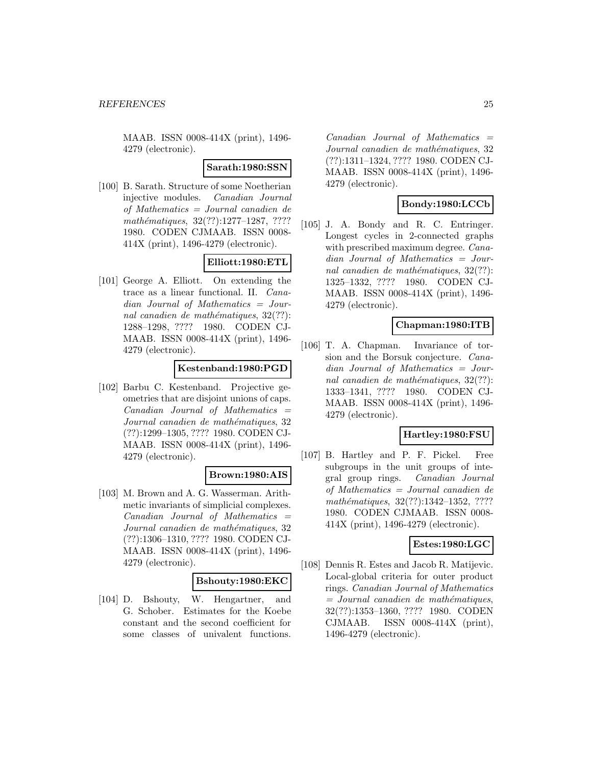MAAB. ISSN 0008-414X (print), 1496- 4279 (electronic).

#### **Sarath:1980:SSN**

[100] B. Sarath. Structure of some Noetherian injective modules. Canadian Journal of Mathematics = Journal canadien de mathématiques, 32(??):1277-1287, ???? 1980. CODEN CJMAAB. ISSN 0008- 414X (print), 1496-4279 (electronic).

# **Elliott:1980:ETL**

[101] George A. Elliott. On extending the trace as a linear functional. II. Canadian Journal of Mathematics = Journal canadien de mathématiques,  $32(??)$ : 1288–1298, ???? 1980. CODEN CJ-MAAB. ISSN 0008-414X (print), 1496- 4279 (electronic).

#### **Kestenband:1980:PGD**

[102] Barbu C. Kestenband. Projective geometries that are disjoint unions of caps.  $Canadian$  Journal of Mathematics  $=$ Journal canadien de mathématiques, 32 (??):1299–1305, ???? 1980. CODEN CJ-MAAB. ISSN 0008-414X (print), 1496- 4279 (electronic).

# **Brown:1980:AIS**

[103] M. Brown and A. G. Wasserman. Arithmetic invariants of simplicial complexes.  $Canadian$  Journal of Mathematics  $=$ Journal canadien de mathématiques, 32 (??):1306–1310, ???? 1980. CODEN CJ-MAAB. ISSN 0008-414X (print), 1496- 4279 (electronic).

#### **Bshouty:1980:EKC**

[104] D. Bshouty, W. Hengartner, and G. Schober. Estimates for the Koebe constant and the second coefficient for some classes of univalent functions.

 $Canadian$  Journal of Mathematics  $=$ Journal canadien de mathématiques, 32 (??):1311–1324, ???? 1980. CODEN CJ-MAAB. ISSN 0008-414X (print), 1496- 4279 (electronic).

# **Bondy:1980:LCCb**

[105] J. A. Bondy and R. C. Entringer. Longest cycles in 2-connected graphs with prescribed maximum degree. *Cana*dian Journal of Mathematics = Journal canadien de mathématiques,  $32(??)$ : 1325–1332, ???? 1980. CODEN CJ-MAAB. ISSN 0008-414X (print), 1496- 4279 (electronic).

### **Chapman:1980:ITB**

[106] T. A. Chapman. Invariance of torsion and the Borsuk conjecture. Canadian Journal of Mathematics = Journal canadien de mathématiques,  $32(??)$ : 1333–1341, ???? 1980. CODEN CJ-MAAB. ISSN 0008-414X (print), 1496- 4279 (electronic).

# **Hartley:1980:FSU**

[107] B. Hartley and P. F. Pickel. Free subgroups in the unit groups of integral group rings. Canadian Journal of Mathematics = Journal canadien de mathématiques, 32(??):1342-1352, ???? 1980. CODEN CJMAAB. ISSN 0008- 414X (print), 1496-4279 (electronic).

### **Estes:1980:LGC**

[108] Dennis R. Estes and Jacob R. Matijevic. Local-global criteria for outer product rings. Canadian Journal of Mathematics  $=$  Journal canadien de mathématiques, 32(??):1353–1360, ???? 1980. CODEN CJMAAB. ISSN 0008-414X (print), 1496-4279 (electronic).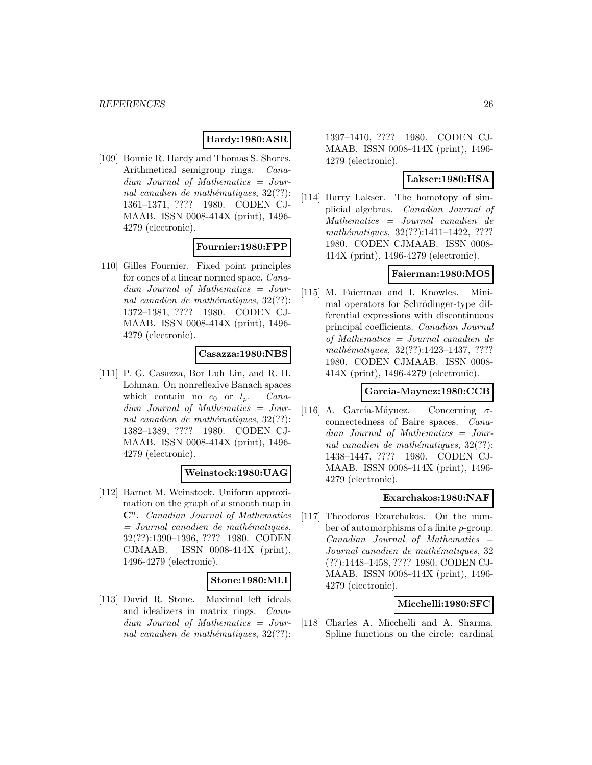# **Hardy:1980:ASR**

[109] Bonnie R. Hardy and Thomas S. Shores. Arithmetical semigroup rings. Canadian Journal of Mathematics = Journal canadien de mathématiques,  $32(??)$ : 1361–1371, ???? 1980. CODEN CJ-MAAB. ISSN 0008-414X (print), 1496- 4279 (electronic).

#### **Fournier:1980:FPP**

[110] Gilles Fournier. Fixed point principles for cones of a linear normed space. Canadian Journal of Mathematics = Journal canadien de mathématiques,  $32(??)$ : 1372–1381, ???? 1980. CODEN CJ-MAAB. ISSN 0008-414X (print), 1496- 4279 (electronic).

#### **Casazza:1980:NBS**

[111] P. G. Casazza, Bor Luh Lin, and R. H. Lohman. On nonreflexive Banach spaces which contain no  $c_0$  or  $l_p$ . Canadian Journal of Mathematics = Journal canadien de mathématiques,  $32(??)$ : 1382–1389, ???? 1980. CODEN CJ-MAAB. ISSN 0008-414X (print), 1496- 4279 (electronic).

#### **Weinstock:1980:UAG**

[112] Barnet M. Weinstock. Uniform approximation on the graph of a smooth map in **C**<sup>n</sup>. Canadian Journal of Mathematics  $=$  Journal canadien de mathématiques, 32(??):1390–1396, ???? 1980. CODEN CJMAAB. ISSN 0008-414X (print), 1496-4279 (electronic).

#### **Stone:1980:MLI**

[113] David R. Stone. Maximal left ideals and idealizers in matrix rings. Canadian Journal of Mathematics = Journal canadien de mathématiques,  $32(??)$ :

1397–1410, ???? 1980. CODEN CJ-MAAB. ISSN 0008-414X (print), 1496- 4279 (electronic).

### **Lakser:1980:HSA**

[114] Harry Lakser. The homotopy of simplicial algebras. Canadian Journal of Mathematics = Journal canadien de mathématiques, 32(??):1411-1422, ???? 1980. CODEN CJMAAB. ISSN 0008- 414X (print), 1496-4279 (electronic).

# **Faierman:1980:MOS**

[115] M. Faierman and I. Knowles. Minimal operators for Schrödinger-type differential expressions with discontinuous principal coefficients. Canadian Journal of Mathematics = Journal canadien de mathématiques, 32(??):1423-1437, ???? 1980. CODEN CJMAAB. ISSN 0008- 414X (print), 1496-4279 (electronic).

#### **Garcia-Maynez:1980:CCB**

[116] A. García-Máynez. Concerning  $\sigma$ connectedness of Baire spaces. Canadian Journal of Mathematics = Journal canadien de mathématiques,  $32(??)$ : 1438–1447, ???? 1980. CODEN CJ-MAAB. ISSN 0008-414X (print), 1496- 4279 (electronic).

#### **Exarchakos:1980:NAF**

[117] Theodoros Exarchakos. On the number of automorphisms of a finite p-group.  $Canadian$  Journal of Mathematics  $=$ Journal canadien de mathématiques, 32 (??):1448–1458, ???? 1980. CODEN CJ-MAAB. ISSN 0008-414X (print), 1496- 4279 (electronic).

# **Micchelli:1980:SFC**

[118] Charles A. Micchelli and A. Sharma. Spline functions on the circle: cardinal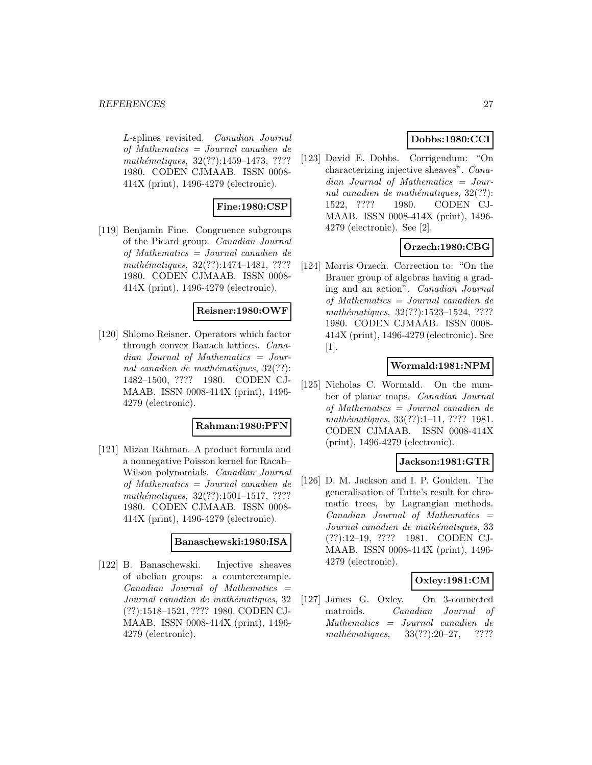L-splines revisited. Canadian Journal of Mathematics = Journal canadien de mathématiques, 32(??):1459–1473, ???? 1980. CODEN CJMAAB. ISSN 0008- 414X (print), 1496-4279 (electronic).

# **Fine:1980:CSP**

[119] Benjamin Fine. Congruence subgroups of the Picard group. Canadian Journal of Mathematics = Journal canadien de mathématiques,  $32(??):1474-1481, ????$ 1980. CODEN CJMAAB. ISSN 0008- 414X (print), 1496-4279 (electronic).

#### **Reisner:1980:OWF**

[120] Shlomo Reisner. Operators which factor through convex Banach lattices. Canadian Journal of Mathematics = Journal canadien de mathématiques,  $32(??)$ : 1482–1500, ???? 1980. CODEN CJ-MAAB. ISSN 0008-414X (print), 1496- 4279 (electronic).

#### **Rahman:1980:PFN**

[121] Mizan Rahman. A product formula and a nonnegative Poisson kernel for Racah– Wilson polynomials. Canadian Journal of Mathematics = Journal canadien de mathématiques,  $32(??):1501-1517, ????$ 1980. CODEN CJMAAB. ISSN 0008- 414X (print), 1496-4279 (electronic).

### **Banaschewski:1980:ISA**

[122] B. Banaschewski. Injective sheaves of abelian groups: a counterexample.  $Canadian$  Journal of Mathematics  $=$ Journal canadien de mathématiques, 32 (??):1518–1521, ???? 1980. CODEN CJ-MAAB. ISSN 0008-414X (print), 1496- 4279 (electronic).

# **Dobbs:1980:CCI**

[123] David E. Dobbs. Corrigendum: "On characterizing injective sheaves". Canadian Journal of Mathematics = Journal canadien de mathématiques,  $32(??)$ : 1522, ???? 1980. CODEN CJ-MAAB. ISSN 0008-414X (print), 1496- 4279 (electronic). See [2].

# **Orzech:1980:CBG**

[124] Morris Orzech. Correction to: "On the Brauer group of algebras having a grading and an action". Canadian Journal of Mathematics = Journal canadien de mathématiques, 32(??):1523-1524, ???? 1980. CODEN CJMAAB. ISSN 0008- 414X (print), 1496-4279 (electronic). See [1].

### **Wormald:1981:NPM**

[125] Nicholas C. Wormald. On the number of planar maps. Canadian Journal of Mathematics = Journal canadien de mathématiques, 33(??):1–11, ???? 1981. CODEN CJMAAB. ISSN 0008-414X (print), 1496-4279 (electronic).

#### **Jackson:1981:GTR**

[126] D. M. Jackson and I. P. Goulden. The generalisation of Tutte's result for chromatic trees, by Lagrangian methods.  $Canadian$  Journal of Mathematics  $=$ Journal canadien de mathématiques, 33 (??):12–19, ???? 1981. CODEN CJ-MAAB. ISSN 0008-414X (print), 1496- 4279 (electronic).

#### **Oxley:1981:CM**

[127] James G. Oxley. On 3-connected matroids. Canadian Journal of Mathematics = Journal canadien de mathématiques,  $33(??):20-27$ , ????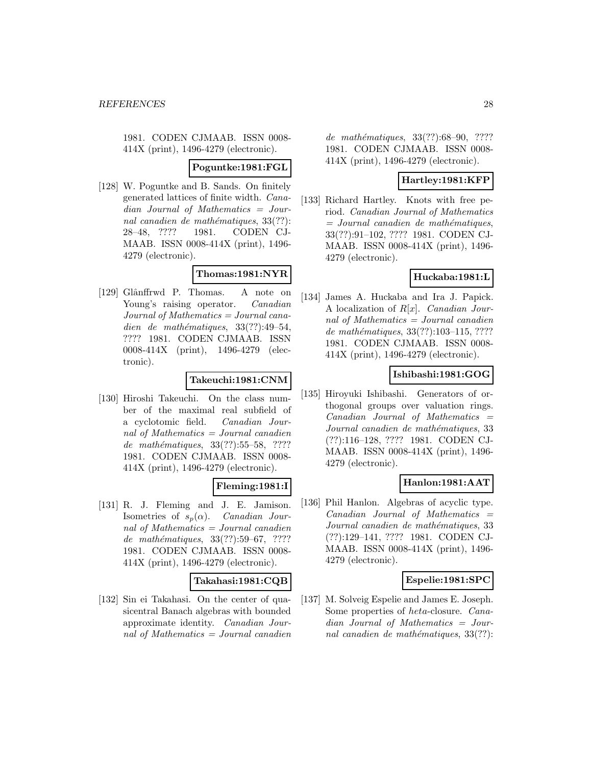1981. CODEN CJMAAB. ISSN 0008- 414X (print), 1496-4279 (electronic).

#### **Poguntke:1981:FGL**

[128] W. Poguntke and B. Sands. On finitely generated lattices of finite width. Canadian Journal of Mathematics = Journal canadien de mathématiques,  $33(??)$ : 28–48, ???? 1981. CODEN CJ-MAAB. ISSN 0008-414X (print), 1496- 4279 (electronic).

# **Thomas:1981:NYR**

[129] Glânffrwd P. Thomas. A note on Young's raising operator. Canadian Journal of Mathematics = Journal canadien de mathématiques,  $33(??):49-54$ , ???? 1981. CODEN CJMAAB. ISSN 0008-414X (print), 1496-4279 (electronic).

# **Takeuchi:1981:CNM**

[130] Hiroshi Takeuchi. On the class number of the maximal real subfield of a cyclotomic field. Canadian Journal of Mathematics = Journal canadien de mathématiques, 33(??):55–58, ???? 1981. CODEN CJMAAB. ISSN 0008- 414X (print), 1496-4279 (electronic).

# **Fleming:1981:I**

[131] R. J. Fleming and J. E. Jamison. Isometries of  $s_p(\alpha)$ . Canadian Journal of Mathematics  $=$  Journal canadien de mathématiques, 33(??):59–67, ????? 1981. CODEN CJMAAB. ISSN 0008- 414X (print), 1496-4279 (electronic).

# **Takahasi:1981:CQB**

[132] Sin ei Takahasi. On the center of quasicentral Banach algebras with bounded approximate identity. Canadian Journal of Mathematics = Journal canadien de mathématiques, 33(??):68-90, ???? 1981. CODEN CJMAAB. ISSN 0008- 414X (print), 1496-4279 (electronic).

# **Hartley:1981:KFP**

[133] Richard Hartley. Knots with free period. Canadian Journal of Mathematics  $=$  Journal canadien de mathématiques, 33(??):91–102, ???? 1981. CODEN CJ-MAAB. ISSN 0008-414X (print), 1496- 4279 (electronic).

# **Huckaba:1981:L**

[134] James A. Huckaba and Ira J. Papick. A localization of  $R[x]$ . *Canadian Jour*nal of Mathematics = Journal canadien de mathématiques, 33(??):103-115, ???? 1981. CODEN CJMAAB. ISSN 0008- 414X (print), 1496-4279 (electronic).

# **Ishibashi:1981:GOG**

[135] Hiroyuki Ishibashi. Generators of orthogonal groups over valuation rings.  $Canadian$  Journal of Mathematics  $=$ Journal canadien de mathématiques, 33 (??):116–128, ???? 1981. CODEN CJ-MAAB. ISSN 0008-414X (print), 1496- 4279 (electronic).

# **Hanlon:1981:AAT**

[136] Phil Hanlon. Algebras of acyclic type.  $Canadian$  Journal of Mathematics  $=$ Journal canadien de mathématiques, 33 (??):129–141, ???? 1981. CODEN CJ-MAAB. ISSN 0008-414X (print), 1496- 4279 (electronic).

# **Espelie:1981:SPC**

[137] M. Solveig Espelie and James E. Joseph. Some properties of heta-closure. Canadian Journal of Mathematics = Journal canadien de mathématiques,  $33(??)$ :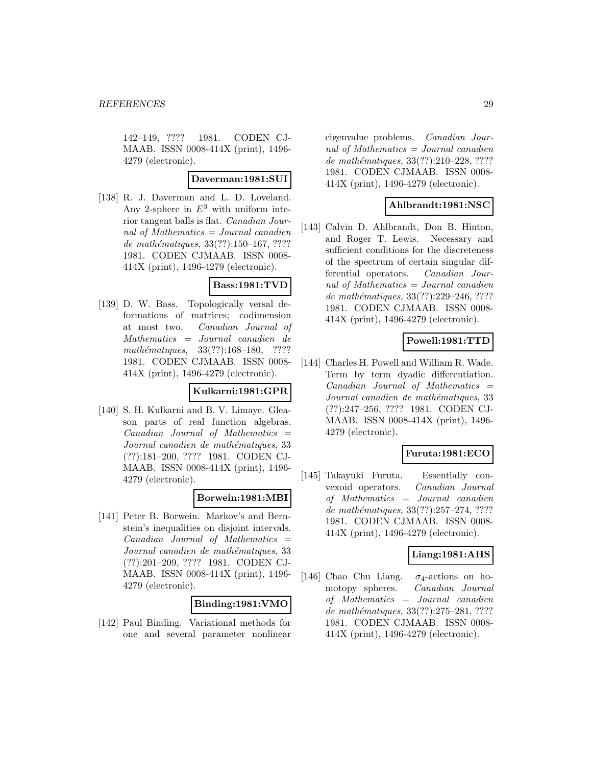142–149, ???? 1981. CODEN CJ-MAAB. ISSN 0008-414X (print), 1496- 4279 (electronic).

#### **Daverman:1981:SUI**

[138] R. J. Daverman and L. D. Loveland. Any 2-sphere in  $E^3$  with uniform interior tangent balls is flat. Canadian Journal of Mathematics  $=$  Journal canadien de mathématiques,  $33(??):150-167, ????$ 1981. CODEN CJMAAB. ISSN 0008- 414X (print), 1496-4279 (electronic).

### **Bass:1981:TVD**

[139] D. W. Bass. Topologically versal deformations of matrices; codimension at most two. Canadian Journal of Mathematics = Journal canadien de mathématiques,  $33(??):168-180$ , ???? 1981. CODEN CJMAAB. ISSN 0008- 414X (print), 1496-4279 (electronic).

#### **Kulkarni:1981:GPR**

[140] S. H. Kulkarni and B. V. Limaye. Gleason parts of real function algebras.  $Canadian$  Journal of Mathematics  $=$ Journal canadien de mathématiques, 33 (??):181–200, ???? 1981. CODEN CJ-MAAB. ISSN 0008-414X (print), 1496- 4279 (electronic).

### **Borwein:1981:MBI**

[141] Peter B. Borwein. Markov's and Bernstein's inequalities on disjoint intervals.  $Canadian$  Journal of Mathematics  $=$ Journal canadien de mathématiques, 33 (??):201–209, ???? 1981. CODEN CJ-MAAB. ISSN 0008-414X (print), 1496- 4279 (electronic).

# **Binding:1981:VMO**

[142] Paul Binding. Variational methods for one and several parameter nonlinear

eigenvalue problems. Canadian Journal of Mathematics = Journal canadien de mathématiques, 33(??):210–228, ???? 1981. CODEN CJMAAB. ISSN 0008- 414X (print), 1496-4279 (electronic).

# **Ahlbrandt:1981:NSC**

[143] Calvin D. Ahlbrandt, Don B. Hinton, and Roger T. Lewis. Necessary and sufficient conditions for the discreteness of the spectrum of certain singular differential operators. Canadian Journal of Mathematics = Journal canadien de mathématiques, 33(??):229-246, ???? 1981. CODEN CJMAAB. ISSN 0008- 414X (print), 1496-4279 (electronic).

### **Powell:1981:TTD**

[144] Charles H. Powell and William R. Wade. Term by term dyadic differentiation.  $Canadian$  Journal of Mathematics  $=$ Journal canadien de mathématiques, 33 (??):247–256, ???? 1981. CODEN CJ-MAAB. ISSN 0008-414X (print), 1496- 4279 (electronic).

# **Furuta:1981:ECO**

[145] Takayuki Furuta. Essentially convexoid operators. Canadian Journal of Mathematics = Journal canadien de mathématiques, 33(??):257-274, ???? 1981. CODEN CJMAAB. ISSN 0008- 414X (print), 1496-4279 (electronic).

#### **Liang:1981:AHS**

[146] Chao Chu Liang.  $\sigma_4$ -actions on homotopy spheres. Canadian Journal of Mathematics = Journal canadien de mathématiques, 33(??):275–281, ???? 1981. CODEN CJMAAB. ISSN 0008- 414X (print), 1496-4279 (electronic).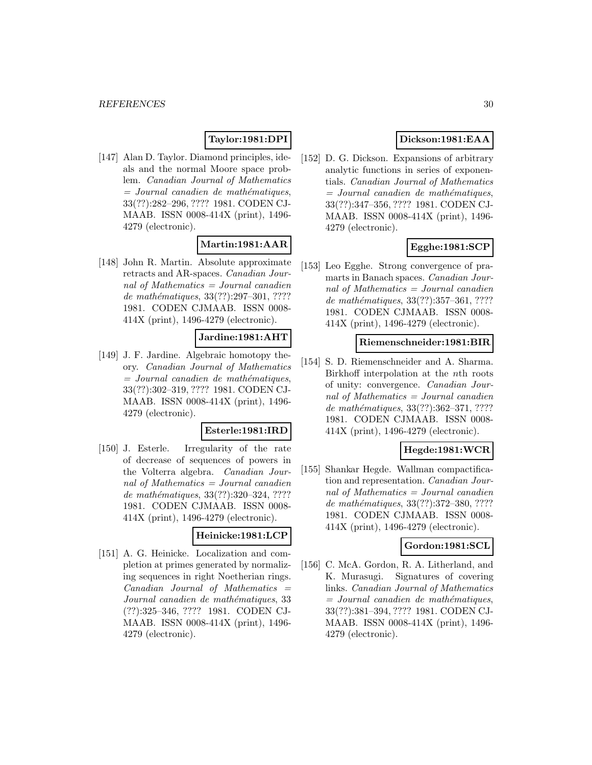# **Taylor:1981:DPI**

[147] Alan D. Taylor. Diamond principles, ideals and the normal Moore space problem. Canadian Journal of Mathematics  $=$  Journal canadien de mathématiques, 33(??):282–296, ???? 1981. CODEN CJ-MAAB. ISSN 0008-414X (print), 1496- 4279 (electronic).

# **Martin:1981:AAR**

[148] John R. Martin. Absolute approximate retracts and AR-spaces. Canadian Journal of Mathematics  $=$  Journal canadien de mathématiques, 33(??):297-301, ???? 1981. CODEN CJMAAB. ISSN 0008- 414X (print), 1496-4279 (electronic).

# **Jardine:1981:AHT**

[149] J. F. Jardine. Algebraic homotopy theory. Canadian Journal of Mathematics  $=$  Journal canadien de mathématiques, 33(??):302–319, ???? 1981. CODEN CJ-MAAB. ISSN 0008-414X (print), 1496- 4279 (electronic).

### **Esterle:1981:IRD**

[150] J. Esterle. Irregularity of the rate of decrease of sequences of powers in the Volterra algebra. Canadian Journal of Mathematics  $=$  Journal canadien de mathématiques, 33(??):320–324, ???? 1981. CODEN CJMAAB. ISSN 0008- 414X (print), 1496-4279 (electronic).

# **Heinicke:1981:LCP**

[151] A. G. Heinicke. Localization and completion at primes generated by normalizing sequences in right Noetherian rings.  $Canadian$  Journal of Mathematics  $=$ Journal canadien de mathématiques, 33 (??):325–346, ???? 1981. CODEN CJ-MAAB. ISSN 0008-414X (print), 1496- 4279 (electronic).

# **Dickson:1981:EAA**

[152] D. G. Dickson. Expansions of arbitrary analytic functions in series of exponentials. Canadian Journal of Mathematics  $=$  Journal canadien de mathématiques, 33(??):347–356, ???? 1981. CODEN CJ-MAAB. ISSN 0008-414X (print), 1496- 4279 (electronic).

# **Egghe:1981:SCP**

[153] Leo Egghe. Strong convergence of pramarts in Banach spaces. Canadian Journal of Mathematics = Journal canadien de mathématiques, 33(??):357-361, ???? 1981. CODEN CJMAAB. ISSN 0008- 414X (print), 1496-4279 (electronic).

#### **Riemenschneider:1981:BIR**

[154] S. D. Riemenschneider and A. Sharma. Birkhoff interpolation at the nth roots of unity: convergence. Canadian Journal of Mathematics = Journal canadien de mathématiques, 33(??):362-371, ???? 1981. CODEN CJMAAB. ISSN 0008- 414X (print), 1496-4279 (electronic).

# **Hegde:1981:WCR**

[155] Shankar Hegde. Wallman compactification and representation. Canadian Journal of Mathematics = Journal canadien de mathématiques, 33(??):372-380, ???? 1981. CODEN CJMAAB. ISSN 0008- 414X (print), 1496-4279 (electronic).

#### **Gordon:1981:SCL**

[156] C. McA. Gordon, R. A. Litherland, and K. Murasugi. Signatures of covering links. Canadian Journal of Mathematics  $=$  Journal canadien de mathématiques, 33(??):381–394, ???? 1981. CODEN CJ-MAAB. ISSN 0008-414X (print), 1496- 4279 (electronic).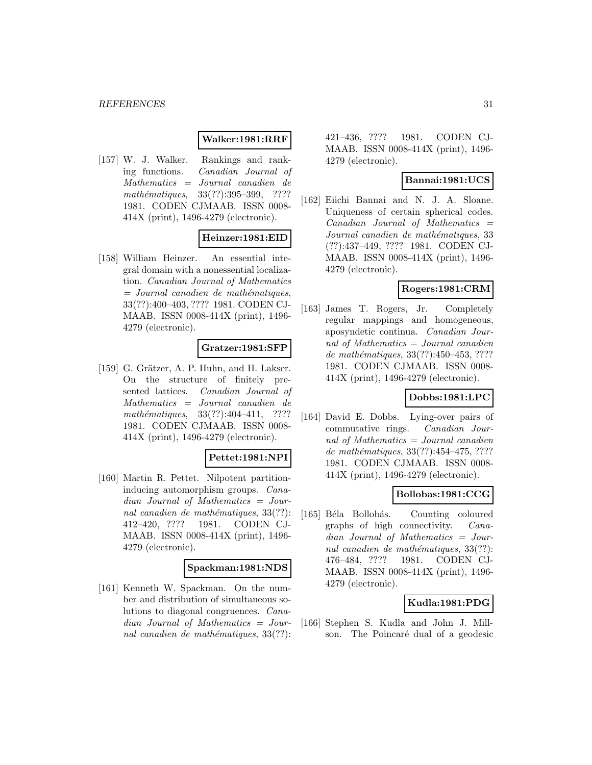# **Walker:1981:RRF**

[157] W. J. Walker. Rankings and ranking functions. Canadian Journal of Mathematics = Journal canadien de mathématiques, 33(??):395–399, ???? 1981. CODEN CJMAAB. ISSN 0008- 414X (print), 1496-4279 (electronic).

# **Heinzer:1981:EID**

[158] William Heinzer. An essential integral domain with a nonessential localization. Canadian Journal of Mathematics  $=$  Journal canadien de mathématiques, 33(??):400–403, ???? 1981. CODEN CJ-MAAB. ISSN 0008-414X (print), 1496- 4279 (electronic).

### **Gratzer:1981:SFP**

[159] G. Grätzer, A. P. Huhn, and H. Lakser. On the structure of finitely presented lattices. Canadian Journal of Mathematics = Journal canadien de mathématiques,  $33(??):404-411$ , ???? 1981. CODEN CJMAAB. ISSN 0008- 414X (print), 1496-4279 (electronic).

#### **Pettet:1981:NPI**

[160] Martin R. Pettet. Nilpotent partitioninducing automorphism groups. Canadian Journal of Mathematics = Journal canadien de mathématiques,  $33(??)$ : 412–420, ???? 1981. CODEN CJ-MAAB. ISSN 0008-414X (print), 1496- 4279 (electronic).

#### **Spackman:1981:NDS**

[161] Kenneth W. Spackman. On the number and distribution of simultaneous solutions to diagonal congruences. Canadian Journal of Mathematics = Journal canadien de mathématiques,  $33(??)$ :

421–436, ???? 1981. CODEN CJ-MAAB. ISSN 0008-414X (print), 1496- 4279 (electronic).

### **Bannai:1981:UCS**

[162] Eiichi Bannai and N. J. A. Sloane. Uniqueness of certain spherical codes.  $Canadian$  Journal of Mathematics  $=$ Journal canadien de mathématiques, 33 (??):437–449, ???? 1981. CODEN CJ-MAAB. ISSN 0008-414X (print), 1496- 4279 (electronic).

# **Rogers:1981:CRM**

[163] James T. Rogers, Jr. Completely regular mappings and homogeneous, aposyndetic continua. Canadian Journal of Mathematics = Journal canadien de mathématiques, 33(??):450-453, ???? 1981. CODEN CJMAAB. ISSN 0008- 414X (print), 1496-4279 (electronic).

# **Dobbs:1981:LPC**

[164] David E. Dobbs. Lying-over pairs of commutative rings. Canadian Journal of Mathematics = Journal canadien de mathématiques,  $33(??):454-475, ????$ 1981. CODEN CJMAAB. ISSN 0008- 414X (print), 1496-4279 (electronic).

#### **Bollobas:1981:CCG**

[165] Béla Bollobás. Counting coloured graphs of high connectivity. Canadian Journal of Mathematics = Journal canadien de mathématiques,  $33(??)$ : 476–484, ???? 1981. CODEN CJ-MAAB. ISSN 0008-414X (print), 1496- 4279 (electronic).

#### **Kudla:1981:PDG**

[166] Stephen S. Kudla and John J. Millson. The Poincaré dual of a geodesic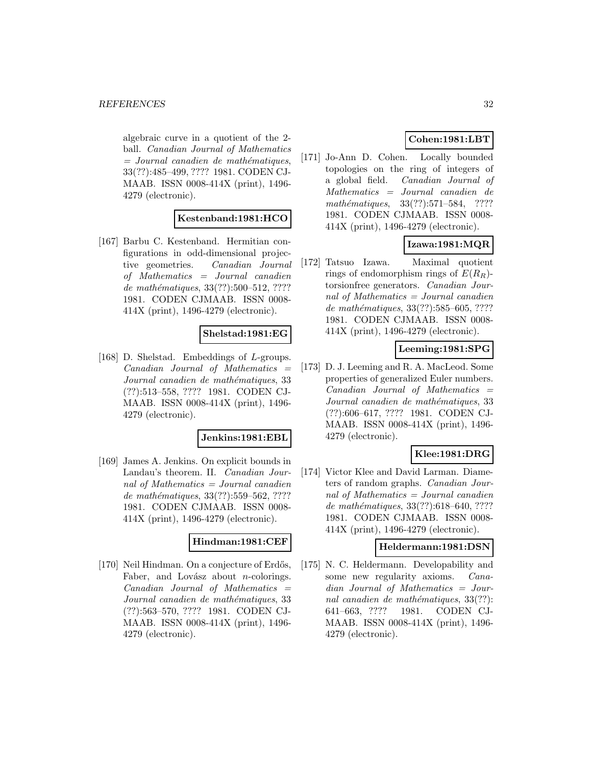algebraic curve in a quotient of the 2 ball. Canadian Journal of Mathematics  $=$  Journal canadien de mathématiques, 33(??):485–499, ???? 1981. CODEN CJ-MAAB. ISSN 0008-414X (print), 1496- 4279 (electronic).

# **Kestenband:1981:HCO**

[167] Barbu C. Kestenband. Hermitian configurations in odd-dimensional projective geometries. Canadian Journal of Mathematics = Journal canadien de mathématiques,  $33(??):500-512, ????$ 1981. CODEN CJMAAB. ISSN 0008- 414X (print), 1496-4279 (electronic).

# **Shelstad:1981:EG**

[168] D. Shelstad. Embeddings of L-groups.  $Canadian$  Journal of Mathematics  $=$ Journal canadien de mathématiques, 33 (??):513–558, ???? 1981. CODEN CJ-MAAB. ISSN 0008-414X (print), 1496- 4279 (electronic).

#### **Jenkins:1981:EBL**

[169] James A. Jenkins. On explicit bounds in Landau's theorem. II. Canadian Journal of Mathematics = Journal canadien de mathématiques, 33(??):559–562, ???? 1981. CODEN CJMAAB. ISSN 0008- 414X (print), 1496-4279 (electronic).

### **Hindman:1981:CEF**

[170] Neil Hindman. On a conjecture of Erdős, Faber, and Lovász about *n*-colorings.  $Canadian$  Journal of Mathematics  $=$ Journal canadien de mathématiques, 33 (??):563–570, ???? 1981. CODEN CJ-MAAB. ISSN 0008-414X (print), 1496- 4279 (electronic).

# **Cohen:1981:LBT**

[171] Jo-Ann D. Cohen. Locally bounded topologies on the ring of integers of a global field. Canadian Journal of Mathematics = Journal canadien de mathématiques,  $33(??):571-584$ , ???? 1981. CODEN CJMAAB. ISSN 0008- 414X (print), 1496-4279 (electronic).

# **Izawa:1981:MQR**

[172] Tatsuo Izawa. Maximal quotient rings of endomorphism rings of  $E(R_R)$ torsionfree generators. Canadian Journal of Mathematics = Journal canadien de mathématiques, 33(??):585–605, ???? 1981. CODEN CJMAAB. ISSN 0008- 414X (print), 1496-4279 (electronic).

# **Leeming:1981:SPG**

[173] D. J. Leeming and R. A. MacLeod. Some properties of generalized Euler numbers.  $Canadian$  Journal of Mathematics  $=$ Journal canadien de mathématiques, 33 (??):606–617, ???? 1981. CODEN CJ-MAAB. ISSN 0008-414X (print), 1496- 4279 (electronic).

# **Klee:1981:DRG**

[174] Victor Klee and David Larman. Diameters of random graphs. Canadian Journal of Mathematics  $=$  Journal canadien de mathématiques, 33(??):618–640, ???? 1981. CODEN CJMAAB. ISSN 0008- 414X (print), 1496-4279 (electronic).

#### **Heldermann:1981:DSN**

[175] N. C. Heldermann. Developability and some new regularity axioms. Canadian Journal of Mathematics = Journal canadien de mathématiques,  $33(??)$ : 641–663, ???? 1981. CODEN CJ-MAAB. ISSN 0008-414X (print), 1496- 4279 (electronic).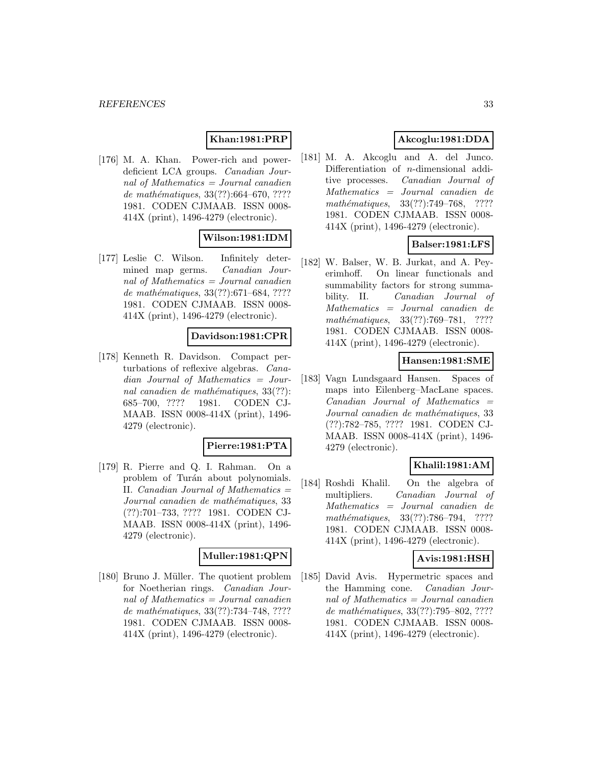# **Khan:1981:PRP**

[176] M. A. Khan. Power-rich and powerdeficient LCA groups. Canadian Journal of Mathematics = Journal canadien de mathématiques,  $33(??):664–670, ????$ 1981. CODEN CJMAAB. ISSN 0008- 414X (print), 1496-4279 (electronic).

# **Wilson:1981:IDM**

[177] Leslie C. Wilson. Infinitely determined map germs. Canadian Journal of Mathematics = Journal canadien de mathématiques,  $33(??):671–684, ????$ 1981. CODEN CJMAAB. ISSN 0008- 414X (print), 1496-4279 (electronic).

### **Davidson:1981:CPR**

[178] Kenneth R. Davidson. Compact perturbations of reflexive algebras. Canadian Journal of Mathematics = Journal canadien de mathématiques,  $33(??)$ : 685–700, ???? 1981. CODEN CJ-MAAB. ISSN 0008-414X (print), 1496- 4279 (electronic).

#### **Pierre:1981:PTA**

[179] R. Pierre and Q. I. Rahman. On a problem of Turán about polynomials. II. Canadian Journal of Mathematics = Journal canadien de mathématiques, 33 (??):701–733, ???? 1981. CODEN CJ-MAAB. ISSN 0008-414X (print), 1496- 4279 (electronic).

# **Muller:1981:QPN**

[180] Bruno J. Müller. The quotient problem for Noetherian rings. Canadian Journal of Mathematics = Journal canadien de mathématiques, 33(??):734–748, ???? 1981. CODEN CJMAAB. ISSN 0008- 414X (print), 1496-4279 (electronic).

# **Akcoglu:1981:DDA**

[181] M. A. Akcoglu and A. del Junco. Differentiation of n-dimensional additive processes. Canadian Journal of Mathematics = Journal canadien de mathématiques,  $33(??):749-768$ , ???? 1981. CODEN CJMAAB. ISSN 0008- 414X (print), 1496-4279 (electronic).

# **Balser:1981:LFS**

[182] W. Balser, W. B. Jurkat, and A. Peyerimhoff. On linear functionals and summability factors for strong summability. II. Canadian Journal of Mathematics = Journal canadien de mathématiques, 33(??):769–781, ???? 1981. CODEN CJMAAB. ISSN 0008- 414X (print), 1496-4279 (electronic).

# **Hansen:1981:SME**

[183] Vagn Lundsgaard Hansen. Spaces of maps into Eilenberg–MacLane spaces.  $Canadian$  Journal of Mathematics  $=$ Journal canadien de mathématiques, 33 (??):782–785, ???? 1981. CODEN CJ-MAAB. ISSN 0008-414X (print), 1496- 4279 (electronic).

# **Khalil:1981:AM**

[184] Roshdi Khalil. On the algebra of multipliers. Canadian Journal of Mathematics = Journal canadien de mathématiques, 33(??):786–794, ???? 1981. CODEN CJMAAB. ISSN 0008- 414X (print), 1496-4279 (electronic).

#### **Avis:1981:HSH**

[185] David Avis. Hypermetric spaces and the Hamming cone. Canadian Journal of Mathematics = Journal canadien de mathématiques, 33(??):795–802, ???? 1981. CODEN CJMAAB. ISSN 0008- 414X (print), 1496-4279 (electronic).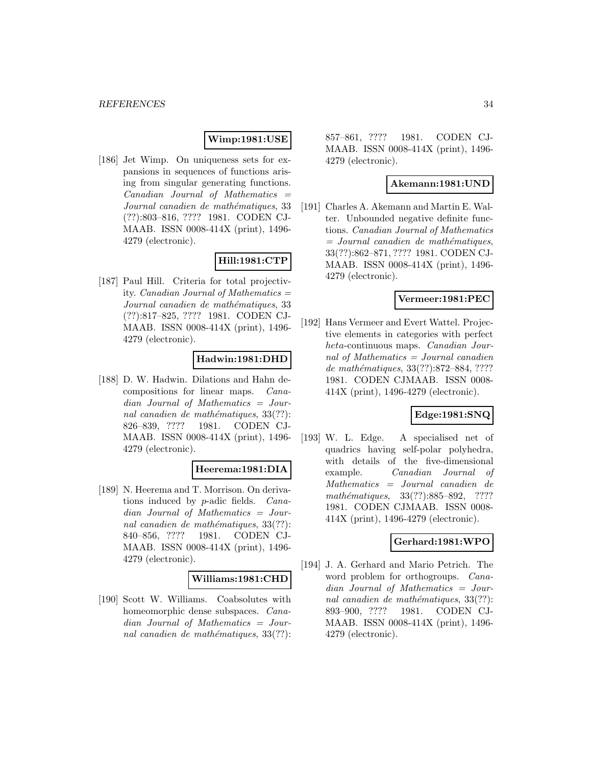# **Wimp:1981:USE**

[186] Jet Wimp. On uniqueness sets for expansions in sequences of functions arising from singular generating functions. Canadian Journal of Mathematics = Journal canadien de mathématiques, 33 (??):803–816, ???? 1981. CODEN CJ-MAAB. ISSN 0008-414X (print), 1496- 4279 (electronic).

# **Hill:1981:CTP**

[187] Paul Hill. Criteria for total projectivity. *Canadian Journal of Mathematics*  $=$ Journal canadien de mathématiques, 33 (??):817–825, ???? 1981. CODEN CJ-MAAB. ISSN 0008-414X (print), 1496- 4279 (electronic).

# **Hadwin:1981:DHD**

[188] D. W. Hadwin. Dilations and Hahn decompositions for linear maps. Canadian Journal of Mathematics = Journal canadien de mathématiques,  $33(??)$ : 826–839, ???? 1981. CODEN CJ-MAAB. ISSN 0008-414X (print), 1496- 4279 (electronic).

#### **Heerema:1981:DIA**

[189] N. Heerema and T. Morrison. On derivations induced by p-adic fields. Canadian Journal of Mathematics = Journal canadien de mathématiques,  $33(??)$ : 840–856, ???? 1981. CODEN CJ-MAAB. ISSN 0008-414X (print), 1496- 4279 (electronic).

#### **Williams:1981:CHD**

[190] Scott W. Williams. Coabsolutes with homeomorphic dense subspaces. *Cana*dian Journal of Mathematics = Journal canadien de mathématiques,  $33(??)$ : 857–861, ???? 1981. CODEN CJ-MAAB. ISSN 0008-414X (print), 1496- 4279 (electronic).

### **Akemann:1981:UND**

[191] Charles A. Akemann and Martin E. Walter. Unbounded negative definite functions. Canadian Journal of Mathematics  $=$  Journal canadien de mathématiques, 33(??):862–871, ???? 1981. CODEN CJ-MAAB. ISSN 0008-414X (print), 1496- 4279 (electronic).

#### **Vermeer:1981:PEC**

[192] Hans Vermeer and Evert Wattel. Projective elements in categories with perfect heta-continuous maps. Canadian Journal of Mathematics = Journal canadien de mathématiques, 33(??):872–884, ???? 1981. CODEN CJMAAB. ISSN 0008- 414X (print), 1496-4279 (electronic).

# **Edge:1981:SNQ**

[193] W. L. Edge. A specialised net of quadrics having self-polar polyhedra, with details of the five-dimensional example. Canadian Journal of Mathematics = Journal canadien de mathématiques, 33(??):885–892, ???? 1981. CODEN CJMAAB. ISSN 0008- 414X (print), 1496-4279 (electronic).

# **Gerhard:1981:WPO**

[194] J. A. Gerhard and Mario Petrich. The word problem for orthogroups. *Cana*dian Journal of Mathematics = Journal canadien de mathématiques,  $33(??)$ : 893–900, ???? 1981. CODEN CJ-MAAB. ISSN 0008-414X (print), 1496- 4279 (electronic).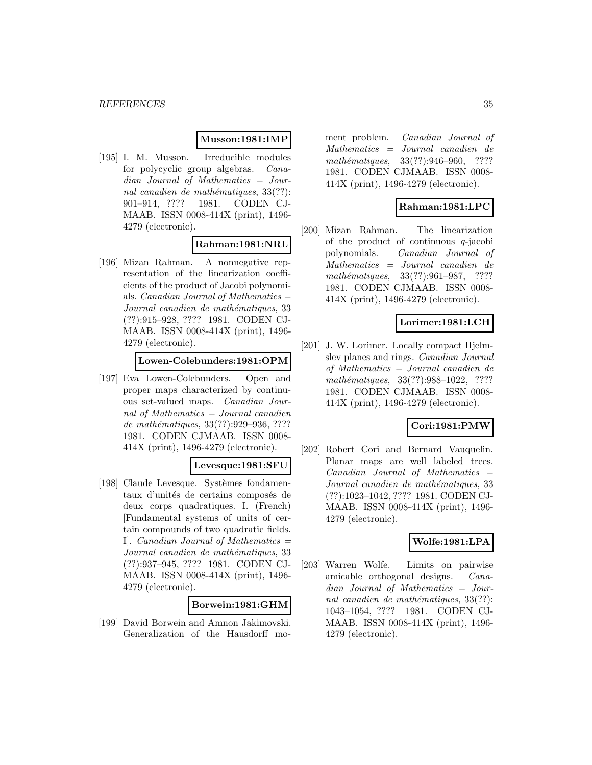### **Musson:1981:IMP**

[195] I. M. Musson. Irreducible modules for polycyclic group algebras. Canadian Journal of Mathematics = Journal canadien de mathématiques,  $33(??)$ : 901–914, ???? 1981. CODEN CJ-MAAB. ISSN 0008-414X (print), 1496- 4279 (electronic).

### **Rahman:1981:NRL**

[196] Mizan Rahman. A nonnegative representation of the linearization coefficients of the product of Jacobi polynomials. *Canadian Journal of Mathematics*  $=$ Journal canadien de mathématiques, 33 (??):915–928, ???? 1981. CODEN CJ-MAAB. ISSN 0008-414X (print), 1496- 4279 (electronic).

#### **Lowen-Colebunders:1981:OPM**

[197] Eva Lowen-Colebunders. Open and proper maps characterized by continuous set-valued maps. Canadian Journal of Mathematics  $=$  Journal canadien de mathématiques, 33(??):929-936, ???? 1981. CODEN CJMAAB. ISSN 0008- 414X (print), 1496-4279 (electronic).

#### **Levesque:1981:SFU**

[198] Claude Levesque. Systèmes fondamentaux d'unités de certains composés de deux corps quadratiques. I. (French) [Fundamental systems of units of certain compounds of two quadratic fields. I. Canadian Journal of Mathematics  $=$ Journal canadien de mathématiques, 33 (??):937–945, ???? 1981. CODEN CJ-MAAB. ISSN 0008-414X (print), 1496- 4279 (electronic).

### **Borwein:1981:GHM**

[199] David Borwein and Amnon Jakimovski. Generalization of the Hausdorff moment problem. Canadian Journal of Mathematics = Journal canadien de mathématiques, 33(??):946–960, ???? 1981. CODEN CJMAAB. ISSN 0008- 414X (print), 1496-4279 (electronic).

# **Rahman:1981:LPC**

[200] Mizan Rahman. The linearization of the product of continuous  $q$ -jacobi polynomials. Canadian Journal of Mathematics = Journal canadien de mathématiques, 33(??):961-987, ???? 1981. CODEN CJMAAB. ISSN 0008- 414X (print), 1496-4279 (electronic).

### **Lorimer:1981:LCH**

[201] J. W. Lorimer. Locally compact Hjelmslev planes and rings. *Canadian Journal* of Mathematics = Journal canadien de mathématiques, 33(??):988-1022, ???? 1981. CODEN CJMAAB. ISSN 0008- 414X (print), 1496-4279 (electronic).

# **Cori:1981:PMW**

[202] Robert Cori and Bernard Vauquelin. Planar maps are well labeled trees. Canadian Journal of Mathematics = Journal canadien de mathématiques, 33 (??):1023–1042, ???? 1981. CODEN CJ-MAAB. ISSN 0008-414X (print), 1496- 4279 (electronic).

### **Wolfe:1981:LPA**

[203] Warren Wolfe. Limits on pairwise amicable orthogonal designs. Canadian Journal of Mathematics = Journal canadien de mathématiques,  $33(??)$ : 1043–1054, ???? 1981. CODEN CJ-MAAB. ISSN 0008-414X (print), 1496- 4279 (electronic).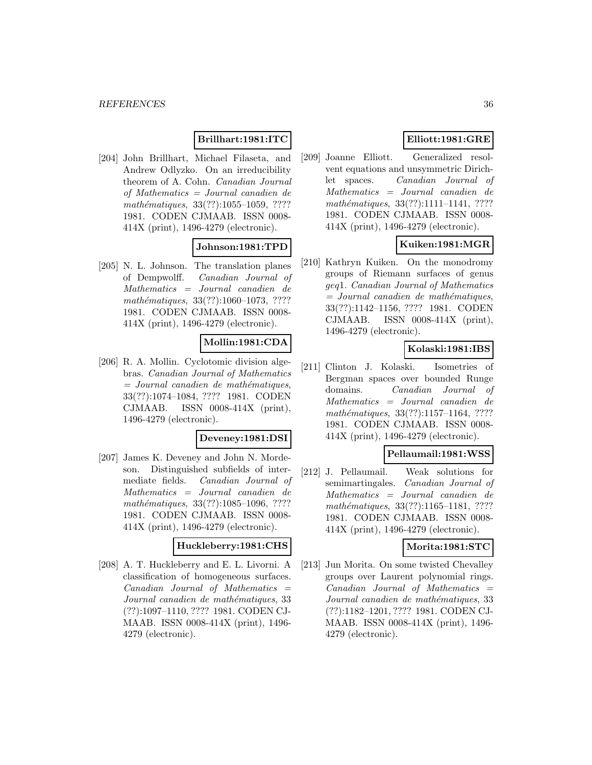### **Brillhart:1981:ITC**

[204] John Brillhart, Michael Filaseta, and Andrew Odlyzko. On an irreducibility theorem of A. Cohn. Canadian Journal of Mathematics = Journal canadien de mathématiques, 33(??):1055-1059, ???? 1981. CODEN CJMAAB. ISSN 0008- 414X (print), 1496-4279 (electronic).

### **Johnson:1981:TPD**

[205] N. L. Johnson. The translation planes of Dempwolff. Canadian Journal of Mathematics = Journal canadien de mathématiques, 33(??):1060-1073, ???? 1981. CODEN CJMAAB. ISSN 0008- 414X (print), 1496-4279 (electronic).

# **Mollin:1981:CDA**

[206] R. A. Mollin. Cyclotomic division algebras. Canadian Journal of Mathematics  $=$  Journal canadien de mathématiques, 33(??):1074–1084, ???? 1981. CODEN CJMAAB. ISSN 0008-414X (print), 1496-4279 (electronic).

#### **Deveney:1981:DSI**

[207] James K. Deveney and John N. Mordeson. Distinguished subfields of intermediate fields. Canadian Journal of Mathematics = Journal canadien de mathématiques, 33(??):1085-1096, ???? 1981. CODEN CJMAAB. ISSN 0008- 414X (print), 1496-4279 (electronic).

#### **Huckleberry:1981:CHS**

[208] A. T. Huckleberry and E. L. Livorni. A classification of homogeneous surfaces.  $Canadian$  Journal of Mathematics  $=$ Journal canadien de mathématiques, 33 (??):1097–1110, ???? 1981. CODEN CJ-MAAB. ISSN 0008-414X (print), 1496- 4279 (electronic).

# **Elliott:1981:GRE**

[209] Joanne Elliott. Generalized resolvent equations and unsymmetric Dirichlet spaces. Canadian Journal of Mathematics = Journal canadien de mathématiques, 33(??):1111-1141, ???? 1981. CODEN CJMAAB. ISSN 0008- 414X (print), 1496-4279 (electronic).

# **Kuiken:1981:MGR**

[210] Kathryn Kuiken. On the monodromy groups of Riemann surfaces of genus geq1. Canadian Journal of Mathematics  $=$  Journal canadien de mathématiques, 33(??):1142–1156, ???? 1981. CODEN CJMAAB. ISSN 0008-414X (print), 1496-4279 (electronic).

# **Kolaski:1981:IBS**

[211] Clinton J. Kolaski. Isometries of Bergman spaces over bounded Runge domains. Canadian Journal of Mathematics = Journal canadien de mathématiques, 33(??):1157-1164, ???? 1981. CODEN CJMAAB. ISSN 0008- 414X (print), 1496-4279 (electronic).

#### **Pellaumail:1981:WSS**

[212] J. Pellaumail. Weak solutions for semimartingales. Canadian Journal of Mathematics = Journal canadien de mathématiques, 33(??):1165-1181, ???? 1981. CODEN CJMAAB. ISSN 0008- 414X (print), 1496-4279 (electronic).

#### **Morita:1981:STC**

[213] Jun Morita. On some twisted Chevalley groups over Laurent polynomial rings.  $Canadian$  Journal of Mathematics  $=$ Journal canadien de mathématiques, 33 (??):1182–1201, ???? 1981. CODEN CJ-MAAB. ISSN 0008-414X (print), 1496- 4279 (electronic).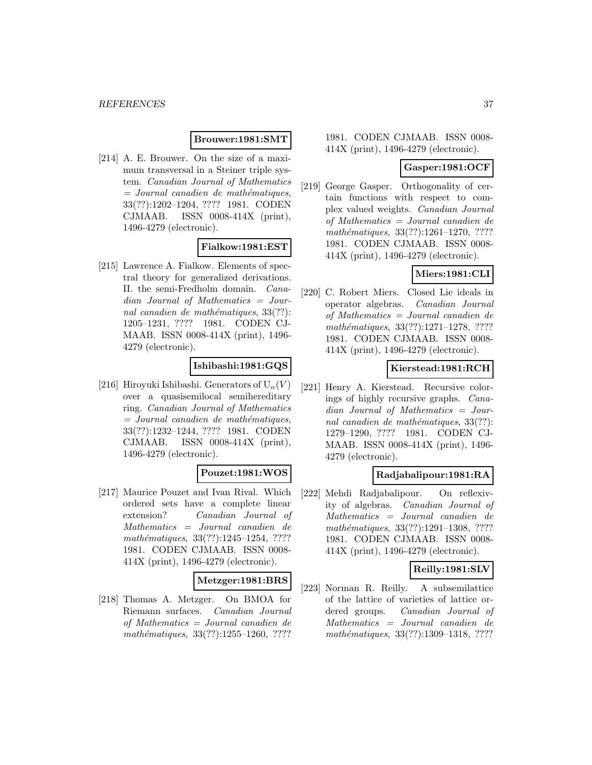### **Brouwer:1981:SMT**

[214] A. E. Brouwer. On the size of a maximum transversal in a Steiner triple system. Canadian Journal of Mathematics  $=$  Journal canadien de mathématiques, 33(??):1202–1204, ???? 1981. CODEN CJMAAB. ISSN 0008-414X (print), 1496-4279 (electronic).

### **Fialkow:1981:EST**

[215] Lawrence A. Fialkow. Elements of spectral theory for generalized derivations. II. the semi-Fredholm domain. Canadian Journal of Mathematics = Journal canadien de mathématiques,  $33(??)$ : 1205–1231, ???? 1981. CODEN CJ-MAAB. ISSN 0008-414X (print), 1496- 4279 (electronic).

# **Ishibashi:1981:GQS**

[216] Hiroyuki Ishibashi. Generators of  $U_n(V)$ over a quasisemilocal semihereditary ring. Canadian Journal of Mathematics  $=$  Journal canadien de mathématiques, 33(??):1232–1244, ???? 1981. CODEN CJMAAB. ISSN 0008-414X (print), 1496-4279 (electronic).

# **Pouzet:1981:WOS**

[217] Maurice Pouzet and Ivan Rival. Which ordered sets have a complete linear extension? Canadian Journal of Mathematics = Journal canadien de mathématiques,  $33(??):1245-1254, ????$ 1981. CODEN CJMAAB. ISSN 0008- 414X (print), 1496-4279 (electronic).

### **Metzger:1981:BRS**

[218] Thomas A. Metzger. On BMOA for Riemann surfaces. Canadian Journal of Mathematics = Journal canadien de mathématiques,  $33(??):1255-1260, ????$ 

1981. CODEN CJMAAB. ISSN 0008- 414X (print), 1496-4279 (electronic).

## **Gasper:1981:OCF**

[219] George Gasper. Orthogonality of certain functions with respect to complex valued weights. Canadian Journal of Mathematics = Journal canadien de mathématiques, 33(??):1261-1270, ???? 1981. CODEN CJMAAB. ISSN 0008- 414X (print), 1496-4279 (electronic).

# **Miers:1981:CLI**

[220] C. Robert Miers. Closed Lie ideals in operator algebras. Canadian Journal of Mathematics = Journal canadien de mathématiques, 33(??):1271-1278, ???? 1981. CODEN CJMAAB. ISSN 0008- 414X (print), 1496-4279 (electronic).

## **Kierstead:1981:RCH**

[221] Henry A. Kierstead. Recursive colorings of highly recursive graphs. Canadian Journal of Mathematics = Journal canadien de mathématiques,  $33(??)$ : 1279–1290, ???? 1981. CODEN CJ-MAAB. ISSN 0008-414X (print), 1496- 4279 (electronic).

# **Radjabalipour:1981:RA**

[222] Mehdi Radjabalipour. On reflexivity of algebras. Canadian Journal of Mathematics = Journal canadien de mathématiques, 33(??):1291-1308, ???? 1981. CODEN CJMAAB. ISSN 0008- 414X (print), 1496-4279 (electronic).

# **Reilly:1981:SLV**

[223] Norman R. Reilly. A subsemilattice of the lattice of varieties of lattice ordered groups. Canadian Journal of Mathematics = Journal canadien de mathématiques, 33(??):1309–1318, ????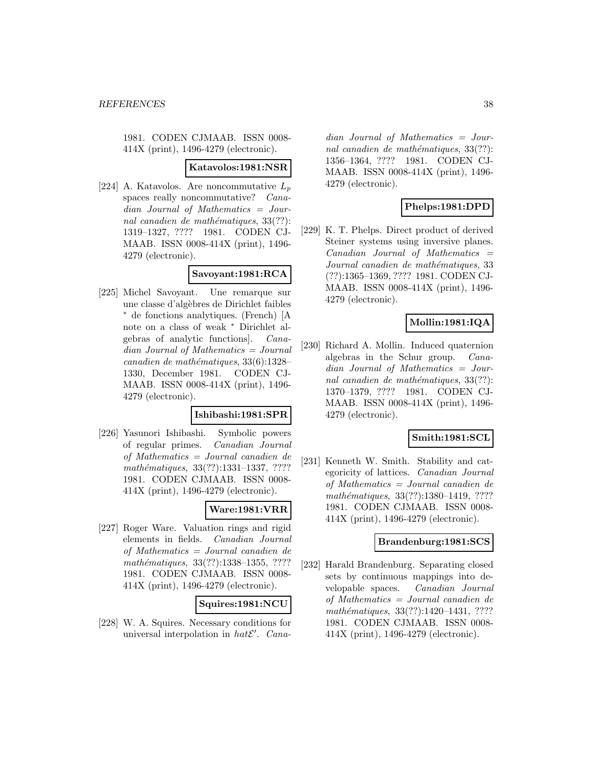1981. CODEN CJMAAB. ISSN 0008- 414X (print), 1496-4279 (electronic).

#### **Katavolos:1981:NSR**

[224] A. Katavolos. Are noncommutative  $L_p$ spaces really noncommutative? Canadian Journal of Mathematics = Journal canadien de mathématiques,  $33(??)$ : 1319–1327, ???? 1981. CODEN CJ-MAAB. ISSN 0008-414X (print), 1496- 4279 (electronic).

# **Savoyant:1981:RCA**

[225] Michel Savoyant. Une remarque sur une classe d'alg`ebres de Dirichlet faibles <sup>∗</sup> de fonctions analytiques. (French) [A note on a class of weak <sup>∗</sup> Dirichlet algebras of analytic functions]. Canadian Journal of Mathematics = Journal canadien de mathématiques,  $33(6):1328-$ 1330, December 1981. CODEN CJ-MAAB. ISSN 0008-414X (print), 1496- 4279 (electronic).

### **Ishibashi:1981:SPR**

[226] Yasunori Ishibashi. Symbolic powers of regular primes. Canadian Journal of Mathematics = Journal canadien de mathématiques, 33(??):1331-1337, ???? 1981. CODEN CJMAAB. ISSN 0008- 414X (print), 1496-4279 (electronic).

# **Ware:1981:VRR**

[227] Roger Ware. Valuation rings and rigid elements in fields. Canadian Journal of Mathematics = Journal canadien de mathématiques, 33(??):1338-1355, ???? 1981. CODEN CJMAAB. ISSN 0008- 414X (print), 1496-4279 (electronic).

### **Squires:1981:NCU**

[228] W. A. Squires. Necessary conditions for universal interpolation in  $hat{E}'$ . Canadian Journal of Mathematics = Journal canadien de mathématiques,  $33(??)$ : 1356–1364, ???? 1981. CODEN CJ-MAAB. ISSN 0008-414X (print), 1496- 4279 (electronic).

# **Phelps:1981:DPD**

[229] K. T. Phelps. Direct product of derived Steiner systems using inversive planes.  $Canadian$  Journal of Mathematics  $=$ Journal canadien de mathématiques, 33 (??):1365–1369, ???? 1981. CODEN CJ-MAAB. ISSN 0008-414X (print), 1496- 4279 (electronic).

## **Mollin:1981:IQA**

[230] Richard A. Mollin. Induced quaternion algebras in the Schur group. Canadian Journal of Mathematics = Journal canadien de mathématiques,  $33(??)$ : 1370–1379, ???? 1981. CODEN CJ-MAAB. ISSN 0008-414X (print), 1496- 4279 (electronic).

# **Smith:1981:SCL**

[231] Kenneth W. Smith. Stability and categoricity of lattices. Canadian Journal of Mathematics = Journal canadien de mathématiques, 33(??):1380-1419, ???? 1981. CODEN CJMAAB. ISSN 0008- 414X (print), 1496-4279 (electronic).

### **Brandenburg:1981:SCS**

[232] Harald Brandenburg. Separating closed sets by continuous mappings into developable spaces. Canadian Journal of Mathematics = Journal canadien de mathématiques, 33(??):1420-1431, ???? 1981. CODEN CJMAAB. ISSN 0008- 414X (print), 1496-4279 (electronic).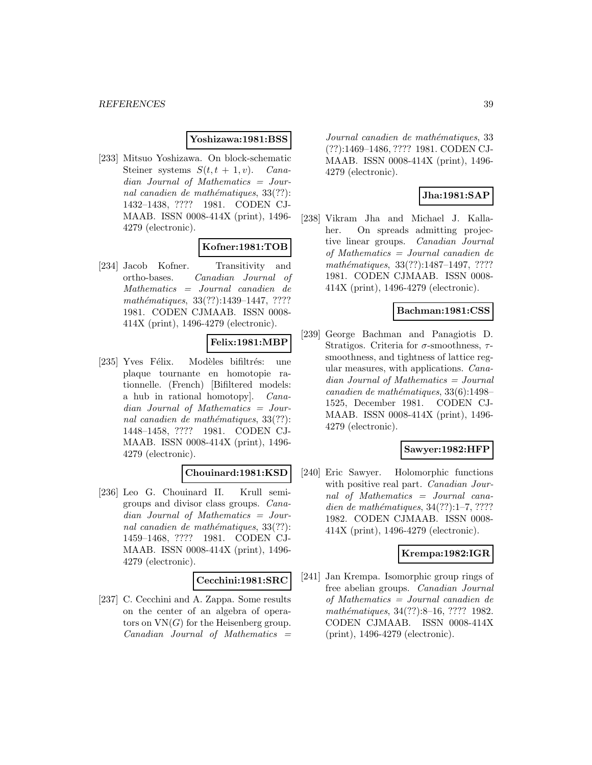### **Yoshizawa:1981:BSS**

[233] Mitsuo Yoshizawa. On block-schematic Steiner systems  $S(t, t + 1, v)$ . Canadian Journal of Mathematics = Journal canadien de mathématiques,  $33(??)$ : 1432–1438, ???? 1981. CODEN CJ-MAAB. ISSN 0008-414X (print), 1496- 4279 (electronic).

# **Kofner:1981:TOB**

[234] Jacob Kofner. Transitivity and ortho-bases. Canadian Journal of Mathematics = Journal canadien de mathématiques, 33(??):1439-1447, ???? 1981. CODEN CJMAAB. ISSN 0008- 414X (print), 1496-4279 (electronic).

# **Felix:1981:MBP**

[235] Yves Félix. Modèles bifiltrés: une plaque tournante en homotopie rationnelle. (French) [Bifiltered models: a hub in rational homotopy]. Canadian Journal of Mathematics = Journal canadien de mathématiques,  $33(??)$ : 1448–1458, ???? 1981. CODEN CJ-MAAB. ISSN 0008-414X (print), 1496- 4279 (electronic).

# **Chouinard:1981:KSD**

[236] Leo G. Chouinard II. Krull semigroups and divisor class groups. Canadian Journal of Mathematics = Journal canadien de mathématiques,  $33(??)$ : 1459–1468, ???? 1981. CODEN CJ-MAAB. ISSN 0008-414X (print), 1496- 4279 (electronic).

### **Cecchini:1981:SRC**

[237] C. Cecchini and A. Zappa. Some results on the center of an algebra of operators on  $VN(G)$  for the Heisenberg group.  $Canadian$  Journal of Mathematics  $=$ 

Journal canadien de mathématiques, 33 (??):1469–1486, ???? 1981. CODEN CJ-MAAB. ISSN 0008-414X (print), 1496- 4279 (electronic).

### **Jha:1981:SAP**

[238] Vikram Jha and Michael J. Kallaher. On spreads admitting projective linear groups. Canadian Journal of Mathematics = Journal canadien de mathématiques, 33(??):1487-1497, ???? 1981. CODEN CJMAAB. ISSN 0008- 414X (print), 1496-4279 (electronic).

## **Bachman:1981:CSS**

[239] George Bachman and Panagiotis D. Stratigos. Criteria for  $\sigma$ -smoothness,  $\tau$ smoothness, and tightness of lattice regular measures, with applications. Canadian Journal of Mathematics = Journal  $cana dien de mathématiques, 33(6):1498-$ 1525, December 1981. CODEN CJ-MAAB. ISSN 0008-414X (print), 1496- 4279 (electronic).

# **Sawyer:1982:HFP**

[240] Eric Sawyer. Holomorphic functions with positive real part. *Canadian Jour*nal of Mathematics = Journal canadien de mathématiques,  $34(??):1-7, ????$ 1982. CODEN CJMAAB. ISSN 0008- 414X (print), 1496-4279 (electronic).

### **Krempa:1982:IGR**

[241] Jan Krempa. Isomorphic group rings of free abelian groups. Canadian Journal of Mathematics = Journal canadien de mathématiques, 34(??):8–16, ???? 1982. CODEN CJMAAB. ISSN 0008-414X (print), 1496-4279 (electronic).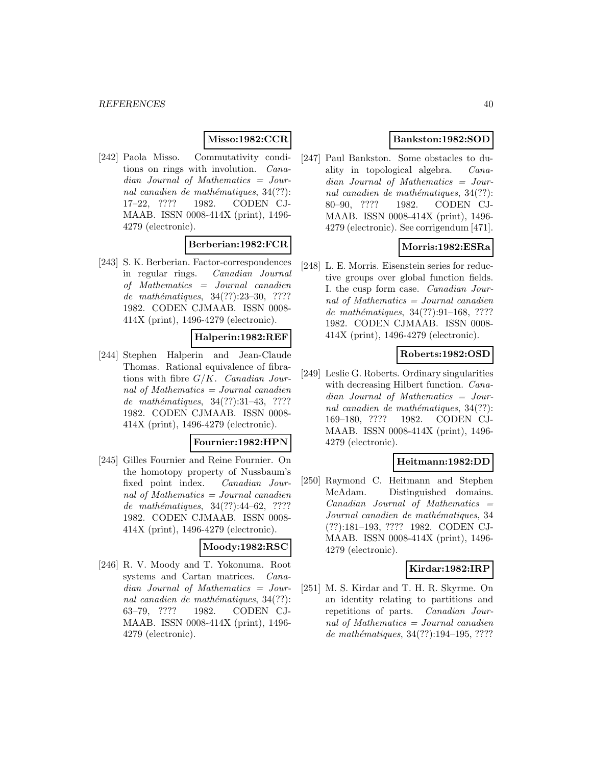# **Misso:1982:CCR**

[242] Paola Misso. Commutativity conditions on rings with involution. Canadian Journal of Mathematics = Journal canadien de mathématiques,  $34(??)$ : 17–22, ???? 1982. CODEN CJ-MAAB. ISSN 0008-414X (print), 1496- 4279 (electronic).

### **Berberian:1982:FCR**

[243] S. K. Berberian. Factor-correspondences in regular rings. Canadian Journal of Mathematics = Journal canadien de mathématiques, 34(??):23–30, ???? 1982. CODEN CJMAAB. ISSN 0008- 414X (print), 1496-4279 (electronic).

# **Halperin:1982:REF**

[244] Stephen Halperin and Jean-Claude Thomas. Rational equivalence of fibrations with fibre  $G/K$ . Canadian Journal of Mathematics = Journal canadien de mathématiques,  $34(??):31-43, ????$ 1982. CODEN CJMAAB. ISSN 0008- 414X (print), 1496-4279 (electronic).

#### **Fournier:1982:HPN**

[245] Gilles Fournier and Reine Fournier. On the homotopy property of Nussbaum's fixed point index. Canadian Journal of Mathematics = Journal canadien de mathématiques,  $34(??):44-62$ , ???? 1982. CODEN CJMAAB. ISSN 0008- 414X (print), 1496-4279 (electronic).

#### **Moody:1982:RSC**

[246] R. V. Moody and T. Yokonuma. Root systems and Cartan matrices. Canadian Journal of Mathematics = Journal canadien de mathématiques,  $34(??)$ : 63–79, ???? 1982. CODEN CJ-MAAB. ISSN 0008-414X (print), 1496- 4279 (electronic).

# **Bankston:1982:SOD**

[247] Paul Bankston. Some obstacles to duality in topological algebra. Canadian Journal of Mathematics = Journal canadien de mathématiques,  $34(??)$ : 80–90, ???? 1982. CODEN CJ-MAAB. ISSN 0008-414X (print), 1496- 4279 (electronic). See corrigendum [471].

# **Morris:1982:ESRa**

[248] L. E. Morris. Eisenstein series for reductive groups over global function fields. I. the cusp form case. Canadian Journal of Mathematics = Journal canadien de mathématiques, 34(??):91-168, ???? 1982. CODEN CJMAAB. ISSN 0008- 414X (print), 1496-4279 (electronic).

### **Roberts:1982:OSD**

[249] Leslie G. Roberts. Ordinary singularities with decreasing Hilbert function. *Cana*dian Journal of Mathematics = Journal canadien de mathématiques,  $34(??)$ : 169–180, ???? 1982. CODEN CJ-MAAB. ISSN 0008-414X (print), 1496- 4279 (electronic).

### **Heitmann:1982:DD**

[250] Raymond C. Heitmann and Stephen McAdam. Distinguished domains.  $Canadian$  Journal of Mathematics  $=$ Journal canadien de mathématiques, 34 (??):181–193, ???? 1982. CODEN CJ-MAAB. ISSN 0008-414X (print), 1496- 4279 (electronic).

### **Kirdar:1982:IRP**

[251] M. S. Kirdar and T. H. R. Skyrme. On an identity relating to partitions and repetitions of parts. Canadian Journal of Mathematics = Journal canadien de mathématiques,  $34(??):194-195, ????$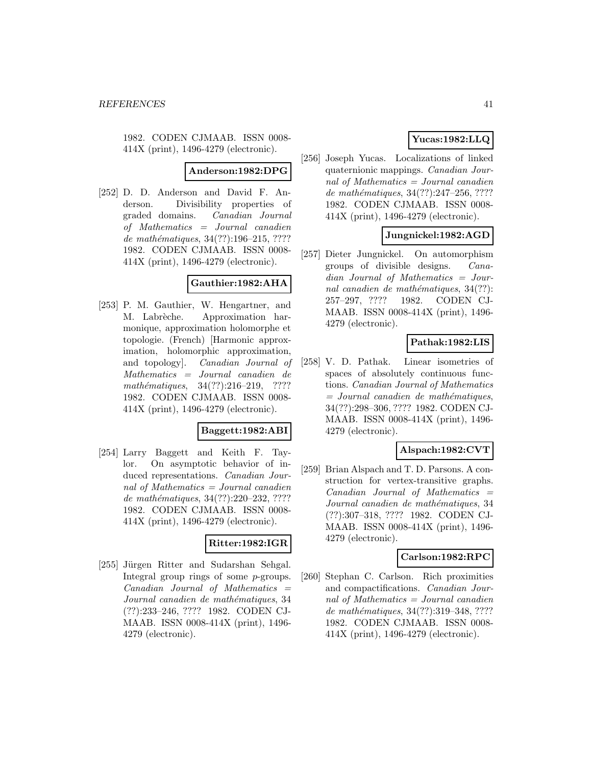1982. CODEN CJMAAB. ISSN 0008- 414X (print), 1496-4279 (electronic).

**Anderson:1982:DPG**

[252] D. D. Anderson and David F. Anderson. Divisibility properties of graded domains. Canadian Journal of Mathematics = Journal canadien de mathématiques, 34(??):196-215, ???? 1982. CODEN CJMAAB. ISSN 0008- 414X (print), 1496-4279 (electronic).

### **Gauthier:1982:AHA**

[253] P. M. Gauthier, W. Hengartner, and M. Labrèche. Approximation harmonique, approximation holomorphe et topologie. (French) [Harmonic approximation, holomorphic approximation, and topology]. Canadian Journal of Mathematics = Journal canadien de mathématiques,  $34(??):216-219$ , ???? 1982. CODEN CJMAAB. ISSN 0008- 414X (print), 1496-4279 (electronic).

### **Baggett:1982:ABI**

[254] Larry Baggett and Keith F. Taylor. On asymptotic behavior of induced representations. Canadian Journal of Mathematics = Journal canadien de mathématiques, 34(??):220–232, ???? 1982. CODEN CJMAAB. ISSN 0008- 414X (print), 1496-4279 (electronic).

### **Ritter:1982:IGR**

[255] Jürgen Ritter and Sudarshan Sehgal. Integral group rings of some p-groups.  $Canadian$  Journal of Mathematics  $=$ Journal canadien de mathématiques, 34 (??):233–246, ???? 1982. CODEN CJ-MAAB. ISSN 0008-414X (print), 1496- 4279 (electronic).

# **Yucas:1982:LLQ**

[256] Joseph Yucas. Localizations of linked quaternionic mappings. Canadian Journal of Mathematics = Journal canadien de mathématiques,  $34(??):247-256, ????$ 1982. CODEN CJMAAB. ISSN 0008- 414X (print), 1496-4279 (electronic).

# **Jungnickel:1982:AGD**

[257] Dieter Jungnickel. On automorphism groups of divisible designs. Canadian Journal of Mathematics = Journal canadien de mathématiques,  $34(??)$ : 257–297, ???? 1982. CODEN CJ-MAAB. ISSN 0008-414X (print), 1496- 4279 (electronic).

# **Pathak:1982:LIS**

[258] V. D. Pathak. Linear isometries of spaces of absolutely continuous functions. Canadian Journal of Mathematics  $=$  Journal canadien de mathématiques, 34(??):298–306, ???? 1982. CODEN CJ-MAAB. ISSN 0008-414X (print), 1496- 4279 (electronic).

# **Alspach:1982:CVT**

[259] Brian Alspach and T. D. Parsons. A construction for vertex-transitive graphs.  $Canadian$  Journal of Mathematics  $=$ Journal canadien de mathématiques, 34 (??):307–318, ???? 1982. CODEN CJ-MAAB. ISSN 0008-414X (print), 1496- 4279 (electronic).

### **Carlson:1982:RPC**

[260] Stephan C. Carlson. Rich proximities and compactifications. Canadian Journal of Mathematics = Journal canadien de mathématiques, 34(??):319-348, ???? 1982. CODEN CJMAAB. ISSN 0008- 414X (print), 1496-4279 (electronic).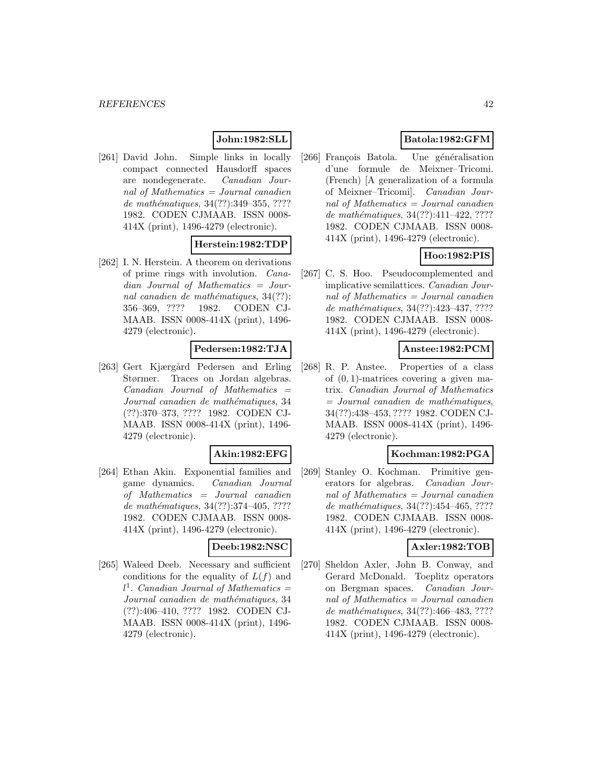# **John:1982:SLL**

[261] David John. Simple links in locally compact connected Hausdorff spaces are nondegenerate. Canadian Journal of Mathematics = Journal canadien de mathématiques,  $34(??)$ :349-355, ???? 1982. CODEN CJMAAB. ISSN 0008- 414X (print), 1496-4279 (electronic).

# **Herstein:1982:TDP**

[262] I. N. Herstein. A theorem on derivations of prime rings with involution. Canadian Journal of Mathematics = Journal canadien de mathématiques,  $34(??)$ : 356–369, ???? 1982. CODEN CJ-MAAB. ISSN 0008-414X (print), 1496- 4279 (electronic).

# **Pedersen:1982:TJA**

[263] Gert Kjærgård Pedersen and Erling Størmer. Traces on Jordan algebras.  $Canadian$  Journal of Mathematics  $=$ Journal canadien de mathématiques, 34 (??):370–373, ???? 1982. CODEN CJ-MAAB. ISSN 0008-414X (print), 1496- 4279 (electronic).

### **Akin:1982:EFG**

[264] Ethan Akin. Exponential families and game dynamics. Canadian Journal of Mathematics = Journal canadien de mathématiques,  $34(??):374-405, ????$ 1982. CODEN CJMAAB. ISSN 0008- 414X (print), 1496-4279 (electronic).

#### **Deeb:1982:NSC**

[265] Waleed Deeb. Necessary and sufficient conditions for the equality of  $L(f)$  and  $l^1$ . Canadian Journal of Mathematics = Journal canadien de mathématiques, 34 (??):406–410, ???? 1982. CODEN CJ-MAAB. ISSN 0008-414X (print), 1496- 4279 (electronic).

# **Batola:1982:GFM**

[266] François Batola. Une généralisation d'une formule de Meixner–Tricomi. (French) [A generalization of a formula of Meixner–Tricomi]. Canadian Journal of Mathematics = Journal canadien de mathématiques,  $34(??):411-422, ????$ 1982. CODEN CJMAAB. ISSN 0008- 414X (print), 1496-4279 (electronic).

# **Hoo:1982:PIS**

[267] C. S. Hoo. Pseudocomplemented and implicative semilattices. Canadian Journal of Mathematics = Journal canadien de mathématiques, 34(??):423-437, ????? 1982. CODEN CJMAAB. ISSN 0008- 414X (print), 1496-4279 (electronic).

# **Anstee:1982:PCM**

[268] R. P. Anstee. Properties of a class of  $(0, 1)$ -matrices covering a given matrix. Canadian Journal of Mathematics  $=$  Journal canadien de mathématiques, 34(??):438–453, ???? 1982. CODEN CJ-MAAB. ISSN 0008-414X (print), 1496- 4279 (electronic).

### **Kochman:1982:PGA**

[269] Stanley O. Kochman. Primitive generators for algebras. Canadian Journal of Mathematics  $=$  Journal canadien de mathématiques, 34(??):454-465, ???? 1982. CODEN CJMAAB. ISSN 0008- 414X (print), 1496-4279 (electronic).

### **Axler:1982:TOB**

[270] Sheldon Axler, John B. Conway, and Gerard McDonald. Toeplitz operators on Bergman spaces. Canadian Journal of Mathematics = Journal canadien de mathématiques, 34(??):466-483, ???? 1982. CODEN CJMAAB. ISSN 0008- 414X (print), 1496-4279 (electronic).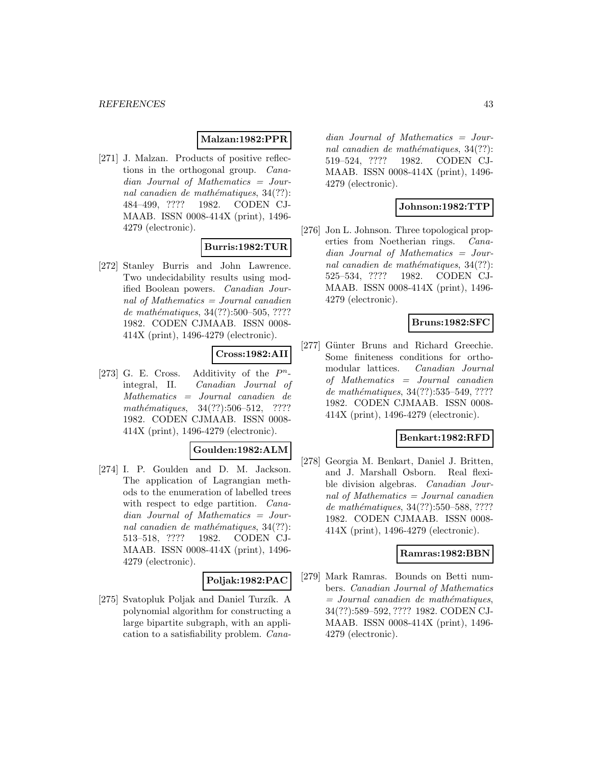### **Malzan:1982:PPR**

[271] J. Malzan. Products of positive reflections in the orthogonal group. Canadian Journal of Mathematics = Journal canadien de mathématiques,  $34(??)$ : 484–499, ???? 1982. CODEN CJ-MAAB. ISSN 0008-414X (print), 1496- 4279 (electronic).

# **Burris:1982:TUR**

[272] Stanley Burris and John Lawrence. Two undecidability results using modified Boolean powers. Canadian Journal of Mathematics = Journal canadien de mathématiques,  $34(??):500-505, ????$ 1982. CODEN CJMAAB. ISSN 0008- 414X (print), 1496-4279 (electronic).

# **Cross:1982:AII**

[273] G. E. Cross. Additivity of the  $P<sup>n</sup>$ integral, II. Canadian Journal of Mathematics = Journal canadien de mathématiques,  $34(??):506-512$ , ???? 1982. CODEN CJMAAB. ISSN 0008- 414X (print), 1496-4279 (electronic).

### **Goulden:1982:ALM**

[274] I. P. Goulden and D. M. Jackson. The application of Lagrangian methods to the enumeration of labelled trees with respect to edge partition. *Cana*dian Journal of Mathematics = Journal canadien de mathématiques,  $34(??)$ : 513–518, ???? 1982. CODEN CJ-MAAB. ISSN 0008-414X (print), 1496- 4279 (electronic).

### **Poljak:1982:PAC**

[275] Svatopluk Poljak and Daniel Turzík. A polynomial algorithm for constructing a large bipartite subgraph, with an application to a satisfiability problem. Cana-

dian Journal of Mathematics = Journal canadien de mathématiques,  $34(??)$ : 519–524, ???? 1982. CODEN CJ-MAAB. ISSN 0008-414X (print), 1496- 4279 (electronic).

# **Johnson:1982:TTP**

[276] Jon L. Johnson. Three topological properties from Noetherian rings. Canadian Journal of Mathematics = Journal canadien de mathématiques,  $34(??)$ : 525–534, ???? 1982. CODEN CJ-MAAB. ISSN 0008-414X (print), 1496- 4279 (electronic).

## **Bruns:1982:SFC**

[277] Günter Bruns and Richard Greechie. Some finiteness conditions for orthomodular lattices. Canadian Journal of Mathematics = Journal canadien de mathématiques, 34(??):535–549, ???? 1982. CODEN CJMAAB. ISSN 0008- 414X (print), 1496-4279 (electronic).

### **Benkart:1982:RFD**

[278] Georgia M. Benkart, Daniel J. Britten, and J. Marshall Osborn. Real flexible division algebras. Canadian Journal of Mathematics = Journal canadien de mathématiques, 34(??):550–588, ???? 1982. CODEN CJMAAB. ISSN 0008- 414X (print), 1496-4279 (electronic).

### **Ramras:1982:BBN**

[279] Mark Ramras. Bounds on Betti numbers. Canadian Journal of Mathematics  $=$  Journal canadien de mathématiques, 34(??):589–592, ???? 1982. CODEN CJ-MAAB. ISSN 0008-414X (print), 1496- 4279 (electronic).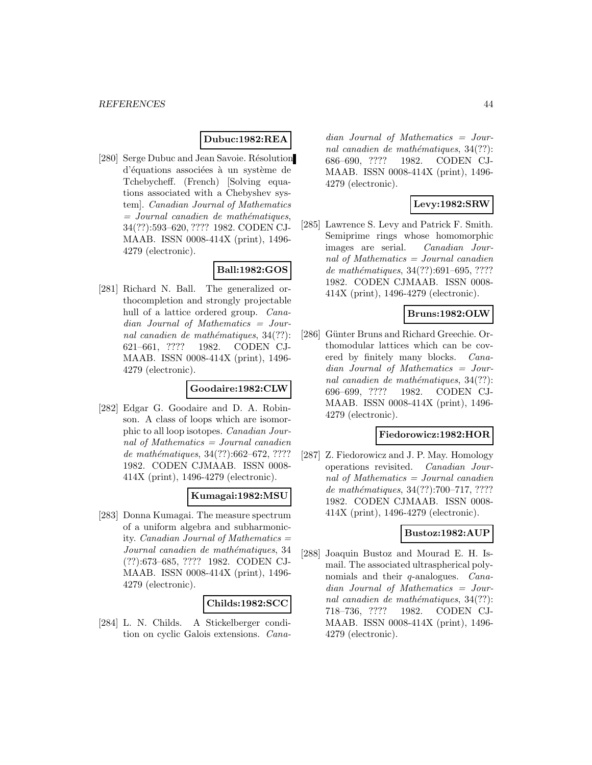### **Dubuc:1982:REA**

[280] Serge Dubuc and Jean Savoie. Résolution d'équations associées à un système de Tchebycheff. (French) [Solving equations associated with a Chebyshev system]. Canadian Journal of Mathematics  $=$  Journal canadien de mathématiques, 34(??):593–620, ???? 1982. CODEN CJ-MAAB. ISSN 0008-414X (print), 1496- 4279 (electronic).

# **Ball:1982:GOS**

[281] Richard N. Ball. The generalized orthocompletion and strongly projectable hull of a lattice ordered group. *Cana*dian Journal of Mathematics = Journal canadien de mathématiques,  $34(??)$ : 621–661, ???? 1982. CODEN CJ-MAAB. ISSN 0008-414X (print), 1496- 4279 (electronic).

### **Goodaire:1982:CLW**

[282] Edgar G. Goodaire and D. A. Robinson. A class of loops which are isomorphic to all loop isotopes. Canadian Journal of Mathematics = Journal canadien de mathématiques,  $34(??):662-672, ????$ 1982. CODEN CJMAAB. ISSN 0008- 414X (print), 1496-4279 (electronic).

### **Kumagai:1982:MSU**

[283] Donna Kumagai. The measure spectrum of a uniform algebra and subharmonicity. *Canadian Journal of Mathematics*  $=$ Journal canadien de mathématiques, 34 (??):673–685, ???? 1982. CODEN CJ-MAAB. ISSN 0008-414X (print), 1496- 4279 (electronic).

### **Childs:1982:SCC**

[284] L. N. Childs. A Stickelberger condition on cyclic Galois extensions. Cana-

dian Journal of Mathematics = Journal canadien de mathématiques,  $34(??)$ : 686–690, ???? 1982. CODEN CJ-MAAB. ISSN 0008-414X (print), 1496- 4279 (electronic).

### **Levy:1982:SRW**

[285] Lawrence S. Levy and Patrick F. Smith. Semiprime rings whose homomorphic images are serial. Canadian Journal of Mathematics = Journal canadien de mathématiques, 34(??):691-695, ???? 1982. CODEN CJMAAB. ISSN 0008- 414X (print), 1496-4279 (electronic).

### **Bruns:1982:OLW**

[286] Günter Bruns and Richard Greechie. Orthomodular lattices which can be covered by finitely many blocks. Canadian Journal of Mathematics = Journal canadien de mathématiques,  $34(??)$ : 696–699, ???? 1982. CODEN CJ-MAAB. ISSN 0008-414X (print), 1496- 4279 (electronic).

#### **Fiedorowicz:1982:HOR**

[287] Z. Fiedorowicz and J. P. May. Homology operations revisited. Canadian Journal of Mathematics = Journal canadien de mathématiques,  $34(??)$ :700–717, ???? 1982. CODEN CJMAAB. ISSN 0008- 414X (print), 1496-4279 (electronic).

### **Bustoz:1982:AUP**

[288] Joaquin Bustoz and Mourad E. H. Ismail. The associated ultraspherical polynomials and their *q*-analogues. *Cana*dian Journal of Mathematics = Journal canadien de mathématiques,  $34(??)$ : 718–736, ???? 1982. CODEN CJ-MAAB. ISSN 0008-414X (print), 1496- 4279 (electronic).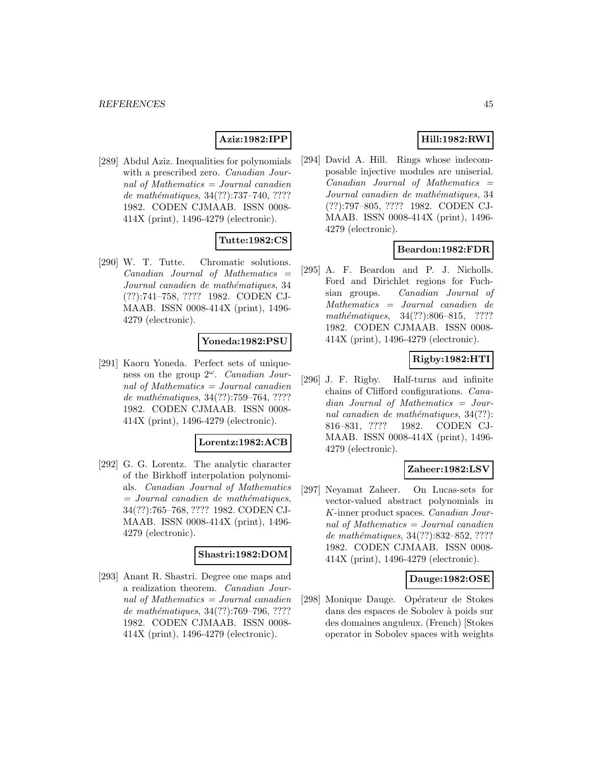# **Aziz:1982:IPP**

[289] Abdul Aziz. Inequalities for polynomials with a prescribed zero. *Canadian Jour*nal of Mathematics = Journal canadien de mathématiques, 34(??):737-740, ???? 1982. CODEN CJMAAB. ISSN 0008- 414X (print), 1496-4279 (electronic).

### **Tutte:1982:CS**

[290] W. T. Tutte. Chromatic solutions.  $Canadian$  Journal of Mathematics  $=$ Journal canadien de mathématiques, 34 (??):741–758, ???? 1982. CODEN CJ-MAAB. ISSN 0008-414X (print), 1496- 4279 (electronic).

### **Yoneda:1982:PSU**

[291] Kaoru Yoneda. Perfect sets of uniqueness on the group  $2^{\omega}$ . Canadian Journal of Mathematics  $=$  Journal canadien de mathématiques,  $34(??):759–764, ????$ 1982. CODEN CJMAAB. ISSN 0008- 414X (print), 1496-4279 (electronic).

#### **Lorentz:1982:ACB**

[292] G. G. Lorentz. The analytic character of the Birkhoff interpolation polynomials. Canadian Journal of Mathematics  $=$  Journal canadien de mathématiques, 34(??):765–768, ???? 1982. CODEN CJ-MAAB. ISSN 0008-414X (print), 1496- 4279 (electronic).

#### **Shastri:1982:DOM**

[293] Anant R. Shastri. Degree one maps and a realization theorem. Canadian Journal of Mathematics  $=$  Journal canadien de mathématiques, 34(??):769–796, ???? 1982. CODEN CJMAAB. ISSN 0008- 414X (print), 1496-4279 (electronic).

# **Hill:1982:RWI**

[294] David A. Hill. Rings whose indecomposable injective modules are uniserial.  $Canadian$  Journal of Mathematics  $=$ Journal canadien de mathématiques, 34 (??):797–805, ???? 1982. CODEN CJ-MAAB. ISSN 0008-414X (print), 1496- 4279 (electronic).

### **Beardon:1982:FDR**

[295] A. F. Beardon and P. J. Nicholls. Ford and Dirichlet regions for Fuchsian groups. Canadian Journal of Mathematics = Journal canadien de mathématiques, 34(??):806–815, ???? 1982. CODEN CJMAAB. ISSN 0008- 414X (print), 1496-4279 (electronic).

# **Rigby:1982:HTI**

[296] J. F. Rigby. Half-turns and infinite chains of Clifford configurations. Canadian Journal of Mathematics = Journal canadien de mathématiques,  $34(??)$ : 816–831, ???? 1982. CODEN CJ-MAAB. ISSN 0008-414X (print), 1496- 4279 (electronic).

### **Zaheer:1982:LSV**

[297] Neyamat Zaheer. On Lucas-sets for vector-valued abstract polynomials in K-inner product spaces. Canadian Journal of Mathematics = Journal canadien de mathématiques, 34(??):832-852, ???? 1982. CODEN CJMAAB. ISSN 0008- 414X (print), 1496-4279 (electronic).

### **Dauge:1982:OSE**

[298] Monique Dauge. Opérateur de Stokes dans des espaces de Sobolev à poids sur des domaines anguleux. (French) [Stokes operator in Sobolev spaces with weights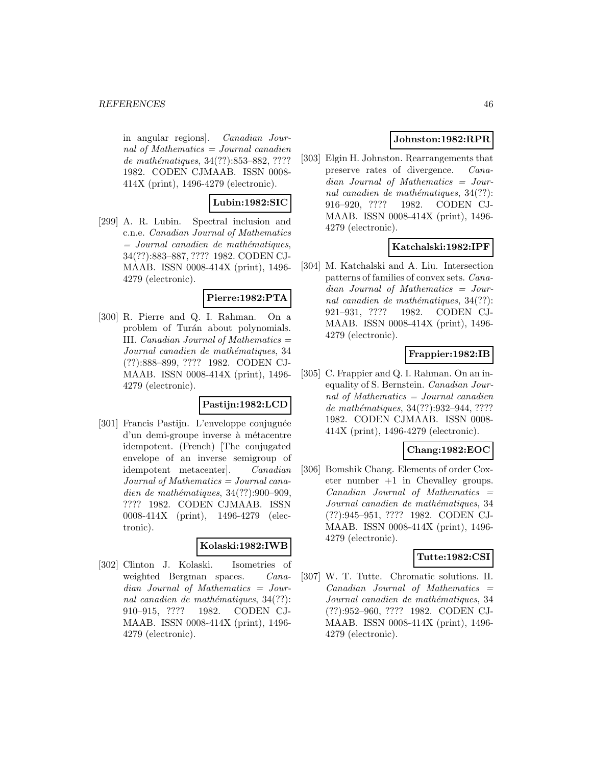in angular regions]. Canadian Journal of Mathematics = Journal canadien de mathématiques, 34(??):853–882, ???? 1982. CODEN CJMAAB. ISSN 0008- 414X (print), 1496-4279 (electronic).

# **Lubin:1982:SIC**

[299] A. R. Lubin. Spectral inclusion and c.n.e. Canadian Journal of Mathematics  $=$  Journal canadien de mathématiques, 34(??):883–887, ???? 1982. CODEN CJ-MAAB. ISSN 0008-414X (print), 1496- 4279 (electronic).

# **Pierre:1982:PTA**

[300] R. Pierre and Q. I. Rahman. On a problem of Turán about polynomials. III. Canadian Journal of Mathematics = Journal canadien de mathématiques, 34 (??):888–899, ???? 1982. CODEN CJ-MAAB. ISSN 0008-414X (print), 1496- 4279 (electronic).

## **Pastijn:1982:LCD**

[301] Francis Pastijn. L'enveloppe conjuguée d'un demi-groupe inverse à métacentre idempotent. (French) [The conjugated envelope of an inverse semigroup of idempotent metacenter]. Canadian Journal of Mathematics = Journal canadien de mathématiques,  $34(??):900-909$ , ???? 1982. CODEN CJMAAB. ISSN 0008-414X (print), 1496-4279 (electronic).

#### **Kolaski:1982:IWB**

[302] Clinton J. Kolaski. Isometries of weighted Bergman spaces. *Cana*dian Journal of Mathematics = Journal canadien de mathématiques,  $34(??)$ : 910–915, ???? 1982. CODEN CJ-MAAB. ISSN 0008-414X (print), 1496- 4279 (electronic).

# **Johnston:1982:RPR**

[303] Elgin H. Johnston. Rearrangements that preserve rates of divergence. Canadian Journal of Mathematics = Journal canadien de mathématiques,  $34(??)$ : 916–920, ???? 1982. CODEN CJ-MAAB. ISSN 0008-414X (print), 1496- 4279 (electronic).

# **Katchalski:1982:IPF**

[304] M. Katchalski and A. Liu. Intersection patterns of families of convex sets. Canadian Journal of Mathematics = Journal canadien de mathématiques,  $34(??)$ : 921–931, ???? 1982. CODEN CJ-MAAB. ISSN 0008-414X (print), 1496- 4279 (electronic).

# **Frappier:1982:IB**

[305] C. Frappier and Q. I. Rahman. On an inequality of S. Bernstein. Canadian Journal of Mathematics = Journal canadien de mathématiques, 34(??):932-944, ???? 1982. CODEN CJMAAB. ISSN 0008- 414X (print), 1496-4279 (electronic).

### **Chang:1982:EOC**

[306] Bomshik Chang. Elements of order Coxeter number  $+1$  in Chevalley groups.  $Canadian$  Journal of Mathematics  $=$ Journal canadien de mathématiques, 34 (??):945–951, ???? 1982. CODEN CJ-MAAB. ISSN 0008-414X (print), 1496- 4279 (electronic).

# **Tutte:1982:CSI**

[307] W. T. Tutte. Chromatic solutions. II.  $Canadian$  Journal of Mathematics  $=$ Journal canadien de mathématiques, 34 (??):952–960, ???? 1982. CODEN CJ-MAAB. ISSN 0008-414X (print), 1496- 4279 (electronic).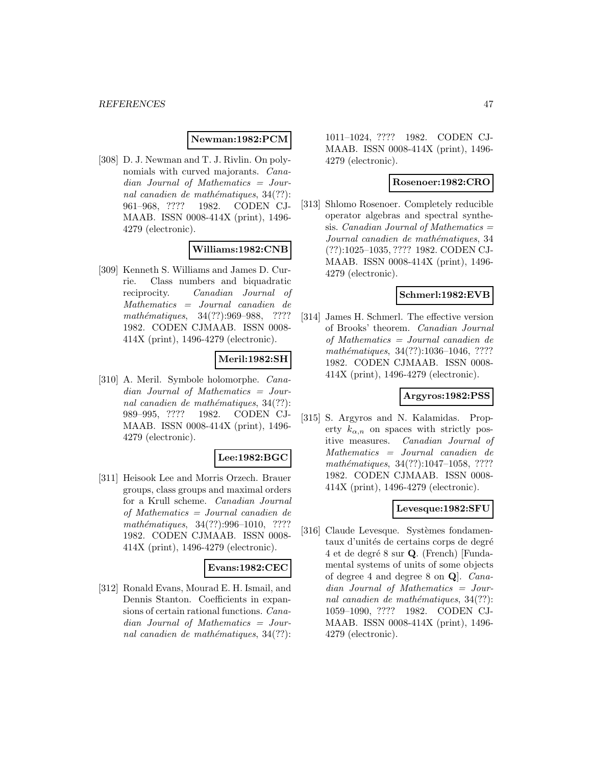# **Newman:1982:PCM**

[308] D. J. Newman and T. J. Rivlin. On polynomials with curved majorants. Canadian Journal of Mathematics = Journal canadien de mathématiques,  $34(??)$ : 961–968, ???? 1982. CODEN CJ-MAAB. ISSN 0008-414X (print), 1496- 4279 (electronic).

# **Williams:1982:CNB**

[309] Kenneth S. Williams and James D. Currie. Class numbers and biquadratic reciprocity. Canadian Journal of Mathematics = Journal canadien de mathématiques, 34(??):969–988, ???? 1982. CODEN CJMAAB. ISSN 0008- 414X (print), 1496-4279 (electronic).

### **Meril:1982:SH**

[310] A. Meril. Symbole holomorphe. Canadian Journal of Mathematics = Journal canadien de mathématiques,  $34(??)$ : 989–995, ???? 1982. CODEN CJ-MAAB. ISSN 0008-414X (print), 1496- 4279 (electronic).

### **Lee:1982:BGC**

[311] Heisook Lee and Morris Orzech. Brauer groups, class groups and maximal orders for a Krull scheme. Canadian Journal of Mathematics = Journal canadien de  $mathématiques, 34(??):996–1010, ????$ 1982. CODEN CJMAAB. ISSN 0008- 414X (print), 1496-4279 (electronic).

### **Evans:1982:CEC**

[312] Ronald Evans, Mourad E. H. Ismail, and Dennis Stanton. Coefficients in expansions of certain rational functions. Canadian Journal of Mathematics = Journal canadien de mathématiques,  $34(??)$ :

1011–1024, ???? 1982. CODEN CJ-MAAB. ISSN 0008-414X (print), 1496- 4279 (electronic).

### **Rosenoer:1982:CRO**

[313] Shlomo Rosenoer. Completely reducible operator algebras and spectral synthesis. *Canadian Journal of Mathematics*  $=$ Journal canadien de mathématiques, 34 (??):1025–1035, ???? 1982. CODEN CJ-MAAB. ISSN 0008-414X (print), 1496- 4279 (electronic).

### **Schmerl:1982:EVB**

[314] James H. Schmerl. The effective version of Brooks' theorem. Canadian Journal of Mathematics = Journal canadien de mathématiques, 34(??):1036-1046, ???? 1982. CODEN CJMAAB. ISSN 0008- 414X (print), 1496-4279 (electronic).

### **Argyros:1982:PSS**

[315] S. Argyros and N. Kalamidas. Property  $k_{\alpha,n}$  on spaces with strictly positive measures. Canadian Journal of Mathematics = Journal canadien de mathématiques, 34(??):1047-1058, ???? 1982. CODEN CJMAAB. ISSN 0008- 414X (print), 1496-4279 (electronic).

### **Levesque:1982:SFU**

[316] Claude Levesque. Systèmes fondamentaux d'unités de certains corps de degré 4 et de degr´e 8 sur **Q**. (French) [Fundamental systems of units of some objects of degree 4 and degree 8 on **Q**]. Canadian Journal of Mathematics = Journal canadien de mathématiques,  $34(??)$ : 1059–1090, ???? 1982. CODEN CJ-MAAB. ISSN 0008-414X (print), 1496- 4279 (electronic).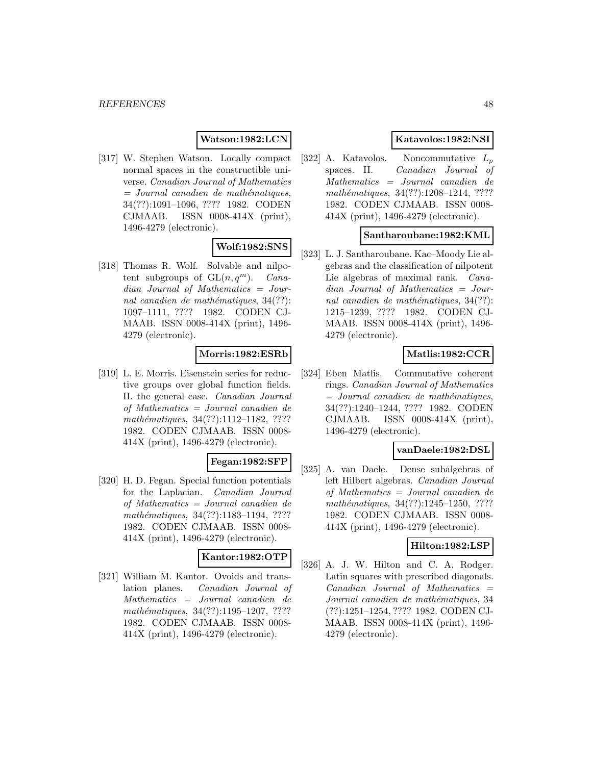### **Watson:1982:LCN**

[317] W. Stephen Watson. Locally compact normal spaces in the constructible universe. Canadian Journal of Mathematics  $=$  Journal canadien de mathématiques, 34(??):1091–1096, ???? 1982. CODEN CJMAAB. ISSN 0008-414X (print), 1496-4279 (electronic).

# **Wolf:1982:SNS**

[318] Thomas R. Wolf. Solvable and nilpotent subgroups of  $GL(n, q^m)$ . Canadian Journal of Mathematics = Journal canadien de mathématiques,  $34(??)$ : 1097–1111, ???? 1982. CODEN CJ-MAAB. ISSN 0008-414X (print), 1496- 4279 (electronic).

# **Morris:1982:ESRb**

[319] L. E. Morris. Eisenstein series for reductive groups over global function fields. II. the general case. Canadian Journal of Mathematics = Journal canadien de mathématiques, 34(??):1112–1182, ???? 1982. CODEN CJMAAB. ISSN 0008- 414X (print), 1496-4279 (electronic).

# **Fegan:1982:SFP**

[320] H. D. Fegan. Special function potentials for the Laplacian. Canadian Journal of Mathematics = Journal canadien de mathématiques, 34(??):1183-1194, ???? 1982. CODEN CJMAAB. ISSN 0008- 414X (print), 1496-4279 (electronic).

# **Kantor:1982:OTP**

[321] William M. Kantor. Ovoids and translation planes. Canadian Journal of Mathematics = Journal canadien de mathématiques, 34(??):1195-1207, ???? 1982. CODEN CJMAAB. ISSN 0008- 414X (print), 1496-4279 (electronic).

## **Katavolos:1982:NSI**

[322] A. Katavolos. Noncommutative  $L_p$ spaces. II. Canadian Journal of Mathematics = Journal canadien de mathématiques, 34(??):1208-1214, ???? 1982. CODEN CJMAAB. ISSN 0008- 414X (print), 1496-4279 (electronic).

### **Santharoubane:1982:KML**

[323] L. J. Santharoubane. Kac–Moody Lie algebras and the classification of nilpotent Lie algebras of maximal rank. *Cana*dian Journal of Mathematics = Journal canadien de mathématiques,  $34(??)$ : 1215–1239, ???? 1982. CODEN CJ-MAAB. ISSN 0008-414X (print), 1496- 4279 (electronic).

### **Matlis:1982:CCR**

[324] Eben Matlis. Commutative coherent rings. Canadian Journal of Mathematics  $=$  Journal canadien de mathématiques, 34(??):1240–1244, ???? 1982. CODEN CJMAAB. ISSN 0008-414X (print), 1496-4279 (electronic).

### **vanDaele:1982:DSL**

[325] A. van Daele. Dense subalgebras of left Hilbert algebras. Canadian Journal of Mathematics = Journal canadien de mathématiques, 34(??):1245-1250, ???? 1982. CODEN CJMAAB. ISSN 0008- 414X (print), 1496-4279 (electronic).

### **Hilton:1982:LSP**

[326] A. J. W. Hilton and C. A. Rodger. Latin squares with prescribed diagonals.  $Canadian$  Journal of Mathematics  $=$ Journal canadien de mathématiques, 34 (??):1251–1254, ???? 1982. CODEN CJ-MAAB. ISSN 0008-414X (print), 1496- 4279 (electronic).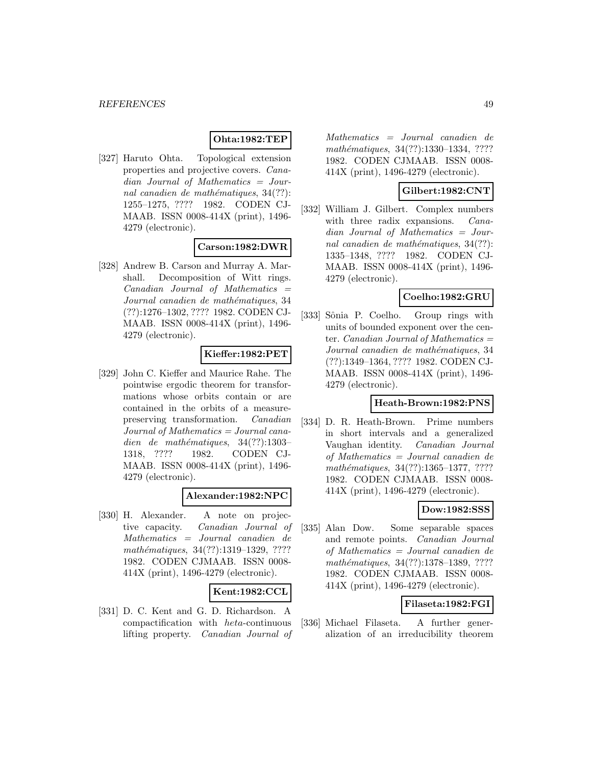# **Ohta:1982:TEP**

[327] Haruto Ohta. Topological extension properties and projective covers. Canadian Journal of Mathematics = Journal canadien de mathématiques,  $34(??)$ : 1255–1275, ???? 1982. CODEN CJ-MAAB. ISSN 0008-414X (print), 1496- 4279 (electronic).

### **Carson:1982:DWR**

[328] Andrew B. Carson and Murray A. Marshall. Decomposition of Witt rings.  $Canadian$  Journal of Mathematics  $=$ Journal canadien de mathématiques, 34 (??):1276–1302, ???? 1982. CODEN CJ-MAAB. ISSN 0008-414X (print), 1496- 4279 (electronic).

### **Kieffer:1982:PET**

[329] John C. Kieffer and Maurice Rahe. The pointwise ergodic theorem for transformations whose orbits contain or are contained in the orbits of a measurepreserving transformation. Canadian Journal of Mathematics = Journal canadien de mathématiques,  $34(??):1303-$ 1318, ???? 1982. CODEN CJ-MAAB. ISSN 0008-414X (print), 1496- 4279 (electronic).

### **Alexander:1982:NPC**

[330] H. Alexander. A note on projective capacity. Canadian Journal of Mathematics = Journal canadien de mathématiques, 34(??):1319–1329, ???? 1982. CODEN CJMAAB. ISSN 0008- 414X (print), 1496-4279 (electronic).

### **Kent:1982:CCL**

[331] D. C. Kent and G. D. Richardson. A compactification with heta-continuous lifting property. Canadian Journal of

Mathematics = Journal canadien de mathématiques, 34(??):1330-1334, ???? 1982. CODEN CJMAAB. ISSN 0008- 414X (print), 1496-4279 (electronic).

### **Gilbert:1982:CNT**

[332] William J. Gilbert. Complex numbers with three radix expansions. *Cana*dian Journal of Mathematics = Journal canadien de mathématiques,  $34(??)$ : 1335–1348, ???? 1982. CODEN CJ-MAAB. ISSN 0008-414X (print), 1496- 4279 (electronic).

# **Coelho:1982:GRU**

[333] Sônia P. Coelho. Group rings with units of bounded exponent over the center. *Canadian Journal of Mathematics*  $=$ Journal canadien de mathématiques, 34 (??):1349–1364, ???? 1982. CODEN CJ-MAAB. ISSN 0008-414X (print), 1496- 4279 (electronic).

# **Heath-Brown:1982:PNS**

[334] D. R. Heath-Brown. Prime numbers in short intervals and a generalized Vaughan identity. Canadian Journal of Mathematics = Journal canadien de mathématiques, 34(??):1365-1377, ???? 1982. CODEN CJMAAB. ISSN 0008- 414X (print), 1496-4279 (electronic).

# **Dow:1982:SSS**

[335] Alan Dow. Some separable spaces and remote points. Canadian Journal of Mathematics = Journal canadien de mathématiques, 34(??):1378-1389, ???? 1982. CODEN CJMAAB. ISSN 0008- 414X (print), 1496-4279 (electronic).

### **Filaseta:1982:FGI**

[336] Michael Filaseta. A further generalization of an irreducibility theorem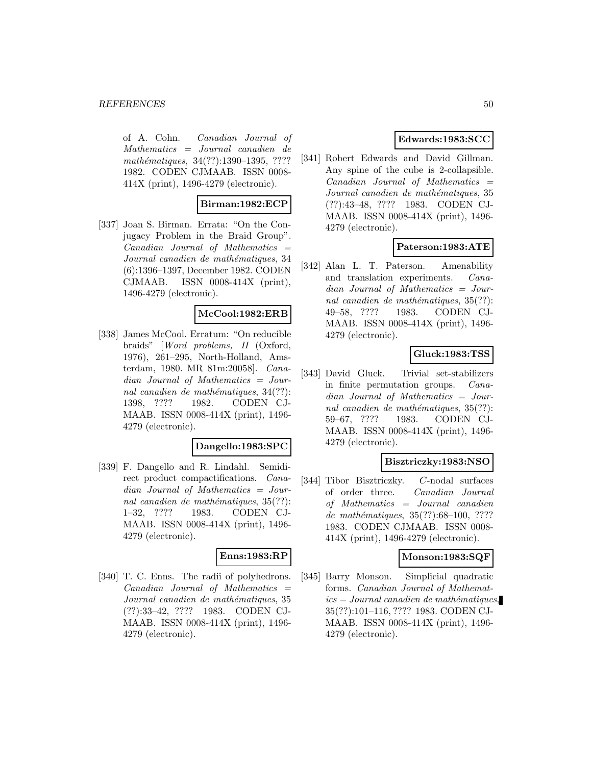of A. Cohn. Canadian Journal of Mathematics = Journal canadien de mathématiques, 34(??):1390-1395, ???? 1982. CODEN CJMAAB. ISSN 0008- 414X (print), 1496-4279 (electronic).

### **Birman:1982:ECP**

[337] Joan S. Birman. Errata: "On the Conjugacy Problem in the Braid Group".  $Canadian$  Journal of Mathematics  $=$ Journal canadien de mathématiques, 34 (6):1396–1397, December 1982. CODEN CJMAAB. ISSN 0008-414X (print), 1496-4279 (electronic).

#### **McCool:1982:ERB**

[338] James McCool. Erratum: "On reducible braids" [Word problems, II (Oxford, 1976), 261–295, North-Holland, Amsterdam, 1980. MR 81m:20058]. Canadian Journal of Mathematics = Journal canadien de mathématiques,  $34(??)$ : 1398, ???? 1982. CODEN CJ-MAAB. ISSN 0008-414X (print), 1496- 4279 (electronic).

### **Dangello:1983:SPC**

[339] F. Dangello and R. Lindahl. Semidirect product compactifications. Canadian Journal of Mathematics = Journal canadien de mathématiques,  $35(??)$ : 1–32, ???? 1983. CODEN CJ-MAAB. ISSN 0008-414X (print), 1496- 4279 (electronic).

# **Enns:1983:RP**

[340] T. C. Enns. The radii of polyhedrons.  $Canadian$  Journal of Mathematics  $=$ Journal canadien de mathématiques, 35 (??):33–42, ???? 1983. CODEN CJ-MAAB. ISSN 0008-414X (print), 1496- 4279 (electronic).

# **Edwards:1983:SCC**

[341] Robert Edwards and David Gillman. Any spine of the cube is 2-collapsible.  $Canadian$  Journal of Mathematics  $=$ Journal canadien de mathématiques, 35 (??):43–48, ???? 1983. CODEN CJ-MAAB. ISSN 0008-414X (print), 1496- 4279 (electronic).

### **Paterson:1983:ATE**

[342] Alan L. T. Paterson. Amenability and translation experiments. Canadian Journal of Mathematics = Journal canadien de mathématiques,  $35(??)$ : 49–58, ???? 1983. CODEN CJ-MAAB. ISSN 0008-414X (print), 1496- 4279 (electronic).

# **Gluck:1983:TSS**

[343] David Gluck. Trivial set-stabilizers in finite permutation groups. Canadian Journal of Mathematics = Journal canadien de mathématiques,  $35(??)$ : 59–67, ???? 1983. CODEN CJ-MAAB. ISSN 0008-414X (print), 1496- 4279 (electronic).

### **Bisztriczky:1983:NSO**

[344] Tibor Bisztriczky. C-nodal surfaces of order three. Canadian Journal of Mathematics = Journal canadien de mathématiques, 35(??):68-100, ???? 1983. CODEN CJMAAB. ISSN 0008- 414X (print), 1496-4279 (electronic).

### **Monson:1983:SQF**

[345] Barry Monson. Simplicial quadratic forms. Canadian Journal of Mathemat $ics = Journal\,c$  and  $i$ emathématiques, 35(??):101–116, ???? 1983. CODEN CJ-MAAB. ISSN 0008-414X (print), 1496- 4279 (electronic).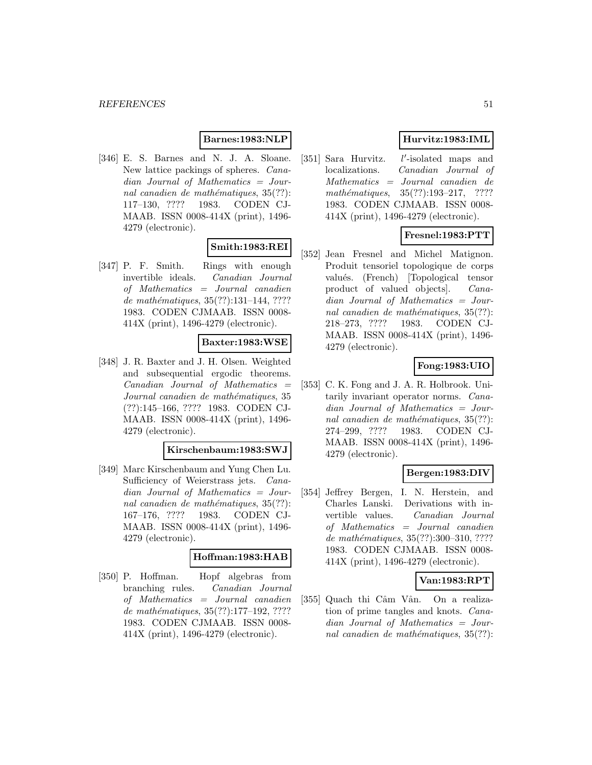# **Barnes:1983:NLP**

[346] E. S. Barnes and N. J. A. Sloane. New lattice packings of spheres. Canadian Journal of Mathematics = Journal canadien de mathématiques,  $35(??)$ : 117–130, ???? 1983. CODEN CJ-MAAB. ISSN 0008-414X (print), 1496- 4279 (electronic).

### **Smith:1983:REI**

[347] P. F. Smith. Rings with enough invertible ideals. Canadian Journal of Mathematics = Journal canadien de mathématiques,  $35(??):131-144, ????$ 1983. CODEN CJMAAB. ISSN 0008- 414X (print), 1496-4279 (electronic).

### **Baxter:1983:WSE**

[348] J. R. Baxter and J. H. Olsen. Weighted and subsequential ergodic theorems.  $Canadian$  Journal of Mathematics  $=$ Journal canadien de mathématiques, 35 (??):145–166, ???? 1983. CODEN CJ-MAAB. ISSN 0008-414X (print), 1496- 4279 (electronic).

### **Kirschenbaum:1983:SWJ**

[349] Marc Kirschenbaum and Yung Chen Lu. Sufficiency of Weierstrass jets. Canadian Journal of Mathematics = Journal canadien de mathématiques,  $35(??)$ : 167–176, ???? 1983. CODEN CJ-MAAB. ISSN 0008-414X (print), 1496- 4279 (electronic).

### **Hoffman:1983:HAB**

[350] P. Hoffman. Hopf algebras from branching rules. Canadian Journal of Mathematics = Journal canadien de mathématiques,  $35(??):177-192, ????$ 1983. CODEN CJMAAB. ISSN 0008- 414X (print), 1496-4279 (electronic).

# **Hurvitz:1983:IML**

[351] Sara Hurvitz. 0 -isolated maps and localizations. Canadian Journal of Mathematics = Journal canadien de mathématiques,  $35(??):193-217$ , ???? 1983. CODEN CJMAAB. ISSN 0008- 414X (print), 1496-4279 (electronic).

# **Fresnel:1983:PTT**

[352] Jean Fresnel and Michel Matignon. Produit tensoriel topologique de corps valués. (French) [Topological tensor product of valued objects]. Canadian Journal of Mathematics = Journal canadien de mathématiques,  $35(??)$ : 218–273, ???? 1983. CODEN CJ-MAAB. ISSN 0008-414X (print), 1496- 4279 (electronic).

# **Fong:1983:UIO**

[353] C. K. Fong and J. A. R. Holbrook. Unitarily invariant operator norms. Canadian Journal of Mathematics = Journal canadien de mathématiques,  $35(??)$ : 274–299, ???? 1983. CODEN CJ-MAAB. ISSN 0008-414X (print), 1496- 4279 (electronic).

# **Bergen:1983:DIV**

[354] Jeffrey Bergen, I. N. Herstein, and Charles Lanski. Derivations with invertible values. Canadian Journal of Mathematics = Journal canadien de mathématiques,  $35(??):300-310, ????$ 1983. CODEN CJMAAB. ISSN 0008- 414X (print), 1496-4279 (electronic).

### **Van:1983:RPT**

[355] Quach thi Câm Vân. On a realization of prime tangles and knots. Canadian Journal of Mathematics = Journal canadien de mathématiques,  $35(??)$ :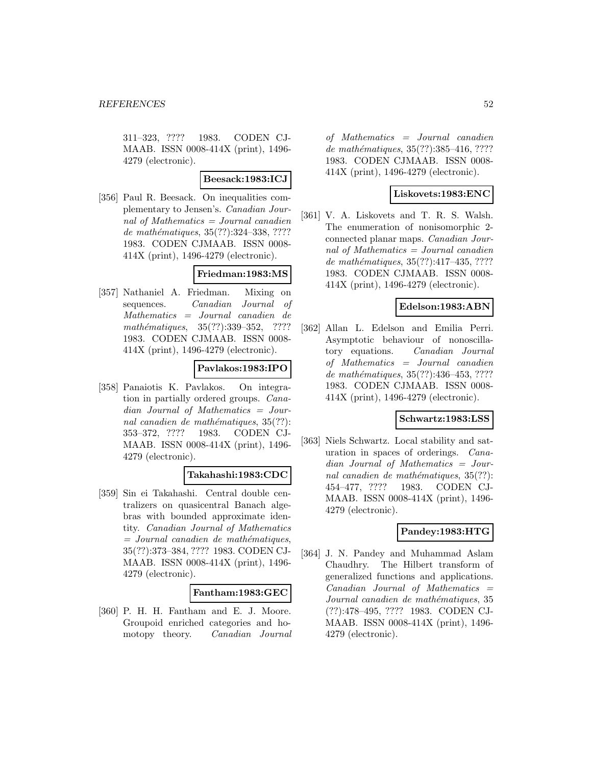311–323, ???? 1983. CODEN CJ-MAAB. ISSN 0008-414X (print), 1496- 4279 (electronic).

### **Beesack:1983:ICJ**

[356] Paul R. Beesack. On inequalities complementary to Jensen's. Canadian Journal of Mathematics  $=$  Journal canadien de mathématiques, 35(??):324–338, ???? 1983. CODEN CJMAAB. ISSN 0008- 414X (print), 1496-4279 (electronic).

## **Friedman:1983:MS**

[357] Nathaniel A. Friedman. Mixing on sequences. Canadian Journal of Mathematics = Journal canadien de mathématiques, 35(??):339-352, ???? 1983. CODEN CJMAAB. ISSN 0008- 414X (print), 1496-4279 (electronic).

### **Pavlakos:1983:IPO**

[358] Panaiotis K. Pavlakos. On integration in partially ordered groups. Canadian Journal of Mathematics = Journal canadien de mathématiques,  $35(??)$ : 353–372, ???? 1983. CODEN CJ-MAAB. ISSN 0008-414X (print), 1496- 4279 (electronic).

### **Takahashi:1983:CDC**

[359] Sin ei Takahashi. Central double centralizers on quasicentral Banach algebras with bounded approximate identity. Canadian Journal of Mathematics  $=$  Journal canadien de mathématiques, 35(??):373–384, ???? 1983. CODEN CJ-MAAB. ISSN 0008-414X (print), 1496- 4279 (electronic).

### **Fantham:1983:GEC**

[360] P. H. H. Fantham and E. J. Moore. Groupoid enriched categories and homotopy theory. Canadian Journal of Mathematics = Journal canadien de mathématiques, 35(??):385-416, ???? 1983. CODEN CJMAAB. ISSN 0008- 414X (print), 1496-4279 (electronic).

# **Liskovets:1983:ENC**

[361] V. A. Liskovets and T. R. S. Walsh. The enumeration of nonisomorphic 2 connected planar maps. Canadian Journal of Mathematics = Journal canadien de mathématiques,  $35(??):417-435, ????$ 1983. CODEN CJMAAB. ISSN 0008- 414X (print), 1496-4279 (electronic).

### **Edelson:1983:ABN**

[362] Allan L. Edelson and Emilia Perri. Asymptotic behaviour of nonoscillatory equations. Canadian Journal of Mathematics = Journal canadien de mathématiques,  $35(??)$ :436-453, ???? 1983. CODEN CJMAAB. ISSN 0008- 414X (print), 1496-4279 (electronic).

### **Schwartz:1983:LSS**

[363] Niels Schwartz. Local stability and saturation in spaces of orderings. Canadian Journal of Mathematics = Journal canadien de mathématiques,  $35(??)$ : 454–477, ???? 1983. CODEN CJ-MAAB. ISSN 0008-414X (print), 1496- 4279 (electronic).

# **Pandey:1983:HTG**

[364] J. N. Pandey and Muhammad Aslam Chaudhry. The Hilbert transform of generalized functions and applications.  $Canadian$  Journal of Mathematics  $=$ Journal canadien de mathématiques, 35 (??):478–495, ???? 1983. CODEN CJ-MAAB. ISSN 0008-414X (print), 1496- 4279 (electronic).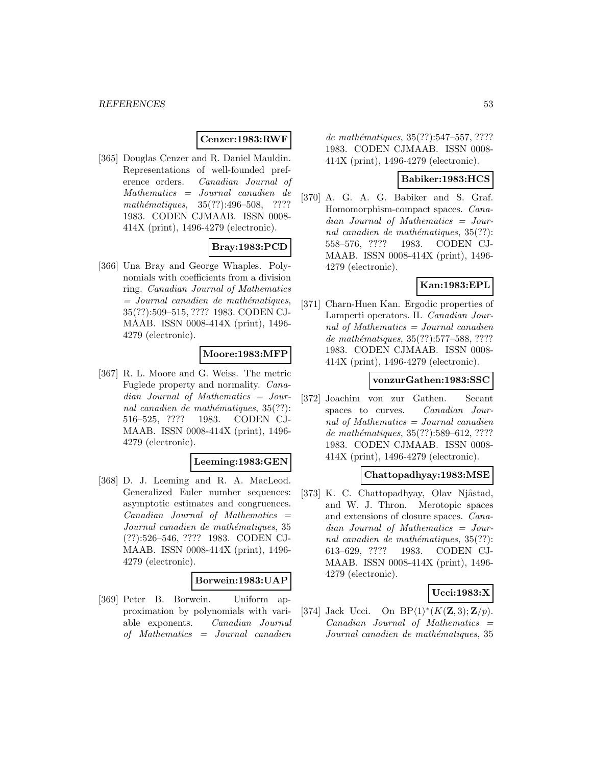### **Cenzer:1983:RWF**

[365] Douglas Cenzer and R. Daniel Mauldin. Representations of well-founded preference orders. Canadian Journal of Mathematics = Journal canadien de mathématiques,  $35(??):496-508$ , ???? 1983. CODEN CJMAAB. ISSN 0008- 414X (print), 1496-4279 (electronic).

# **Bray:1983:PCD**

[366] Una Bray and George Whaples. Polynomials with coefficients from a division ring. Canadian Journal of Mathematics  $=$  Journal canadien de mathématiques, 35(??):509–515, ???? 1983. CODEN CJ-MAAB. ISSN 0008-414X (print), 1496- 4279 (electronic).

### **Moore:1983:MFP**

[367] R. L. Moore and G. Weiss. The metric Fuglede property and normality. Canadian Journal of Mathematics = Journal canadien de mathématiques,  $35(??)$ : 516–525, ???? 1983. CODEN CJ-MAAB. ISSN 0008-414X (print), 1496- 4279 (electronic).

### **Leeming:1983:GEN**

[368] D. J. Leeming and R. A. MacLeod. Generalized Euler number sequences: asymptotic estimates and congruences. Canadian Journal of Mathematics = Journal canadien de mathématiques, 35 (??):526–546, ???? 1983. CODEN CJ-MAAB. ISSN 0008-414X (print), 1496- 4279 (electronic).

#### **Borwein:1983:UAP**

[369] Peter B. Borwein. Uniform approximation by polynomials with variable exponents. Canadian Journal of Mathematics = Journal canadien

de mathématiques, 35(??):547–557, ???? 1983. CODEN CJMAAB. ISSN 0008- 414X (print), 1496-4279 (electronic).

### **Babiker:1983:HCS**

[370] A. G. A. G. Babiker and S. Graf. Homomorphism-compact spaces. Canadian Journal of Mathematics = Journal canadien de mathématiques,  $35(??)$ : 558–576, ???? 1983. CODEN CJ-MAAB. ISSN 0008-414X (print), 1496- 4279 (electronic).

### **Kan:1983:EPL**

[371] Charn-Huen Kan. Ergodic properties of Lamperti operators. II. Canadian Journal of Mathematics = Journal canadien de mathématiques, 35(??):577–588, ???? 1983. CODEN CJMAAB. ISSN 0008- 414X (print), 1496-4279 (electronic).

### **vonzurGathen:1983:SSC**

[372] Joachim von zur Gathen. Secant spaces to curves. *Canadian Jour*nal of Mathematics = Journal canadien de mathématiques,  $35(??)$ :589–612, ???? 1983. CODEN CJMAAB. ISSN 0008- 414X (print), 1496-4279 (electronic).

### **Chattopadhyay:1983:MSE**

[373] K. C. Chattopadhyay, Olav Njåstad, and W. J. Thron. Merotopic spaces and extensions of closure spaces. Canadian Journal of Mathematics = Journal canadien de mathématiques,  $35(??)$ : 613–629, ???? 1983. CODEN CJ-MAAB. ISSN 0008-414X (print), 1496- 4279 (electronic).

# **Ucci:1983:X**

[374] Jack Ucci. On BP $\langle 1 \rangle^*(K(\mathbf{Z}, 3); \mathbf{Z}/p)$ .  $Canadian$  Journal of Mathematics  $=$ Journal canadien de mathématiques, 35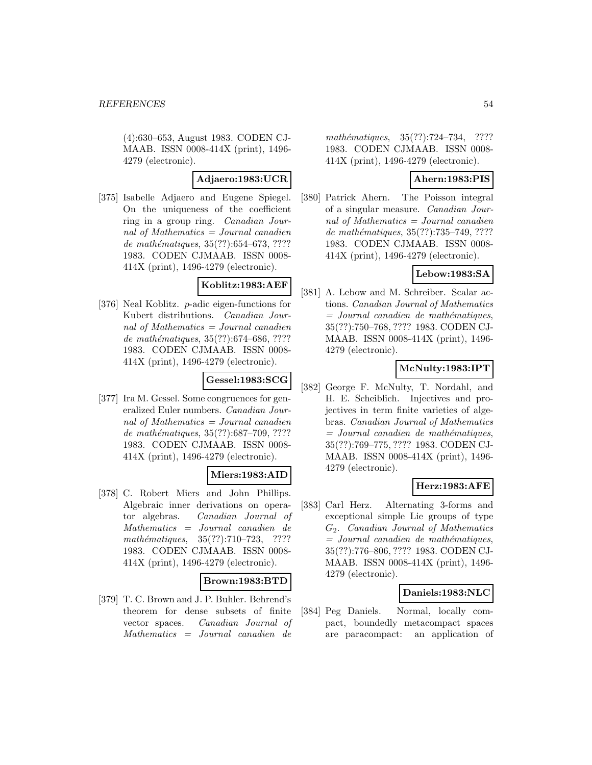(4):630–653, August 1983. CODEN CJ-MAAB. ISSN 0008-414X (print), 1496- 4279 (electronic).

### **Adjaero:1983:UCR**

[375] Isabelle Adjaero and Eugene Spiegel. On the uniqueness of the coefficient ring in a group ring. Canadian Journal of Mathematics = Journal canadien de mathématiques,  $35(??):654–673, ????$ 1983. CODEN CJMAAB. ISSN 0008- 414X (print), 1496-4279 (electronic).

### **Koblitz:1983:AEF**

[376] Neal Koblitz. p-adic eigen-functions for Kubert distributions. Canadian Journal of Mathematics = Journal canadien de mathématiques,  $35(??):674–686, ????$ 1983. CODEN CJMAAB. ISSN 0008- 414X (print), 1496-4279 (electronic).

# **Gessel:1983:SCG**

[377] Ira M. Gessel. Some congruences for generalized Euler numbers. Canadian Journal of Mathematics  $=$  Journal canadien de mathématiques,  $35(??):687-709, ????$ 1983. CODEN CJMAAB. ISSN 0008- 414X (print), 1496-4279 (electronic).

# **Miers:1983:AID**

[378] C. Robert Miers and John Phillips. Algebraic inner derivations on operator algebras. Canadian Journal of Mathematics = Journal canadien de mathématiques,  $35(??):710–723$ , ???? 1983. CODEN CJMAAB. ISSN 0008- 414X (print), 1496-4279 (electronic).

### **Brown:1983:BTD**

[379] T. C. Brown and J. P. Buhler. Behrend's theorem for dense subsets of finite vector spaces. Canadian Journal of Mathematics = Journal canadien de

mathématiques, 35(??):724–734, ???? 1983. CODEN CJMAAB. ISSN 0008- 414X (print), 1496-4279 (electronic).

# **Ahern:1983:PIS**

[380] Patrick Ahern. The Poisson integral of a singular measure. Canadian Journal of Mathematics = Journal canadien de mathématiques, 35(??):735–749, ???? 1983. CODEN CJMAAB. ISSN 0008- 414X (print), 1496-4279 (electronic).

# **Lebow:1983:SA**

[381] A. Lebow and M. Schreiber. Scalar actions. Canadian Journal of Mathematics  $=$  Journal canadien de mathématiques, 35(??):750–768, ???? 1983. CODEN CJ-MAAB. ISSN 0008-414X (print), 1496- 4279 (electronic).

# **McNulty:1983:IPT**

[382] George F. McNulty, T. Nordahl, and H. E. Scheiblich. Injectives and projectives in term finite varieties of algebras. Canadian Journal of Mathematics  $=$  Journal canadien de mathématiques, 35(??):769–775, ???? 1983. CODEN CJ-MAAB. ISSN 0008-414X (print), 1496- 4279 (electronic).

# **Herz:1983:AFE**

[383] Carl Herz. Alternating 3-forms and exceptional simple Lie groups of type G2. Canadian Journal of Mathematics  $=$  Journal canadien de mathématiques, 35(??):776–806, ???? 1983. CODEN CJ-MAAB. ISSN 0008-414X (print), 1496- 4279 (electronic).

# **Daniels:1983:NLC**

[384] Peg Daniels. Normal, locally compact, boundedly metacompact spaces are paracompact: an application of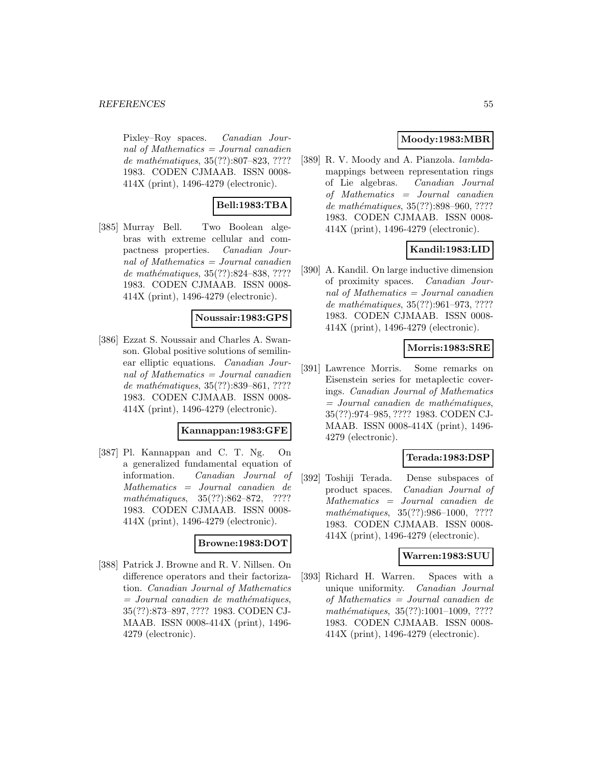Pixley–Roy spaces. Canadian Journal of Mathematics  $=$  Journal canadien de mathématiques, 35(??):807–823, ???? 1983. CODEN CJMAAB. ISSN 0008- 414X (print), 1496-4279 (electronic).

# **Bell:1983:TBA**

[385] Murray Bell. Two Boolean algebras with extreme cellular and compactness properties. Canadian Journal of Mathematics = Journal canadien de mathématiques, 35(??):824–838, ???? 1983. CODEN CJMAAB. ISSN 0008- 414X (print), 1496-4279 (electronic).

# **Noussair:1983:GPS**

[386] Ezzat S. Noussair and Charles A. Swanson. Global positive solutions of semilinear elliptic equations. Canadian Journal of Mathematics = Journal canadien de mathématiques, 35(??):839–861, ???? 1983. CODEN CJMAAB. ISSN 0008- 414X (print), 1496-4279 (electronic).

## **Kannappan:1983:GFE**

[387] Pl. Kannappan and C. T. Ng. On a generalized fundamental equation of information. Canadian Journal of Mathematics = Journal canadien de mathématiques,  $35(??):862-872$ , ???? 1983. CODEN CJMAAB. ISSN 0008- 414X (print), 1496-4279 (electronic).

#### **Browne:1983:DOT**

[388] Patrick J. Browne and R. V. Nillsen. On difference operators and their factorization. Canadian Journal of Mathematics  $=$  Journal canadien de mathématiques, 35(??):873–897, ???? 1983. CODEN CJ-MAAB. ISSN 0008-414X (print), 1496- 4279 (electronic).

# **Moody:1983:MBR**

[389] R.V. Moody and A. Pianzola. *lambda*mappings between representation rings of Lie algebras. Canadian Journal of Mathematics = Journal canadien de mathématiques, 35(??):898–960, ???? 1983. CODEN CJMAAB. ISSN 0008- 414X (print), 1496-4279 (electronic).

# **Kandil:1983:LID**

[390] A. Kandil. On large inductive dimension of proximity spaces. Canadian Journal of Mathematics = Journal canadien de mathématiques, 35(??):961-973, ???? 1983. CODEN CJMAAB. ISSN 0008- 414X (print), 1496-4279 (electronic).

### **Morris:1983:SRE**

[391] Lawrence Morris. Some remarks on Eisenstein series for metaplectic coverings. Canadian Journal of Mathematics  $=$  Journal canadien de mathématiques, 35(??):974–985, ???? 1983. CODEN CJ-MAAB. ISSN 0008-414X (print), 1496- 4279 (electronic).

### **Terada:1983:DSP**

[392] Toshiji Terada. Dense subspaces of product spaces. Canadian Journal of Mathematics = Journal canadien de mathématiques, 35(??):986-1000, ???? 1983. CODEN CJMAAB. ISSN 0008- 414X (print), 1496-4279 (electronic).

### **Warren:1983:SUU**

[393] Richard H. Warren. Spaces with a unique uniformity. Canadian Journal of Mathematics = Journal canadien de mathématiques, 35(??):1001-1009, ???? 1983. CODEN CJMAAB. ISSN 0008- 414X (print), 1496-4279 (electronic).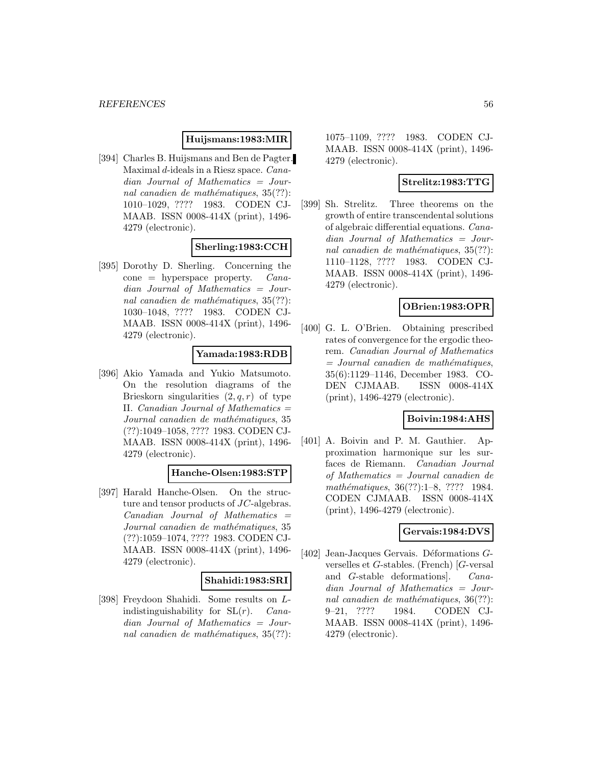### **Huijsmans:1983:MIR**

[394] Charles B. Huijsmans and Ben de Pagter. Maximal d-ideals in a Riesz space. Canadian Journal of Mathematics = Journal canadien de mathématiques,  $35(??)$ : 1010–1029, ???? 1983. CODEN CJ-MAAB. ISSN 0008-414X (print), 1496- 4279 (electronic).

### **Sherling:1983:CCH**

[395] Dorothy D. Sherling. Concerning the  $cone = hyperspace property.$  *Cana*dian Journal of Mathematics = Journal canadien de mathématiques,  $35(??)$ : 1030–1048, ???? 1983. CODEN CJ-MAAB. ISSN 0008-414X (print), 1496- 4279 (electronic).

# **Yamada:1983:RDB**

[396] Akio Yamada and Yukio Matsumoto. On the resolution diagrams of the Brieskorn singularities  $(2, q, r)$  of type II. Canadian Journal of Mathematics  $=$ Journal canadien de mathématiques, 35 (??):1049–1058, ???? 1983. CODEN CJ-MAAB. ISSN 0008-414X (print), 1496- 4279 (electronic).

### **Hanche-Olsen:1983:STP**

[397] Harald Hanche-Olsen. On the structure and tensor products of JC-algebras. Canadian Journal of Mathematics = Journal canadien de mathématiques, 35 (??):1059–1074, ???? 1983. CODEN CJ-MAAB. ISSN 0008-414X (print), 1496- 4279 (electronic).

### **Shahidi:1983:SRI**

[398] Freydoon Shahidi. Some results on Lindistinguishability for  $SL(r)$ . *Cana*dian Journal of Mathematics = Journal canadien de mathématiques,  $35(??)$ : 1075–1109, ???? 1983. CODEN CJ-MAAB. ISSN 0008-414X (print), 1496- 4279 (electronic).

## **Strelitz:1983:TTG**

[399] Sh. Strelitz. Three theorems on the growth of entire transcendental solutions of algebraic differential equations. Canadian Journal of Mathematics = Journal canadien de mathématiques,  $35(??)$ : 1110–1128, ???? 1983. CODEN CJ-MAAB. ISSN 0008-414X (print), 1496- 4279 (electronic).

### **OBrien:1983:OPR**

[400] G. L. O'Brien. Obtaining prescribed rates of convergence for the ergodic theorem. Canadian Journal of Mathematics  $=$  Journal canadien de mathématiques, 35(6):1129–1146, December 1983. CO-DEN CJMAAB. ISSN 0008-414X (print), 1496-4279 (electronic).

### **Boivin:1984:AHS**

[401] A. Boivin and P. M. Gauthier. Approximation harmonique sur les surfaces de Riemann. Canadian Journal of Mathematics = Journal canadien de mathématiques, 36(??):1–8, ???? 1984. CODEN CJMAAB. ISSN 0008-414X (print), 1496-4279 (electronic).

# **Gervais:1984:DVS**

[402] Jean-Jacques Gervais. Déformations  $G$ verselles et G-stables. (French) [G-versal and G-stable deformations]. Canadian Journal of Mathematics = Journal canadien de mathématiques,  $36(??)$ : 9–21, ???? 1984. CODEN CJ-MAAB. ISSN 0008-414X (print), 1496- 4279 (electronic).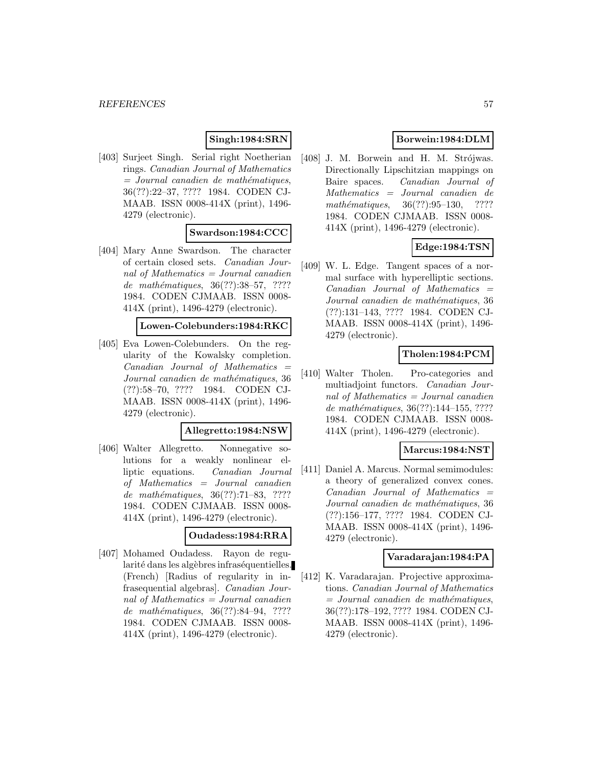# **Singh:1984:SRN**

[403] Surjeet Singh. Serial right Noetherian rings. Canadian Journal of Mathematics  $=$  Journal canadien de mathématiques, 36(??):22–37, ???? 1984. CODEN CJ-MAAB. ISSN 0008-414X (print), 1496- 4279 (electronic).

# **Swardson:1984:CCC**

[404] Mary Anne Swardson. The character of certain closed sets. Canadian Journal of Mathematics  $=$  Journal canadien de mathématiques,  $36(??):38–57, ????$ 1984. CODEN CJMAAB. ISSN 0008- 414X (print), 1496-4279 (electronic).

#### **Lowen-Colebunders:1984:RKC**

[405] Eva Lowen-Colebunders. On the regularity of the Kowalsky completion.  $Canadian$  Journal of Mathematics  $=$ Journal canadien de mathématiques, 36 (??):58–70, ???? 1984. CODEN CJ-MAAB. ISSN 0008-414X (print), 1496- 4279 (electronic).

#### **Allegretto:1984:NSW**

[406] Walter Allegretto. Nonnegative solutions for a weakly nonlinear elliptic equations. Canadian Journal of Mathematics = Journal canadien de mathématiques,  $36(??):71–83, ????$ 1984. CODEN CJMAAB. ISSN 0008- 414X (print), 1496-4279 (electronic).

# **Oudadess:1984:RRA**

[407] Mohamed Oudadess. Rayon de regularité dans les algèbres infraséquentielles. (French) [Radius of regularity in infrasequential algebras]. Canadian Journal of Mathematics  $=$  Journal canadien de mathématiques, 36(??):84–94, ???? 1984. CODEN CJMAAB. ISSN 0008- 414X (print), 1496-4279 (electronic).

# **Borwein:1984:DLM**

[408] J. M. Borwein and H. M. Strójwas. Directionally Lipschitzian mappings on Baire spaces. Canadian Journal of Mathematics = Journal canadien de  $mathématiques, 36(??):95–130, ????$ 1984. CODEN CJMAAB. ISSN 0008- 414X (print), 1496-4279 (electronic).

# **Edge:1984:TSN**

[409] W. L. Edge. Tangent spaces of a normal surface with hyperelliptic sections.  $Canadian$  Journal of Mathematics  $=$ Journal canadien de mathématiques, 36 (??):131–143, ???? 1984. CODEN CJ-MAAB. ISSN 0008-414X (print), 1496- 4279 (electronic).

### **Tholen:1984:PCM**

[410] Walter Tholen. Pro-categories and multiadjoint functors. Canadian Journal of Mathematics = Journal canadien de mathématiques, 36(??):144-155, ???? 1984. CODEN CJMAAB. ISSN 0008- 414X (print), 1496-4279 (electronic).

### **Marcus:1984:NST**

[411] Daniel A. Marcus. Normal semimodules: a theory of generalized convex cones.  $Canadian$  Journal of Mathematics  $=$ Journal canadien de mathématiques, 36 (??):156–177, ???? 1984. CODEN CJ-MAAB. ISSN 0008-414X (print), 1496- 4279 (electronic).

### **Varadarajan:1984:PA**

[412] K. Varadarajan. Projective approximations. Canadian Journal of Mathematics  $=$  Journal canadien de mathématiques, 36(??):178–192, ???? 1984. CODEN CJ-MAAB. ISSN 0008-414X (print), 1496- 4279 (electronic).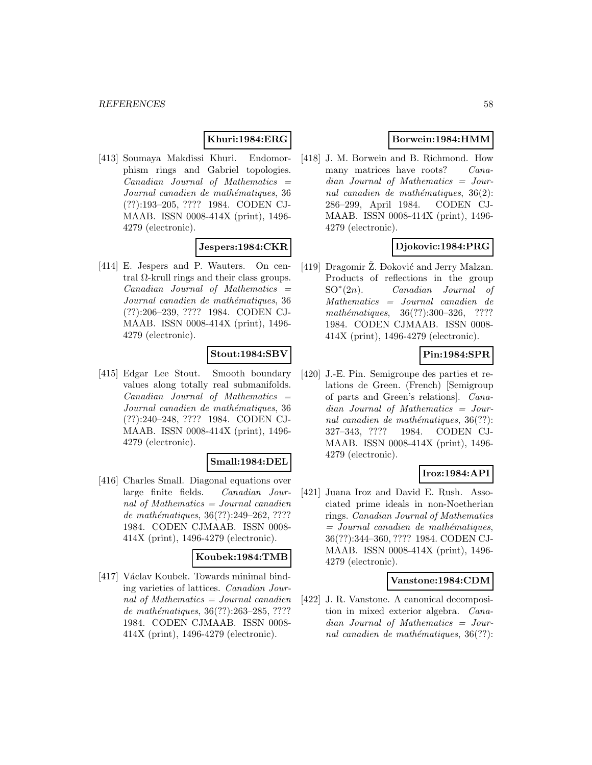# **Khuri:1984:ERG**

[413] Soumaya Makdissi Khuri. Endomorphism rings and Gabriel topologies.  $Canadian$  Journal of Mathematics  $=$ Journal canadien de mathématiques, 36 (??):193–205, ???? 1984. CODEN CJ-MAAB. ISSN 0008-414X (print), 1496- 4279 (electronic).

### **Jespers:1984:CKR**

[414] E. Jespers and P. Wauters. On central Ω-krull rings and their class groups.  $Canadian$  Journal of Mathematics  $=$ Journal canadien de mathématiques, 36 (??):206–239, ???? 1984. CODEN CJ-MAAB. ISSN 0008-414X (print), 1496- 4279 (electronic).

### **Stout:1984:SBV**

[415] Edgar Lee Stout. Smooth boundary values along totally real submanifolds.  $Canadian$  Journal of Mathematics  $=$ Journal canadien de mathématiques, 36 (??):240–248, ???? 1984. CODEN CJ-MAAB. ISSN 0008-414X (print), 1496- 4279 (electronic).

### **Small:1984:DEL**

[416] Charles Small. Diagonal equations over large finite fields. Canadian Journal of Mathematics = Journal canadien de mathématiques,  $36(??):249-262, ????$ 1984. CODEN CJMAAB. ISSN 0008- 414X (print), 1496-4279 (electronic).

### **Koubek:1984:TMB**

[417] Václav Koubek. Towards minimal binding varieties of lattices. Canadian Journal of Mathematics = Journal canadien de mathématiques,  $36(??):263-285, ????$ 1984. CODEN CJMAAB. ISSN 0008- 414X (print), 1496-4279 (electronic).

# **Borwein:1984:HMM**

[418] J. M. Borwein and B. Richmond. How many matrices have roots? Canadian Journal of Mathematics = Journal canadien de mathématiques,  $36(2)$ : 286–299, April 1984. CODEN CJ-MAAB. ISSN 0008-414X (print), 1496- 4279 (electronic).

### **Djokovic:1984:PRG**

[419] Dragomir Ž. Đoković and Jerry Malzan. Products of reflections in the group  $SO<sup>*</sup>(2n)$ . *Canadian Journal of* Mathematics = Journal canadien de mathématiques, 36(??):300-326, ???? 1984. CODEN CJMAAB. ISSN 0008- 414X (print), 1496-4279 (electronic).

# **Pin:1984:SPR**

[420] J.-E. Pin. Semigroupe des parties et relations de Green. (French) [Semigroup of parts and Green's relations]. Canadian Journal of Mathematics = Journal canadien de mathématiques,  $36(??)$ : 327–343, ???? 1984. CODEN CJ-MAAB. ISSN 0008-414X (print), 1496- 4279 (electronic).

### **Iroz:1984:API**

[421] Juana Iroz and David E. Rush. Associated prime ideals in non-Noetherian rings. Canadian Journal of Mathematics  $=$  Journal canadien de mathématiques, 36(??):344–360, ???? 1984. CODEN CJ-MAAB. ISSN 0008-414X (print), 1496- 4279 (electronic).

#### **Vanstone:1984:CDM**

[422] J. R. Vanstone. A canonical decomposition in mixed exterior algebra. Canadian Journal of Mathematics = Journal canadien de mathématiques,  $36(??)$ :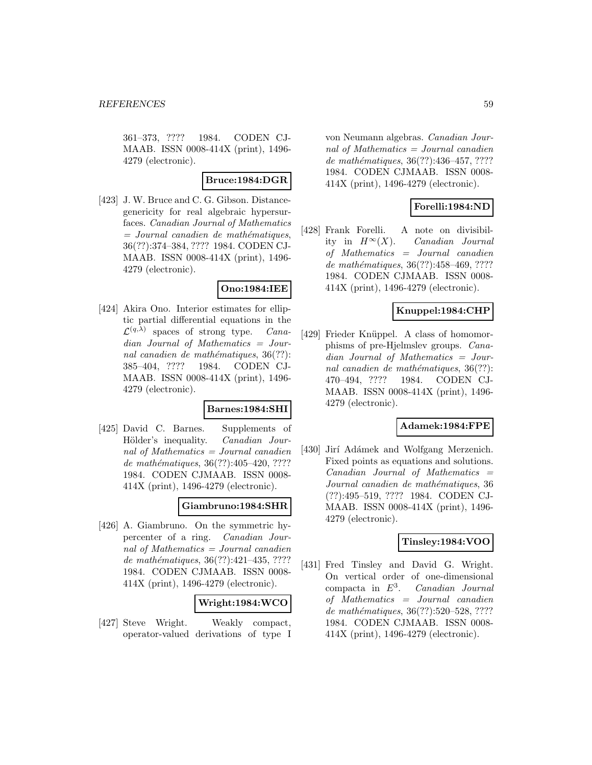361–373, ???? 1984. CODEN CJ-MAAB. ISSN 0008-414X (print), 1496- 4279 (electronic).

### **Bruce:1984:DGR**

[423] J. W. Bruce and C. G. Gibson. Distancegenericity for real algebraic hypersurfaces. Canadian Journal of Mathematics  $=$  Journal canadien de mathématiques, 36(??):374–384, ???? 1984. CODEN CJ-MAAB. ISSN 0008-414X (print), 1496- 4279 (electronic).

### **Ono:1984:IEE**

[424] Akira Ono. Interior estimates for elliptic partial differential equations in the  $\mathcal{L}^{(q,\lambda)}$  spaces of strong type. *Cana*dian Journal of Mathematics = Journal canadien de mathématiques,  $36(??)$ : 385–404, ???? 1984. CODEN CJ-MAAB. ISSN 0008-414X (print), 1496- 4279 (electronic).

### **Barnes:1984:SHI**

[425] David C. Barnes. Supplements of Hölder's inequality. Canadian Journal of Mathematics = Journal canadien de mathématiques,  $36(??):405-420, ????$ 1984. CODEN CJMAAB. ISSN 0008- 414X (print), 1496-4279 (electronic).

# **Giambruno:1984:SHR**

[426] A. Giambruno. On the symmetric hypercenter of a ring. Canadian Journal of Mathematics = Journal canadien de mathématiques,  $36(??):421-435, ????$ 1984. CODEN CJMAAB. ISSN 0008- 414X (print), 1496-4279 (electronic).

### **Wright:1984:WCO**

[427] Steve Wright. Weakly compact, operator-valued derivations of type I

von Neumann algebras. Canadian Journal of Mathematics = Journal canadien de mathématiques, 36(??):436-457, ???? 1984. CODEN CJMAAB. ISSN 0008- 414X (print), 1496-4279 (electronic).

# **Forelli:1984:ND**

[428] Frank Forelli. A note on divisibility in  $H^{\infty}(X)$ . Canadian Journal of Mathematics = Journal canadien de mathématiques, 36(??):458–469, ???? 1984. CODEN CJMAAB. ISSN 0008- 414X (print), 1496-4279 (electronic).

### **Knuppel:1984:CHP**

[429] Frieder Knüppel. A class of homomorphisms of pre-Hjelmslev groups. Canadian Journal of Mathematics = Journal canadien de mathématiques,  $36(??)$ : 470–494, ???? 1984. CODEN CJ-MAAB. ISSN 0008-414X (print), 1496- 4279 (electronic).

### **Adamek:1984:FPE**

[430] Jirí Adámek and Wolfgang Merzenich. Fixed points as equations and solutions. Canadian Journal of Mathematics = Journal canadien de mathématiques, 36 (??):495–519, ???? 1984. CODEN CJ-MAAB. ISSN 0008-414X (print), 1496- 4279 (electronic).

# **Tinsley:1984:VOO**

[431] Fred Tinsley and David G. Wright. On vertical order of one-dimensional compacta in  $E^3$ . Canadian Journal of Mathematics = Journal canadien de mathématiques, 36(??):520–528, ???? 1984. CODEN CJMAAB. ISSN 0008- 414X (print), 1496-4279 (electronic).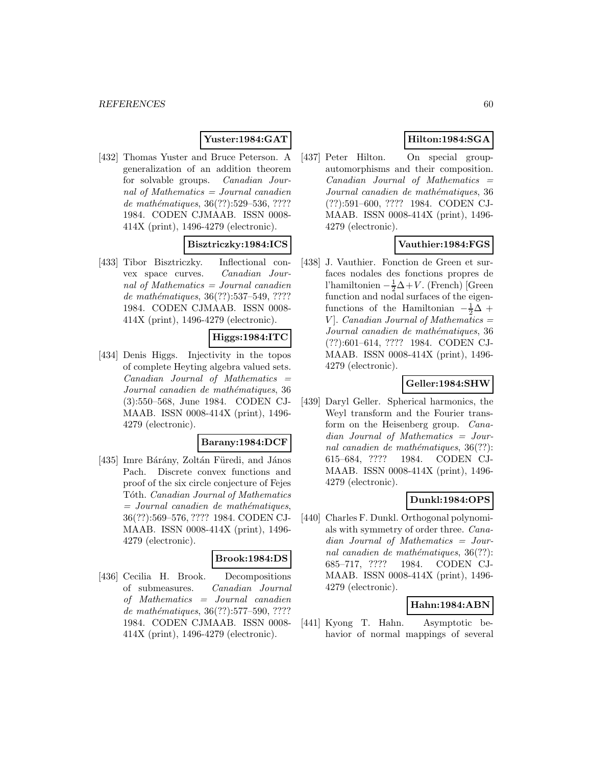# **Yuster:1984:GAT**

[432] Thomas Yuster and Bruce Peterson. A generalization of an addition theorem for solvable groups. Canadian Journal of Mathematics = Journal canadien de mathématiques, 36(??):529–536, ???? 1984. CODEN CJMAAB. ISSN 0008- 414X (print), 1496-4279 (electronic).

### **Bisztriczky:1984:ICS**

[433] Tibor Bisztriczky. Inflectional convex space curves. Canadian Journal of Mathematics  $=$  Journal canadien de mathématiques, 36(??):537–549, ???? 1984. CODEN CJMAAB. ISSN 0008- 414X (print), 1496-4279 (electronic).

# **Higgs:1984:ITC**

[434] Denis Higgs. Injectivity in the topos of complete Heyting algebra valued sets.  $Canadian$  Journal of Mathematics  $=$ Journal canadien de mathématiques, 36 (3):550–568, June 1984. CODEN CJ-MAAB. ISSN 0008-414X (print), 1496- 4279 (electronic).

### **Barany:1984:DCF**

[435] Imre Bárány, Zoltán Füredi, and János Pach. Discrete convex functions and proof of the six circle conjecture of Fejes Tóth. Canadian Journal of Mathematics  $=$  Journal canadien de mathématiques, 36(??):569–576, ???? 1984. CODEN CJ-MAAB. ISSN 0008-414X (print), 1496- 4279 (electronic).

# **Brook:1984:DS**

[436] Cecilia H. Brook. Decompositions of submeasures. Canadian Journal of Mathematics = Journal canadien de mathématiques, 36(??):577–590, ???? 1984. CODEN CJMAAB. ISSN 0008- 414X (print), 1496-4279 (electronic).

# **Hilton:1984:SGA**

[437] Peter Hilton. On special groupautomorphisms and their composition.  $Canadian$  Journal of Mathematics  $=$ Journal canadien de mathématiques, 36 (??):591–600, ???? 1984. CODEN CJ-MAAB. ISSN 0008-414X (print), 1496- 4279 (electronic).

# **Vauthier:1984:FGS**

[438] J. Vauthier. Fonction de Green et surfaces nodales des fonctions propres de l'hamiltonien  $-\frac{1}{2}\Delta + V$ . (French) [Green function and nodal surfaces of the eigenfunctions of the Hamiltonian  $-\frac{1}{2}\Delta$  +  $V$ . Canadian Journal of Mathematics  $=$ Journal canadien de mathématiques, 36 (??):601–614, ???? 1984. CODEN CJ-MAAB. ISSN 0008-414X (print), 1496- 4279 (electronic).

## **Geller:1984:SHW**

[439] Daryl Geller. Spherical harmonics, the Weyl transform and the Fourier transform on the Heisenberg group. Canadian Journal of Mathematics = Journal canadien de mathématiques,  $36(??)$ : 615–684, ???? 1984. CODEN CJ-MAAB. ISSN 0008-414X (print), 1496- 4279 (electronic).

# **Dunkl:1984:OPS**

[440] Charles F. Dunkl. Orthogonal polynomials with symmetry of order three. Canadian Journal of Mathematics = Journal canadien de mathématiques,  $36(??)$ : 685–717, ???? 1984. CODEN CJ-MAAB. ISSN 0008-414X (print), 1496- 4279 (electronic).

# **Hahn:1984:ABN**

[441] Kyong T. Hahn. Asymptotic behavior of normal mappings of several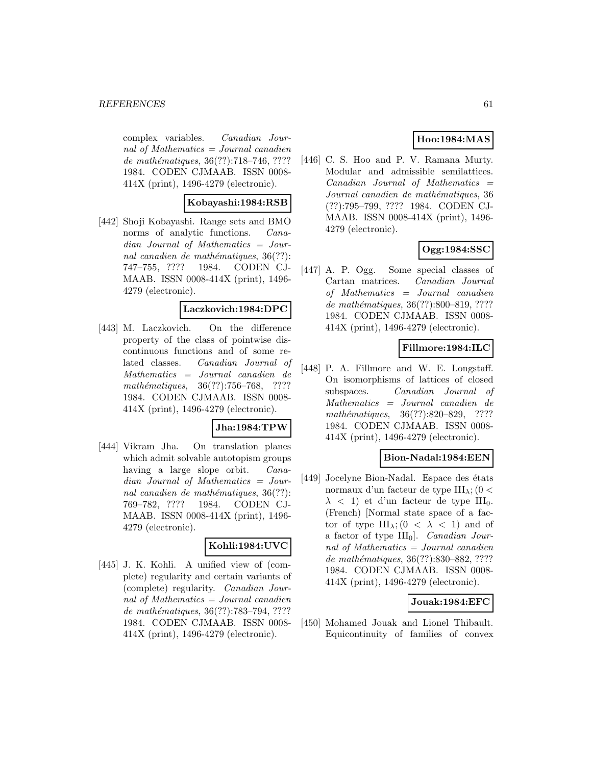complex variables. Canadian Journal of Mathematics = Journal canadien de mathématiques, 36(??):718–746, ???? 1984. CODEN CJMAAB. ISSN 0008- 414X (print), 1496-4279 (electronic).

### **Kobayashi:1984:RSB**

[442] Shoji Kobayashi. Range sets and BMO norms of analytic functions. *Cana*dian Journal of Mathematics = Journal canadien de mathématiques,  $36(??)$ : 747–755, ???? 1984. CODEN CJ-MAAB. ISSN 0008-414X (print), 1496- 4279 (electronic).

### **Laczkovich:1984:DPC**

[443] M. Laczkovich. On the difference property of the class of pointwise discontinuous functions and of some related classes. Canadian Journal of Mathematics = Journal canadien de mathématiques,  $36(??):756–768$ , ???? 1984. CODEN CJMAAB. ISSN 0008- 414X (print), 1496-4279 (electronic).

### **Jha:1984:TPW**

[444] Vikram Jha. On translation planes which admit solvable autotopism groups having a large slope orbit. *Cana*dian Journal of Mathematics = Journal canadien de mathématiques,  $36(??)$ : 769–782, ???? 1984. CODEN CJ-MAAB. ISSN 0008-414X (print), 1496- 4279 (electronic).

### **Kohli:1984:UVC**

[445] J. K. Kohli. A unified view of (complete) regularity and certain variants of (complete) regularity. Canadian Journal of Mathematics  $=$  Journal canadien de mathématiques, 36(??):783–794, ???? 1984. CODEN CJMAAB. ISSN 0008- 414X (print), 1496-4279 (electronic).

# **Hoo:1984:MAS**

[446] C. S. Hoo and P. V. Ramana Murty. Modular and admissible semilattices.  $Canadian$  Journal of Mathematics  $=$ Journal canadien de mathématiques, 36 (??):795–799, ???? 1984. CODEN CJ-MAAB. ISSN 0008-414X (print), 1496- 4279 (electronic).

# **Ogg:1984:SSC**

[447] A. P. Ogg. Some special classes of Cartan matrices. Canadian Journal of Mathematics = Journal canadien de mathématiques, 36(??):800–819, ???? 1984. CODEN CJMAAB. ISSN 0008- 414X (print), 1496-4279 (electronic).

### **Fillmore:1984:ILC**

[448] P. A. Fillmore and W. E. Longstaff. On isomorphisms of lattices of closed subspaces. Canadian Journal of Mathematics = Journal canadien de mathématiques, 36(??):820–829, ???? 1984. CODEN CJMAAB. ISSN 0008- 414X (print), 1496-4279 (electronic).

### **Bion-Nadal:1984:EEN**

[449] Jocelyne Bion-Nadal. Espace des états normaux d'un facteur de type  $III_{\lambda}$ ; (0 <  $\lambda$  < 1) et d'un facteur de type III<sub>0</sub>. (French) [Normal state space of a factor of type  $III_{\lambda}$ ; (0 <  $\lambda$  < 1) and of a factor of type  $III<sub>0</sub>$ ]. *Canadian Jour*nal of Mathematics = Journal canadien de mathématiques, 36(??):830–882, ???? 1984. CODEN CJMAAB. ISSN 0008- 414X (print), 1496-4279 (electronic).

# **Jouak:1984:EFC**

[450] Mohamed Jouak and Lionel Thibault. Equicontinuity of families of convex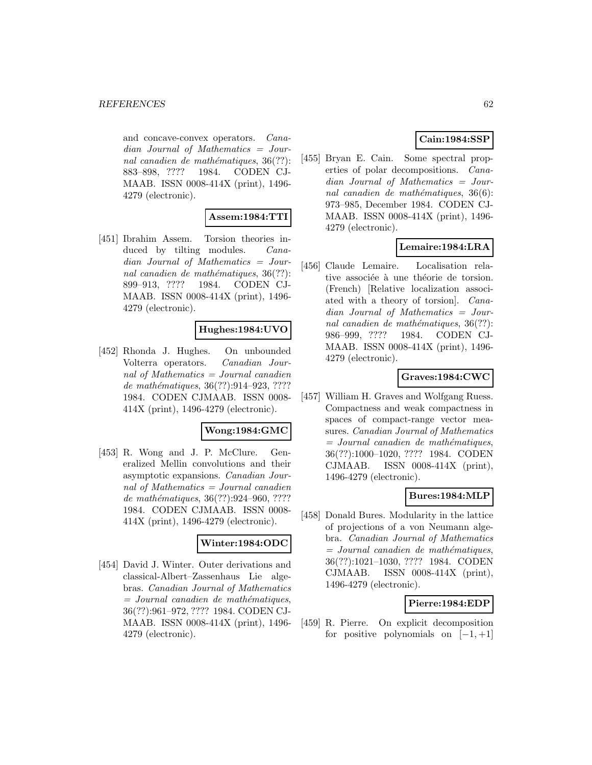and concave-convex operators. Canadian Journal of Mathematics = Journal canadien de mathématiques,  $36(??)$ : 883–898, ???? 1984. CODEN CJ-MAAB. ISSN 0008-414X (print), 1496- 4279 (electronic).

# **Assem:1984:TTI**

[451] Ibrahim Assem. Torsion theories induced by tilting modules. *Cana*dian Journal of Mathematics = Journal canadien de mathématiques,  $36(??)$ : 899–913, ???? 1984. CODEN CJ-MAAB. ISSN 0008-414X (print), 1496- 4279 (electronic).

### **Hughes:1984:UVO**

[452] Rhonda J. Hughes. On unbounded Volterra operators. Canadian Journal of Mathematics = Journal canadien de mathématiques, 36(??):914-923, ???? 1984. CODEN CJMAAB. ISSN 0008- 414X (print), 1496-4279 (electronic).

# **Wong:1984:GMC**

[453] R. Wong and J. P. McClure. Generalized Mellin convolutions and their asymptotic expansions. Canadian Journal of Mathematics = Journal canadien de mathématiques, 36(??):924-960, ???? 1984. CODEN CJMAAB. ISSN 0008- 414X (print), 1496-4279 (electronic).

#### **Winter:1984:ODC**

[454] David J. Winter. Outer derivations and classical-Albert–Zassenhaus Lie algebras. Canadian Journal of Mathematics  $=$  Journal canadien de mathématiques, 36(??):961–972, ???? 1984. CODEN CJ-MAAB. ISSN 0008-414X (print), 1496- 4279 (electronic).

# **Cain:1984:SSP**

[455] Bryan E. Cain. Some spectral properties of polar decompositions. Canadian Journal of Mathematics = Journal canadien de mathématiques,  $36(6)$ : 973–985, December 1984. CODEN CJ-MAAB. ISSN 0008-414X (print), 1496- 4279 (electronic).

# **Lemaire:1984:LRA**

[456] Claude Lemaire. Localisation relative associée à une théorie de torsion. (French) [Relative localization associated with a theory of torsion]. Canadian Journal of Mathematics = Journal canadien de mathématiques,  $36(??)$ : 986–999, ???? 1984. CODEN CJ-MAAB. ISSN 0008-414X (print), 1496- 4279 (electronic).

# **Graves:1984:CWC**

[457] William H. Graves and Wolfgang Ruess. Compactness and weak compactness in spaces of compact-range vector measures. Canadian Journal of Mathematics  $=$  Journal canadien de mathématiques, 36(??):1000–1020, ???? 1984. CODEN CJMAAB. ISSN 0008-414X (print), 1496-4279 (electronic).

### **Bures:1984:MLP**

[458] Donald Bures. Modularity in the lattice of projections of a von Neumann algebra. Canadian Journal of Mathematics  $=$  Journal canadien de mathématiques, 36(??):1021–1030, ???? 1984. CODEN CJMAAB. ISSN 0008-414X (print), 1496-4279 (electronic).

### **Pierre:1984:EDP**

[459] R. Pierre. On explicit decomposition for positive polynomials on  $[-1, +1]$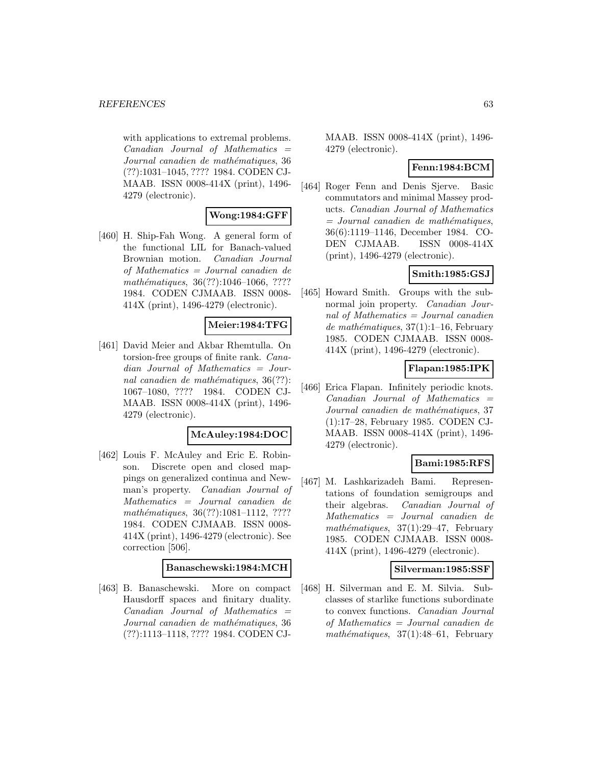with applications to extremal problems.  $Canadian$  Journal of Mathematics  $=$ Journal canadien de mathématiques, 36 (??):1031–1045, ???? 1984. CODEN CJ-MAAB. ISSN 0008-414X (print), 1496- 4279 (electronic).

# **Wong:1984:GFF**

[460] H. Ship-Fah Wong. A general form of the functional LIL for Banach-valued Brownian motion. Canadian Journal of Mathematics = Journal canadien de mathématiques,  $36(??):1046-1066, ????$ 1984. CODEN CJMAAB. ISSN 0008- 414X (print), 1496-4279 (electronic).

# **Meier:1984:TFG**

[461] David Meier and Akbar Rhemtulla. On torsion-free groups of finite rank. Canadian Journal of Mathematics = Journal canadien de mathématiques,  $36(??)$ : 1067–1080, ???? 1984. CODEN CJ-MAAB. ISSN 0008-414X (print), 1496- 4279 (electronic).

# **McAuley:1984:DOC**

[462] Louis F. McAuley and Eric E. Robinson. Discrete open and closed mappings on generalized continua and Newman's property. Canadian Journal of Mathematics = Journal canadien de mathématiques, 36(??):1081-1112, ???? 1984. CODEN CJMAAB. ISSN 0008- 414X (print), 1496-4279 (electronic). See correction [506].

### **Banaschewski:1984:MCH**

[463] B. Banaschewski. More on compact Hausdorff spaces and finitary duality. Canadian Journal of Mathematics = Journal canadien de mathématiques, 36 (??):1113–1118, ???? 1984. CODEN CJ-

MAAB. ISSN 0008-414X (print), 1496- 4279 (electronic).

### **Fenn:1984:BCM**

[464] Roger Fenn and Denis Sjerve. Basic commutators and minimal Massey products. Canadian Journal of Mathematics  $=$  Journal canadien de mathématiques, 36(6):1119–1146, December 1984. CO-DEN CJMAAB. ISSN 0008-414X (print), 1496-4279 (electronic).

# **Smith:1985:GSJ**

[465] Howard Smith. Groups with the subnormal join property. Canadian Journal of Mathematics = Journal canadien de mathématiques,  $37(1):1-16$ , February 1985. CODEN CJMAAB. ISSN 0008- 414X (print), 1496-4279 (electronic).

# **Flapan:1985:IPK**

[466] Erica Flapan. Infinitely periodic knots. Canadian Journal of Mathematics = Journal canadien de mathématiques, 37 (1):17–28, February 1985. CODEN CJ-MAAB. ISSN 0008-414X (print), 1496- 4279 (electronic).

# **Bami:1985:RFS**

[467] M. Lashkarizadeh Bami. Representations of foundation semigroups and their algebras. Canadian Journal of Mathematics = Journal canadien de mathématiques,  $37(1):29-47$ , February 1985. CODEN CJMAAB. ISSN 0008- 414X (print), 1496-4279 (electronic).

### **Silverman:1985:SSF**

[468] H. Silverman and E. M. Silvia. Subclasses of starlike functions subordinate to convex functions. Canadian Journal of Mathematics = Journal canadien de mathématiques,  $37(1):48-61$ , February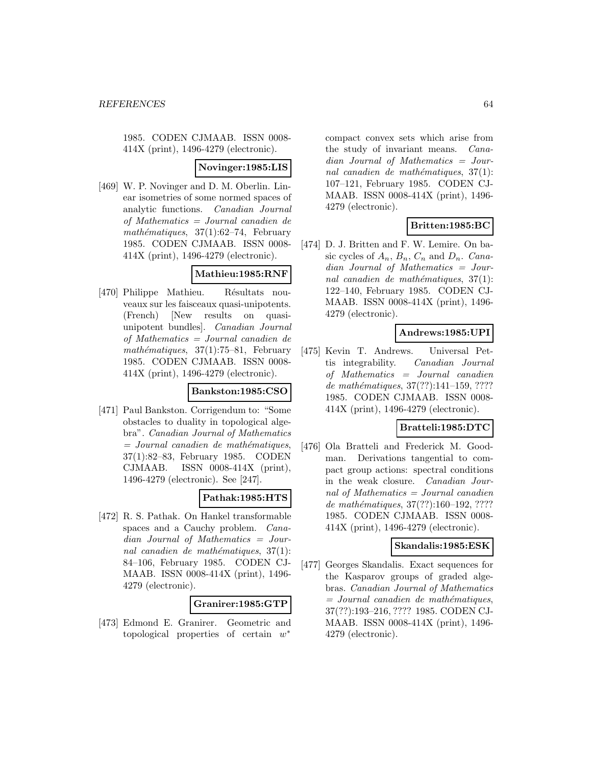1985. CODEN CJMAAB. ISSN 0008- 414X (print), 1496-4279 (electronic).

#### **Novinger:1985:LIS**

[469] W. P. Novinger and D. M. Oberlin. Linear isometries of some normed spaces of analytic functions. Canadian Journal of Mathematics = Journal canadien de mathématiques,  $37(1):62-74$ , February 1985. CODEN CJMAAB. ISSN 0008- 414X (print), 1496-4279 (electronic).

# **Mathieu:1985:RNF**

[470] Philippe Mathieu. Résultats nouveaux sur les faisceaux quasi-unipotents. (French) [New results on quasiunipotent bundles]. Canadian Journal of Mathematics = Journal canadien de mathématiques,  $37(1):75-81$ , February 1985. CODEN CJMAAB. ISSN 0008- 414X (print), 1496-4279 (electronic).

### **Bankston:1985:CSO**

[471] Paul Bankston. Corrigendum to: "Some obstacles to duality in topological algebra". Canadian Journal of Mathematics  $=$  Journal canadien de mathématiques, 37(1):82–83, February 1985. CODEN CJMAAB. ISSN 0008-414X (print), 1496-4279 (electronic). See [247].

### **Pathak:1985:HTS**

[472] R. S. Pathak. On Hankel transformable spaces and a Cauchy problem. Canadian Journal of Mathematics = Journal canadien de mathématiques,  $37(1)$ : 84–106, February 1985. CODEN CJ-MAAB. ISSN 0008-414X (print), 1496- 4279 (electronic).

# **Granirer:1985:GTP**

[473] Edmond E. Granirer. Geometric and topological properties of certain w<sup>∗</sup>

compact convex sets which arise from the study of invariant means. Canadian Journal of Mathematics = Journal canadien de mathématiques,  $37(1)$ : 107–121, February 1985. CODEN CJ-MAAB. ISSN 0008-414X (print), 1496- 4279 (electronic).

# **Britten:1985:BC**

[474] D. J. Britten and F. W. Lemire. On basic cycles of  $A_n$ ,  $B_n$ ,  $C_n$  and  $D_n$ . Canadian Journal of Mathematics = Journal canadien de mathématiques,  $37(1)$ : 122–140, February 1985. CODEN CJ-MAAB. ISSN 0008-414X (print), 1496- 4279 (electronic).

# **Andrews:1985:UPI**

[475] Kevin T. Andrews. Universal Pettis integrability. Canadian Journal of Mathematics = Journal canadien de mathématiques, 37(??):141-159, ???? 1985. CODEN CJMAAB. ISSN 0008- 414X (print), 1496-4279 (electronic).

# **Bratteli:1985:DTC**

[476] Ola Bratteli and Frederick M. Goodman. Derivations tangential to compact group actions: spectral conditions in the weak closure. Canadian Journal of Mathematics = Journal canadien de mathématiques, 37(??):160-192, ???? 1985. CODEN CJMAAB. ISSN 0008- 414X (print), 1496-4279 (electronic).

### **Skandalis:1985:ESK**

[477] Georges Skandalis. Exact sequences for the Kasparov groups of graded algebras. Canadian Journal of Mathematics  $=$  Journal canadien de mathématiques, 37(??):193–216, ???? 1985. CODEN CJ-MAAB. ISSN 0008-414X (print), 1496- 4279 (electronic).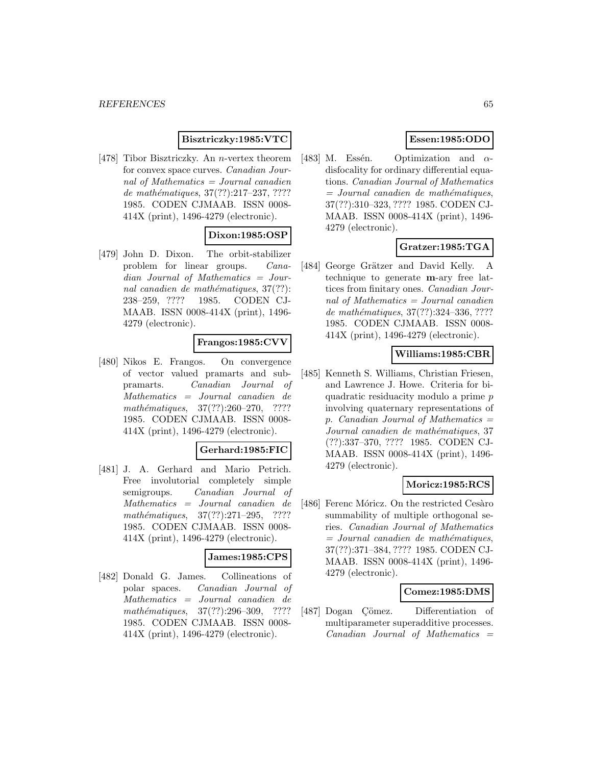### **Bisztriczky:1985:VTC**

[478] Tibor Bisztriczky. An n-vertex theorem for convex space curves. Canadian Journal of Mathematics = Journal canadien de mathématiques,  $37(??):217-237, ????$ 1985. CODEN CJMAAB. ISSN 0008- 414X (print), 1496-4279 (electronic).

# **Dixon:1985:OSP**

[479] John D. Dixon. The orbit-stabilizer problem for linear groups. Canadian Journal of Mathematics = Journal canadien de mathématiques,  $37(??)$ : 238–259, ???? 1985. CODEN CJ-MAAB. ISSN 0008-414X (print), 1496- 4279 (electronic).

### **Frangos:1985:CVV**

[480] Nikos E. Frangos. On convergence of vector valued pramarts and subpramarts. Canadian Journal of Mathematics = Journal canadien de mathématiques,  $37(??):260-270$ , ???? 1985. CODEN CJMAAB. ISSN 0008- 414X (print), 1496-4279 (electronic).

#### **Gerhard:1985:FIC**

[481] J. A. Gerhard and Mario Petrich. Free involutorial completely simple semigroups. Canadian Journal of Mathematics = Journal canadien de mathématiques,  $37(??):271-295$ , ???? 1985. CODEN CJMAAB. ISSN 0008- 414X (print), 1496-4279 (electronic).

# **James:1985:CPS**

[482] Donald G. James. Collineations of polar spaces. Canadian Journal of Mathematics = Journal canadien de mathématiques,  $37(??):296-309$ , ???? 1985. CODEN CJMAAB. ISSN 0008- 414X (print), 1496-4279 (electronic).

## **Essen:1985:ODO**

[483] M. Essén. Optimization and  $\alpha$ disfocality for ordinary differential equations. Canadian Journal of Mathematics  $=$  Journal canadien de mathématiques, 37(??):310–323, ???? 1985. CODEN CJ-MAAB. ISSN 0008-414X (print), 1496- 4279 (electronic).

# **Gratzer:1985:TGA**

[484] George Grätzer and David Kelly. A technique to generate **m**-ary free lattices from finitary ones. Canadian Journal of Mathematics = Journal canadien de mathématiques, 37(??):324-336, ???? 1985. CODEN CJMAAB. ISSN 0008- 414X (print), 1496-4279 (electronic).

### **Williams:1985:CBR**

[485] Kenneth S. Williams, Christian Friesen, and Lawrence J. Howe. Criteria for biquadratic residuacity modulo a prime p involving quaternary representations of p. Canadian Journal of Mathematics  $=$ Journal canadien de mathématiques, 37 (??):337–370, ???? 1985. CODEN CJ-MAAB. ISSN 0008-414X (print), 1496- 4279 (electronic).

### **Moricz:1985:RCS**

[486] Ferenc Móricz. On the restricted Cesàro summability of multiple orthogonal series. Canadian Journal of Mathematics  $=$  Journal canadien de mathématiques, 37(??):371–384, ???? 1985. CODEN CJ-MAAB. ISSN 0008-414X (print), 1496- 4279 (electronic).

### **Comez:1985:DMS**

[487] Dogan Cömez. Differentiation of multiparameter superadditive processes.  $Canadian$  Journal of Mathematics  $=$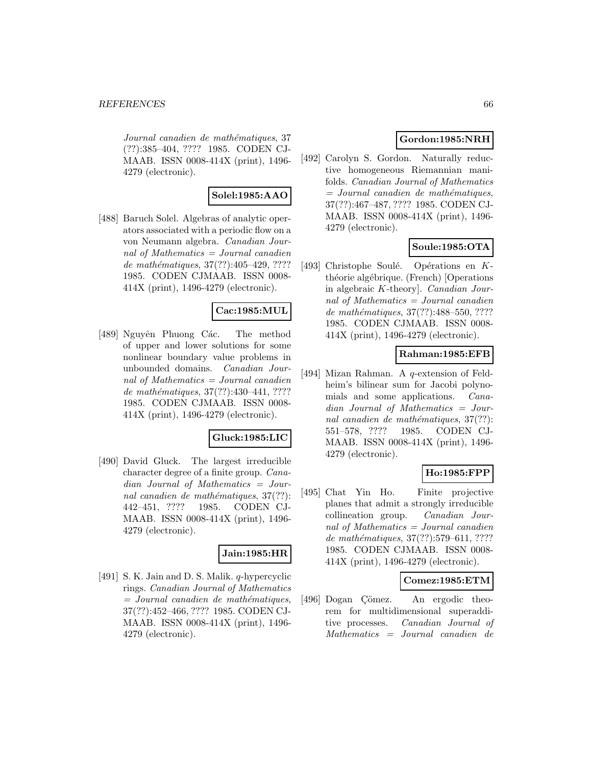Journal canadien de mathématiques, 37 (??):385–404, ???? 1985. CODEN CJ-MAAB. ISSN 0008-414X (print), 1496- 4279 (electronic).

# **Solel:1985:AAO**

[488] Baruch Solel. Algebras of analytic operators associated with a periodic flow on a von Neumann algebra. Canadian Journal of Mathematics  $=$  Journal canadien de mathématiques,  $37(??)$ :405–429, ???? 1985. CODEN CJMAAB. ISSN 0008- 414X (print), 1496-4279 (electronic).

# **Cac:1985:MUL**

[489] Nguyên Phuong Các. The method of upper and lower solutions for some nonlinear boundary value problems in unbounded domains. Canadian Journal of Mathematics = Journal canadien de mathématiques, 37(??):430-441, ???? 1985. CODEN CJMAAB. ISSN 0008- 414X (print), 1496-4279 (electronic).

### **Gluck:1985:LIC**

[490] David Gluck. The largest irreducible character degree of a finite group. Canadian Journal of Mathematics = Journal canadien de mathématiques,  $37(??)$ : 442–451, ???? 1985. CODEN CJ-MAAB. ISSN 0008-414X (print), 1496- 4279 (electronic).

### **Jain:1985:HR**

[491] S. K. Jain and D. S. Malik. *q*-hypercyclic rings. Canadian Journal of Mathematics  $=$  Journal canadien de mathématiques, 37(??):452–466, ???? 1985. CODEN CJ-MAAB. ISSN 0008-414X (print), 1496- 4279 (electronic).

# **Gordon:1985:NRH**

[492] Carolyn S. Gordon. Naturally reductive homogeneous Riemannian manifolds. Canadian Journal of Mathematics  $=$  Journal canadien de mathématiques, 37(??):467–487, ???? 1985. CODEN CJ-MAAB. ISSN 0008-414X (print), 1496- 4279 (electronic).

# **Soule:1985:OTA**

[493] Christophe Soulé. Opérations en  $K$ théorie algébrique. (French) [Operations in algebraic K-theory]. Canadian Journal of Mathematics = Journal canadien de mathématiques, 37(??):488–550, ???? 1985. CODEN CJMAAB. ISSN 0008- 414X (print), 1496-4279 (electronic).

### **Rahman:1985:EFB**

[494] Mizan Rahman. A q-extension of Feldheim's bilinear sum for Jacobi polynomials and some applications. Canadian Journal of Mathematics = Journal canadien de mathématiques,  $37(??)$ : 551–578, ???? 1985. CODEN CJ-MAAB. ISSN 0008-414X (print), 1496- 4279 (electronic).

# **Ho:1985:FPP**

[495] Chat Yin Ho. Finite projective planes that admit a strongly irreducible collineation group. Canadian Journal of Mathematics = Journal canadien de mathématiques, 37(??):579–611, ???? 1985. CODEN CJMAAB. ISSN 0008- 414X (print), 1496-4279 (electronic).

### **Comez:1985:ETM**

[496] Dogan Çömez. An ergodic theorem for multidimensional superadditive processes. Canadian Journal of Mathematics = Journal canadien de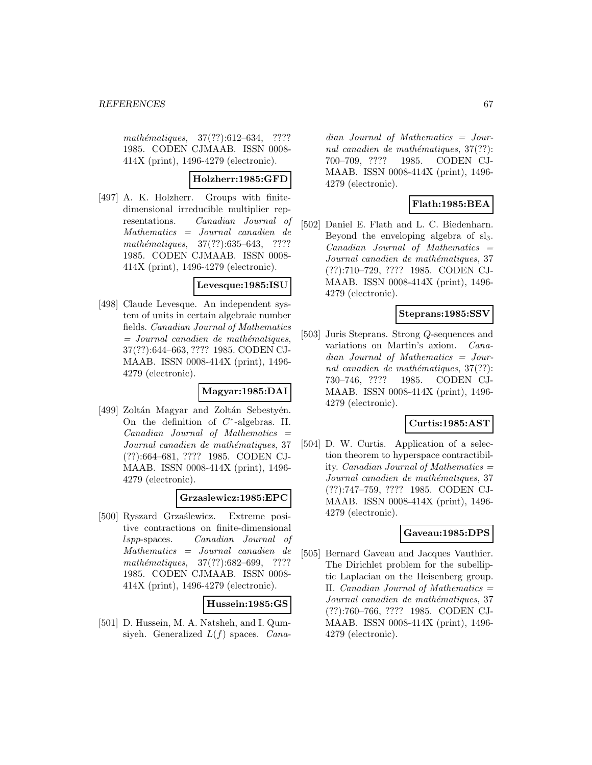mathématiques, 37(??):612–634, ???? 1985. CODEN CJMAAB. ISSN 0008- 414X (print), 1496-4279 (electronic).

# **Holzherr:1985:GFD**

[497] A. K. Holzherr. Groups with finitedimensional irreducible multiplier representations. Canadian Journal of Mathematics = Journal canadien de mathématiques,  $37(??):635–643$ , ???? 1985. CODEN CJMAAB. ISSN 0008- 414X (print), 1496-4279 (electronic).

### **Levesque:1985:ISU**

[498] Claude Levesque. An independent system of units in certain algebraic number fields. Canadian Journal of Mathematics  $=$  Journal canadien de mathématiques, 37(??):644–663, ???? 1985. CODEN CJ-MAAB. ISSN 0008-414X (print), 1496- 4279 (electronic).

### **Magyar:1985:DAI**

[499] Zoltán Magyar and Zoltán Sebestyén. On the definition of  $C^*$ -algebras. II.  $Canadian$  Journal of Mathematics  $=$ Journal canadien de mathématiques, 37 (??):664–681, ???? 1985. CODEN CJ-MAAB. ISSN 0008-414X (print), 1496- 4279 (electronic).

### **Grzaslewicz:1985:EPC**

[500] Ryszard Grzaślewicz. Extreme positive contractions on finite-dimensional lspp-spaces. Canadian Journal of Mathematics = Journal canadien de mathématiques, 37(??):682–699, ???? 1985. CODEN CJMAAB. ISSN 0008- 414X (print), 1496-4279 (electronic).

# **Hussein:1985:GS**

[501] D. Hussein, M. A. Natsheh, and I. Qumsiyeh. Generalized  $L(f)$  spaces. *Cana-* dian Journal of Mathematics = Journal canadien de mathématiques,  $37(??)$ : 700–709, ???? 1985. CODEN CJ-MAAB. ISSN 0008-414X (print), 1496- 4279 (electronic).

# **Flath:1985:BEA**

[502] Daniel E. Flath and L. C. Biedenharn. Beyond the enveloping algebra of  $sl<sub>3</sub>$ .  $Canadian$  Journal of Mathematics  $=$ Journal canadien de mathématiques, 37 (??):710–729, ???? 1985. CODEN CJ-MAAB. ISSN 0008-414X (print), 1496- 4279 (electronic).

# **Steprans:1985:SSV**

[503] Juris Steprans. Strong Q-sequences and variations on Martin's axiom. Canadian Journal of Mathematics = Journal canadien de mathématiques,  $37(??)$ : 730–746, ???? 1985. CODEN CJ-MAAB. ISSN 0008-414X (print), 1496- 4279 (electronic).

# **Curtis:1985:AST**

[504] D. W. Curtis. Application of a selection theorem to hyperspace contractibility. Canadian Journal of Mathematics = Journal canadien de mathématiques, 37 (??):747–759, ???? 1985. CODEN CJ-MAAB. ISSN 0008-414X (print), 1496- 4279 (electronic).

### **Gaveau:1985:DPS**

[505] Bernard Gaveau and Jacques Vauthier. The Dirichlet problem for the subelliptic Laplacian on the Heisenberg group. II. Canadian Journal of Mathematics  $=$ Journal canadien de mathématiques, 37 (??):760–766, ???? 1985. CODEN CJ-MAAB. ISSN 0008-414X (print), 1496- 4279 (electronic).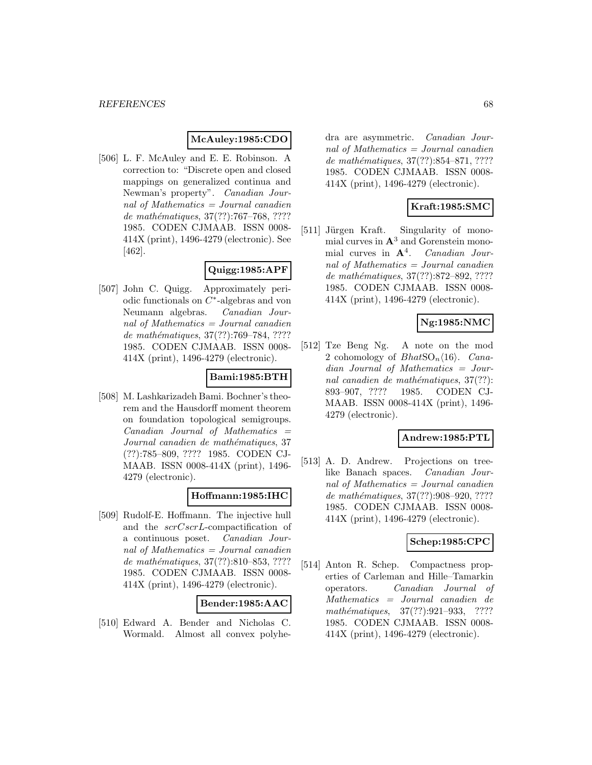# **McAuley:1985:CDO**

[506] L. F. McAuley and E. E. Robinson. A correction to: "Discrete open and closed mappings on generalized continua and Newman's property". Canadian Journal of Mathematics = Journal canadien de mathématiques,  $37(??):767-768, ????$ 1985. CODEN CJMAAB. ISSN 0008- 414X (print), 1496-4279 (electronic). See [462].

# **Quigg:1985:APF**

[507] John C. Quigg. Approximately periodic functionals on C∗-algebras and von Neumann algebras. Canadian Journal of Mathematics  $=$  Journal canadien de mathématiques, 37(??):769-784, ???? 1985. CODEN CJMAAB. ISSN 0008- 414X (print), 1496-4279 (electronic).

# **Bami:1985:BTH**

[508] M. Lashkarizadeh Bami. Bochner's theorem and the Hausdorff moment theorem on foundation topological semigroups.  $Canadian$  Journal of Mathematics  $=$ Journal canadien de mathématiques, 37 (??):785–809, ???? 1985. CODEN CJ-MAAB. ISSN 0008-414X (print), 1496- 4279 (electronic).

### **Hoffmann:1985:IHC**

[509] Rudolf-E. Hoffmann. The injective hull and the scrCscrL-compactification of a continuous poset. Canadian Journal of Mathematics = Journal canadien de mathématiques, 37(??):810–853, ???? 1985. CODEN CJMAAB. ISSN 0008- 414X (print), 1496-4279 (electronic).

### **Bender:1985:AAC**

[510] Edward A. Bender and Nicholas C. Wormald. Almost all convex polyhe-

dra are asymmetric. Canadian Journal of Mathematics = Journal canadien de mathématiques, 37(??):854–871, ???? 1985. CODEN CJMAAB. ISSN 0008- 414X (print), 1496-4279 (electronic).

# **Kraft:1985:SMC**

[511] Jürgen Kraft. Singularity of monomial curves in **A**<sup>3</sup> and Gorenstein monomial curves in **A**<sup>4</sup>. Canadian Journal of Mathematics = Journal canadien de mathématiques, 37(??):872–892, ???? 1985. CODEN CJMAAB. ISSN 0008- 414X (print), 1496-4279 (electronic).

# **Ng:1985:NMC**

[512] Tze Beng Ng. A note on the mod 2 cohomology of  $BhatSO_n\langle 16 \rangle$ . Canadian Journal of Mathematics = Journal canadien de mathématiques,  $37(??)$ : 893–907, ???? 1985. CODEN CJ-MAAB. ISSN 0008-414X (print), 1496- 4279 (electronic).

### **Andrew:1985:PTL**

[513] A. D. Andrew. Projections on treelike Banach spaces. Canadian Journal of Mathematics = Journal canadien de mathématiques, 37(??):908-920, ???? 1985. CODEN CJMAAB. ISSN 0008- 414X (print), 1496-4279 (electronic).

### **Schep:1985:CPC**

[514] Anton R. Schep. Compactness properties of Carleman and Hille–Tamarkin operators. Canadian Journal of Mathematics = Journal canadien de mathématiques, 37(??):921-933, ???? 1985. CODEN CJMAAB. ISSN 0008- 414X (print), 1496-4279 (electronic).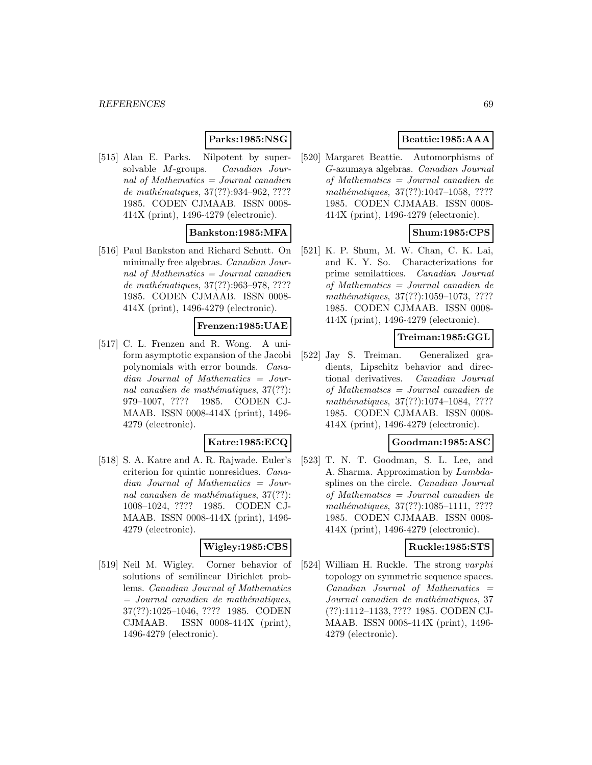# **Parks:1985:NSG**

[515] Alan E. Parks. Nilpotent by supersolvable M-groups. Canadian Journal of Mathematics  $=$  Journal canadien de mathématiques, 37(??):934-962, ???? 1985. CODEN CJMAAB. ISSN 0008- 414X (print), 1496-4279 (electronic).

# **Bankston:1985:MFA**

[516] Paul Bankston and Richard Schutt. On minimally free algebras. Canadian Journal of Mathematics = Journal canadien de mathématiques, 37(??):963-978, ???? 1985. CODEN CJMAAB. ISSN 0008- 414X (print), 1496-4279 (electronic).

### **Frenzen:1985:UAE**

[517] C. L. Frenzen and R. Wong. A uniform asymptotic expansion of the Jacobi polynomials with error bounds. Canadian Journal of Mathematics = Journal canadien de mathématiques,  $37(??)$ : 979–1007, ???? 1985. CODEN CJ-MAAB. ISSN 0008-414X (print), 1496- 4279 (electronic).

### **Katre:1985:ECQ**

[518] S. A. Katre and A. R. Rajwade. Euler's criterion for quintic nonresidues. Canadian Journal of Mathematics = Journal canadien de mathématiques,  $37(??)$ : 1008–1024, ???? 1985. CODEN CJ-MAAB. ISSN 0008-414X (print), 1496- 4279 (electronic).

### **Wigley:1985:CBS**

[519] Neil M. Wigley. Corner behavior of solutions of semilinear Dirichlet problems. Canadian Journal of Mathematics  $=$  Journal canadien de mathématiques, 37(??):1025–1046, ???? 1985. CODEN CJMAAB. ISSN 0008-414X (print), 1496-4279 (electronic).

# **Beattie:1985:AAA**

[520] Margaret Beattie. Automorphisms of G-azumaya algebras. Canadian Journal of Mathematics = Journal canadien de mathématiques, 37(??):1047-1058, ???? 1985. CODEN CJMAAB. ISSN 0008- 414X (print), 1496-4279 (electronic).

# **Shum:1985:CPS**

[521] K. P. Shum, M. W. Chan, C. K. Lai, and K. Y. So. Characterizations for prime semilattices. Canadian Journal of Mathematics = Journal canadien de mathématiques, 37(??):1059-1073, ???? 1985. CODEN CJMAAB. ISSN 0008- 414X (print), 1496-4279 (electronic).

## **Treiman:1985:GGL**

[522] Jay S. Treiman. Generalized gradients, Lipschitz behavior and directional derivatives. Canadian Journal of Mathematics = Journal canadien de mathématiques,  $37(??):1074-1084$ , ???? 1985. CODEN CJMAAB. ISSN 0008- 414X (print), 1496-4279 (electronic).

### **Goodman:1985:ASC**

[523] T. N. T. Goodman, S. L. Lee, and A. Sharma. Approximation by Lambdasplines on the circle. Canadian Journal of Mathematics = Journal canadien de mathématiques, 37(??):1085-1111, ???? 1985. CODEN CJMAAB. ISSN 0008- 414X (print), 1496-4279 (electronic).

#### **Ruckle:1985:STS**

[524] William H. Ruckle. The strong varphi topology on symmetric sequence spaces.  $Canadian$  Journal of Mathematics  $=$ Journal canadien de mathématiques, 37 (??):1112–1133, ???? 1985. CODEN CJ-MAAB. ISSN 0008-414X (print), 1496- 4279 (electronic).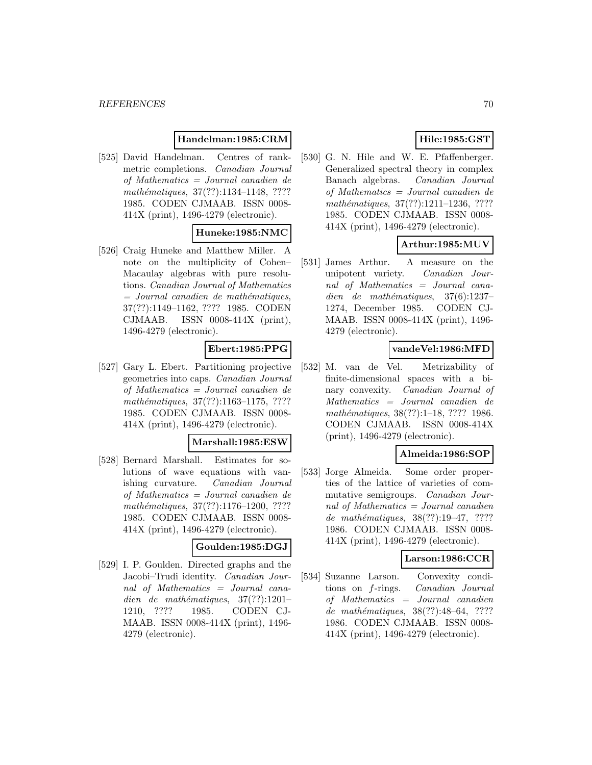# **Handelman:1985:CRM**

[525] David Handelman. Centres of rankmetric completions. Canadian Journal of Mathematics = Journal canadien de mathématiques, 37(??):1134-1148, ???? 1985. CODEN CJMAAB. ISSN 0008- 414X (print), 1496-4279 (electronic).

# **Huneke:1985:NMC**

[526] Craig Huneke and Matthew Miller. A note on the multiplicity of Cohen– Macaulay algebras with pure resolutions. Canadian Journal of Mathematics  $=$  Journal canadien de mathématiques, 37(??):1149–1162, ???? 1985. CODEN CJMAAB. ISSN 0008-414X (print), 1496-4279 (electronic).

# **Ebert:1985:PPG**

[527] Gary L. Ebert. Partitioning projective geometries into caps. Canadian Journal of Mathematics = Journal canadien de mathématiques, 37(??):1163-1175, ???? 1985. CODEN CJMAAB. ISSN 0008- 414X (print), 1496-4279 (electronic).

### **Marshall:1985:ESW**

[528] Bernard Marshall. Estimates for solutions of wave equations with vanishing curvature. Canadian Journal of Mathematics = Journal canadien de mathématiques, 37(??):1176-1200, ???? 1985. CODEN CJMAAB. ISSN 0008- 414X (print), 1496-4279 (electronic).

#### **Goulden:1985:DGJ**

[529] I. P. Goulden. Directed graphs and the Jacobi–Trudi identity. Canadian Journal of Mathematics = Journal canadien de mathématiques,  $37(??):1201-$ 1210, ???? 1985. CODEN CJ-MAAB. ISSN 0008-414X (print), 1496- 4279 (electronic).

# **Hile:1985:GST**

[530] G. N. Hile and W. E. Pfaffenberger. Generalized spectral theory in complex Banach algebras. Canadian Journal of Mathematics = Journal canadien de mathématiques, 37(??):1211-1236, ???? 1985. CODEN CJMAAB. ISSN 0008- 414X (print), 1496-4279 (electronic).

# **Arthur:1985:MUV**

[531] James Arthur. A measure on the unipotent variety. Canadian Journal of Mathematics = Journal canadien de mathématiques,  $37(6):1237-$ 1274, December 1985. CODEN CJ-MAAB. ISSN 0008-414X (print), 1496- 4279 (electronic).

# **vandeVel:1986:MFD**

[532] M. van de Vel. Metrizability of finite-dimensional spaces with a binary convexity. Canadian Journal of Mathematics = Journal canadien de mathématiques, 38(??):1–18, ???? 1986. CODEN CJMAAB. ISSN 0008-414X (print), 1496-4279 (electronic).

# **Almeida:1986:SOP**

[533] Jorge Almeida. Some order properties of the lattice of varieties of commutative semigroups. Canadian Journal of Mathematics = Journal canadien de mathématiques,  $38(??):19-47, ????$ 1986. CODEN CJMAAB. ISSN 0008- 414X (print), 1496-4279 (electronic).

### **Larson:1986:CCR**

[534] Suzanne Larson. Convexity conditions on f-rings. Canadian Journal of Mathematics = Journal canadien de mathématiques, 38(??):48–64, ???? 1986. CODEN CJMAAB. ISSN 0008- 414X (print), 1496-4279 (electronic).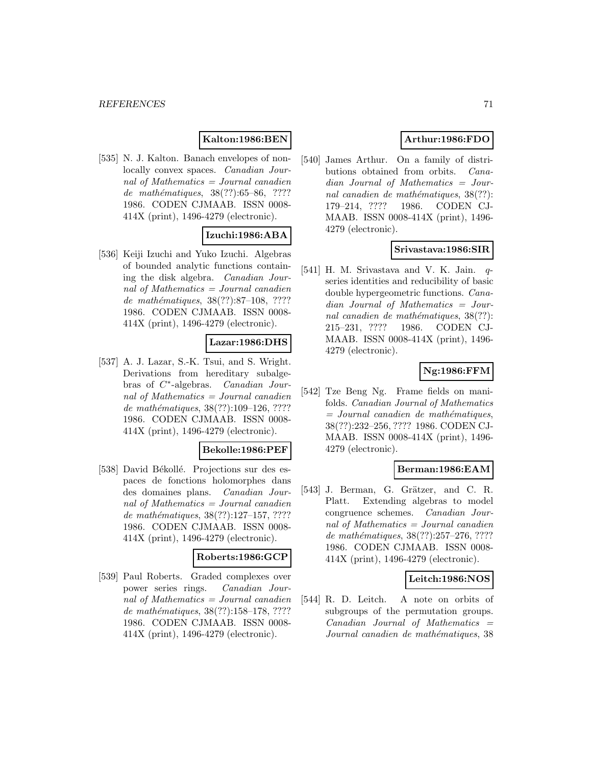# **Kalton:1986:BEN**

[535] N. J. Kalton. Banach envelopes of nonlocally convex spaces. Canadian Journal of Mathematics = Journal canadien de mathématiques, 38(??):65–86, ???? 1986. CODEN CJMAAB. ISSN 0008- 414X (print), 1496-4279 (electronic).

# **Izuchi:1986:ABA**

[536] Keiji Izuchi and Yuko Izuchi. Algebras of bounded analytic functions containing the disk algebra. Canadian Journal of Mathematics = Journal canadien de mathématiques,  $38(??):87-108$ , ???? 1986. CODEN CJMAAB. ISSN 0008- 414X (print), 1496-4279 (electronic).

### **Lazar:1986:DHS**

[537] A. J. Lazar, S.-K. Tsui, and S. Wright. Derivations from hereditary subalgebras of C∗-algebras. Canadian Journal of Mathematics  $=$  Journal canadien de mathématiques,  $38(??):109-126, ????$ 1986. CODEN CJMAAB. ISSN 0008- 414X (print), 1496-4279 (electronic).

### **Bekolle:1986:PEF**

[538] David Békollé. Projections sur des espaces de fonctions holomorphes dans des domaines plans. Canadian Journal of Mathematics = Journal canadien de mathématiques, 38(??):127-157, ???? 1986. CODEN CJMAAB. ISSN 0008- 414X (print), 1496-4279 (electronic).

### **Roberts:1986:GCP**

[539] Paul Roberts. Graded complexes over power series rings. Canadian Journal of Mathematics  $=$  Journal canadien de mathématiques, 38(??):158–178, ???? 1986. CODEN CJMAAB. ISSN 0008- 414X (print), 1496-4279 (electronic).

# **Arthur:1986:FDO**

[540] James Arthur. On a family of distributions obtained from orbits. Canadian Journal of Mathematics = Journal canadien de mathématiques,  $38(??)$ : 179–214, ???? 1986. CODEN CJ-MAAB. ISSN 0008-414X (print), 1496- 4279 (electronic).

### **Srivastava:1986:SIR**

 $[541]$  H. M. Srivastava and V. K. Jain. series identities and reducibility of basic double hypergeometric functions. Canadian Journal of Mathematics = Journal canadien de mathématiques,  $38(??)$ : 215–231, ???? 1986. CODEN CJ-MAAB. ISSN 0008-414X (print), 1496- 4279 (electronic).

## **Ng:1986:FFM**

[542] Tze Beng Ng. Frame fields on manifolds. Canadian Journal of Mathematics  $=$  Journal canadien de mathématiques, 38(??):232–256, ???? 1986. CODEN CJ-MAAB. ISSN 0008-414X (print), 1496- 4279 (electronic).

### **Berman:1986:EAM**

[543] J. Berman, G. Grätzer, and C. R. Platt. Extending algebras to model congruence schemes. Canadian Journal of Mathematics = Journal canadien de mathématiques, 38(??):257-276, ???? 1986. CODEN CJMAAB. ISSN 0008- 414X (print), 1496-4279 (electronic).

### **Leitch:1986:NOS**

[544] R. D. Leitch. A note on orbits of subgroups of the permutation groups.  $Canadian$  Journal of Mathematics  $=$ Journal canadien de mathématiques, 38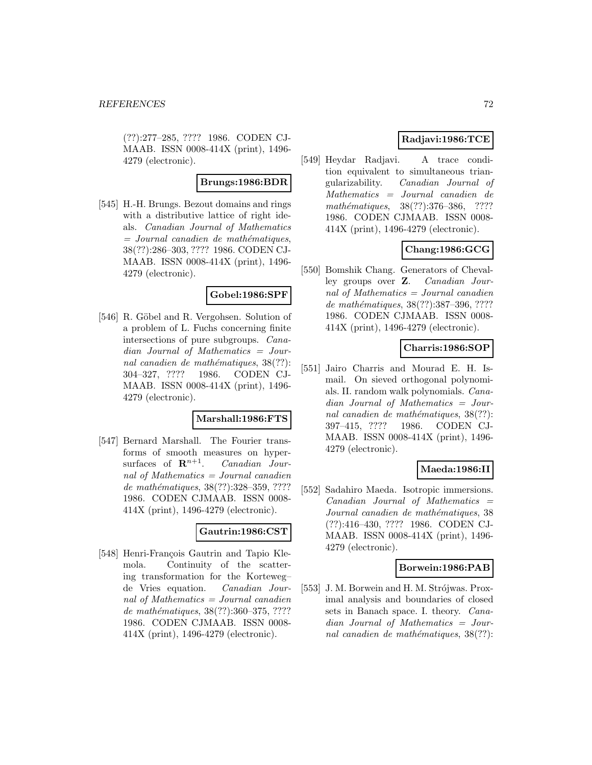(??):277–285, ???? 1986. CODEN CJ-MAAB. ISSN 0008-414X (print), 1496- 4279 (electronic).

#### **Brungs:1986:BDR**

[545] H.-H. Brungs. Bezout domains and rings with a distributive lattice of right ideals. Canadian Journal of Mathematics  $=$  Journal canadien de mathématiques, 38(??):286–303, ???? 1986. CODEN CJ-MAAB. ISSN 0008-414X (print), 1496- 4279 (electronic).

#### **Gobel:1986:SPF**

[546] R. Göbel and R. Vergohsen. Solution of a problem of L. Fuchs concerning finite intersections of pure subgroups. Canadian Journal of Mathematics = Journal canadien de mathématiques,  $38(??)$ : 304–327, ???? 1986. CODEN CJ-MAAB. ISSN 0008-414X (print), 1496- 4279 (electronic).

#### **Marshall:1986:FTS**

[547] Bernard Marshall. The Fourier transforms of smooth measures on hypersurfaces of  $\mathbb{R}^{n+1}$ . *Canadian Jour*nal of Mathematics = Journal canadien de mathématiques, 38(??):328-359, ???? 1986. CODEN CJMAAB. ISSN 0008- 414X (print), 1496-4279 (electronic).

# **Gautrin:1986:CST**

[548] Henri-François Gautrin and Tapio Klemola. Continuity of the scattering transformation for the Korteweg– de Vries equation. Canadian Journal of Mathematics = Journal canadien de mathématiques, 38(??):360–375, ???? 1986. CODEN CJMAAB. ISSN 0008- 414X (print), 1496-4279 (electronic).

# **Radjavi:1986:TCE**

[549] Heydar Radjavi. A trace condition equivalent to simultaneous triangularizability. Canadian Journal of Mathematics = Journal canadien de mathématiques, 38(??):376–386, ???? 1986. CODEN CJMAAB. ISSN 0008- 414X (print), 1496-4279 (electronic).

# **Chang:1986:GCG**

[550] Bomshik Chang. Generators of Chevalley groups over **Z**. Canadian Journal of Mathematics = Journal canadien de mathématiques, 38(??):387-396, ???? 1986. CODEN CJMAAB. ISSN 0008- 414X (print), 1496-4279 (electronic).

### **Charris:1986:SOP**

[551] Jairo Charris and Mourad E. H. Ismail. On sieved orthogonal polynomials. II. random walk polynomials. Canadian Journal of Mathematics = Journal canadien de mathématiques,  $38(??)$ : 397–415, ???? 1986. CODEN CJ-MAAB. ISSN 0008-414X (print), 1496- 4279 (electronic).

### **Maeda:1986:II**

[552] Sadahiro Maeda. Isotropic immersions.  $Canadian$  Journal of Mathematics  $=$ Journal canadien de mathématiques, 38 (??):416–430, ???? 1986. CODEN CJ-MAAB. ISSN 0008-414X (print), 1496- 4279 (electronic).

### **Borwein:1986:PAB**

[553] J. M. Borwein and H. M. Strójwas. Proximal analysis and boundaries of closed sets in Banach space. I. theory. Canadian Journal of Mathematics = Journal canadien de mathématiques,  $38(??)$ :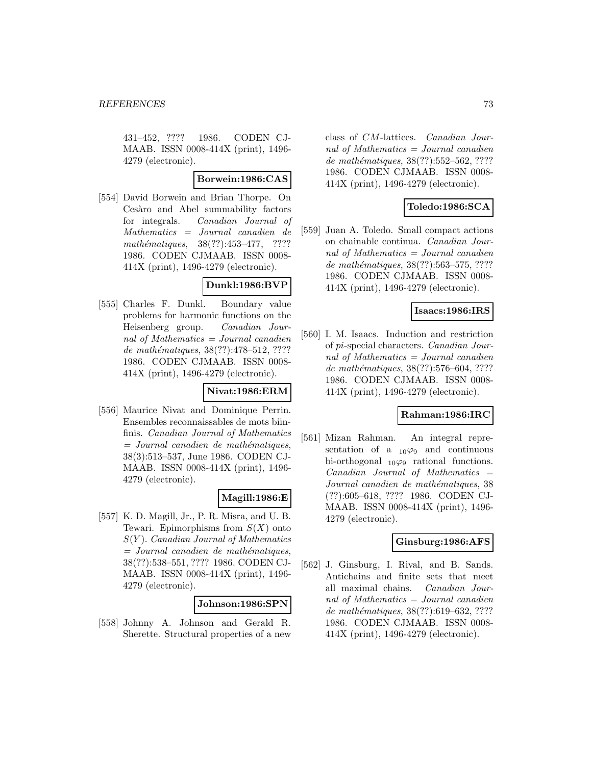431–452, ???? 1986. CODEN CJ-MAAB. ISSN 0008-414X (print), 1496- 4279 (electronic).

#### **Borwein:1986:CAS**

[554] David Borwein and Brian Thorpe. On Cesàro and Abel summability factors for integrals. Canadian Journal of Mathematics = Journal canadien de mathématiques,  $38(??):453-477$ , ???? 1986. CODEN CJMAAB. ISSN 0008- 414X (print), 1496-4279 (electronic).

### **Dunkl:1986:BVP**

[555] Charles F. Dunkl. Boundary value problems for harmonic functions on the Heisenberg group. Canadian Journal of Mathematics = Journal canadien de mathématiques, 38(??):478-512, ???? 1986. CODEN CJMAAB. ISSN 0008- 414X (print), 1496-4279 (electronic).

### **Nivat:1986:ERM**

[556] Maurice Nivat and Dominique Perrin. Ensembles reconnaissables de mots biinfinis. Canadian Journal of Mathematics  $=$  Journal canadien de mathématiques, 38(3):513–537, June 1986. CODEN CJ-MAAB. ISSN 0008-414X (print), 1496- 4279 (electronic).

# **Magill:1986:E**

[557] K. D. Magill, Jr., P. R. Misra, and U. B. Tewari. Epimorphisms from  $S(X)$  onto  $S(Y)$ . Canadian Journal of Mathematics  $=$  Journal canadien de mathématiques, 38(??):538–551, ???? 1986. CODEN CJ-MAAB. ISSN 0008-414X (print), 1496- 4279 (electronic).

### **Johnson:1986:SPN**

[558] Johnny A. Johnson and Gerald R. Sherette. Structural properties of a new

class of CM-lattices. Canadian Journal of Mathematics = Journal canadien de mathématiques, 38(??):552–562, ???? 1986. CODEN CJMAAB. ISSN 0008- 414X (print), 1496-4279 (electronic).

# **Toledo:1986:SCA**

[559] Juan A. Toledo. Small compact actions on chainable continua. Canadian Journal of Mathematics = Journal canadien de mathématiques, 38(??):563–575, ???? 1986. CODEN CJMAAB. ISSN 0008- 414X (print), 1496-4279 (electronic).

## **Isaacs:1986:IRS**

[560] I. M. Isaacs. Induction and restriction of pi-special characters. Canadian Journal of Mathematics = Journal canadien de mathématiques, 38(??):576–604, ???? 1986. CODEN CJMAAB. ISSN 0008- 414X (print), 1496-4279 (electronic).

# **Rahman:1986:IRC**

[561] Mizan Rahman. An integral representation of a  $_{10}\varphi_9$  and continuous bi-orthogonal  $_{10}\varphi_9$  rational functions. Canadian Journal of Mathematics = Journal canadien de mathématiques, 38 (??):605–618, ???? 1986. CODEN CJ-MAAB. ISSN 0008-414X (print), 1496- 4279 (electronic).

# **Ginsburg:1986:AFS**

[562] J. Ginsburg, I. Rival, and B. Sands. Antichains and finite sets that meet all maximal chains. Canadian Journal of Mathematics = Journal canadien de mathématiques, 38(??):619–632, ???? 1986. CODEN CJMAAB. ISSN 0008- 414X (print), 1496-4279 (electronic).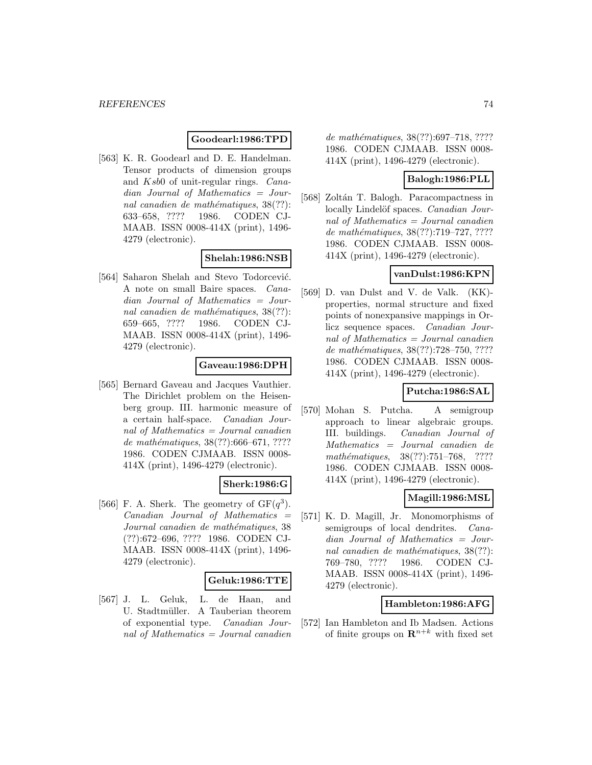## **Goodearl:1986:TPD**

[563] K. R. Goodearl and D. E. Handelman. Tensor products of dimension groups and Ksb0 of unit-regular rings. Canadian Journal of Mathematics = Journal canadien de mathématiques,  $38(??)$ : 633–658, ???? 1986. CODEN CJ-MAAB. ISSN 0008-414X (print), 1496- 4279 (electronic).

## **Shelah:1986:NSB**

[564] Saharon Shelah and Stevo Todorcević. A note on small Baire spaces. Canadian Journal of Mathematics = Journal canadien de mathématiques,  $38(??)$ : 659–665, ???? 1986. CODEN CJ-MAAB. ISSN 0008-414X (print), 1496- 4279 (electronic).

# **Gaveau:1986:DPH**

[565] Bernard Gaveau and Jacques Vauthier. The Dirichlet problem on the Heisenberg group. III. harmonic measure of a certain half-space. Canadian Journal of Mathematics = Journal canadien de mathématiques,  $38(??):666–671, ????$ 1986. CODEN CJMAAB. ISSN 0008- 414X (print), 1496-4279 (electronic).

### **Sherk:1986:G**

[566] F. A. Sherk. The geometry of  $GF(q^3)$ .  $Canadian$  Journal of Mathematics  $=$ Journal canadien de mathématiques, 38 (??):672–696, ???? 1986. CODEN CJ-MAAB. ISSN 0008-414X (print), 1496- 4279 (electronic).

### **Geluk:1986:TTE**

[567] J. L. Geluk, L. de Haan, and U. Stadtmüller. A Tauberian theorem of exponential type. Canadian Journal of Mathematics = Journal canadien

de mathématiques, 38(??):697–718, ???? 1986. CODEN CJMAAB. ISSN 0008- 414X (print), 1496-4279 (electronic).

## **Balogh:1986:PLL**

[568] Zoltán T. Balogh. Paracompactness in locally Lindelöf spaces. Canadian Journal of Mathematics = Journal canadien de mathématiques, 38(??):719–727, ????? 1986. CODEN CJMAAB. ISSN 0008- 414X (print), 1496-4279 (electronic).

## **vanDulst:1986:KPN**

[569] D. van Dulst and V. de Valk. (KK) properties, normal structure and fixed points of nonexpansive mappings in Orlicz sequence spaces. Canadian Journal of Mathematics = Journal canadien de mathématiques, 38(??):728-750, ???? 1986. CODEN CJMAAB. ISSN 0008- 414X (print), 1496-4279 (electronic).

# **Putcha:1986:SAL**

[570] Mohan S. Putcha. A semigroup approach to linear algebraic groups. III. buildings. Canadian Journal of Mathematics = Journal canadien de mathématiques, 38(??):751–768, ???? 1986. CODEN CJMAAB. ISSN 0008- 414X (print), 1496-4279 (electronic).

### **Magill:1986:MSL**

[571] K. D. Magill, Jr. Monomorphisms of semigroups of local dendrites. *Cana*dian Journal of Mathematics = Journal canadien de mathématiques,  $38(??)$ : 769–780, ???? 1986. CODEN CJ-MAAB. ISSN 0008-414X (print), 1496- 4279 (electronic).

#### **Hambleton:1986:AFG**

[572] Ian Hambleton and Ib Madsen. Actions of finite groups on  $\mathbb{R}^{n+k}$  with fixed set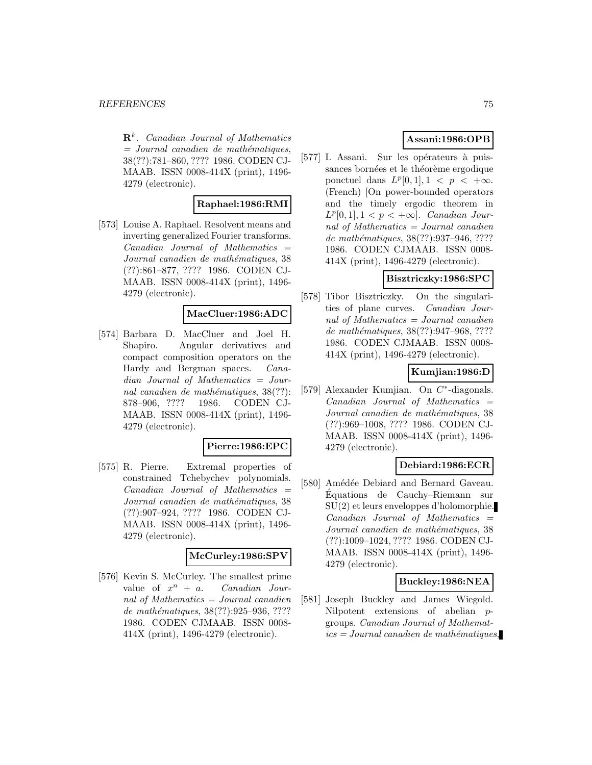**R**<sup>k</sup>. Canadian Journal of Mathematics  $=$  Journal canadien de mathématiques, 38(??):781–860, ???? 1986. CODEN CJ-MAAB. ISSN 0008-414X (print), 1496- 4279 (electronic).

### **Raphael:1986:RMI**

[573] Louise A. Raphael. Resolvent means and inverting generalized Fourier transforms.  $Canadian$  Journal of Mathematics  $=$ Journal canadien de mathématiques, 38 (??):861–877, ???? 1986. CODEN CJ-MAAB. ISSN 0008-414X (print), 1496- 4279 (electronic).

## **MacCluer:1986:ADC**

[574] Barbara D. MacCluer and Joel H. Shapiro. Angular derivatives and compact composition operators on the Hardy and Bergman spaces. Canadian Journal of Mathematics = Journal canadien de mathématiques,  $38(??)$ : 878–906, ???? 1986. CODEN CJ-MAAB. ISSN 0008-414X (print), 1496- 4279 (electronic).

### **Pierre:1986:EPC**

[575] R. Pierre. Extremal properties of constrained Tchebychev polynomials. Canadian Journal of Mathematics = Journal canadien de mathématiques, 38 (??):907–924, ???? 1986. CODEN CJ-MAAB. ISSN 0008-414X (print), 1496- 4279 (electronic).

### **McCurley:1986:SPV**

[576] Kevin S. McCurley. The smallest prime value of  $x^n + a$ . Canadian Journal of Mathematics = Journal canadien de mathématiques, 38(??):925-936, ???? 1986. CODEN CJMAAB. ISSN 0008- 414X (print), 1496-4279 (electronic).

# **Assani:1986:OPB**

[577] I. Assani. Sur les opérateurs à puissances bornées et le théorème ergodique ponctuel dans  $L^p[0, 1], 1 \lt p \lt +\infty$ . (French) [On power-bounded operators and the timely ergodic theorem in  $L^p[0,1], 1 < p < +\infty$ . Canadian Journal of Mathematics = Journal canadien de mathématiques, 38(??):937-946, ???? 1986. CODEN CJMAAB. ISSN 0008- 414X (print), 1496-4279 (electronic).

# **Bisztriczky:1986:SPC**

[578] Tibor Bisztriczky. On the singularities of plane curves. Canadian Journal of Mathematics = Journal canadien de mathématiques, 38(??):947–968, ???? 1986. CODEN CJMAAB. ISSN 0008- 414X (print), 1496-4279 (electronic).

# **Kumjian:1986:D**

[579] Alexander Kumjian. On C∗-diagonals.  $Canadian$  Journal of Mathematics  $=$ Journal canadien de mathématiques, 38 (??):969–1008, ???? 1986. CODEN CJ-MAAB. ISSN 0008-414X (print), 1496- 4279 (electronic).

### **Debiard:1986:ECR**

[580] Amédée Debiard and Bernard Gaveau. Equations de Cauchy–Riemann sur ´ SU(2) et leurs enveloppes d'holomorphie.  $Canadian$  Journal of Mathematics  $=$ Journal canadien de mathématiques, 38 (??):1009–1024, ???? 1986. CODEN CJ-MAAB. ISSN 0008-414X (print), 1496- 4279 (electronic).

## **Buckley:1986:NEA**

[581] Joseph Buckley and James Wiegold. Nilpotent extensions of abelian pgroups. Canadian Journal of Mathemat $ics = Journal\,c$  and  $i$ emathématiques,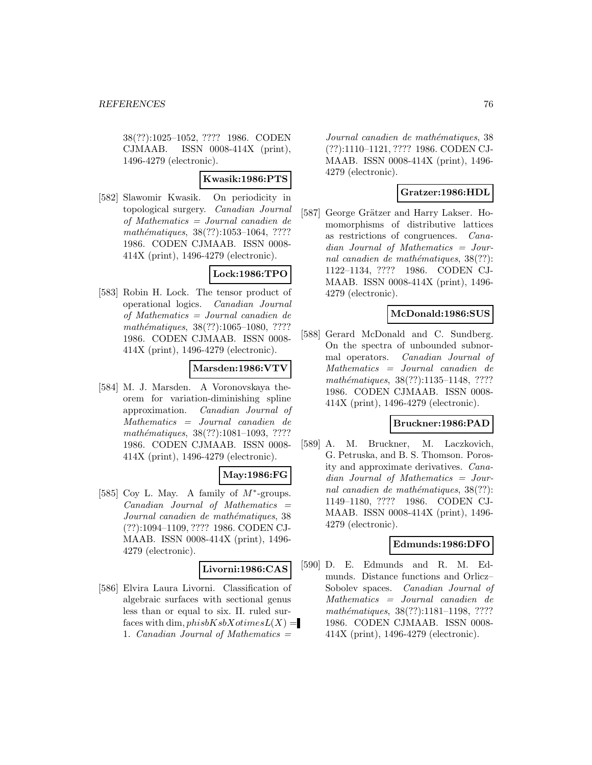38(??):1025–1052, ???? 1986. CODEN CJMAAB. ISSN 0008-414X (print), 1496-4279 (electronic).

## **Kwasik:1986:PTS**

[582] Slawomir Kwasik. On periodicity in topological surgery. Canadian Journal of Mathematics = Journal canadien de mathématiques, 38(??):1053-1064, ???? 1986. CODEN CJMAAB. ISSN 0008- 414X (print), 1496-4279 (electronic).

# **Lock:1986:TPO**

[583] Robin H. Lock. The tensor product of operational logics. Canadian Journal of Mathematics = Journal canadien de mathématiques, 38(??):1065-1080, ???? 1986. CODEN CJMAAB. ISSN 0008- 414X (print), 1496-4279 (electronic).

# **Marsden:1986:VTV**

[584] M. J. Marsden. A Voronovskaya theorem for variation-diminishing spline approximation. Canadian Journal of Mathematics = Journal canadien de mathématiques, 38(??):1081–1093, ???? 1986. CODEN CJMAAB. ISSN 0008- 414X (print), 1496-4279 (electronic).

# **May:1986:FG**

[585] Coy L. May. A family of  $M^*$ -groups.  $Canadian$  Journal of Mathematics  $=$ Journal canadien de mathématiques, 38 (??):1094–1109, ???? 1986. CODEN CJ-MAAB. ISSN 0008-414X (print), 1496- 4279 (electronic).

### **Livorni:1986:CAS**

[586] Elvira Laura Livorni. Classification of algebraic surfaces with sectional genus less than or equal to six. II. ruled surfaces with dim,  $phisbKsbXotimesL(X) =$ 1. Canadian Journal of Mathematics  $=$ 

Journal canadien de mathématiques, 38 (??):1110–1121, ???? 1986. CODEN CJ-MAAB. ISSN 0008-414X (print), 1496- 4279 (electronic).

# **Gratzer:1986:HDL**

[587] George Grätzer and Harry Lakser. Homomorphisms of distributive lattices as restrictions of congruences. Canadian Journal of Mathematics = Journal canadien de mathématiques,  $38(??)$ : 1122–1134, ???? 1986. CODEN CJ-MAAB. ISSN 0008-414X (print), 1496- 4279 (electronic).

# **McDonald:1986:SUS**

[588] Gerard McDonald and C. Sundberg. On the spectra of unbounded subnormal operators. Canadian Journal of Mathematics = Journal canadien de mathématiques, 38(??):1135–1148, ???? 1986. CODEN CJMAAB. ISSN 0008- 414X (print), 1496-4279 (electronic).

### **Bruckner:1986:PAD**

[589] A. M. Bruckner, M. Laczkovich, G. Petruska, and B. S. Thomson. Porosity and approximate derivatives. Canadian Journal of Mathematics = Journal canadien de mathématiques,  $38(??)$ : 1149–1180, ???? 1986. CODEN CJ-MAAB. ISSN 0008-414X (print), 1496- 4279 (electronic).

### **Edmunds:1986:DFO**

[590] D. E. Edmunds and R. M. Edmunds. Distance functions and Orlicz– Sobolev spaces. Canadian Journal of Mathematics = Journal canadien de mathématiques, 38(??):1181-1198, ???? 1986. CODEN CJMAAB. ISSN 0008- 414X (print), 1496-4279 (electronic).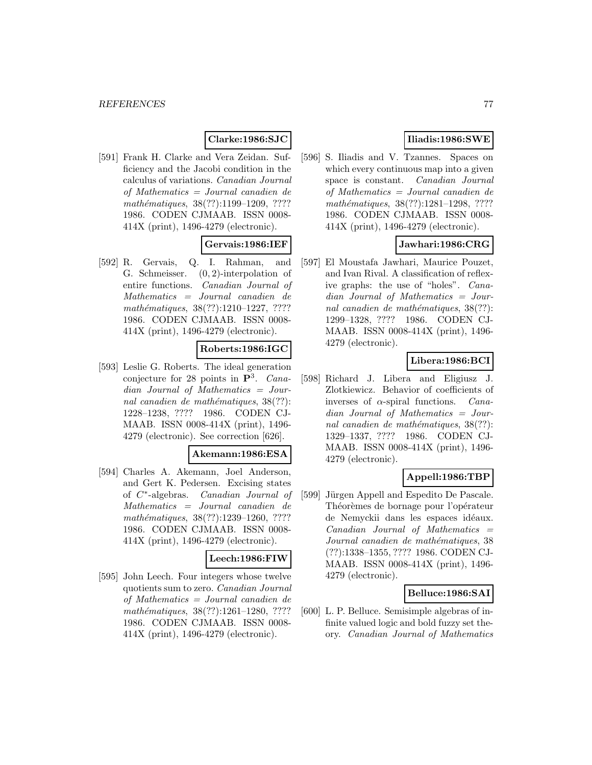# **Clarke:1986:SJC**

[591] Frank H. Clarke and Vera Zeidan. Sufficiency and the Jacobi condition in the calculus of variations. Canadian Journal of Mathematics = Journal canadien de mathématiques, 38(??):1199–1209, ???? 1986. CODEN CJMAAB. ISSN 0008- 414X (print), 1496-4279 (electronic).

## **Gervais:1986:IEF**

[592] R. Gervais, Q. I. Rahman, and G. Schmeisser. (0, 2)-interpolation of entire functions. Canadian Journal of Mathematics = Journal canadien de mathématiques,  $38(??):1210-1227, ????$ 1986. CODEN CJMAAB. ISSN 0008- 414X (print), 1496-4279 (electronic).

### **Roberts:1986:IGC**

[593] Leslie G. Roberts. The ideal generation conjecture for 28 points in **P**<sup>3</sup>. Canadian Journal of Mathematics = Journal canadien de mathématiques,  $38(??)$ : 1228–1238, ???? 1986. CODEN CJ-MAAB. ISSN 0008-414X (print), 1496- 4279 (electronic). See correction [626].

#### **Akemann:1986:ESA**

[594] Charles A. Akemann, Joel Anderson, and Gert K. Pedersen. Excising states of C∗-algebras. Canadian Journal of Mathematics = Journal canadien de mathématiques, 38(??):1239-1260, ???? 1986. CODEN CJMAAB. ISSN 0008- 414X (print), 1496-4279 (electronic).

## **Leech:1986:FIW**

[595] John Leech. Four integers whose twelve quotients sum to zero. Canadian Journal of Mathematics = Journal canadien de mathématiques, 38(??):1261-1280, ???? 1986. CODEN CJMAAB. ISSN 0008- 414X (print), 1496-4279 (electronic).

# **Iliadis:1986:SWE**

[596] S. Iliadis and V. Tzannes. Spaces on which every continuous map into a given space is constant. Canadian Journal of Mathematics = Journal canadien de mathématiques, 38(??):1281-1298, ???? 1986. CODEN CJMAAB. ISSN 0008- 414X (print), 1496-4279 (electronic).

# **Jawhari:1986:CRG**

[597] El Moustafa Jawhari, Maurice Pouzet, and Ivan Rival. A classification of reflexive graphs: the use of "holes". Canadian Journal of Mathematics = Journal canadien de mathématiques,  $38(??)$ : 1299–1328, ???? 1986. CODEN CJ-MAAB. ISSN 0008-414X (print), 1496- 4279 (electronic).

# **Libera:1986:BCI**

[598] Richard J. Libera and Eligiusz J. Zlotkiewicz. Behavior of coefficients of inverses of  $\alpha$ -spiral functions. *Cana*dian Journal of Mathematics = Journal canadien de mathématiques,  $38(??)$ : 1329–1337, ???? 1986. CODEN CJ-MAAB. ISSN 0008-414X (print), 1496- 4279 (electronic).

# **Appell:1986:TBP**

[599] Jürgen Appell and Espedito De Pascale. Théorèmes de bornage pour l'opérateur de Nemyckii dans les espaces idéaux.  $Canadian$  Journal of Mathematics  $=$ Journal canadien de mathématiques, 38 (??):1338–1355, ???? 1986. CODEN CJ-MAAB. ISSN 0008-414X (print), 1496- 4279 (electronic).

### **Belluce:1986:SAI**

[600] L. P. Belluce. Semisimple algebras of infinite valued logic and bold fuzzy set theory. Canadian Journal of Mathematics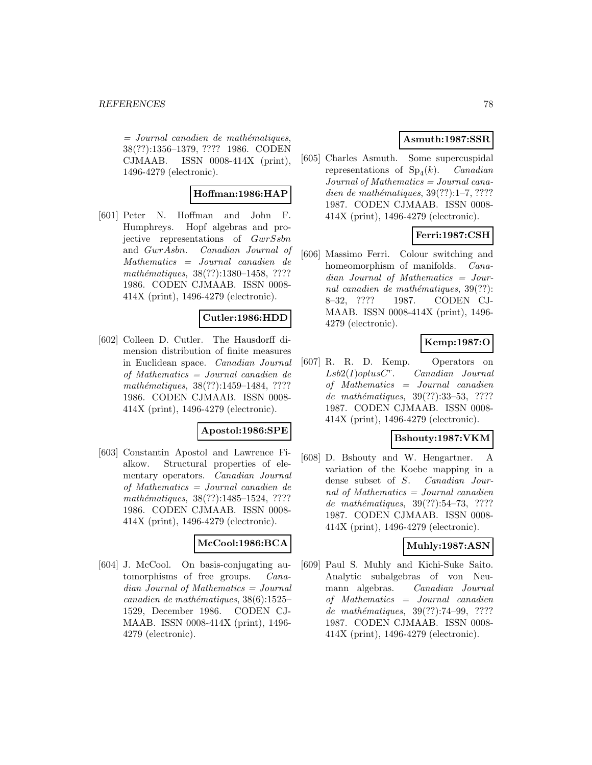$=$  Journal canadien de mathématiques, 38(??):1356–1379, ???? 1986. CODEN CJMAAB. ISSN 0008-414X (print), 1496-4279 (electronic).

# **Hoffman:1986:HAP**

[601] Peter N. Hoffman and John F. Humphreys. Hopf algebras and projective representations of GwrSsbn and GwrAsbn. Canadian Journal of Mathematics = Journal canadien de mathématiques, 38(??):1380–1458, ???? 1986. CODEN CJMAAB. ISSN 0008- 414X (print), 1496-4279 (electronic).

# **Cutler:1986:HDD**

[602] Colleen D. Cutler. The Hausdorff dimension distribution of finite measures in Euclidean space. Canadian Journal of Mathematics = Journal canadien de mathématiques, 38(??):1459–1484, ???? 1986. CODEN CJMAAB. ISSN 0008- 414X (print), 1496-4279 (electronic).

# **Apostol:1986:SPE**

[603] Constantin Apostol and Lawrence Fialkow. Structural properties of elementary operators. Canadian Journal of Mathematics = Journal canadien de mathématiques, 38(??):1485-1524, ???? 1986. CODEN CJMAAB. ISSN 0008- 414X (print), 1496-4279 (electronic).

### **McCool:1986:BCA**

[604] J. McCool. On basis-conjugating automorphisms of free groups. Canadian Journal of Mathematics = Journal canadien de mathématiques,  $38(6):1525-$ 1529, December 1986. CODEN CJ-MAAB. ISSN 0008-414X (print), 1496- 4279 (electronic).

# **Asmuth:1987:SSR**

[605] Charles Asmuth. Some supercuspidal representations of  $Sp<sub>4</sub>(k)$ . *Canadian* Journal of Mathematics = Journal canadien de mathématiques,  $39(??):1-7, ????$ 1987. CODEN CJMAAB. ISSN 0008- 414X (print), 1496-4279 (electronic).

# **Ferri:1987:CSH**

[606] Massimo Ferri. Colour switching and homeomorphism of manifolds. Canadian Journal of Mathematics = Journal canadien de mathématiques,  $39(??)$ : 8–32, ???? 1987. CODEN CJ-MAAB. ISSN 0008-414X (print), 1496- 4279 (electronic).

# **Kemp:1987:O**

[607] R. R. D. Kemp. Operators on  $Lsb2(I)oplusC<sup>r</sup>$ . Canadian Journal of Mathematics = Journal canadien de mathématiques, 39(??):33-53, ???? 1987. CODEN CJMAAB. ISSN 0008- 414X (print), 1496-4279 (electronic).

# **Bshouty:1987:VKM**

[608] D. Bshouty and W. Hengartner. A variation of the Koebe mapping in a dense subset of S. Canadian Journal of Mathematics = Journal canadien de mathématiques, 39(??):54–73, ???? 1987. CODEN CJMAAB. ISSN 0008- 414X (print), 1496-4279 (electronic).

### **Muhly:1987:ASN**

[609] Paul S. Muhly and Kichi-Suke Saito. Analytic subalgebras of von Neumann algebras. Canadian Journal of Mathematics = Journal canadien de mathématiques, 39(??):74–99, ???? 1987. CODEN CJMAAB. ISSN 0008- 414X (print), 1496-4279 (electronic).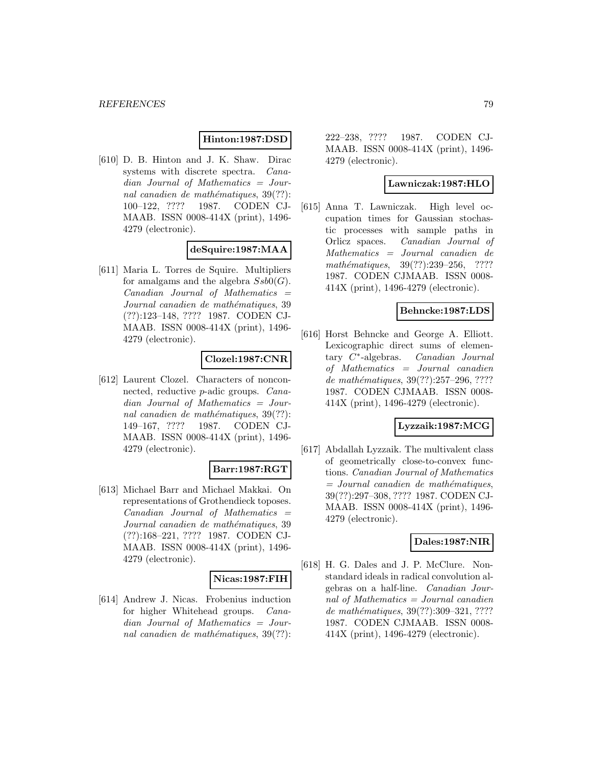## **Hinton:1987:DSD**

[610] D. B. Hinton and J. K. Shaw. Dirac systems with discrete spectra. Canadian Journal of Mathematics = Journal canadien de mathématiques,  $39(??)$ : 100–122, ???? 1987. CODEN CJ-MAAB. ISSN 0008-414X (print), 1496- 4279 (electronic).

# **deSquire:1987:MAA**

[611] Maria L. Torres de Squire. Multipliers for amalgams and the algebra  $Ssb0(G)$ .  $Canadian$  Journal of Mathematics  $=$ Journal canadien de mathématiques, 39 (??):123–148, ???? 1987. CODEN CJ-MAAB. ISSN 0008-414X (print), 1496- 4279 (electronic).

### **Clozel:1987:CNR**

[612] Laurent Clozel. Characters of nonconnected, reductive p-adic groups. Canadian Journal of Mathematics = Journal canadien de mathématiques,  $39(??)$ : 149–167, ???? 1987. CODEN CJ-MAAB. ISSN 0008-414X (print), 1496- 4279 (electronic).

### **Barr:1987:RGT**

[613] Michael Barr and Michael Makkai. On representations of Grothendieck toposes.  $Canadian$  Journal of Mathematics  $=$ Journal canadien de mathématiques, 39 (??):168–221, ???? 1987. CODEN CJ-MAAB. ISSN 0008-414X (print), 1496- 4279 (electronic).

### **Nicas:1987:FIH**

[614] Andrew J. Nicas. Frobenius induction for higher Whitehead groups. Canadian Journal of Mathematics = Journal canadien de mathématiques,  $39(??)$ : 222–238, ???? 1987. CODEN CJ-MAAB. ISSN 0008-414X (print), 1496- 4279 (electronic).

### **Lawniczak:1987:HLO**

[615] Anna T. Lawniczak. High level occupation times for Gaussian stochastic processes with sample paths in Orlicz spaces. Canadian Journal of Mathematics = Journal canadien de mathématiques, 39(??):239–256, ???? 1987. CODEN CJMAAB. ISSN 0008- 414X (print), 1496-4279 (electronic).

## **Behncke:1987:LDS**

[616] Horst Behncke and George A. Elliott. Lexicographic direct sums of elementary  $C^*$ -algebras. Canadian Journal of Mathematics = Journal canadien de mathématiques, 39(??):257–296, ???? 1987. CODEN CJMAAB. ISSN 0008- 414X (print), 1496-4279 (electronic).

### **Lyzzaik:1987:MCG**

[617] Abdallah Lyzzaik. The multivalent class of geometrically close-to-convex functions. Canadian Journal of Mathematics  $=$  Journal canadien de mathématiques, 39(??):297–308, ???? 1987. CODEN CJ-MAAB. ISSN 0008-414X (print), 1496- 4279 (electronic).

# **Dales:1987:NIR**

[618] H. G. Dales and J. P. McClure. Nonstandard ideals in radical convolution algebras on a half-line. Canadian Journal of Mathematics = Journal canadien de mathématiques, 39(??):309-321, ???? 1987. CODEN CJMAAB. ISSN 0008- 414X (print), 1496-4279 (electronic).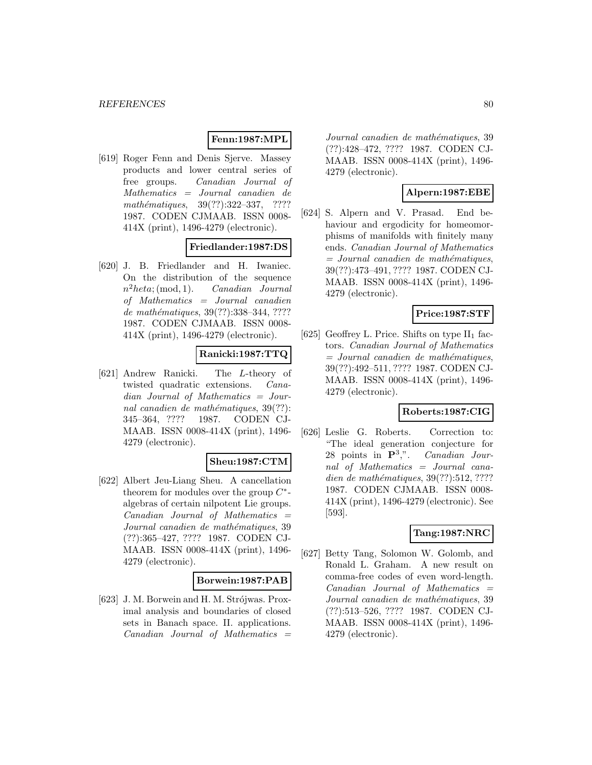### **Fenn:1987:MPL**

[619] Roger Fenn and Denis Sjerve. Massey products and lower central series of free groups. Canadian Journal of Mathematics = Journal canadien de mathématiques,  $39(??):322-337$ , ???? 1987. CODEN CJMAAB. ISSN 0008- 414X (print), 1496-4279 (electronic).

# **Friedlander:1987:DS**

[620] J. B. Friedlander and H. Iwaniec. On the distribution of the sequence  $n^2heta$ ; (mod, 1). *Canadian Journal* of Mathematics = Journal canadien de mathématiques, 39(??):338-344, ???? 1987. CODEN CJMAAB. ISSN 0008- 414X (print), 1496-4279 (electronic).

# **Ranicki:1987:TTQ**

[621] Andrew Ranicki. The L-theory of twisted quadratic extensions. Canadian Journal of Mathematics = Journal canadien de mathématiques,  $39(??)$ : 345–364, ???? 1987. CODEN CJ-MAAB. ISSN 0008-414X (print), 1496- 4279 (electronic).

# **Sheu:1987:CTM**

[622] Albert Jeu-Liang Sheu. A cancellation theorem for modules over the group  $C^*$ algebras of certain nilpotent Lie groups.  $Canadian$  Journal of Mathematics  $=$ Journal canadien de mathématiques, 39 (??):365–427, ???? 1987. CODEN CJ-MAAB. ISSN 0008-414X (print), 1496- 4279 (electronic).

### **Borwein:1987:PAB**

[623] J. M. Borwein and H. M. Strójwas. Proximal analysis and boundaries of closed sets in Banach space. II. applications.  $Canadian$  Journal of Mathematics  $=$ 

Journal canadien de mathématiques, 39 (??):428–472, ???? 1987. CODEN CJ-MAAB. ISSN 0008-414X (print), 1496- 4279 (electronic).

# **Alpern:1987:EBE**

[624] S. Alpern and V. Prasad. End behaviour and ergodicity for homeomorphisms of manifolds with finitely many ends. Canadian Journal of Mathematics  $=$  Journal canadien de mathématiques, 39(??):473–491, ???? 1987. CODEN CJ-MAAB. ISSN 0008-414X (print), 1496- 4279 (electronic).

# **Price:1987:STF**

[625] Geoffrey L. Price. Shifts on type  $II_1$  factors. Canadian Journal of Mathematics  $=$  Journal canadien de mathématiques, 39(??):492–511, ???? 1987. CODEN CJ-MAAB. ISSN 0008-414X (print), 1496- 4279 (electronic).

# **Roberts:1987:CIG**

[626] Leslie G. Roberts. Correction to: "The ideal generation conjecture for 28 points in **P**<sup>3</sup>,". Canadian Journal of Mathematics = Journal canadien de mathématiques,  $39(??):512, ????$ 1987. CODEN CJMAAB. ISSN 0008- 414X (print), 1496-4279 (electronic). See [593].

# **Tang:1987:NRC**

[627] Betty Tang, Solomon W. Golomb, and Ronald L. Graham. A new result on comma-free codes of even word-length.  $Canadian$  Journal of Mathematics  $=$ Journal canadien de mathématiques, 39 (??):513–526, ???? 1987. CODEN CJ-MAAB. ISSN 0008-414X (print), 1496- 4279 (electronic).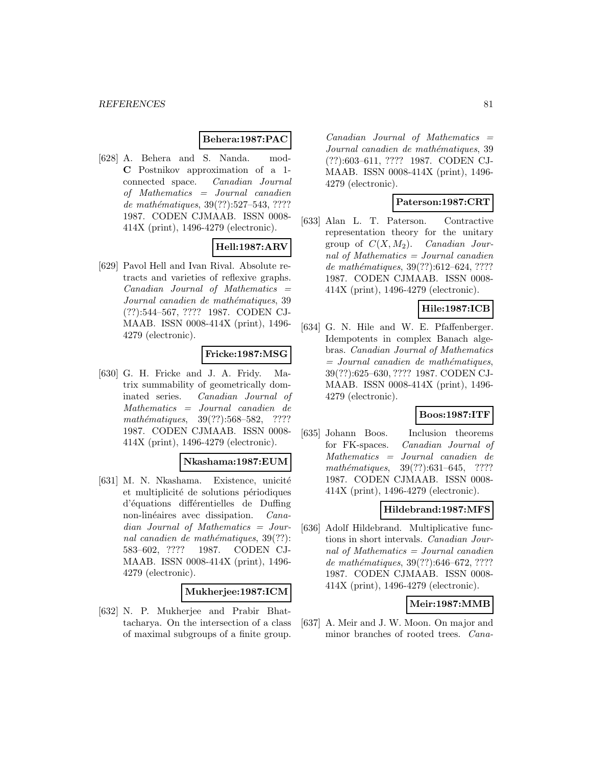### **Behera:1987:PAC**

[628] A. Behera and S. Nanda. mod-**C** Postnikov approximation of a 1 connected space. Canadian Journal of Mathematics = Journal canadien de mathématiques, 39(??):527–543, ???? 1987. CODEN CJMAAB. ISSN 0008- 414X (print), 1496-4279 (electronic).

# **Hell:1987:ARV**

[629] Pavol Hell and Ivan Rival. Absolute retracts and varieties of reflexive graphs.  $Canadian$  Journal of Mathematics  $=$ Journal canadien de mathématiques, 39 (??):544–567, ???? 1987. CODEN CJ-MAAB. ISSN 0008-414X (print), 1496- 4279 (electronic).

## **Fricke:1987:MSG**

[630] G. H. Fricke and J. A. Fridy. Matrix summability of geometrically dominated series. Canadian Journal of Mathematics = Journal canadien de mathématiques, 39(??):568–582, ???? 1987. CODEN CJMAAB. ISSN 0008- 414X (print), 1496-4279 (electronic).

# **Nkashama:1987:EUM**

[631] M. N. Nkashama. Existence, unicité et multiplicité de solutions périodiques d'équations différentielles de Duffing non-linéaires avec dissipation. Canadian Journal of Mathematics = Journal canadien de mathématiques,  $39(??)$ : 583–602, ???? 1987. CODEN CJ-MAAB. ISSN 0008-414X (print), 1496- 4279 (electronic).

### **Mukherjee:1987:ICM**

[632] N. P. Mukherjee and Prabir Bhattacharya. On the intersection of a class of maximal subgroups of a finite group.

 $Canadian$  Journal of Mathematics  $=$ Journal canadien de mathématiques, 39 (??):603–611, ???? 1987. CODEN CJ-MAAB. ISSN 0008-414X (print), 1496- 4279 (electronic).

### **Paterson:1987:CRT**

[633] Alan L. T. Paterson. Contractive representation theory for the unitary group of  $C(X, M_2)$ . Canadian Journal of Mathematics = Journal canadien de mathématiques,  $39(??):612-624, ????$ 1987. CODEN CJMAAB. ISSN 0008- 414X (print), 1496-4279 (electronic).

## **Hile:1987:ICB**

[634] G. N. Hile and W. E. Pfaffenberger. Idempotents in complex Banach algebras. Canadian Journal of Mathematics  $=$  Journal canadien de mathématiques, 39(??):625–630, ???? 1987. CODEN CJ-MAAB. ISSN 0008-414X (print), 1496- 4279 (electronic).

# **Boos:1987:ITF**

[635] Johann Boos. Inclusion theorems for FK-spaces. Canadian Journal of Mathematics = Journal canadien de mathématiques, 39(??):631–645, ???? 1987. CODEN CJMAAB. ISSN 0008- 414X (print), 1496-4279 (electronic).

## **Hildebrand:1987:MFS**

[636] Adolf Hildebrand. Multiplicative functions in short intervals. Canadian Journal of Mathematics = Journal canadien de mathématiques, 39(??):646–672, ???? 1987. CODEN CJMAAB. ISSN 0008- 414X (print), 1496-4279 (electronic).

# **Meir:1987:MMB**

[637] A. Meir and J. W. Moon. On major and minor branches of rooted trees. Cana-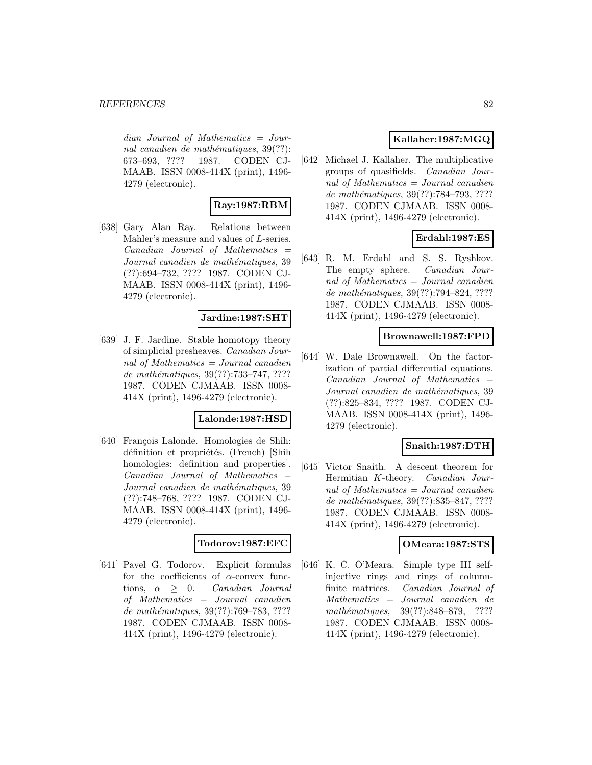dian Journal of Mathematics = Journal canadien de mathématiques,  $39(??)$ : 673–693, ???? 1987. CODEN CJ-MAAB. ISSN 0008-414X (print), 1496- 4279 (electronic).

# **Ray:1987:RBM**

[638] Gary Alan Ray. Relations between Mahler's measure and values of L-series.  $Canadian$  Journal of Mathematics  $=$ Journal canadien de mathématiques, 39 (??):694–732, ???? 1987. CODEN CJ-MAAB. ISSN 0008-414X (print), 1496- 4279 (electronic).

# **Jardine:1987:SHT**

[639] J. F. Jardine. Stable homotopy theory of simplicial presheaves. Canadian Journal of Mathematics = Journal canadien de mathématiques,  $39(??)$ :733–747, ???? 1987. CODEN CJMAAB. ISSN 0008- 414X (print), 1496-4279 (electronic).

### **Lalonde:1987:HSD**

[640] François Lalonde. Homologies de Shih: définition et propriétés. (French) [Shih homologies: definition and properties]. Canadian Journal of Mathematics = Journal canadien de mathématiques, 39 (??):748–768, ???? 1987. CODEN CJ-MAAB. ISSN 0008-414X (print), 1496- 4279 (electronic).

#### **Todorov:1987:EFC**

[641] Pavel G. Todorov. Explicit formulas for the coefficients of  $\alpha$ -convex functions,  $\alpha \geq 0$ . Canadian Journal of Mathematics = Journal canadien de mathématiques, 39(??):769–783, ???? 1987. CODEN CJMAAB. ISSN 0008- 414X (print), 1496-4279 (electronic).

# **Kallaher:1987:MGQ**

[642] Michael J. Kallaher. The multiplicative groups of quasifields. Canadian Journal of Mathematics = Journal canadien de mathématiques, 39(??):784–793, ???? 1987. CODEN CJMAAB. ISSN 0008- 414X (print), 1496-4279 (electronic).

# **Erdahl:1987:ES**

[643] R. M. Erdahl and S. S. Ryshkov. The empty sphere. Canadian Journal of Mathematics = Journal canadien de mathématiques, 39(??):794–824, ???? 1987. CODEN CJMAAB. ISSN 0008- 414X (print), 1496-4279 (electronic).

## **Brownawell:1987:FPD**

[644] W. Dale Brownawell. On the factorization of partial differential equations.  $Canadian$  Journal of Mathematics  $=$ Journal canadien de mathématiques, 39 (??):825–834, ???? 1987. CODEN CJ-MAAB. ISSN 0008-414X (print), 1496- 4279 (electronic).

### **Snaith:1987:DTH**

[645] Victor Snaith. A descent theorem for Hermitian K-theory. Canadian Journal of Mathematics = Journal canadien de mathématiques, 39(??):835–847, ????? 1987. CODEN CJMAAB. ISSN 0008- 414X (print), 1496-4279 (electronic).

### **OMeara:1987:STS**

[646] K. C. O'Meara. Simple type III selfinjective rings and rings of columnfinite matrices. Canadian Journal of Mathematics = Journal canadien de mathématiques, 39(??):848–879, ???? 1987. CODEN CJMAAB. ISSN 0008- 414X (print), 1496-4279 (electronic).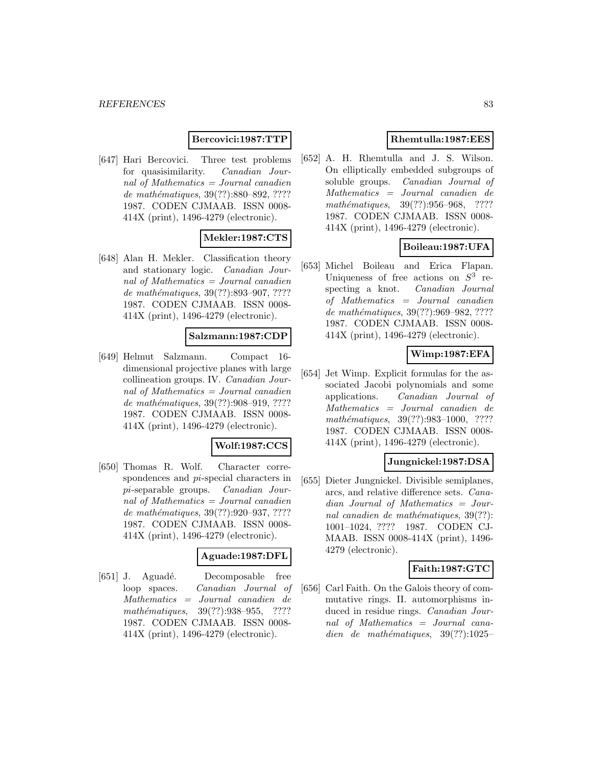## **Bercovici:1987:TTP**

[647] Hari Bercovici. Three test problems for quasisimilarity. Canadian Journal of Mathematics = Journal canadien de mathématiques, 39(??):880–892, ???? 1987. CODEN CJMAAB. ISSN 0008- 414X (print), 1496-4279 (electronic).

# **Mekler:1987:CTS**

[648] Alan H. Mekler. Classification theory and stationary logic. Canadian Journal of Mathematics = Journal canadien de mathématiques, 39(??):893-907, ???? 1987. CODEN CJMAAB. ISSN 0008- 414X (print), 1496-4279 (electronic).

## **Salzmann:1987:CDP**

[649] Helmut Salzmann. Compact 16 dimensional projective planes with large collineation groups. IV. Canadian Journal of Mathematics = Journal canadien de mathématiques, 39(??):908-919, ???? 1987. CODEN CJMAAB. ISSN 0008- 414X (print), 1496-4279 (electronic).

# **Wolf:1987:CCS**

[650] Thomas R. Wolf. Character correspondences and pi-special characters in pi-separable groups. Canadian Journal of Mathematics = Journal canadien de mathématiques, 39(??):920–937, ????? 1987. CODEN CJMAAB. ISSN 0008- 414X (print), 1496-4279 (electronic).

## **Aguade:1987:DFL**

[651] J. Aguadé. Decomposable free loop spaces. Canadian Journal of Mathematics = Journal canadien de mathématiques, 39(??):938-955, ???? 1987. CODEN CJMAAB. ISSN 0008- 414X (print), 1496-4279 (electronic).

# **Rhemtulla:1987:EES**

[652] A. H. Rhemtulla and J. S. Wilson. On elliptically embedded subgroups of soluble groups. Canadian Journal of Mathematics = Journal canadien de mathématiques, 39(??):956-968, ???? 1987. CODEN CJMAAB. ISSN 0008- 414X (print), 1496-4279 (electronic).

# **Boileau:1987:UFA**

[653] Michel Boileau and Erica Flapan. Uniqueness of free actions on  $S^3$  respecting a knot. Canadian Journal of Mathematics = Journal canadien de mathématiques, 39(??):969-982, ???? 1987. CODEN CJMAAB. ISSN 0008- 414X (print), 1496-4279 (electronic).

# **Wimp:1987:EFA**

[654] Jet Wimp. Explicit formulas for the associated Jacobi polynomials and some applications. Canadian Journal of Mathematics = Journal canadien de mathématiques, 39(??):983-1000, ???? 1987. CODEN CJMAAB. ISSN 0008- 414X (print), 1496-4279 (electronic).

## **Jungnickel:1987:DSA**

[655] Dieter Jungnickel. Divisible semiplanes, arcs, and relative difference sets. Canadian Journal of Mathematics = Journal canadien de mathématiques,  $39(??)$ : 1001–1024, ???? 1987. CODEN CJ-MAAB. ISSN 0008-414X (print), 1496- 4279 (electronic).

### **Faith:1987:GTC**

[656] Carl Faith. On the Galois theory of commutative rings. II. automorphisms induced in residue rings. Canadian Journal of Mathematics = Journal canadien de mathématiques,  $39(??):1025-$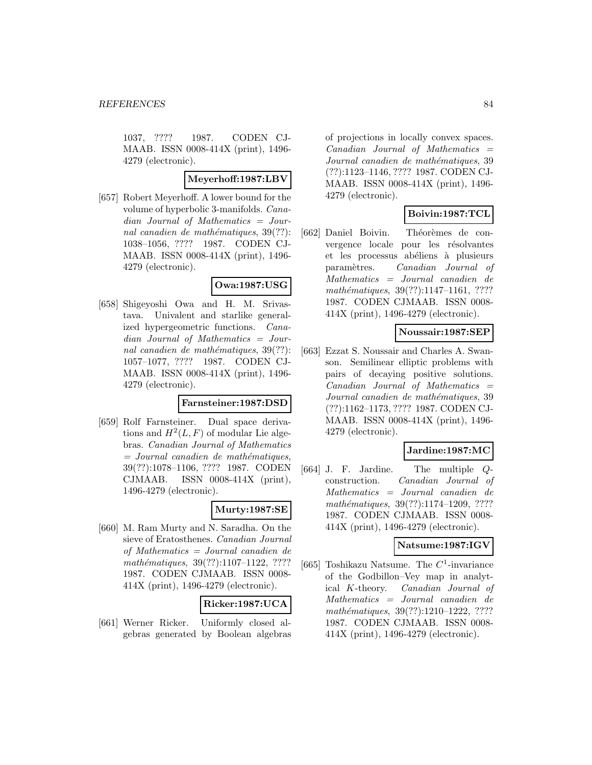1037, ???? 1987. CODEN CJ-MAAB. ISSN 0008-414X (print), 1496- 4279 (electronic).

## **Meyerhoff:1987:LBV**

[657] Robert Meyerhoff. A lower bound for the volume of hyperbolic 3-manifolds. Canadian Journal of Mathematics = Journal canadien de mathématiques,  $39(??)$ : 1038–1056, ???? 1987. CODEN CJ-MAAB. ISSN 0008-414X (print), 1496- 4279 (electronic).

# **Owa:1987:USG**

[658] Shigeyoshi Owa and H. M. Srivastava. Univalent and starlike generalized hypergeometric functions. Canadian Journal of Mathematics = Journal canadien de mathématiques,  $39(??)$ : 1057–1077, ???? 1987. CODEN CJ-MAAB. ISSN 0008-414X (print), 1496- 4279 (electronic).

## **Farnsteiner:1987:DSD**

[659] Rolf Farnsteiner. Dual space derivations and  $H^2(L, F)$  of modular Lie algebras. Canadian Journal of Mathematics  $=$  Journal canadien de mathématiques, 39(??):1078–1106, ???? 1987. CODEN CJMAAB. ISSN 0008-414X (print), 1496-4279 (electronic).

### **Murty:1987:SE**

[660] M. Ram Murty and N. Saradha. On the sieve of Eratosthenes. Canadian Journal of Mathematics = Journal canadien de mathématiques, 39(??):1107-1122, ???? 1987. CODEN CJMAAB. ISSN 0008- 414X (print), 1496-4279 (electronic).

### **Ricker:1987:UCA**

[661] Werner Ricker. Uniformly closed algebras generated by Boolean algebras of projections in locally convex spaces.  $Canadian$  Journal of Mathematics  $=$ Journal canadien de mathématiques, 39 (??):1123–1146, ???? 1987. CODEN CJ-MAAB. ISSN 0008-414X (print), 1496- 4279 (electronic).

# **Boivin:1987:TCL**

[662] Daniel Boivin. Théorèmes de convergence locale pour les résolvantes et les processus abéliens à plusieurs param`etres. Canadian Journal of Mathematics = Journal canadien de mathématiques, 39(??):1147-1161, ???? 1987. CODEN CJMAAB. ISSN 0008- 414X (print), 1496-4279 (electronic).

## **Noussair:1987:SEP**

[663] Ezzat S. Noussair and Charles A. Swanson. Semilinear elliptic problems with pairs of decaying positive solutions.  $Canadian$  Journal of Mathematics  $=$ Journal canadien de mathématiques, 39 (??):1162–1173, ???? 1987. CODEN CJ-MAAB. ISSN 0008-414X (print), 1496- 4279 (electronic).

# **Jardine:1987:MC**

[664] J. F. Jardine. The multiple Qconstruction. Canadian Journal of Mathematics = Journal canadien de mathématiques, 39(??):1174-1209, ???? 1987. CODEN CJMAAB. ISSN 0008- 414X (print), 1496-4279 (electronic).

### **Natsume:1987:IGV**

[665] Toshikazu Natsume. The  $C^1$ -invariance of the Godbillon–Vey map in analytical K-theory. Canadian Journal of Mathematics = Journal canadien de mathématiques, 39(??):1210-1222, ???? 1987. CODEN CJMAAB. ISSN 0008- 414X (print), 1496-4279 (electronic).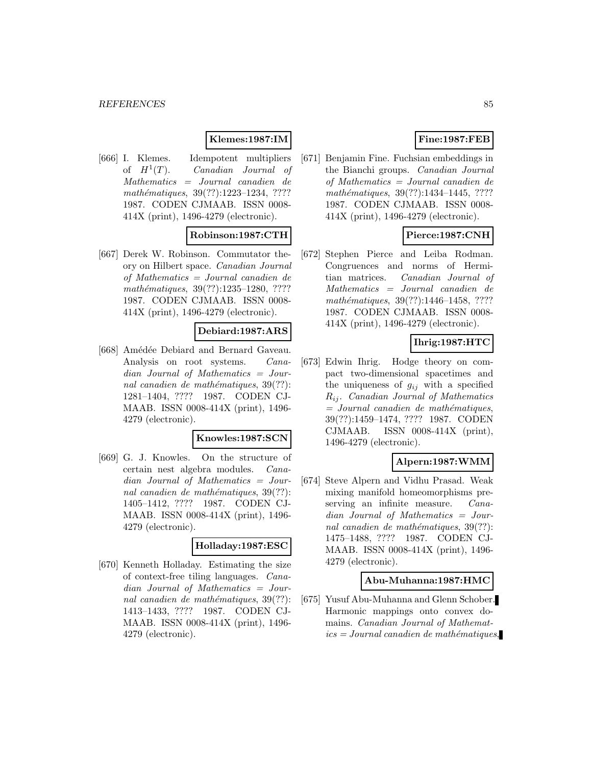## **Klemes:1987:IM**

[666] I. Klemes. Idempotent multipliers of  $H^1(T)$ . Canadian Journal of Mathematics = Journal canadien de mathématiques, 39(??):1223-1234, ???? 1987. CODEN CJMAAB. ISSN 0008- 414X (print), 1496-4279 (electronic).

# **Robinson:1987:CTH**

[667] Derek W. Robinson. Commutator theory on Hilbert space. Canadian Journal of Mathematics = Journal canadien de mathématiques, 39(??):1235-1280, ???? 1987. CODEN CJMAAB. ISSN 0008- 414X (print), 1496-4279 (electronic).

#### **Debiard:1987:ARS**

[668] Amédée Debiard and Bernard Gaveau. Analysis on root systems. Canadian Journal of Mathematics = Journal canadien de mathématiques,  $39(??)$ : 1281–1404, ???? 1987. CODEN CJ-MAAB. ISSN 0008-414X (print), 1496- 4279 (electronic).

#### **Knowles:1987:SCN**

[669] G. J. Knowles. On the structure of certain nest algebra modules. Canadian Journal of Mathematics = Journal canadien de mathématiques,  $39(??)$ : 1405–1412, ???? 1987. CODEN CJ-MAAB. ISSN 0008-414X (print), 1496- 4279 (electronic).

#### **Holladay:1987:ESC**

[670] Kenneth Holladay. Estimating the size of context-free tiling languages. Canadian Journal of Mathematics = Journal canadien de mathématiques,  $39(??)$ : 1413–1433, ???? 1987. CODEN CJ-MAAB. ISSN 0008-414X (print), 1496- 4279 (electronic).

# **Fine:1987:FEB**

[671] Benjamin Fine. Fuchsian embeddings in the Bianchi groups. Canadian Journal of Mathematics = Journal canadien de mathématiques, 39(??):1434-1445, ???? 1987. CODEN CJMAAB. ISSN 0008- 414X (print), 1496-4279 (electronic).

# **Pierce:1987:CNH**

[672] Stephen Pierce and Leiba Rodman. Congruences and norms of Hermitian matrices. Canadian Journal of Mathematics = Journal canadien de mathématiques, 39(??):1446–1458, ???? 1987. CODEN CJMAAB. ISSN 0008- 414X (print), 1496-4279 (electronic).

## **Ihrig:1987:HTC**

[673] Edwin Ihrig. Hodge theory on compact two-dimensional spacetimes and the uniqueness of  $g_{ij}$  with a specified  $R_{ij}$ . Canadian Journal of Mathematics  $=$  Journal canadien de mathématiques, 39(??):1459–1474, ???? 1987. CODEN CJMAAB. ISSN 0008-414X (print), 1496-4279 (electronic).

## **Alpern:1987:WMM**

[674] Steve Alpern and Vidhu Prasad. Weak mixing manifold homeomorphisms preserving an infinite measure. *Cana*dian Journal of Mathematics = Journal canadien de mathématiques,  $39(??)$ : 1475–1488, ???? 1987. CODEN CJ-MAAB. ISSN 0008-414X (print), 1496- 4279 (electronic).

#### **Abu-Muhanna:1987:HMC**

[675] Yusuf Abu-Muhanna and Glenn Schober. Harmonic mappings onto convex domains. Canadian Journal of Mathemat $ics = Journal\,c$  and  $i$ emathématiques,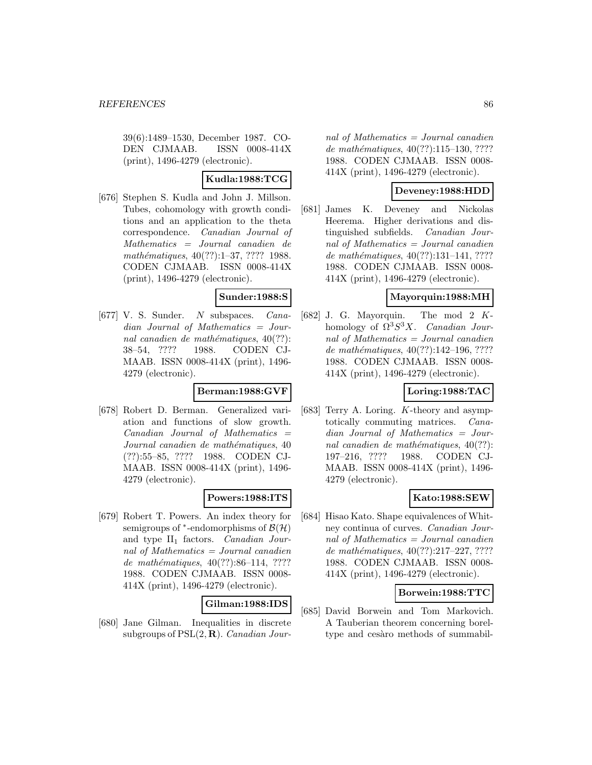39(6):1489–1530, December 1987. CO-DEN CJMAAB. ISSN 0008-414X (print), 1496-4279 (electronic).

# **Kudla:1988:TCG**

[676] Stephen S. Kudla and John J. Millson. Tubes, cohomology with growth conditions and an application to the theta correspondence. Canadian Journal of Mathematics = Journal canadien de mathématiques, 40(??):1–37, ???? 1988. CODEN CJMAAB. ISSN 0008-414X (print), 1496-4279 (electronic).

## **Sunder:1988:S**

[677] V. S. Sunder. N subspaces. Canadian Journal of Mathematics = Journal canadien de mathématiques,  $40(??)$ : 38–54, ???? 1988. CODEN CJ-MAAB. ISSN 0008-414X (print), 1496- 4279 (electronic).

### **Berman:1988:GVF**

[678] Robert D. Berman. Generalized variation and functions of slow growth.  $Canadian$  Journal of Mathematics  $=$ Journal canadien de mathématiques, 40 (??):55–85, ???? 1988. CODEN CJ-MAAB. ISSN 0008-414X (print), 1496- 4279 (electronic).

# **Powers:1988:ITS**

[679] Robert T. Powers. An index theory for semigroups of  $*$ -endomorphisms of  $\mathcal{B}(\mathcal{H})$ and type  $II_1$  factors. Canadian Journal of Mathematics = Journal canadien de mathématiques,  $40(??):86-114$ , ???? 1988. CODEN CJMAAB. ISSN 0008- 414X (print), 1496-4279 (electronic).

# **Gilman:1988:IDS**

[680] Jane Gilman. Inequalities in discrete subgroups of PSL(2, **R**). Canadian Journal of Mathematics  $=$  Journal canadien de mathématiques,  $40(??):115-130, ????$ 1988. CODEN CJMAAB. ISSN 0008- 414X (print), 1496-4279 (electronic).

## **Deveney:1988:HDD**

[681] James K. Deveney and Nickolas Heerema. Higher derivations and distinguished subfields. Canadian Journal of Mathematics = Journal canadien de mathématiques,  $40(??):131-141, ????$ 1988. CODEN CJMAAB. ISSN 0008- 414X (print), 1496-4279 (electronic).

# **Mayorquin:1988:MH**

[682] J. G. Mayorquin. The mod 2  $K$ homology of  $\Omega^3 S^3 X$ . Canadian Journal of Mathematics = Journal canadien de mathématiques, 40(??):142-196, ???? 1988. CODEN CJMAAB. ISSN 0008- 414X (print), 1496-4279 (electronic).

# **Loring:1988:TAC**

[683] Terry A. Loring. K-theory and asymptotically commuting matrices. Canadian Journal of Mathematics = Journal canadien de mathématiques,  $40(??)$ : 197–216, ???? 1988. CODEN CJ-MAAB. ISSN 0008-414X (print), 1496- 4279 (electronic).

### **Kato:1988:SEW**

[684] Hisao Kato. Shape equivalences of Whitney continua of curves. Canadian Journal of Mathematics = Journal canadien de mathématiques,  $40(??):217-227, ????$ 1988. CODEN CJMAAB. ISSN 0008- 414X (print), 1496-4279 (electronic).

## **Borwein:1988:TTC**

[685] David Borwein and Tom Markovich. A Tauberian theorem concerning boreltype and cesaro methods of summabil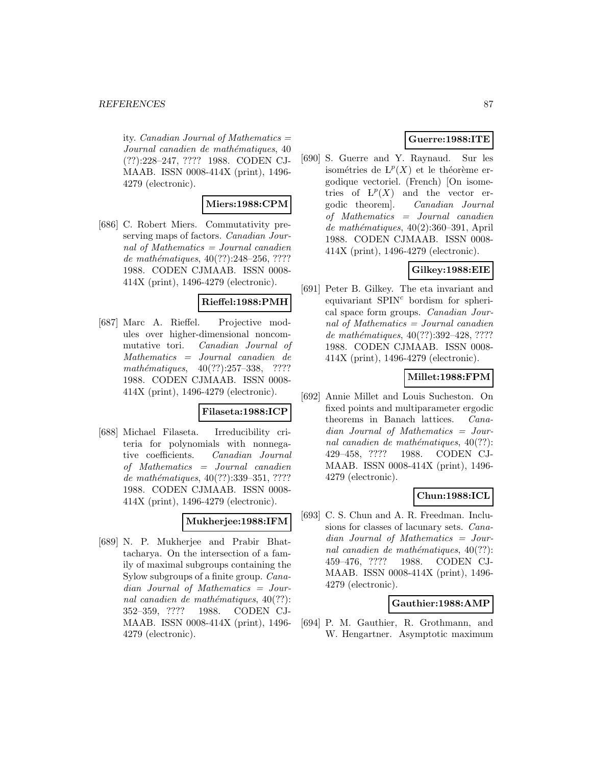ity. *Canadian Journal of Mathematics*  $=$ Journal canadien de mathématiques, 40 (??):228–247, ???? 1988. CODEN CJ-MAAB. ISSN 0008-414X (print), 1496- 4279 (electronic).

## **Miers:1988:CPM**

[686] C. Robert Miers. Commutativity preserving maps of factors. Canadian Journal of Mathematics = Journal canadien de mathématiques,  $40(??):248-256, ????$ 1988. CODEN CJMAAB. ISSN 0008- 414X (print), 1496-4279 (electronic).

# **Rieffel:1988:PMH**

[687] Marc A. Rieffel. Projective modules over higher-dimensional noncommutative tori. Canadian Journal of Mathematics = Journal canadien de mathématiques,  $40(??):257-338$ , ???? 1988. CODEN CJMAAB. ISSN 0008- 414X (print), 1496-4279 (electronic).

### **Filaseta:1988:ICP**

[688] Michael Filaseta. Irreducibility criteria for polynomials with nonnegative coefficients. Canadian Journal of Mathematics = Journal canadien de mathématiques,  $40(??):339-351, ????$ 1988. CODEN CJMAAB. ISSN 0008- 414X (print), 1496-4279 (electronic).

#### **Mukherjee:1988:IFM**

[689] N. P. Mukherjee and Prabir Bhattacharya. On the intersection of a family of maximal subgroups containing the Sylow subgroups of a finite group. Canadian Journal of Mathematics = Journal canadien de mathématiques,  $40(??)$ : 352–359, ???? 1988. CODEN CJ-MAAB. ISSN 0008-414X (print), 1496- 4279 (electronic).

# **Guerre:1988:ITE**

[690] S. Guerre and Y. Raynaud. Sur les isométries de  $L^p(X)$  et le théorème ergodique vectoriel. (French) [On isometries of  $L^p(X)$  and the vector ergodic theorem]. Canadian Journal of Mathematics = Journal canadien  $de$  mathématiques, 40(2):360–391, April 1988. CODEN CJMAAB. ISSN 0008- 414X (print), 1496-4279 (electronic).

# **Gilkey:1988:EIE**

[691] Peter B. Gilkey. The eta invariant and equivariant  $SPIN<sup>c</sup>$  bordism for spherical space form groups. Canadian Journal of Mathematics = Journal canadien de mathématiques, 40(??):392-428, ???? 1988. CODEN CJMAAB. ISSN 0008- 414X (print), 1496-4279 (electronic).

## **Millet:1988:FPM**

[692] Annie Millet and Louis Sucheston. On fixed points and multiparameter ergodic theorems in Banach lattices. Canadian Journal of Mathematics = Journal canadien de mathématiques,  $40(??)$ : 429–458, ???? 1988. CODEN CJ-MAAB. ISSN 0008-414X (print), 1496- 4279 (electronic).

# **Chun:1988:ICL**

[693] C. S. Chun and A. R. Freedman. Inclusions for classes of lacunary sets. Canadian Journal of Mathematics = Journal canadien de mathématiques,  $40(??)$ : 459–476, ???? 1988. CODEN CJ-MAAB. ISSN 0008-414X (print), 1496- 4279 (electronic).

### **Gauthier:1988:AMP**

[694] P. M. Gauthier, R. Grothmann, and W. Hengartner. Asymptotic maximum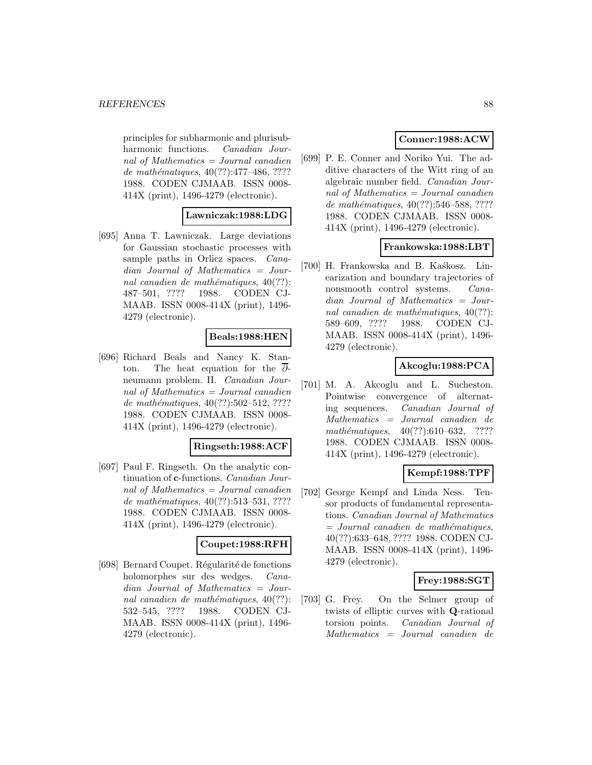#### *REFERENCES* 88

principles for subharmonic and plurisubharmonic functions. Canadian Journal of Mathematics = Journal canadien de mathématiques,  $40(??):477-486, ????$ 1988. CODEN CJMAAB. ISSN 0008- 414X (print), 1496-4279 (electronic).

## **Lawniczak:1988:LDG**

[695] Anna T. Lawniczak. Large deviations for Gaussian stochastic processes with sample paths in Orlicz spaces. *Cana*dian Journal of Mathematics = Journal canadien de mathématiques,  $40(??)$ : 487–501, ???? 1988. CODEN CJ-MAAB. ISSN 0008-414X (print), 1496- 4279 (electronic).

### **Beals:1988:HEN**

[696] Richard Beals and Nancy K. Stanton. The heat equation for the  $\overline{\partial}$ neumann problem. II. Canadian Journal of Mathematics  $=$  Journal canadien de mathématiques,  $40(??):502-512, ????$ 1988. CODEN CJMAAB. ISSN 0008- 414X (print), 1496-4279 (electronic).

### **Ringseth:1988:ACF**

[697] Paul F. Ringseth. On the analytic continuation of **c**-functions. Canadian Journal of Mathematics  $=$  Journal canadien de mathématiques,  $40(??):513-531, ????$ 1988. CODEN CJMAAB. ISSN 0008- 414X (print), 1496-4279 (electronic).

#### **Coupet:1988:RFH**

[698] Bernard Coupet. Régularité de fonctions holomorphes sur des wedges. Canadian Journal of Mathematics = Journal canadien de mathématiques,  $40(??)$ : 532–545, ???? 1988. CODEN CJ-MAAB. ISSN 0008-414X (print), 1496- 4279 (electronic).

# **Conner:1988:ACW**

[699] P. E. Conner and Noriko Yui. The additive characters of the Witt ring of an algebraic number field. Canadian Journal of Mathematics = Journal canadien de mathématiques,  $40(??):546-588, ????$ 1988. CODEN CJMAAB. ISSN 0008- 414X (print), 1496-4279 (electronic).

### **Frankowska:1988:LBT**

[700] H. Frankowska and B. Kaskosz. Linearization and boundary trajectories of nonsmooth control systems. Canadian Journal of Mathematics = Journal canadien de mathématiques,  $40(??)$ : 589–609, ???? 1988. CODEN CJ-MAAB. ISSN 0008-414X (print), 1496- 4279 (electronic).

# **Akcoglu:1988:PCA**

[701] M. A. Akcoglu and L. Sucheston. Pointwise convergence of alternating sequences. Canadian Journal of Mathematics = Journal canadien de mathématiques,  $40(??):610-632$ , ???? 1988. CODEN CJMAAB. ISSN 0008- 414X (print), 1496-4279 (electronic).

# **Kempf:1988:TPF**

[702] George Kempf and Linda Ness. Tensor products of fundamental representations. Canadian Journal of Mathematics  $=$  Journal canadien de mathématiques, 40(??):633–648, ???? 1988. CODEN CJ-MAAB. ISSN 0008-414X (print), 1496- 4279 (electronic).

### **Frey:1988:SGT**

[703] G. Frey. On the Selmer group of twists of elliptic curves with **Q**-rational torsion points. Canadian Journal of Mathematics = Journal canadien de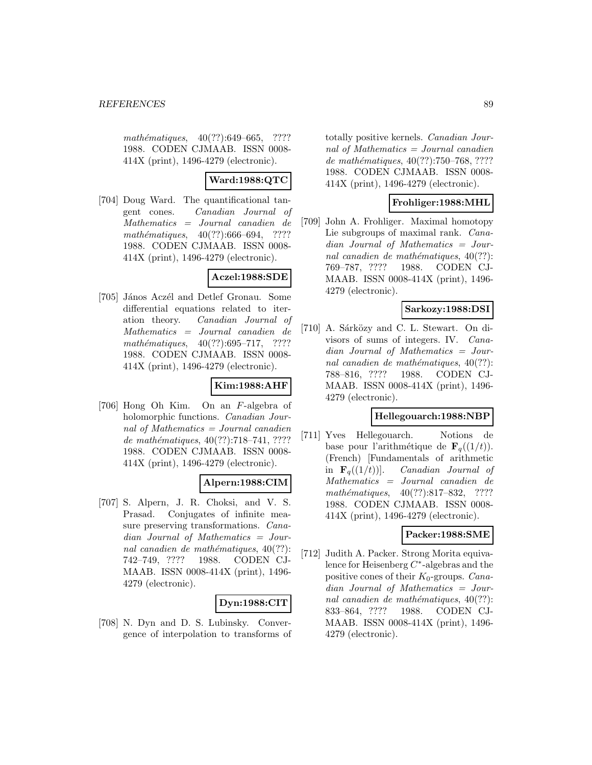mathématiques,  $40(??):649-665$ , ???? 1988. CODEN CJMAAB. ISSN 0008- 414X (print), 1496-4279 (electronic).

# **Ward:1988:QTC**

[704] Doug Ward. The quantificational tangent cones. Canadian Journal of Mathematics = Journal canadien de mathématiques,  $40(??):666-694$ , ???? 1988. CODEN CJMAAB. ISSN 0008- 414X (print), 1496-4279 (electronic).

## **Aczel:1988:SDE**

[705] János Aczél and Detlef Gronau. Some differential equations related to iteration theory. Canadian Journal of Mathematics = Journal canadien de mathématiques,  $40(??):695-717$ , ???? 1988. CODEN CJMAAB. ISSN 0008- 414X (print), 1496-4279 (electronic).

# **Kim:1988:AHF**

[706] Hong Oh Kim. On an F-algebra of holomorphic functions. Canadian Journal of Mathematics = Journal canadien de mathématiques,  $40(??):718-741, ????$ 1988. CODEN CJMAAB. ISSN 0008- 414X (print), 1496-4279 (electronic).

# **Alpern:1988:CIM**

[707] S. Alpern, J. R. Choksi, and V. S. Prasad. Conjugates of infinite measure preserving transformations. Canadian Journal of Mathematics = Journal canadien de mathématiques,  $40(??)$ : 742–749, ???? 1988. CODEN CJ-MAAB. ISSN 0008-414X (print), 1496- 4279 (electronic).

# **Dyn:1988:CIT**

[708] N. Dyn and D. S. Lubinsky. Convergence of interpolation to transforms of totally positive kernels. Canadian Journal of Mathematics = Journal canadien de mathématiques,  $40(??):750–768, ????$ 1988. CODEN CJMAAB. ISSN 0008- 414X (print), 1496-4279 (electronic).

# **Frohliger:1988:MHL**

[709] John A. Frohliger. Maximal homotopy Lie subgroups of maximal rank. Canadian Journal of Mathematics = Journal canadien de mathématiques,  $40(??)$ : 769–787, ???? 1988. CODEN CJ-MAAB. ISSN 0008-414X (print), 1496- 4279 (electronic).

# **Sarkozy:1988:DSI**

[710] A. Sárközy and C. L. Stewart. On divisors of sums of integers. IV. Canadian Journal of Mathematics = Journal canadien de mathématiques,  $40(??)$ : 788–816, ???? 1988. CODEN CJ-MAAB. ISSN 0008-414X (print), 1496- 4279 (electronic).

# **Hellegouarch:1988:NBP**

[711] Yves Hellegouarch. Notions de base pour l'arithmétique de  $\mathbf{F}_q((1/t)).$ (French) [Fundamentals of arithmetic in  $\mathbf{F}_q((1/t))$ . Canadian Journal of Mathematics = Journal canadien de mathématiques, 40(??):817-832, ???? 1988. CODEN CJMAAB. ISSN 0008- 414X (print), 1496-4279 (electronic).

# **Packer:1988:SME**

[712] Judith A. Packer. Strong Morita equivalence for Heisenberg C∗-algebras and the positive cones of their  $K_0$ -groups. *Cana*dian Journal of Mathematics = Journal canadien de mathématiques,  $40(??)$ : 833–864, ???? 1988. CODEN CJ-MAAB. ISSN 0008-414X (print), 1496- 4279 (electronic).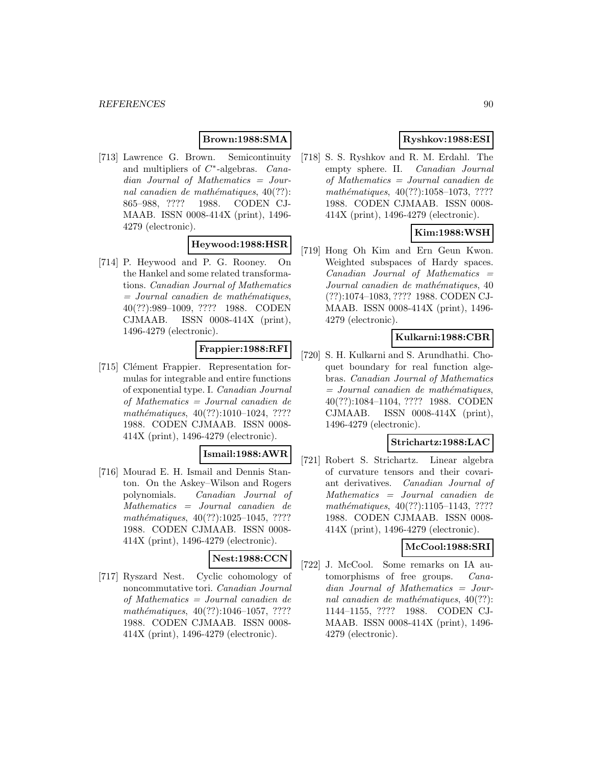# **Brown:1988:SMA**

[713] Lawrence G. Brown. Semicontinuity and multipliers of  $C^*$ -algebras.  $Cana$ dian Journal of Mathematics = Journal canadien de mathématiques,  $40(??)$ : 865–988, ???? 1988. CODEN CJ-MAAB. ISSN 0008-414X (print), 1496- 4279 (electronic).

# **Heywood:1988:HSR**

[714] P. Heywood and P. G. Rooney. On the Hankel and some related transformations. Canadian Journal of Mathematics  $=$  Journal canadien de mathématiques, 40(??):989–1009, ???? 1988. CODEN CJMAAB. ISSN 0008-414X (print), 1496-4279 (electronic).

# **Frappier:1988:RFI**

[715] Clément Frappier. Representation formulas for integrable and entire functions of exponential type. I. Canadian Journal of Mathematics = Journal canadien de mathématiques,  $40(??):1010-1024$ , ???? 1988. CODEN CJMAAB. ISSN 0008- 414X (print), 1496-4279 (electronic).

## **Ismail:1988:AWR**

[716] Mourad E. H. Ismail and Dennis Stanton. On the Askey–Wilson and Rogers polynomials. Canadian Journal of Mathematics = Journal canadien de mathématiques,  $40(??):1025-1045, ????$ 1988. CODEN CJMAAB. ISSN 0008- 414X (print), 1496-4279 (electronic).

# **Nest:1988:CCN**

[717] Ryszard Nest. Cyclic cohomology of noncommutative tori. Canadian Journal of Mathematics = Journal canadien de mathématiques,  $40(??):1046-1057, ????$ 1988. CODEN CJMAAB. ISSN 0008- 414X (print), 1496-4279 (electronic).

# **Ryshkov:1988:ESI**

[718] S. S. Ryshkov and R. M. Erdahl. The empty sphere. II. Canadian Journal of Mathematics = Journal canadien de mathématiques,  $40(??):1058-1073, ????$ 1988. CODEN CJMAAB. ISSN 0008- 414X (print), 1496-4279 (electronic).

# **Kim:1988:WSH**

[719] Hong Oh Kim and Ern Geun Kwon. Weighted subspaces of Hardy spaces.  $Canadian$  Journal of Mathematics  $=$ Journal canadien de mathématiques, 40 (??):1074–1083, ???? 1988. CODEN CJ-MAAB. ISSN 0008-414X (print), 1496- 4279 (electronic).

## **Kulkarni:1988:CBR**

[720] S. H. Kulkarni and S. Arundhathi. Choquet boundary for real function algebras. Canadian Journal of Mathematics  $=$  Journal canadien de mathématiques, 40(??):1084–1104, ???? 1988. CODEN CJMAAB. ISSN 0008-414X (print), 1496-4279 (electronic).

## **Strichartz:1988:LAC**

[721] Robert S. Strichartz. Linear algebra of curvature tensors and their covariant derivatives. Canadian Journal of Mathematics = Journal canadien de mathématiques, 40(??):1105–1143, ???? 1988. CODEN CJMAAB. ISSN 0008- 414X (print), 1496-4279 (electronic).

## **McCool:1988:SRI**

[722] J. McCool. Some remarks on IA automorphisms of free groups. Canadian Journal of Mathematics = Journal canadien de mathématiques,  $40(??)$ : 1144–1155, ???? 1988. CODEN CJ-MAAB. ISSN 0008-414X (print), 1496- 4279 (electronic).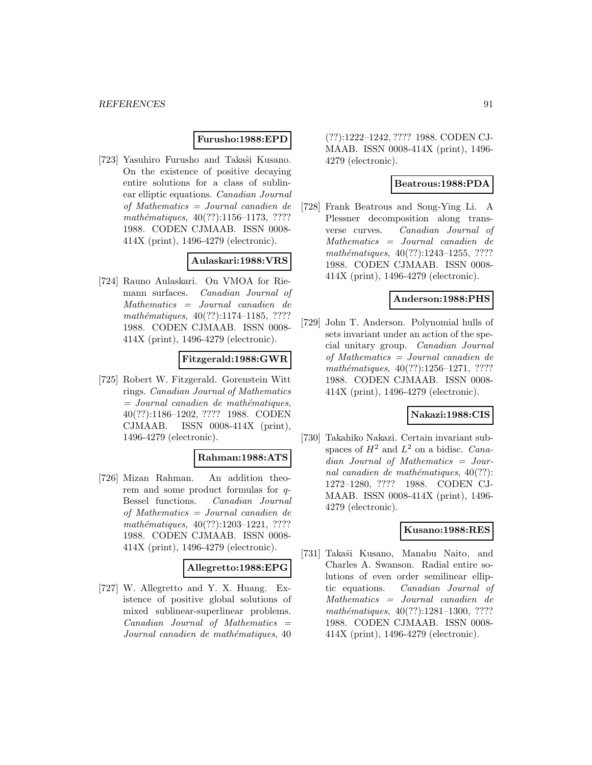## **Furusho:1988:EPD**

[723] Yasuhiro Furusho and Takaŝi Kusano. On the existence of positive decaying entire solutions for a class of sublinear elliptic equations. Canadian Journal of Mathematics = Journal canadien de  $mathématiques, 40(??):1156–1173, ????$ 1988. CODEN CJMAAB. ISSN 0008- 414X (print), 1496-4279 (electronic).

## **Aulaskari:1988:VRS**

[724] Rauno Aulaskari. On VMOA for Riemann surfaces. Canadian Journal of Mathematics = Journal canadien de mathématiques,  $40(??):1174-1185, ????$ 1988. CODEN CJMAAB. ISSN 0008- 414X (print), 1496-4279 (electronic).

## **Fitzgerald:1988:GWR**

[725] Robert W. Fitzgerald. Gorenstein Witt rings. Canadian Journal of Mathematics  $=$  Journal canadien de mathématiques, 40(??):1186–1202, ???? 1988. CODEN CJMAAB. ISSN 0008-414X (print), 1496-4279 (electronic).

# **Rahman:1988:ATS**

[726] Mizan Rahman. An addition theorem and some product formulas for q-Bessel functions. Canadian Journal of Mathematics = Journal canadien de mathématiques,  $40(??):1203-1221$ , ???? 1988. CODEN CJMAAB. ISSN 0008- 414X (print), 1496-4279 (electronic).

# **Allegretto:1988:EPG**

[727] W. Allegretto and Y. X. Huang. Existence of positive global solutions of mixed sublinear-superlinear problems.  $Canadian$  Journal of Mathematics  $=$ Journal canadien de mathématiques, 40

(??):1222–1242, ???? 1988. CODEN CJ-MAAB. ISSN 0008-414X (print), 1496- 4279 (electronic).

## **Beatrous:1988:PDA**

[728] Frank Beatrous and Song-Ying Li. A Plessner decomposition along transverse curves. Canadian Journal of Mathematics = Journal canadien de mathématiques, 40(??):1243-1255, ???? 1988. CODEN CJMAAB. ISSN 0008- 414X (print), 1496-4279 (electronic).

#### **Anderson:1988:PHS**

[729] John T. Anderson. Polynomial hulls of sets invariant under an action of the special unitary group. Canadian Journal of Mathematics = Journal canadien de  $mathématiques, 40(??):1256–1271, ????$ 1988. CODEN CJMAAB. ISSN 0008- 414X (print), 1496-4279 (electronic).

### **Nakazi:1988:CIS**

[730] Takahiko Nakazi. Certain invariant subspaces of  $H^2$  and  $L^2$  on a bidisc. *Cana*dian Journal of Mathematics = Journal canadien de mathématiques,  $40(??)$ : 1272–1280, ???? 1988. CODEN CJ-MAAB. ISSN 0008-414X (print), 1496- 4279 (electronic).

## **Kusano:1988:RES**

[731] Takaˆsi Kusano, Manabu Naito, and Charles A. Swanson. Radial entire solutions of even order semilinear elliptic equations. Canadian Journal of Mathematics = Journal canadien de mathématiques, 40(??):1281-1300, ???? 1988. CODEN CJMAAB. ISSN 0008- 414X (print), 1496-4279 (electronic).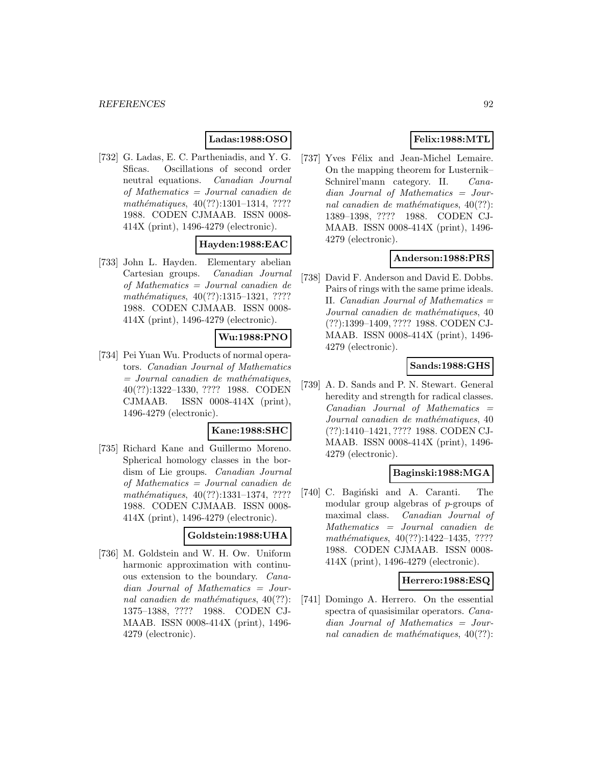# **Ladas:1988:OSO**

[732] G. Ladas, E. C. Partheniadis, and Y. G. Sficas. Oscillations of second order neutral equations. Canadian Journal of Mathematics = Journal canadien de mathématiques,  $40(??):1301-1314$ , ???? 1988. CODEN CJMAAB. ISSN 0008- 414X (print), 1496-4279 (electronic).

## **Hayden:1988:EAC**

[733] John L. Hayden. Elementary abelian Cartesian groups. Canadian Journal of Mathematics = Journal canadien de mathématiques,  $40(??):1315-1321, ????$ 1988. CODEN CJMAAB. ISSN 0008- 414X (print), 1496-4279 (electronic).

# **Wu:1988:PNO**

[734] Pei Yuan Wu. Products of normal operators. Canadian Journal of Mathematics  $=$  Journal canadien de mathématiques, 40(??):1322–1330, ???? 1988. CODEN CJMAAB. ISSN 0008-414X (print), 1496-4279 (electronic).

#### **Kane:1988:SHC**

[735] Richard Kane and Guillermo Moreno. Spherical homology classes in the bordism of Lie groups. Canadian Journal of Mathematics = Journal canadien de mathématiques,  $40(??):1331-1374$ , ???? 1988. CODEN CJMAAB. ISSN 0008- 414X (print), 1496-4279 (electronic).

## **Goldstein:1988:UHA**

[736] M. Goldstein and W. H. Ow. Uniform harmonic approximation with continuous extension to the boundary. Canadian Journal of Mathematics = Journal canadien de mathématiques,  $40(??)$ : 1375–1388, ???? 1988. CODEN CJ-MAAB. ISSN 0008-414X (print), 1496- 4279 (electronic).

# **Felix:1988:MTL**

[737] Yves Félix and Jean-Michel Lemaire. On the mapping theorem for Lusternik– Schnirel'mann category. II. Canadian Journal of Mathematics = Journal canadien de mathématiques,  $40(??)$ : 1389–1398, ???? 1988. CODEN CJ-MAAB. ISSN 0008-414X (print), 1496- 4279 (electronic).

## **Anderson:1988:PRS**

[738] David F. Anderson and David E. Dobbs. Pairs of rings with the same prime ideals. II. Canadian Journal of Mathematics  $=$ Journal canadien de mathématiques, 40 (??):1399–1409, ???? 1988. CODEN CJ-MAAB. ISSN 0008-414X (print), 1496- 4279 (electronic).

## **Sands:1988:GHS**

[739] A. D. Sands and P. N. Stewart. General heredity and strength for radical classes.  $Canadian$  Journal of Mathematics  $=$ Journal canadien de mathématiques, 40 (??):1410–1421, ???? 1988. CODEN CJ-MAAB. ISSN 0008-414X (print), 1496- 4279 (electronic).

### **Baginski:1988:MGA**

[740] C. Bagiński and A. Caranti. The modular group algebras of p-groups of maximal class. Canadian Journal of Mathematics = Journal canadien de mathématiques,  $40(??):1422-1435, ????$ 1988. CODEN CJMAAB. ISSN 0008- 414X (print), 1496-4279 (electronic).

### **Herrero:1988:ESQ**

[741] Domingo A. Herrero. On the essential spectra of quasisimilar operators. Canadian Journal of Mathematics = Journal canadien de mathématiques,  $40(??)$ :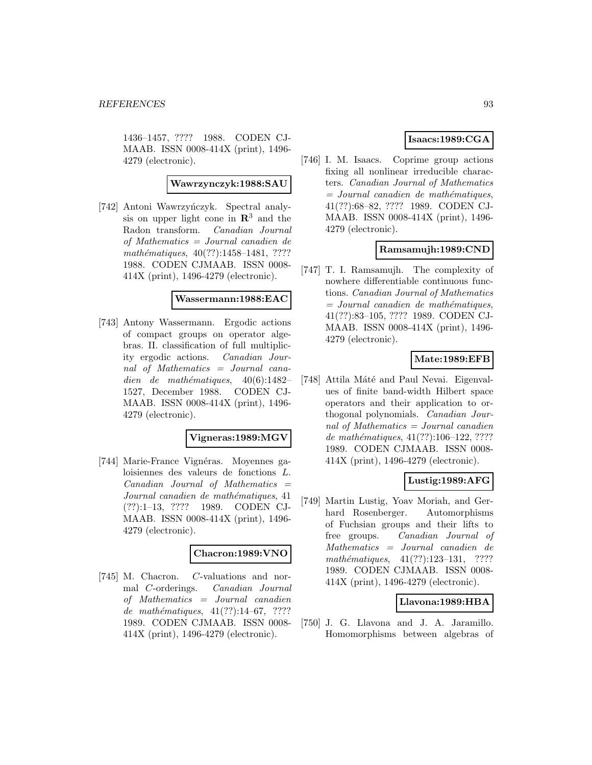1436–1457, ???? 1988. CODEN CJ-MAAB. ISSN 0008-414X (print), 1496- 4279 (electronic).

## **Wawrzynczyk:1988:SAU**

[742] Antoni Wawrzyńczyk. Spectral analysis on upper light cone in **R**<sup>3</sup> and the Radon transform. Canadian Journal of Mathematics = Journal canadien de mathématiques,  $40(??):1458-1481, ????$ 1988. CODEN CJMAAB. ISSN 0008- 414X (print), 1496-4279 (electronic).

### **Wassermann:1988:EAC**

[743] Antony Wassermann. Ergodic actions of compact groups on operator algebras. II. classification of full multiplicity ergodic actions. Canadian Journal of Mathematics = Journal canadien de mathématiques,  $40(6):1482-$ 1527, December 1988. CODEN CJ-MAAB. ISSN 0008-414X (print), 1496- 4279 (electronic).

### **Vigneras:1989:MGV**

[744] Marie-France Vignéras. Moyennes galoisiennes des valeurs de fonctions L.  $Canadian$  Journal of Mathematics  $=$ Journal canadien de mathématiques, 41 (??):1–13, ???? 1989. CODEN CJ-MAAB. ISSN 0008-414X (print), 1496- 4279 (electronic).

### **Chacron:1989:VNO**

[745] M. Chacron. C-valuations and normal C-orderings. Canadian Journal of Mathematics = Journal canadien de mathématiques,  $41(??):14-67, ????$ 1989. CODEN CJMAAB. ISSN 0008- 414X (print), 1496-4279 (electronic).

# **Isaacs:1989:CGA**

[746] I. M. Isaacs. Coprime group actions fixing all nonlinear irreducible characters. Canadian Journal of Mathematics  $=$  Journal canadien de mathématiques, 41(??):68–82, ???? 1989. CODEN CJ-MAAB. ISSN 0008-414X (print), 1496- 4279 (electronic).

## **Ramsamujh:1989:CND**

[747] T. I. Ramsamujh. The complexity of nowhere differentiable continuous functions. Canadian Journal of Mathematics  $=$  Journal canadien de mathématiques, 41(??):83–105, ???? 1989. CODEN CJ-MAAB. ISSN 0008-414X (print), 1496- 4279 (electronic).

## **Mate:1989:EFB**

[748] Attila Máté and Paul Nevai. Eigenvalues of finite band-width Hilbert space operators and their application to orthogonal polynomials. Canadian Journal of Mathematics = Journal canadien de mathématiques,  $41(??):106-122, ????$ 1989. CODEN CJMAAB. ISSN 0008- 414X (print), 1496-4279 (electronic).

## **Lustig:1989:AFG**

[749] Martin Lustig, Yoav Moriah, and Gerhard Rosenberger. Automorphisms of Fuchsian groups and their lifts to free groups. Canadian Journal of Mathematics = Journal canadien de mathématiques,  $41(??):123-131$ , ???? 1989. CODEN CJMAAB. ISSN 0008- 414X (print), 1496-4279 (electronic).

# **Llavona:1989:HBA**

[750] J. G. Llavona and J. A. Jaramillo. Homomorphisms between algebras of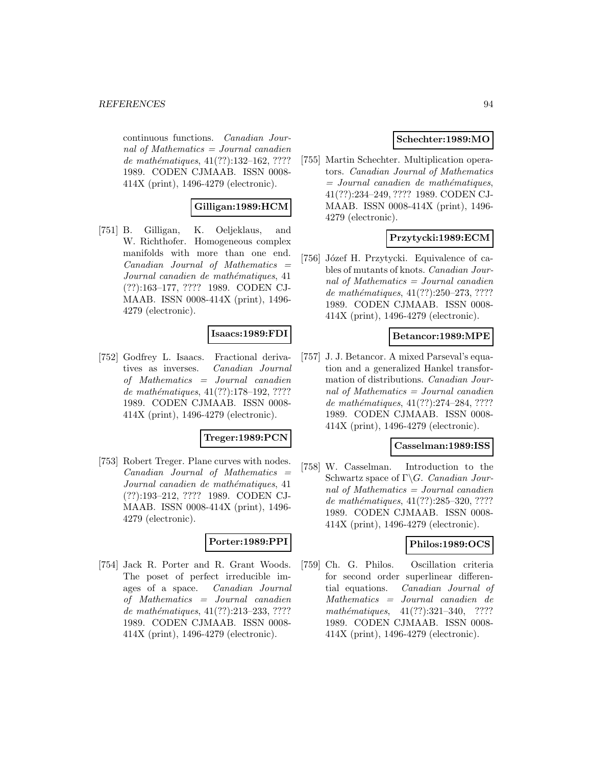continuous functions. Canadian Journal of Mathematics  $=$  Journal canadien de mathématiques,  $41(??):132-162, ????$ 1989. CODEN CJMAAB. ISSN 0008- 414X (print), 1496-4279 (electronic).

# **Gilligan:1989:HCM**

[751] B. Gilligan, K. Oeljeklaus, and W. Richthofer. Homogeneous complex manifolds with more than one end. Canadian Journal of Mathematics = Journal canadien de mathématiques, 41 (??):163–177, ???? 1989. CODEN CJ-MAAB. ISSN 0008-414X (print), 1496- 4279 (electronic).

# **Isaacs:1989:FDI**

[752] Godfrey L. Isaacs. Fractional derivatives as inverses. Canadian Journal of Mathematics = Journal canadien de mathématiques,  $41(??):178-192, ????$ 1989. CODEN CJMAAB. ISSN 0008- 414X (print), 1496-4279 (electronic).

# **Treger:1989:PCN**

[753] Robert Treger. Plane curves with nodes. Canadian Journal of Mathematics = Journal canadien de mathématiques, 41 (??):193–212, ???? 1989. CODEN CJ-MAAB. ISSN 0008-414X (print), 1496- 4279 (electronic).

# **Porter:1989:PPI**

[754] Jack R. Porter and R. Grant Woods. The poset of perfect irreducible images of a space. Canadian Journal of Mathematics = Journal canadien de mathématiques,  $41(??):213-233, ????$ 1989. CODEN CJMAAB. ISSN 0008- 414X (print), 1496-4279 (electronic).

## **Schechter:1989:MO**

[755] Martin Schechter. Multiplication operators. Canadian Journal of Mathematics  $=$  Journal canadien de mathématiques, 41(??):234–249, ???? 1989. CODEN CJ-MAAB. ISSN 0008-414X (print), 1496- 4279 (electronic).

# **Przytycki:1989:ECM**

[756] Józef H. Przytycki. Equivalence of cables of mutants of knots. Canadian Journal of Mathematics = Journal canadien de mathématiques,  $41(??):250-273, ????$ 1989. CODEN CJMAAB. ISSN 0008- 414X (print), 1496-4279 (electronic).

#### **Betancor:1989:MPE**

[757] J. J. Betancor. A mixed Parseval's equation and a generalized Hankel transformation of distributions. Canadian Journal of Mathematics = Journal canadien de mathématiques,  $41(??):274-284, ????$ 1989. CODEN CJMAAB. ISSN 0008- 414X (print), 1496-4279 (electronic).

#### **Casselman:1989:ISS**

[758] W. Casselman. Introduction to the Schwartz space of  $\Gamma \backslash G$ . Canadian Journal of Mathematics = Journal canadien de mathématiques,  $41(??):285-320, ????$ 1989. CODEN CJMAAB. ISSN 0008- 414X (print), 1496-4279 (electronic).

#### **Philos:1989:OCS**

[759] Ch. G. Philos. Oscillation criteria for second order superlinear differential equations. Canadian Journal of Mathematics = Journal canadien de mathématiques,  $41(??):321-340$ , ???? 1989. CODEN CJMAAB. ISSN 0008- 414X (print), 1496-4279 (electronic).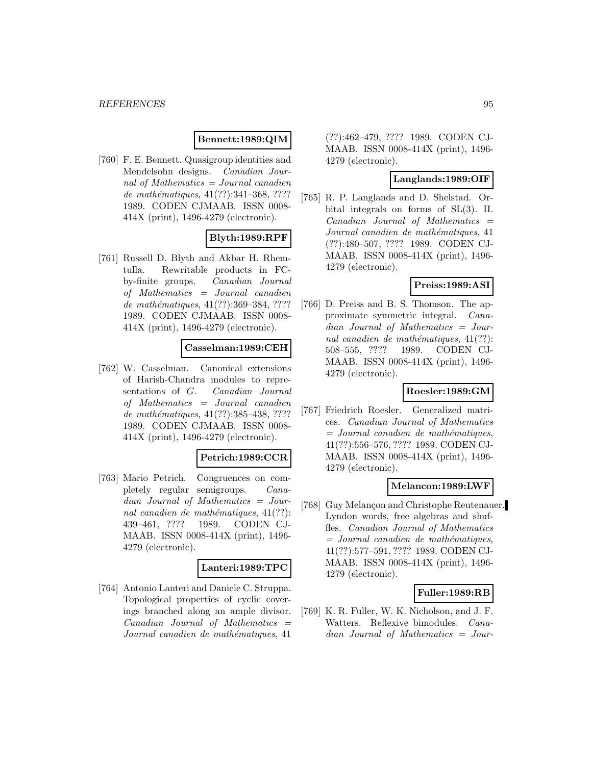# **Bennett:1989:QIM**

[760] F. E. Bennett. Quasigroup identities and Mendelsohn designs. Canadian Journal of Mathematics  $=$  Journal canadien de mathématiques,  $41(??):341-368, ????$ 1989. CODEN CJMAAB. ISSN 0008- 414X (print), 1496-4279 (electronic).

## **Blyth:1989:RPF**

[761] Russell D. Blyth and Akbar H. Rhemtulla. Rewritable products in FCby-finite groups. Canadian Journal of Mathematics = Journal canadien de mathématiques, 41(??):369–384, ???? 1989. CODEN CJMAAB. ISSN 0008- 414X (print), 1496-4279 (electronic).

### **Casselman:1989:CEH**

[762] W. Casselman. Canonical extensions of Harish-Chandra modules to representations of G. Canadian Journal of Mathematics = Journal canadien de mathématiques, 41(??):385-438, ???? 1989. CODEN CJMAAB. ISSN 0008- 414X (print), 1496-4279 (electronic).

# **Petrich:1989:CCR**

[763] Mario Petrich. Congruences on completely regular semigroups. Canadian Journal of Mathematics = Journal canadien de mathématiques,  $41(??)$ : 439–461, ???? 1989. CODEN CJ-MAAB. ISSN 0008-414X (print), 1496- 4279 (electronic).

### **Lanteri:1989:TPC**

[764] Antonio Lanteri and Daniele C. Struppa. Topological properties of cyclic coverings branched along an ample divisor.  $Canadian$  Journal of Mathematics  $=$ Journal canadien de mathématiques, 41

(??):462–479, ???? 1989. CODEN CJ-MAAB. ISSN 0008-414X (print), 1496- 4279 (electronic).

# **Langlands:1989:OIF**

[765] R. P. Langlands and D. Shelstad. Orbital integrals on forms of SL(3). II.  $Canadian$  Journal of Mathematics  $=$ Journal canadien de mathématiques, 41 (??):480–507, ???? 1989. CODEN CJ-MAAB. ISSN 0008-414X (print), 1496- 4279 (electronic).

# **Preiss:1989:ASI**

[766] D. Preiss and B. S. Thomson. The approximate symmetric integral. Canadian Journal of Mathematics = Journal canadien de mathématiques,  $41(??)$ : 508–555, ???? 1989. CODEN CJ-MAAB. ISSN 0008-414X (print), 1496- 4279 (electronic).

# **Roesler:1989:GM**

[767] Friedrich Roesler. Generalized matrices. Canadian Journal of Mathematics  $=$  Journal canadien de mathématiques, 41(??):556–576, ???? 1989. CODEN CJ-MAAB. ISSN 0008-414X (print), 1496- 4279 (electronic).

### **Melancon:1989:LWF**

[768] Guy Melançon and Christophe Reutenauer. Lyndon words, free algebras and shuffles. Canadian Journal of Mathematics  $=$  Journal canadien de mathématiques, 41(??):577–591, ???? 1989. CODEN CJ-MAAB. ISSN 0008-414X (print), 1496- 4279 (electronic).

### **Fuller:1989:RB**

[769] K. R. Fuller, W. K. Nicholson, and J. F. Watters. Reflexive bimodules. Canadian Journal of Mathematics = Jour-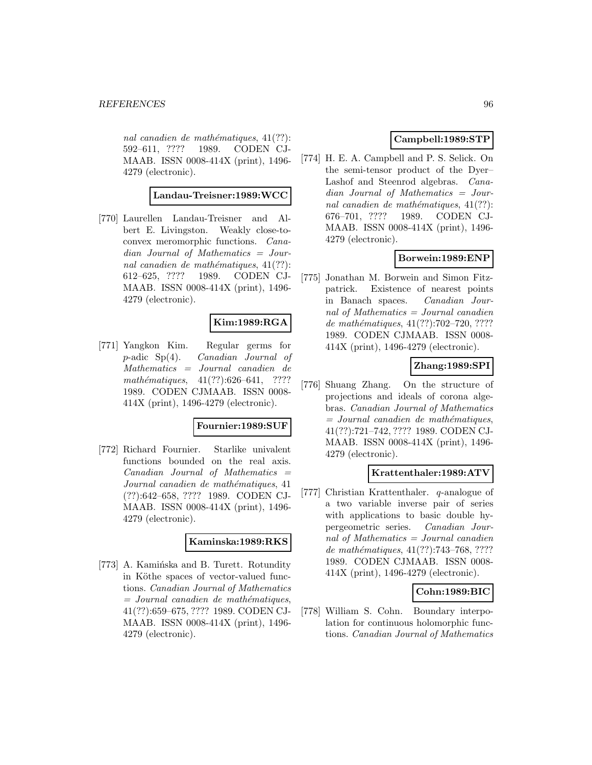nal canadien de mathématiques,  $41(??)$ : 592–611, ???? 1989. CODEN CJ-MAAB. ISSN 0008-414X (print), 1496- 4279 (electronic).

#### **Landau-Treisner:1989:WCC**

[770] Laurellen Landau-Treisner and Albert E. Livingston. Weakly close-toconvex meromorphic functions. Canadian Journal of Mathematics = Journal canadien de mathématiques,  $41(??)$ : 612–625, ???? 1989. CODEN CJ-MAAB. ISSN 0008-414X (print), 1496- 4279 (electronic).

# **Kim:1989:RGA**

[771] Yangkon Kim. Regular germs for p-adic Sp(4). Canadian Journal of Mathematics = Journal canadien de mathématiques,  $41(??):626-641$ , ???? 1989. CODEN CJMAAB. ISSN 0008- 414X (print), 1496-4279 (electronic).

### **Fournier:1989:SUF**

[772] Richard Fournier. Starlike univalent functions bounded on the real axis.  $Canadian$  Journal of Mathematics  $=$ Journal canadien de mathématiques, 41 (??):642–658, ???? 1989. CODEN CJ-MAAB. ISSN 0008-414X (print), 1496- 4279 (electronic).

# **Kaminska:1989:RKS**

[773] A. Kamińska and B. Turett. Rotundity in Köthe spaces of vector-valued functions. Canadian Journal of Mathematics  $=$  Journal canadien de mathématiques, 41(??):659–675, ???? 1989. CODEN CJ-MAAB. ISSN 0008-414X (print), 1496- 4279 (electronic).

# **Campbell:1989:STP**

[774] H. E. A. Campbell and P. S. Selick. On the semi-tensor product of the Dyer– Lashof and Steenrod algebras. Canadian Journal of Mathematics = Journal canadien de mathématiques,  $41(??)$ : 676–701, ???? 1989. CODEN CJ-MAAB. ISSN 0008-414X (print), 1496- 4279 (electronic).

# **Borwein:1989:ENP**

[775] Jonathan M. Borwein and Simon Fitzpatrick. Existence of nearest points in Banach spaces. Canadian Journal of Mathematics = Journal canadien de mathématiques,  $41(??):702-720, ????$ 1989. CODEN CJMAAB. ISSN 0008- 414X (print), 1496-4279 (electronic).

# **Zhang:1989:SPI**

[776] Shuang Zhang. On the structure of projections and ideals of corona algebras. Canadian Journal of Mathematics  $=$  Journal canadien de mathématiques, 41(??):721–742, ???? 1989. CODEN CJ-MAAB. ISSN 0008-414X (print), 1496- 4279 (electronic).

# **Krattenthaler:1989:ATV**

[777] Christian Krattenthaler. q-analogue of a two variable inverse pair of series with applications to basic double hypergeometric series. Canadian Journal of Mathematics = Journal canadien de mathématiques, 41(??):743-768, ???? 1989. CODEN CJMAAB. ISSN 0008- 414X (print), 1496-4279 (electronic).

# **Cohn:1989:BIC**

[778] William S. Cohn. Boundary interpolation for continuous holomorphic functions. Canadian Journal of Mathematics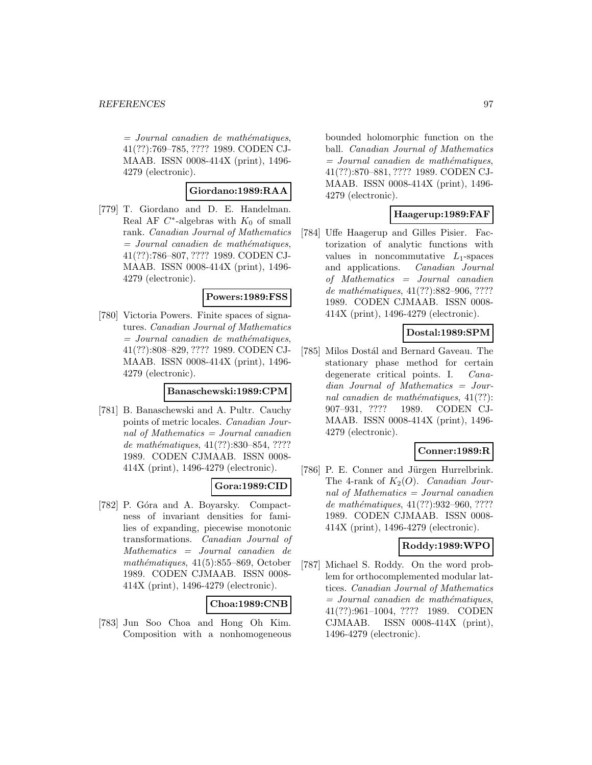$=$  Journal canadien de mathématiques, 41(??):769–785, ???? 1989. CODEN CJ-MAAB. ISSN 0008-414X (print), 1496- 4279 (electronic).

### **Giordano:1989:RAA**

[779] T. Giordano and D. E. Handelman. Real AF  $C^*$ -algebras with  $K_0$  of small rank. Canadian Journal of Mathematics  $=$  Journal canadien de mathématiques, 41(??):786–807, ???? 1989. CODEN CJ-MAAB. ISSN 0008-414X (print), 1496- 4279 (electronic).

### **Powers:1989:FSS**

[780] Victoria Powers. Finite spaces of signatures. Canadian Journal of Mathematics  $=$  Journal canadien de mathématiques, 41(??):808–829, ???? 1989. CODEN CJ-MAAB. ISSN 0008-414X (print), 1496- 4279 (electronic).

#### **Banaschewski:1989:CPM**

[781] B. Banaschewski and A. Pultr. Cauchy points of metric locales. Canadian Journal of Mathematics = Journal canadien de mathématiques, 41(??):830–854, ???? 1989. CODEN CJMAAB. ISSN 0008- 414X (print), 1496-4279 (electronic).

# **Gora:1989:CID**

[782] P. Góra and A. Boyarsky. Compactness of invariant densities for families of expanding, piecewise monotonic transformations. Canadian Journal of Mathematics = Journal canadien de mathématiques,  $41(5):855-869$ , October 1989. CODEN CJMAAB. ISSN 0008- 414X (print), 1496-4279 (electronic).

# **Choa:1989:CNB**

[783] Jun Soo Choa and Hong Oh Kim. Composition with a nonhomogeneous bounded holomorphic function on the ball. Canadian Journal of Mathematics  $=$  Journal canadien de mathématiques, 41(??):870–881, ???? 1989. CODEN CJ-MAAB. ISSN 0008-414X (print), 1496- 4279 (electronic).

## **Haagerup:1989:FAF**

[784] Uffe Haagerup and Gilles Pisier. Factorization of analytic functions with values in noncommutative  $L_1$ -spaces and applications. Canadian Journal of Mathematics = Journal canadien de mathématiques,  $41(??):882-906, ????$ 1989. CODEN CJMAAB. ISSN 0008- 414X (print), 1496-4279 (electronic).

# **Dostal:1989:SPM**

[785] Milos Dostál and Bernard Gaveau. The stationary phase method for certain degenerate critical points. I. Canadian Journal of Mathematics = Journal canadien de mathématiques,  $41(??)$ : 907–931, ???? 1989. CODEN CJ-MAAB. ISSN 0008-414X (print), 1496- 4279 (electronic).

# **Conner:1989:R**

[786] P. E. Conner and Jürgen Hurrelbrink. The 4-rank of  $K_2(O)$ . *Canadian Jour*nal of Mathematics = Journal canadien de mathématiques, 41(??):932-960, ???? 1989. CODEN CJMAAB. ISSN 0008- 414X (print), 1496-4279 (electronic).

### **Roddy:1989:WPO**

[787] Michael S. Roddy. On the word problem for orthocomplemented modular lattices. Canadian Journal of Mathematics  $=$  Journal canadien de mathématiques, 41(??):961–1004, ???? 1989. CODEN CJMAAB. ISSN 0008-414X (print), 1496-4279 (electronic).